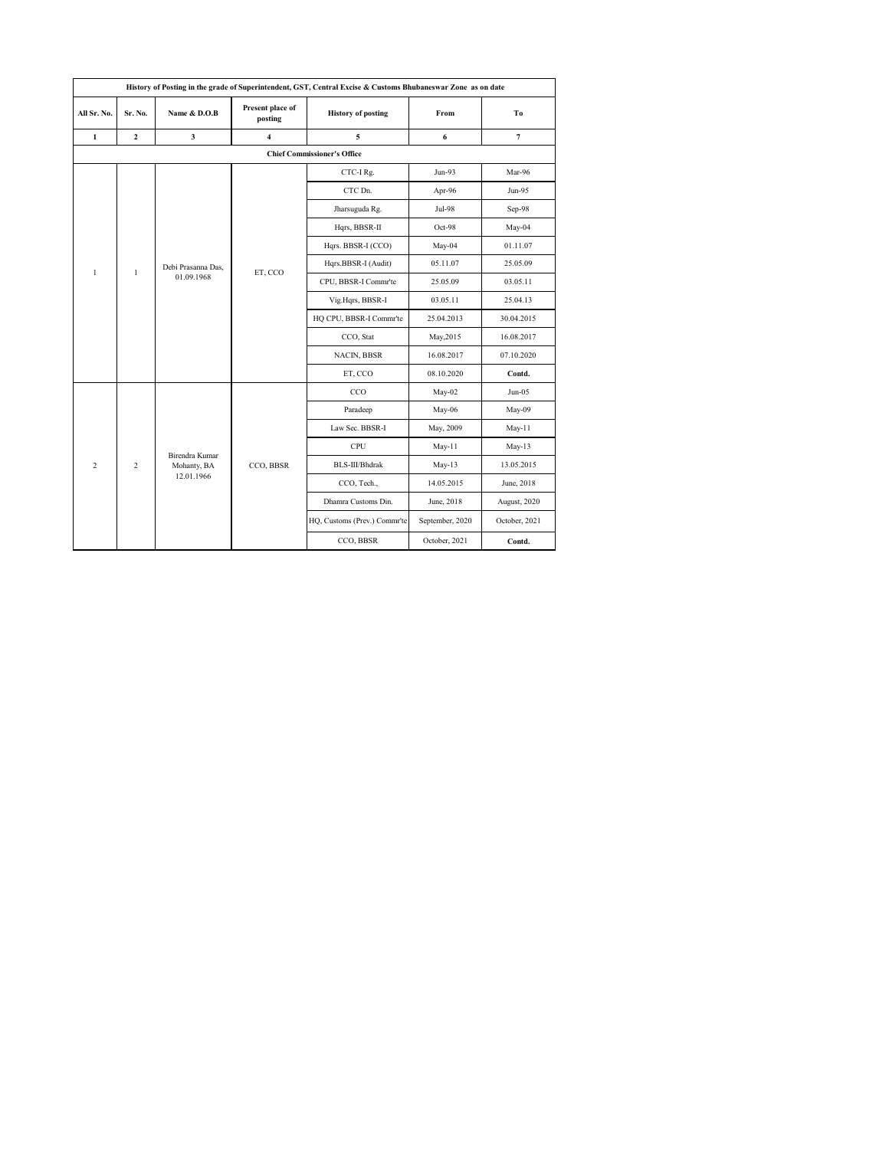|                              |                    |                               |                             | History of Posting in the grade of Superintendent, GST, Central Excise & Customs Bhubaneswar Zone as on date |                 |                |
|------------------------------|--------------------|-------------------------------|-----------------------------|--------------------------------------------------------------------------------------------------------------|-----------------|----------------|
| All Sr. No.                  | Sr. No.            | Name & D.O.B                  | Present place of<br>posting | <b>History of posting</b>                                                                                    | From            | To             |
| $\mathbf{1}$                 | $\overline{2}$     | $\mathbf{3}$                  | $\overline{\mathbf{4}}$     | 5                                                                                                            | 6               | $\overline{7}$ |
|                              |                    |                               |                             | <b>Chief Commissioner's Office</b>                                                                           |                 |                |
|                              |                    |                               |                             | CTC-I Rg.                                                                                                    | Jun-93          | Mar-96         |
|                              |                    |                               |                             | CTC Dn.                                                                                                      | Apr-96          | Jun-95         |
|                              |                    |                               |                             | Jharsuguda Rg.                                                                                               | Jul-98          | $Sep-98$       |
| $\mathbf{1}$<br>$\mathbf{1}$ |                    |                               | Hqrs, BBSR-II               | Oct-98                                                                                                       | May-04          |                |
|                              |                    |                               |                             | Hqrs. BBSR-I (CCO)                                                                                           | May-04          | 01.11.07       |
|                              | Debi Prasanna Das. |                               | Hqrs.BBSR-I (Audit)         | 05.11.07                                                                                                     | 25.05.09        |                |
|                              |                    | 01.09.1968                    | ET, CCO                     | CPU, BBSR-I Commr'te                                                                                         | 25.05.09        | 03.05.11       |
|                              |                    |                               |                             | Vig.Hqrs, BBSR-I                                                                                             | 03.05.11        | 25.04.13       |
|                              |                    |                               |                             | HQ CPU, BBSR-I Commr'te                                                                                      | 25.04.2013      | 30.04.2015     |
|                              |                    |                               |                             | CCO, Stat                                                                                                    | May, 2015       | 16.08.2017     |
|                              |                    |                               |                             | <b>NACIN, BBSR</b>                                                                                           | 16.08.2017      | 07.10.2020     |
|                              |                    |                               |                             | ET, CCO                                                                                                      | 08.10.2020      | Contd.         |
|                              |                    |                               |                             | CCO                                                                                                          | May-02          | $Jun-05$       |
|                              |                    |                               |                             | Paradeep                                                                                                     | May-06          | May-09         |
|                              |                    |                               |                             | Law Sec. BBSR-I                                                                                              | May, 2009       | $May-11$       |
|                              |                    |                               |                             | CPU                                                                                                          | May-11          | $May-13$       |
| $\overline{c}$               | $\overline{c}$     | Birendra Kumar<br>Mohanty, BA | CCO, BBSR                   | BLS-III/Bhdrak                                                                                               | $May-13$        | 13.05.2015     |
|                              |                    | 12.01.1966                    |                             | CCO, Tech.,                                                                                                  | 14.05.2015      | June, 2018     |
|                              |                    |                               |                             | Dhamra Customs Din.                                                                                          | June, 2018      | August, 2020   |
|                              |                    |                               |                             | HQ, Customs (Prev.) Commr'te                                                                                 | September, 2020 | October, 2021  |
|                              |                    |                               |                             | CCO, BBSR                                                                                                    | October, 2021   | Contd.         |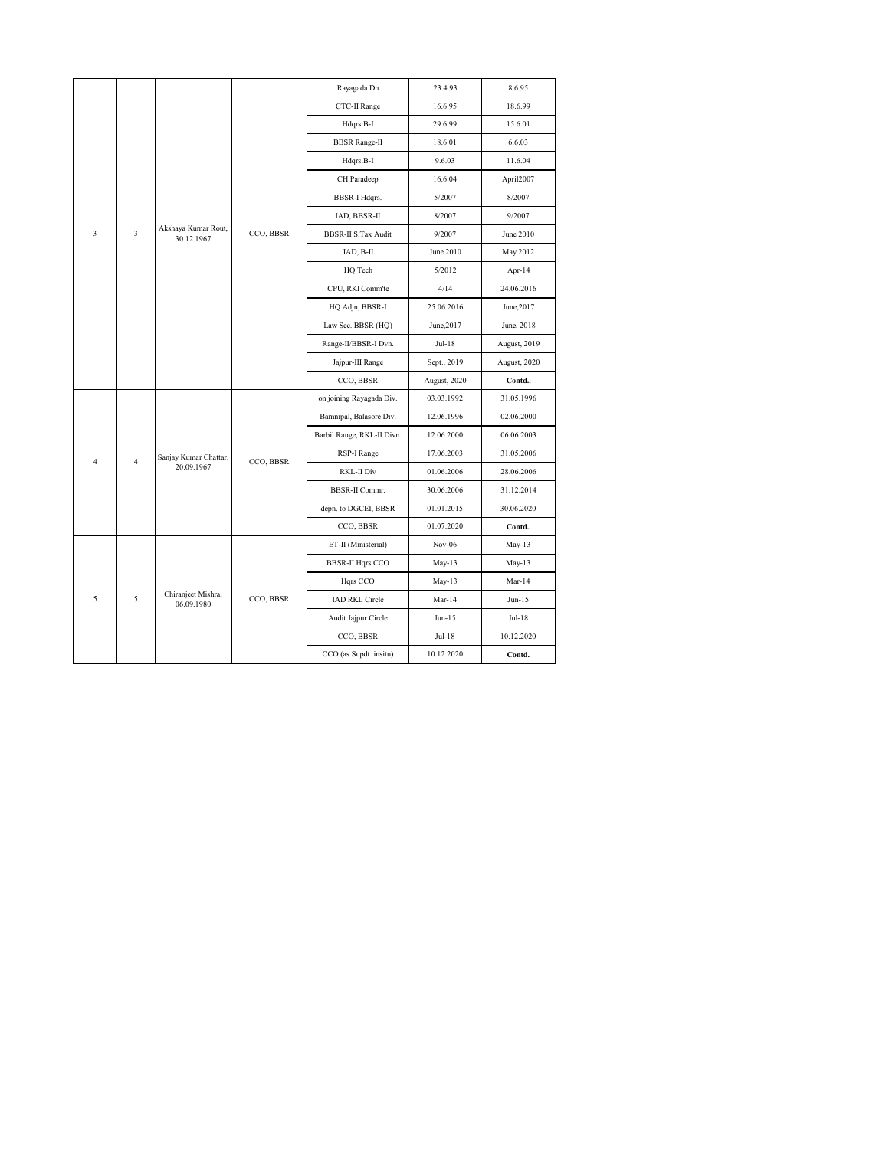|                                                |           | Rayagada Dn<br>CTC-II Range<br>Hdqrs.B-I<br><b>BBSR</b> Range-II | 23.4.93<br>16.6.95<br>29.6.99 | 8.6.95<br>18.6.99 |
|------------------------------------------------|-----------|------------------------------------------------------------------|-------------------------------|-------------------|
|                                                |           |                                                                  |                               |                   |
|                                                |           |                                                                  |                               |                   |
|                                                |           |                                                                  |                               | 15.6.01           |
|                                                |           |                                                                  | 18.6.01                       | 6.6.03            |
|                                                |           | Hdqrs.B-I                                                        | 9.6.03                        | 11.6.04           |
|                                                |           | CH Paradeep                                                      | 16.6.04                       | April2007         |
|                                                |           | <b>BBSR-I Hdqrs.</b>                                             | 5/2007                        | 8/2007            |
|                                                |           | IAD, BBSR-II                                                     | 8/2007                        | 9/2007            |
| Akshaya Kumar Rout,<br>3<br>3<br>30.12.1967    | CCO, BBSR | <b>BBSR-II S.Tax Audit</b>                                       | 9/2007                        | June 2010         |
|                                                |           | IAD, B-II                                                        | June 2010                     | May 2012          |
|                                                |           | HQ Tech                                                          | 5/2012                        | Apr-14            |
|                                                |           | CPU, RKI Comm'te                                                 | 4/14                          | 24.06.2016        |
|                                                |           |                                                                  | 25.06.2016                    | June, 2017        |
|                                                |           | HQ Adjn, BBSR-I                                                  |                               |                   |
|                                                |           | Law Sec. BBSR (HQ)                                               | June, 2017                    | June, 2018        |
|                                                |           | Range-II/BBSR-I Dvn.                                             | $Jul-18$                      | August, 2019      |
|                                                |           | Jajpur-III Range                                                 | Sept., 2019                   | August, 2020      |
|                                                |           | CCO, BBSR                                                        | August, 2020                  | Contd             |
|                                                |           | on joining Rayagada Div.                                         | 03.03.1992                    | 31.05.1996        |
|                                                |           | Bamnipal, Balasore Div.                                          | 12.06.1996                    | 02.06.2000        |
|                                                |           | Barbil Range, RKL-II Divn.                                       | 12.06.2000                    | 06.06.2003        |
| Sanjay Kumar Chattar,                          |           | RSP-I Range                                                      | 17.06.2003                    | 31.05.2006        |
| $\overline{4}$<br>$\overline{4}$<br>20.09.1967 | CCO, BBSR | <b>RKL-II Div</b>                                                | 01.06.2006                    | 28.06.2006        |
|                                                |           | <b>BBSR-II Commr.</b>                                            | 30.06.2006                    | 31.12.2014        |
|                                                |           | depn. to DGCEI, BBSR                                             | 01.01.2015                    | 30.06.2020        |
|                                                |           | CCO, BBSR                                                        | 01.07.2020                    | Contd             |
|                                                |           | ET-II (Ministerial)                                              | Nov-06                        | $May-13$          |
|                                                |           | <b>BBSR-II Hqrs CCO</b>                                          | $May-13$                      | $May-13$          |
|                                                |           | Hqrs CCO                                                         | $May-13$                      | Mar-14            |
| Chiranjeet Mishra,<br>5<br>5<br>06.09.1980     | CCO, BBSR | <b>IAD RKL Circle</b>                                            | $Mar-14$                      | Jun-15            |
|                                                |           | Audit Jajpur Circle                                              | $Jun-15$                      | Jul-18            |
|                                                |           | CCO, BBSR                                                        | Jul-18                        | 10.12.2020        |
|                                                |           |                                                                  |                               |                   |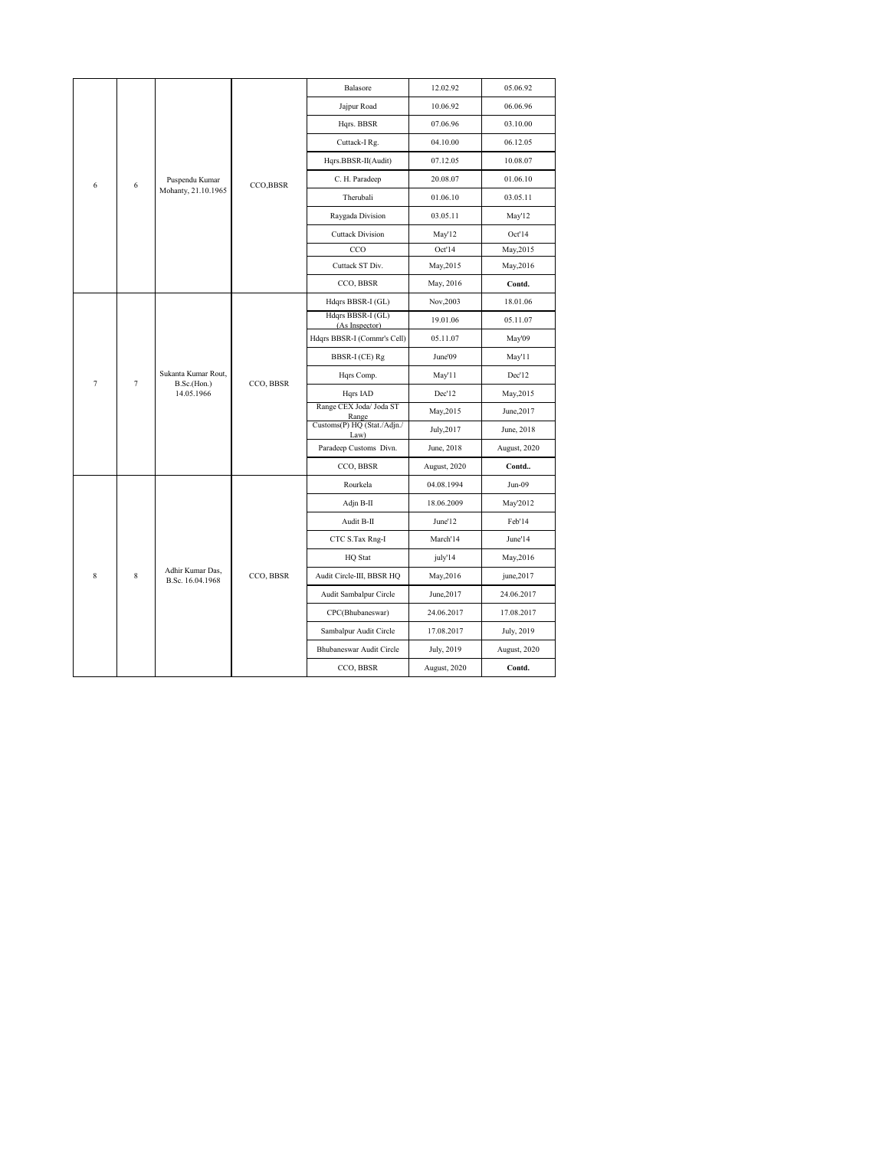| Balasore<br>12.02.92<br>Jajpur Road<br>10.06.92<br>Hqrs. BBSR<br>07.06.96<br>04.10.00<br>Cuttack-I Rg.<br>07.12.05<br>Hqrs.BBSR-II(Audit)<br>20.08.07<br>C. H. Paradeep<br>Puspendu Kumar<br>CCO,BBSR<br>6<br>6<br>Mohanty, 21.10.1965<br>Therubali<br>01.06.10 | 05.06.92<br>06.06.96<br>03.10.00<br>06.12.05<br>10.08.07<br>01.06.10<br>03.05.11<br>May'12 |
|-----------------------------------------------------------------------------------------------------------------------------------------------------------------------------------------------------------------------------------------------------------------|--------------------------------------------------------------------------------------------|
|                                                                                                                                                                                                                                                                 |                                                                                            |
|                                                                                                                                                                                                                                                                 |                                                                                            |
|                                                                                                                                                                                                                                                                 |                                                                                            |
|                                                                                                                                                                                                                                                                 |                                                                                            |
|                                                                                                                                                                                                                                                                 |                                                                                            |
|                                                                                                                                                                                                                                                                 |                                                                                            |
|                                                                                                                                                                                                                                                                 |                                                                                            |
| Raygada Division<br>03.05.11                                                                                                                                                                                                                                    |                                                                                            |
| <b>Cuttack Division</b><br>May'12                                                                                                                                                                                                                               | Oct'14                                                                                     |
| CCO<br>Oct'14                                                                                                                                                                                                                                                   | May, 2015                                                                                  |
| Cuttack ST Div.<br>May, 2015                                                                                                                                                                                                                                    | May, 2016                                                                                  |
| CCO, BBSR<br>May, 2016                                                                                                                                                                                                                                          | Contd.                                                                                     |
| Hdqrs BBSR-I (GL)<br>Nov, 2003                                                                                                                                                                                                                                  | 18.01.06                                                                                   |
| Hdqrs BBSR-I (GL)<br>19.01.06<br>(As Inspector)                                                                                                                                                                                                                 | 05.11.07                                                                                   |
| Hdqrs BBSR-I (Commr's Cell)<br>05.11.07                                                                                                                                                                                                                         | May'09                                                                                     |
| June'09<br>BBSR-I (CE) Rg                                                                                                                                                                                                                                       | May'11                                                                                     |
| Sukanta Kumar Rout,<br>May'11<br>Hqrs Comp.<br>$\overline{7}$<br>$\overline{7}$<br>CCO, BBSR<br>B.Sc.(Hon.)                                                                                                                                                     | Dec'12                                                                                     |
| Dec'12<br>14.05.1966<br>Hqrs IAD                                                                                                                                                                                                                                | May, 2015                                                                                  |
| Range CEX Joda/ Joda ST<br>May, 2015<br>Range                                                                                                                                                                                                                   | June, 2017                                                                                 |
| Customs(P) HQ (Stat./Adjn./<br>July, 2017<br>Law)                                                                                                                                                                                                               | June, 2018                                                                                 |
| Paradeep Customs Divn.<br>June, 2018                                                                                                                                                                                                                            | August, 2020                                                                               |
| CCO, BBSR<br>August, 2020                                                                                                                                                                                                                                       | Contd                                                                                      |
| Rourkela<br>04.08.1994                                                                                                                                                                                                                                          | $Jun-09$                                                                                   |
| 18.06.2009<br>Adjn B-II                                                                                                                                                                                                                                         | May'2012                                                                                   |
| Audit B-II<br>June'12                                                                                                                                                                                                                                           | Feb'14                                                                                     |
| March'14<br>CTC S.Tax Rng-I                                                                                                                                                                                                                                     | June'14                                                                                    |
| <b>HQ</b> Stat<br>july'14                                                                                                                                                                                                                                       | May, 2016                                                                                  |
| Adhir Kumar Das,<br>8<br>CCO, BBSR<br>8<br>Audit Circle-III, BBSR HQ<br>May, 2016<br>B.Sc. 16.04.1968                                                                                                                                                           | june, 2017                                                                                 |
| Audit Sambalpur Circle<br>June, 2017                                                                                                                                                                                                                            | 24.06.2017                                                                                 |
| CPC(Bhubaneswar)<br>24.06.2017                                                                                                                                                                                                                                  | 17.08.2017                                                                                 |
| Sambalpur Audit Circle<br>17.08.2017                                                                                                                                                                                                                            | July, 2019                                                                                 |
| Bhubaneswar Audit Circle<br>July, 2019                                                                                                                                                                                                                          | August, 2020                                                                               |
| CCO, BBSR<br>August, 2020                                                                                                                                                                                                                                       | Contd.                                                                                     |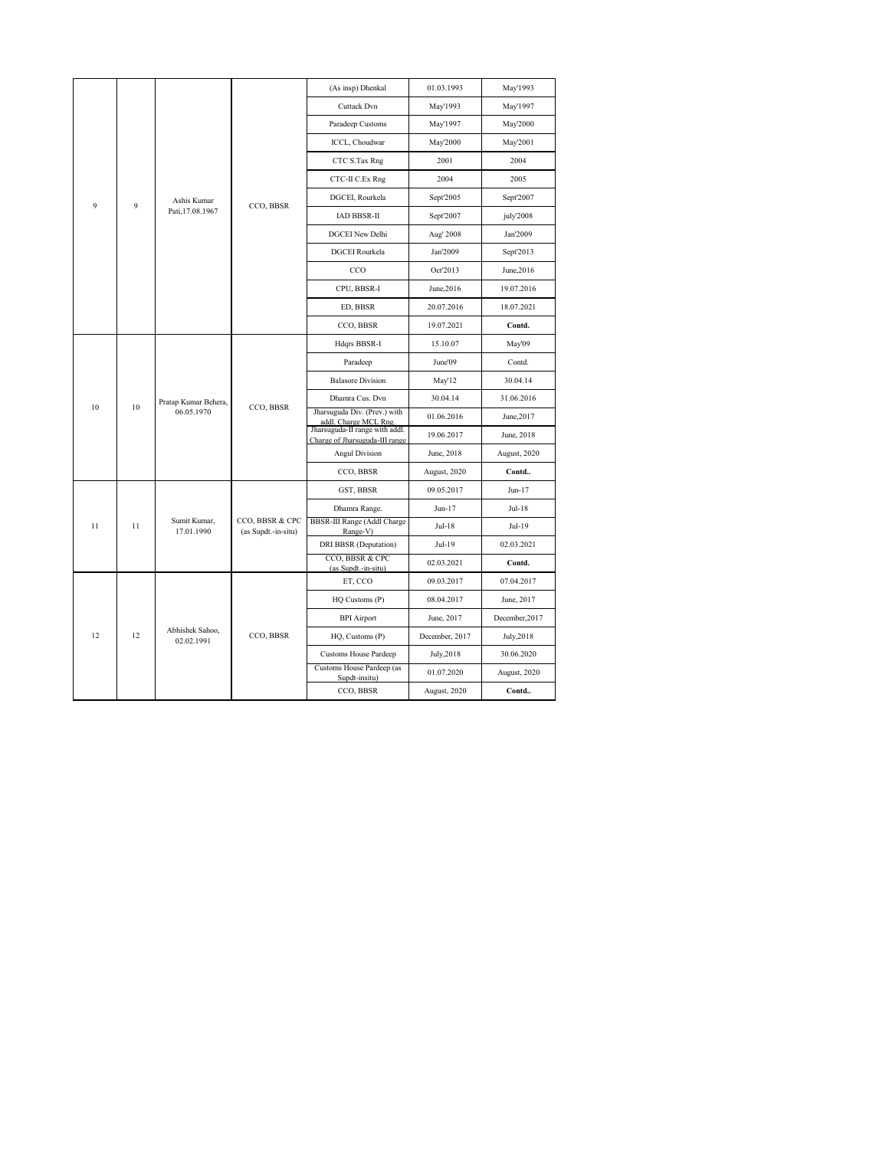|                                           |    |                                    |                                        | (As insp) Dhenkal                                                | 01.03.1993     | May'1993       |
|-------------------------------------------|----|------------------------------------|----------------------------------------|------------------------------------------------------------------|----------------|----------------|
|                                           |    |                                    |                                        | Cuttack Dvn                                                      | May'1993       | May'1997       |
|                                           |    |                                    |                                        | Paradeep Customs                                                 | May'1997       | May'2000       |
|                                           |    |                                    |                                        | ICCL, Choudwar                                                   | May'2000       | May'2001       |
|                                           |    |                                    |                                        | CTC S.Tax Rng                                                    | 2001           | 2004           |
|                                           |    |                                    |                                        | CTC-II C.Ex Rng                                                  | 2004           | 2005           |
| Ashis Kumar<br>9<br>9<br>Pati, 17.08.1967 |    |                                    | DGCEI, Rourkela                        | Sept'2005                                                        | Sept'2007      |                |
|                                           |    | CCO, BBSR                          | IAD BBSR-II                            | Sept'2007                                                        | july'2008      |                |
|                                           |    |                                    |                                        | <b>DGCEI New Delhi</b>                                           | Aug' 2008      | Jan'2009       |
|                                           |    |                                    |                                        | <b>DGCEI</b> Rourkela                                            | Jan'2009       | Sept'2013      |
|                                           |    |                                    |                                        | CCO                                                              | Oct'2013       | June, 2016     |
|                                           |    |                                    |                                        | CPU, BBSR-I                                                      | June, 2016     | 19.07.2016     |
|                                           |    |                                    |                                        | ED, BBSR                                                         | 20.07.2016     | 18.07.2021     |
|                                           |    |                                    |                                        | CCO, BBSR                                                        | 19.07.2021     | Contd.         |
|                                           |    | Hdqrs BBSR-I                       | 15.10.07                               | May'09                                                           |                |                |
|                                           |    |                                    | CCO, BBSR                              | Paradeep                                                         | June'09        | Contd.         |
|                                           |    | Pratap Kumar Behera,<br>06.05.1970 |                                        | <b>Balasore Division</b>                                         | May'12         | 30.04.14       |
| 10                                        | 10 |                                    |                                        | Dhamra Cus. Dvn                                                  | 30.04.14       | 31.06.2016     |
|                                           |    |                                    |                                        | Jharsuguda Div. (Prev.) with<br>addl. Charge MCL Rng.            | 01.06.2016     | June, 2017     |
|                                           |    |                                    |                                        | Jharsuguda-II range with addl.<br>Charge of Jharsuguda-III range | 19.06.2017     | June, 2018     |
|                                           |    |                                    |                                        | <b>Angul Division</b>                                            | June, 2018     | August, 2020   |
|                                           |    |                                    |                                        | CCO, BBSR                                                        | August, 2020   | Contd          |
|                                           |    |                                    |                                        | GST, BBSR                                                        | 09.05.2017     | Jun-17         |
|                                           |    |                                    |                                        | Dhamra Range.                                                    | Jun-17         | Jul-18         |
| 11                                        | 11 | Sumit Kumar,<br>17.01.1990         | CCO, BBSR & CPC<br>(as Supdt.-in-situ) | BBSR-III Range (Addl Charge<br>Range-V)                          | Jul-18         | Jul-19         |
|                                           |    |                                    |                                        | DRI BBSR (Deputation)                                            | Jul-19         | 02.03.2021     |
|                                           |    |                                    |                                        | CCO, BBSR & CPC<br>(as Supdt.-in-situ)                           | 02.03.2021     | Contd.         |
|                                           |    |                                    |                                        | ET, CCO                                                          | 09.03.2017     | 07.04.2017     |
|                                           |    |                                    |                                        | HQ Customs (P)                                                   | 08.04.2017     | June, 2017     |
|                                           |    |                                    |                                        | <b>BPI</b> Airport                                               | June, 2017     | December, 2017 |
| 12                                        | 12 | Abhishek Sahoo,<br>02.02.1991      | CCO, BBSR                              | HQ, Customs (P)                                                  | December, 2017 | July, 2018     |
|                                           |    |                                    |                                        | <b>Customs House Pardeep</b>                                     | July, 2018     | 30.06.2020     |
|                                           |    |                                    |                                        | Customs House Pardeep (as<br>Supdt-insitu)                       | 01.07.2020     | August, 2020   |
|                                           |    |                                    |                                        | CCO, BBSR                                                        | August, 2020   | Contd          |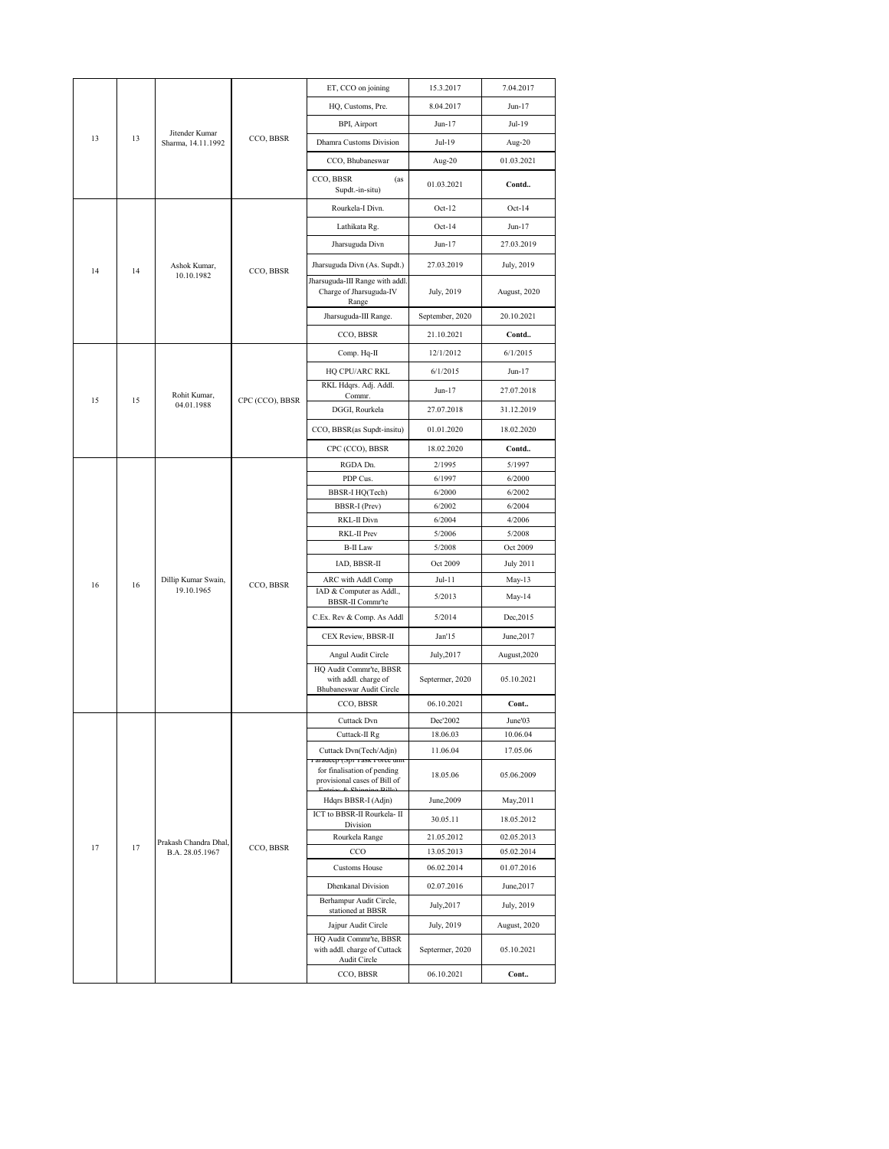|    |    |                                      |                       | ET, CCO on joining                                                                         | 15.3.2017       | 7.04.2017        |
|----|----|--------------------------------------|-----------------------|--------------------------------------------------------------------------------------------|-----------------|------------------|
|    |    |                                      |                       | HQ, Customs, Pre.                                                                          | 8.04.2017       | Jun-17           |
|    |    |                                      |                       | BPI, Airport                                                                               | Jun-17          | Jul-19           |
| 13 | 13 | Jitender Kumar<br>Sharma, 14.11.1992 | CCO, BBSR             | Dhamra Customs Division                                                                    | Jul-19          | Aug-20           |
|    |    |                                      |                       | CCO, Bhubaneswar                                                                           | Aug-20          | 01.03.2021       |
|    |    |                                      |                       | CCO, BBSR<br>(as<br>Supdt.-in-situ)                                                        | 01.03.2021      | Contd            |
|    |    |                                      |                       | Rourkela-I Divn.                                                                           | $Oct-12$        | $Oct-14$         |
|    |    |                                      |                       | Lathikata Rg.                                                                              | $Oct-14$        | Jun-17           |
|    |    |                                      |                       | Jharsuguda Divn                                                                            | Jun-17          | 27.03.2019       |
| 14 | 14 | Ashok Kumar,<br>10.10.1982           | CCO, BBSR             | Jharsuguda Divn (As. Supdt.)                                                               | 27.03.2019      | July, 2019       |
|    |    |                                      |                       | Jharsuguda-III Range with addl.<br>Charge of Jharsuguda-IV<br>Range                        | July, 2019      | August, 2020     |
|    |    |                                      | Jharsuguda-III Range. | September, 2020                                                                            | 20.10.2021      |                  |
|    |    |                                      | CCO, BBSR             | 21.10.2021                                                                                 | Contd           |                  |
|    |    |                                      |                       | Comp. Hq-II                                                                                | 12/1/2012       | 6/1/2015         |
|    |    |                                      |                       | HQ CPU/ARC RKL                                                                             | 6/1/2015        | Jun-17           |
|    |    | Rohit Kumar,                         |                       | RKL Hdqrs. Adj. Addl.<br>Commr.                                                            | Jun-17          | 27.07.2018       |
| 15 | 15 | 04.01.1988                           | CPC (CCO), BBSR       | DGGI, Rourkela                                                                             | 27.07.2018      | 31.12.2019       |
|    |    |                                      |                       | CCO, BBSR(as Supdt-insitu)                                                                 | 01.01.2020      | 18.02.2020       |
|    |    |                                      | CPC (CCO), BBSR       | 18.02.2020                                                                                 | Contd           |                  |
|    |    |                                      |                       | RGDA Dn.                                                                                   | 2/1995          | 5/1997           |
|    |    |                                      |                       | PDP Cus.                                                                                   | 6/1997          | 6/2000           |
|    |    |                                      |                       | BBSR-I HQ(Tech)                                                                            | 6/2000          | 6/2002           |
|    |    |                                      |                       | BBSR-I (Prev)                                                                              | 6/2002          | 6/2004           |
|    |    |                                      |                       | RKL-II Divn                                                                                | 6/2004          | 4/2006           |
|    |    |                                      |                       | RKL-II Prev                                                                                | 5/2006          | 5/2008           |
|    |    |                                      |                       | <b>B-II</b> Law                                                                            | 5/2008          | Oct 2009         |
|    |    |                                      |                       | IAD, BBSR-II                                                                               | Oct 2009        | <b>July 2011</b> |
| 16 | 16 | Dillip Kumar Swain,                  | CCO, BBSR             | ARC with Addl Comp                                                                         | Jul-11          | May-13           |
|    |    | 19.10.1965                           |                       | IAD & Computer as Addl.,<br>BBSR-II Commr'te                                               | 5/2013          | May-14           |
|    |    |                                      |                       | C.Ex. Rev & Comp. As Addl                                                                  | 5/2014          | Dec, 2015        |
|    |    |                                      |                       | CEX Review, BBSR-II                                                                        | Jan'15          | June, 2017       |
|    |    |                                      |                       | Angul Audit Circle                                                                         | July, 2017      | August, 2020     |
|    |    |                                      |                       | HQ Audit Commr'te, BBSR<br>with addl. charge of<br>Bhubaneswar Audit Circle                | Septermer, 2020 | 05.10.2021       |
|    |    |                                      |                       | CCO, BBSR                                                                                  | 06.10.2021      | Cont             |
|    |    |                                      |                       | <b>Cuttack Dvn</b>                                                                         | Dec'2002        | June'03          |
|    |    |                                      |                       | Cuttack-II Rg                                                                              | 18.06.03        | 10.06.04         |
|    |    |                                      |                       | Cuttack Dvn(Tech/Adjn)                                                                     | 11.06.04        | 17.05.06         |
|    |    |                                      |                       | ганассер (эрт такк готсе ши<br>for finalisation of pending<br>provisional cases of Bill of | 18.05.06        | 05.06.2009       |
|    |    |                                      |                       | Hdqrs BBSR-I (Adjn)                                                                        | June, 2009      | May, 2011        |
|    |    |                                      |                       | ICT to BBSR-II Rourkela- II<br>Division                                                    | 30.05.11        | 18.05.2012       |
|    |    | Prakash Chandra Dhal,                |                       | Rourkela Range                                                                             | 21.05.2012      | 02.05.2013       |
| 17 | 17 | B.A. 28.05.1967                      | CCO, BBSR             | CCO                                                                                        | 13.05.2013      | 05.02.2014       |
|    |    |                                      |                       | <b>Customs House</b>                                                                       | 06.02.2014      | 01.07.2016       |
|    |    |                                      |                       | <b>Dhenkanal Division</b>                                                                  | 02.07.2016      | June, 2017       |
|    |    |                                      |                       | Berhampur Audit Circle,<br>stationed at BBSR                                               | July, 2017      | July, 2019       |
|    |    |                                      |                       | Jajpur Audit Circle                                                                        | July, 2019      | August, 2020     |
|    |    |                                      |                       | HQ Audit Commr'te, BBSR<br>with addl. charge of Cuttack<br>Audit Circle                    | Septermer, 2020 | 05.10.2021       |
|    |    |                                      |                       | CCO, BBSR                                                                                  | 06.10.2021      | Cont             |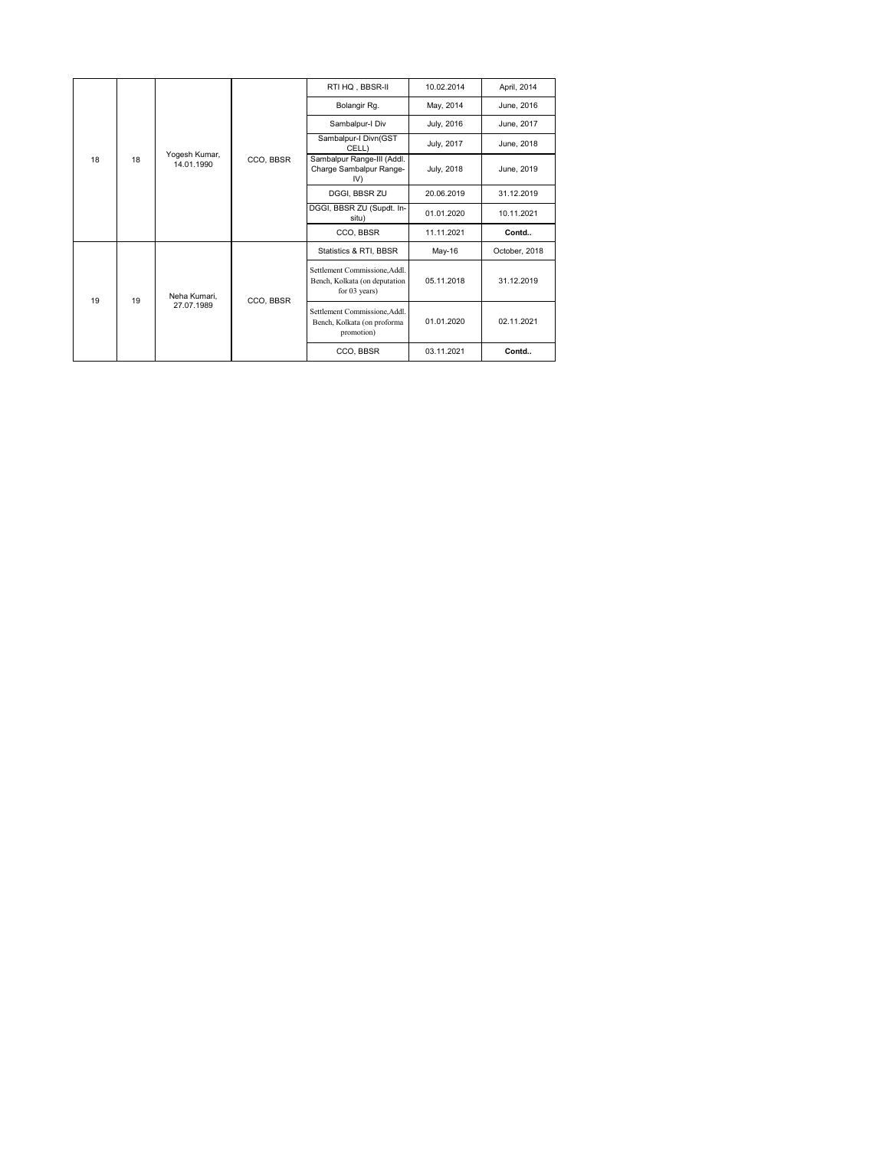|          |                             |                                  |                                                              | RTI HQ, BBSR-II                                                                   | 10.02.2014 | April, 2014   |
|----------|-----------------------------|----------------------------------|--------------------------------------------------------------|-----------------------------------------------------------------------------------|------------|---------------|
|          |                             |                                  |                                                              | Bolangir Rg.                                                                      | May, 2014  | June, 2016    |
| 18<br>18 |                             |                                  | Sambalpur-I Div                                              | July, 2016                                                                        | June, 2017 |               |
|          |                             |                                  |                                                              | Sambalpur-I Divn(GST<br>CELL)                                                     | July, 2017 | June, 2018    |
|          | Yogesh Kumar,<br>14.01.1990 | CCO, BBSR                        | Sambalpur Range-III (Addl.<br>Charge Sambalpur Range-<br>IV) | July, 2018                                                                        | June, 2019 |               |
|          |                             |                                  | DGGI, BBSR ZU                                                | 20.06.2019                                                                        | 31.12.2019 |               |
|          |                             |                                  |                                                              | DGGI, BBSR ZU (Supdt. In-<br>situ)                                                | 01.01.2020 | 10.11.2021    |
|          |                             |                                  |                                                              | CCO, BBSR                                                                         | 11.11.2021 | Contd         |
|          |                             |                                  | CCO, BBSR                                                    | Statistics & RTI, BBSR                                                            | May-16     | October, 2018 |
|          |                             | Neha Kumari.<br>19<br>27.07.1989 |                                                              | Settlement Commissione, Addl.<br>Bench, Kolkata (on deputation<br>for $03$ years) | 05.11.2018 | 31.12.2019    |
| 19       |                             |                                  |                                                              | Settlement Commissione, Addl.<br>Bench, Kolkata (on proforma<br>promotion)        | 01.01.2020 | 02.11.2021    |
|          |                             |                                  |                                                              | CCO, BBSR                                                                         | 03.11.2021 | Contd         |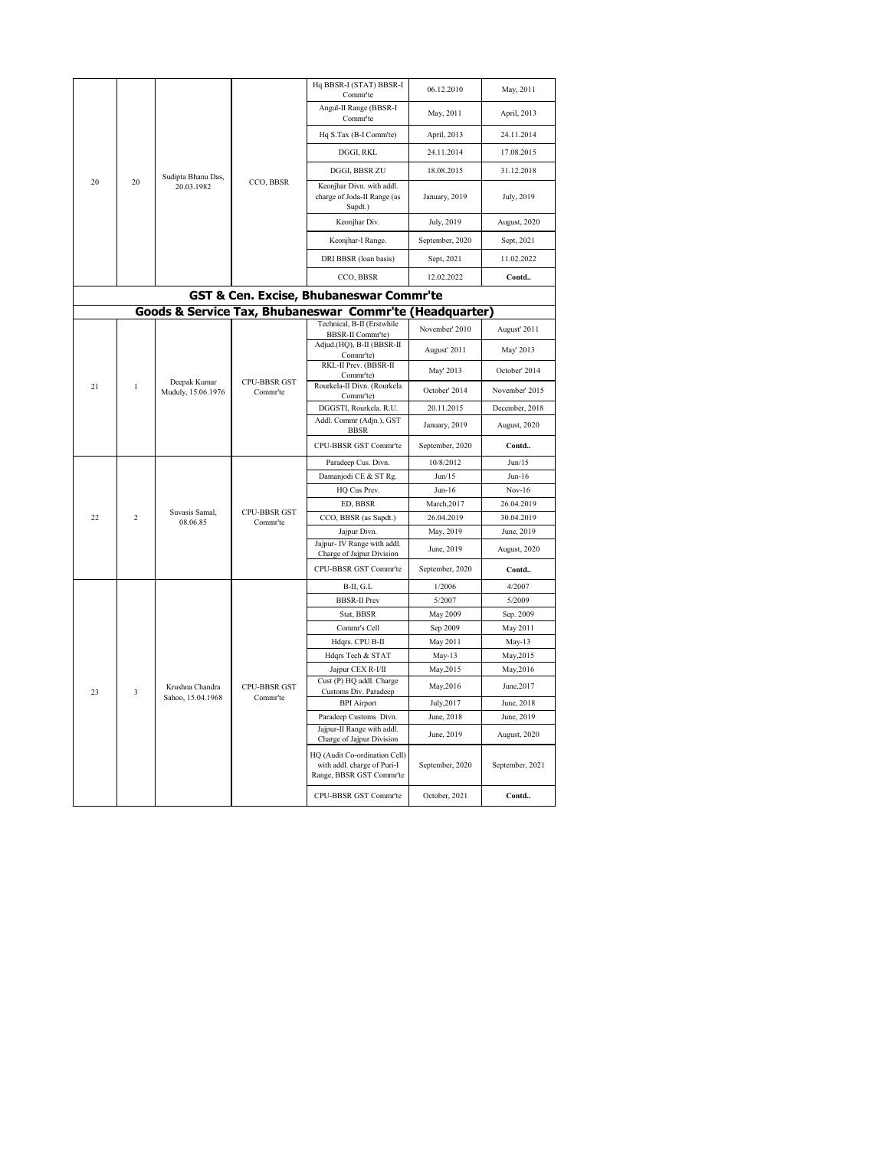|    |                |                                      |                          | Hq BBSR-I (STAT) BBSR-I<br>Commr'te                                                      | 06.12.2010      | May, 2011       |
|----|----------------|--------------------------------------|--------------------------|------------------------------------------------------------------------------------------|-----------------|-----------------|
|    |                |                                      |                          | Angul-II Range (BBSR-I<br>Commr'te                                                       | May, 2011       | April, 2013     |
|    |                |                                      |                          | Hq S.Tax (B-I Comm'te)                                                                   | April, 2013     | 24.11.2014      |
|    |                |                                      |                          | DGGI, RKL                                                                                | 24.11.2014      | 17.08.2015      |
|    |                | Sudipta Bhanu Das,<br>20.03.1982     | CCO, BBSR                | DGGI, BBSR ZU                                                                            | 18.08.2015      | 31.12.2018      |
| 20 | 20             |                                      |                          | Keonjhar Divn. with addl.<br>charge of Joda-II Range (as<br>Supdt.)                      | January, 2019   | July, 2019      |
|    |                |                                      |                          | Keonjhar Div.                                                                            | July, 2019      | August, 2020    |
|    |                |                                      | Keonjhar-I Range.        | September, 2020                                                                          | Sept, 2021      |                 |
|    |                |                                      |                          | DRI BBSR (loan basis)                                                                    | Sept, 2021      | 11.02.2022      |
|    |                |                                      |                          | CCO, BBSR                                                                                | 12.02.2022      | Contd           |
|    |                |                                      |                          | <b>GST &amp; Cen. Excise, Bhubaneswar Commr'te</b>                                       |                 |                 |
|    |                |                                      |                          | Goods & Service Tax, Bhubaneswar Commr'te (Headquarter)                                  |                 |                 |
|    |                |                                      |                          | Technical, B-II (Erstwhile                                                               | November' 2010  | August' 2011    |
|    |                |                                      |                          | BBSR-II Commr'te)<br>Adjud.(HQ), B-II (BBSR-II<br>Commr'te)                              | August' 2011    | May' 2013       |
|    |                | Deepak Kumar<br>Muduly, 15.06.1976   | CPU-BBSR GST<br>Commr'te | RKL-II Prev. (BBSR-II<br>Commr'te)                                                       | May' 2013       | October' 2014   |
| 21 | $\mathbf{1}$   |                                      |                          | Rourkela-II Divn. (Rourkela<br>Commr'te)                                                 | October' 2014   | November' 2015  |
|    |                |                                      |                          | DGGSTI, Rourkela. R.U.                                                                   | 20.11.2015      | December, 2018  |
|    |                |                                      |                          | Addl. Commr (Adjn.), GST<br><b>BBSR</b>                                                  | January, 2019   | August, 2020    |
|    |                |                                      |                          | CPU-BBSR GST Commr'te                                                                    | September, 2020 | Contd           |
|    |                |                                      |                          | Paradeep Cus. Divn.                                                                      | 10/8/2012       | Jun/15          |
|    |                |                                      |                          | Damanjodi CE & ST Rg.                                                                    | Jun/15          | $Jun-16$        |
|    |                |                                      |                          | HQ Cus Prev.                                                                             | $Jun-16$        | $Nov-16$        |
|    |                | Suvasis Samal,                       | CPU-BBSR GST             | ED, BBSR                                                                                 | March, 2017     | 26.04.2019      |
| 22 | $\overline{2}$ | 08.06.85                             | Commr'te                 | CCO, BBSR (as Supdt.)                                                                    | 26.04.2019      | 30.04.2019      |
|    |                |                                      |                          | Jajpur Divn.<br>Jajpur- IV Range with addl.                                              | May, 2019       | June, 2019      |
|    |                |                                      |                          | Charge of Jajpur Division                                                                | June, 2019      | August, 2020    |
|    |                |                                      |                          | CPU-BBSR GST Commr'te                                                                    | September, 2020 | Contd           |
|    |                |                                      |                          | B-II, G.L                                                                                | 1/2006          | 4/2007          |
|    |                |                                      |                          | <b>BBSR-II Prev</b>                                                                      | 5/2007          | 5/2009          |
|    |                |                                      |                          | Stat, BBSR                                                                               | May 2009        | Sep. 2009       |
|    |                |                                      |                          | Commr's Cell                                                                             | Sep 2009        | May 2011        |
|    |                |                                      |                          | Hdqrs. CPU B-II                                                                          | May 2011        | May-13          |
|    |                |                                      |                          | Hdqrs Tech & STAT                                                                        | May-13          | May, 2015       |
|    |                |                                      |                          | Jajpur CEX R-I/II                                                                        | May, 2015       | May, 2016       |
| 23 | 3              | Krushna Chandra<br>Sahoo, 15.04.1968 | CPU-BBSR GST<br>Commr'te | Cust (P) HQ addl. Charge<br>Customs Div. Paradeep                                        | May, 2016       | June, 2017      |
|    |                |                                      |                          | <b>BPI</b> Airport                                                                       | July, 2017      | June, 2018      |
|    |                |                                      |                          | Paradeep Customs Divn.<br>Jajpur-II Range with addl.                                     | June, 2018      | June, 2019      |
|    |                |                                      |                          | Charge of Jajpur Division                                                                | June, 2019      | August, 2020    |
|    |                |                                      |                          | HQ (Audit Co-ordination Cell)<br>with addl. charge of Puri-I<br>Range, BBSR GST Commr'te | September, 2020 | September, 2021 |
|    |                |                                      |                          | CPU-BBSR GST Commr'te                                                                    | October, 2021   | Contd           |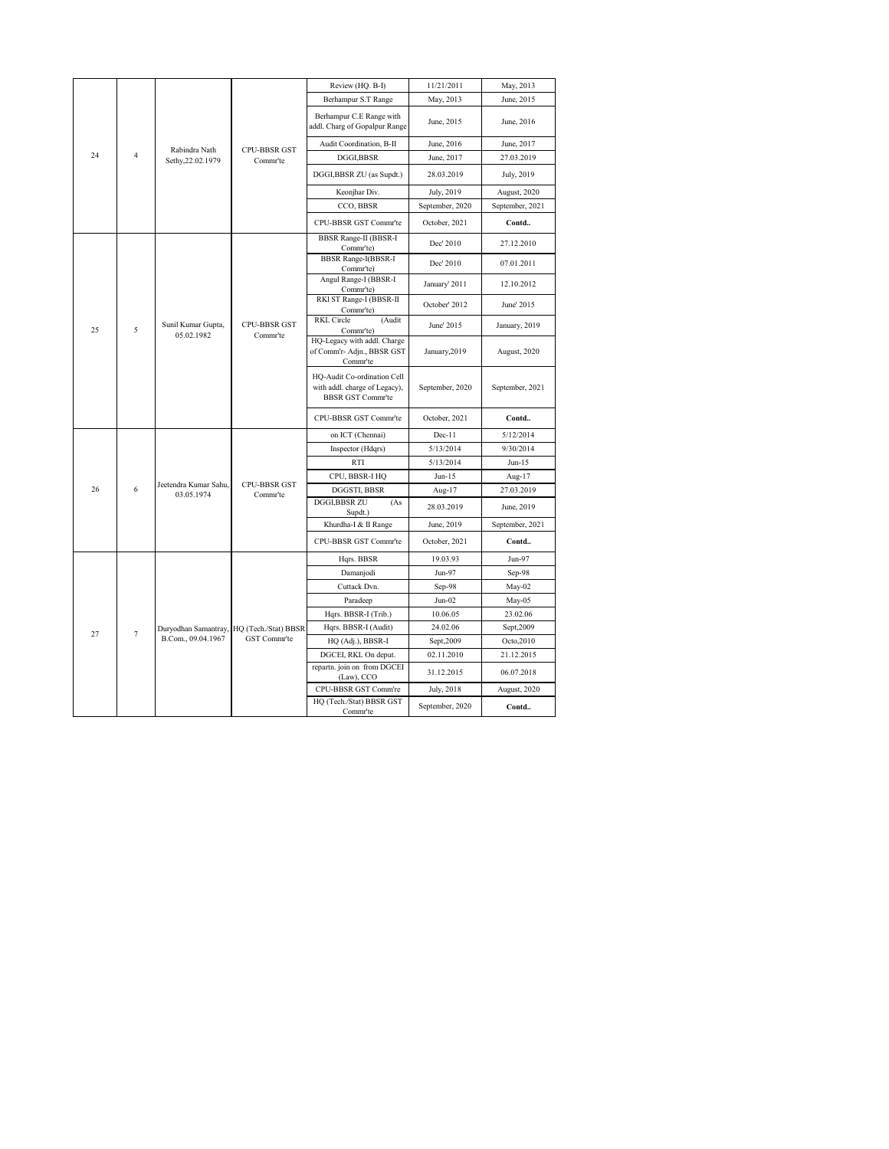|  |    |                |                                     |                                           | Review (HQ. B-I)                                                                         | 11/21/2011      | May, 2013       |
|--|----|----------------|-------------------------------------|-------------------------------------------|------------------------------------------------------------------------------------------|-----------------|-----------------|
|  |    |                |                                     |                                           | Berhampur S.T Range                                                                      | May, 2013       | June, 2015      |
|  |    |                |                                     |                                           | Berhampur C.E Range with<br>addl. Charg of Gopalpur Range                                | June, 2015      | June, 2016      |
|  |    |                | Rabindra Nath                       | CPU-BBSR GST                              | Audit Coordination, B-II                                                                 | June, 2016      | June, 2017      |
|  | 24 | $\overline{4}$ | Sethy, 22.02.1979                   | Commr'te                                  | DGGI,BBSR                                                                                | June, 2017      | 27.03.2019      |
|  |    |                |                                     |                                           | DGGI,BBSR ZU (as Supdt.)                                                                 | 28.03.2019      | July, 2019      |
|  |    |                |                                     |                                           | Keonjhar Div.                                                                            | July, 2019      | August, 2020    |
|  |    |                |                                     |                                           | CCO, BBSR                                                                                | September, 2020 | September, 2021 |
|  |    |                |                                     |                                           | CPU-BBSR GST Commr'te                                                                    | October, 2021   | Contd           |
|  |    |                |                                     |                                           | <b>BBSR Range-II (BBSR-I</b><br>Commr'te)                                                | Dec' 2010       | 27.12.2010      |
|  |    |                |                                     | <b>BBSR Range-I(BBSR-I)</b><br>Commr'te)  | Dec' 2010                                                                                | 07.01.2011      |                 |
|  |    |                |                                     |                                           | Angul Range-I (BBSR-I<br>Comm <sup>'te</sup> )                                           | January' 2011   | 12.10.2012      |
|  |    |                |                                     |                                           | RKI ST Range-I (BBSR-II<br>Commr'te)                                                     | October' 2012   | June' 2015      |
|  | 25 | 5              | Sunil Kumar Gupta,<br>05.02.1982    | <b>CPU-BBSR GST</b><br>Commr'te           | <b>RKL</b> Circle<br>(Audit<br>Commr'te)                                                 | June' 2015      | January, 2019   |
|  |    |                |                                     |                                           | HQ-Legacy with addl. Charge<br>of Comm'r- Adjn., BBSR GST<br>Commr'te                    | January, 2019   | August, 2020    |
|  |    |                |                                     |                                           | HQ-Audit Co-ordination Cell<br>with addl. charge of Legacy),<br><b>BBSR GST Commr'te</b> | September, 2020 | September, 2021 |
|  |    |                |                                     |                                           | CPU-BBSR GST Commr'te                                                                    | October, 2021   | Contd           |
|  |    |                |                                     |                                           | on ICT (Chennai)                                                                         | $Dec-11$        | 5/12/2014       |
|  |    |                |                                     |                                           | Inspector (Hdqrs)                                                                        | 5/13/2014       | 9/30/2014       |
|  |    |                |                                     |                                           | <b>RTI</b>                                                                               | 5/13/2014       | Jun-15          |
|  |    |                |                                     | <b>CPU-BBSR GST</b>                       | CPU, BBSR-I HQ                                                                           | $Jun-15$        | Aug-17          |
|  | 26 | 6              | Jeetendra Kumar Sahu,<br>03.05.1974 | Commr'te                                  | DGGSTI, BBSR                                                                             | Aug-17          | 27.03.2019      |
|  |    |                |                                     |                                           | DGGI,BBSR ZU<br>(As<br>Supdt.)                                                           | 28.03.2019      | June, 2019      |
|  |    |                |                                     |                                           | Khurdha-I & II Range                                                                     | June, 2019      | September, 2021 |
|  |    |                |                                     |                                           | CPU-BBSR GST Commr'te                                                                    | October, 2021   | Contd           |
|  |    |                |                                     |                                           | Hqrs. BBSR                                                                               | 19.03.93        | Jun-97          |
|  |    |                |                                     |                                           | Damanjodi                                                                                | Jun-97          | Sep-98          |
|  |    |                |                                     |                                           | Cuttack Dvn.                                                                             | Sep-98          | May-02          |
|  |    |                |                                     |                                           | Paradeep                                                                                 | Jun-02          | May-05          |
|  |    |                |                                     |                                           | Hqrs. BBSR-I (Trib.)                                                                     | 10.06.05        | 23.02.06        |
|  | 27 | $\tau$         |                                     | Duryodhan Samantray, HQ (Tech./Stat) BBSR | Hqrs. BBSR-I (Audit)                                                                     | 24.02.06        | Sept, 2009      |
|  |    |                | B.Com., 09.04.1967                  | GST Commr'te                              | HQ (Adj.), BBSR-I                                                                        | Sept, 2009      | Octo, 2010      |
|  |    |                |                                     |                                           | DGCEI, RKL On deput.                                                                     | 02.11.2010      | 21.12.2015      |
|  |    |                |                                     |                                           | repartn. join on from DGCEI<br>(Law), CCO                                                | 31.12.2015      | 06.07.2018      |
|  |    |                |                                     |                                           | CPU-BBSR GST Comm're                                                                     | July, 2018      | August, 2020    |
|  |    |                |                                     |                                           | HQ (Tech./Stat) BBSR GST<br>Commr'te                                                     | September, 2020 | Contd           |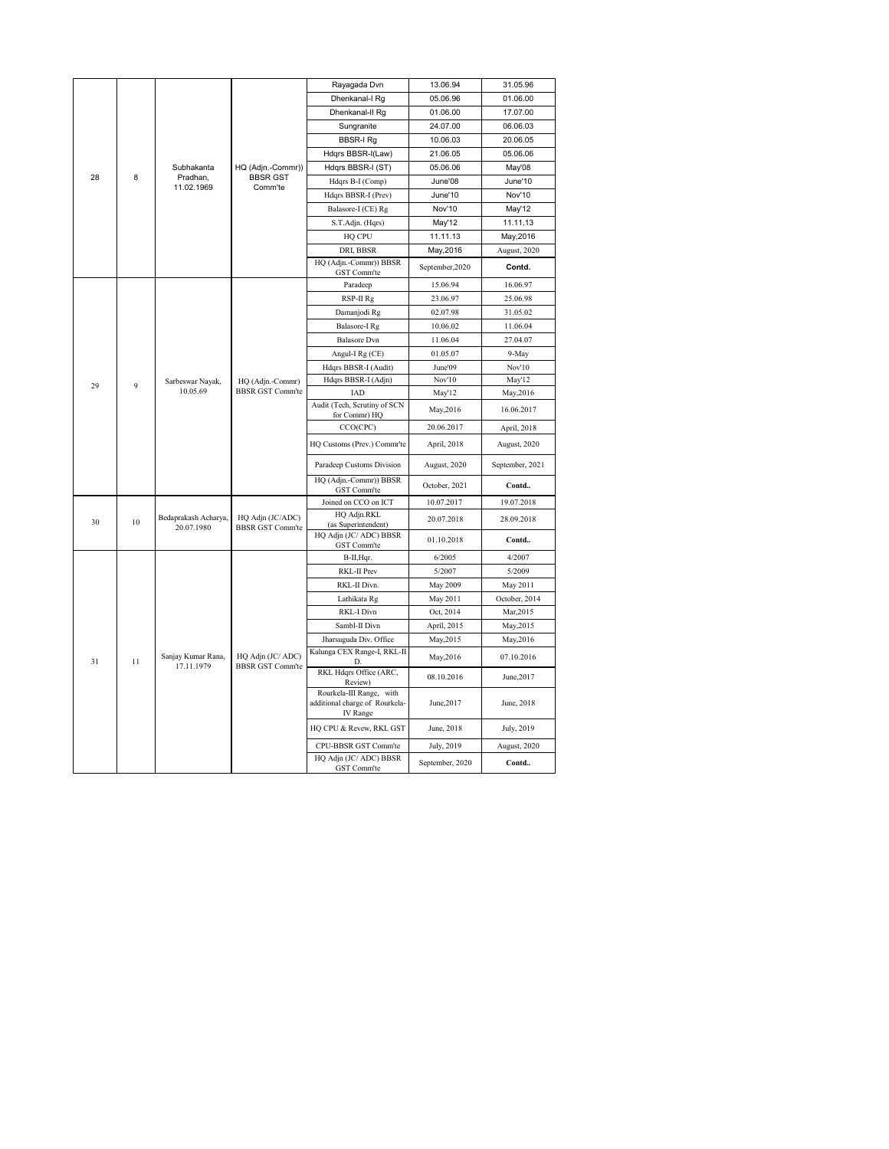|    |    |                                    |                                                 | Rayagada Dvn                                                           | 13.06.94        | 31.05.96        |
|----|----|------------------------------------|-------------------------------------------------|------------------------------------------------------------------------|-----------------|-----------------|
|    |    |                                    |                                                 | Dhenkanal-I Rg                                                         | 05.06.96        | 01.06.00        |
|    |    |                                    |                                                 | Dhenkanal-II Rg                                                        | 01.06.00        | 17.07.00        |
|    |    |                                    |                                                 | Sungranite                                                             | 24.07.00        | 06.06.03        |
|    |    | Subhakanta                         |                                                 | <b>BBSR-I Rg</b>                                                       | 10.06.03        | 20.06.05        |
|    |    |                                    | HQ (Adjn.-Commr))<br><b>BBSR GST</b><br>Comm'te | Hdqrs BBSR-I(Law)                                                      | 21.06.05        | 05.06.06        |
|    |    |                                    |                                                 | Hdqrs BBSR-I (ST)                                                      | 05.06.06        | May'08          |
| 28 | 8  | Pradhan,<br>11.02.1969             |                                                 | Hdqrs B-I (Comp)                                                       | June'08         | June'10         |
|    |    |                                    |                                                 | Hdqrs BBSR-I (Prev)                                                    | June'10         | Nov'10          |
|    |    |                                    |                                                 | Balasore-I (CE) Rg                                                     | Nov'10          | May'12          |
|    |    |                                    |                                                 | S.T.Adjn. (Hqrs)                                                       | May'12          | 11.11.13        |
|    |    |                                    |                                                 | HQ CPU                                                                 | 11.11.13        | May, 2016       |
|    |    |                                    |                                                 | DRI, BBSR                                                              | May, 2016       | August, 2020    |
|    |    |                                    |                                                 | HQ (Adjn.-Commr)) BBSR<br>GST Comm'te                                  | September, 2020 | Contd.          |
|    |    |                                    |                                                 | Paradeep                                                               | 15.06.94        | 16.06.97        |
|    |    |                                    |                                                 | RSP-II Rg                                                              | 23.06.97        | 25.06.98        |
|    |    |                                    | Damanjodi Rg                                    | 02.07.98                                                               | 31.05.02        |                 |
|    |    |                                    | Balasore-I Rg                                   | 10.06.02                                                               | 11.06.04        |                 |
|    |    |                                    |                                                 | <b>Balasore</b> Dvn                                                    | 11.06.04        | 27.04.07        |
|    |    |                                    | Angul-I Rg (CE)                                 | 01.05.07                                                               | 9-May           |                 |
|    |    |                                    | HQ (Adjn.-Commr)<br><b>BBSR GST Comm'te</b>     | Hdqrs BBSR-I (Audit)                                                   | June'09         | Nov'10          |
| 29 | 9  | Sarbeswar Nayak,<br>10.05.69       |                                                 | Hdqrs BBSR-I (Adjn)                                                    | Nov'10          | May'12          |
|    |    |                                    |                                                 | IAD                                                                    | May'12          | May, 2016       |
|    |    |                                    |                                                 | Audit (Tech, Scrutiny of SCN<br>for Commr) HQ                          | May, 2016       | 16.06.2017      |
|    |    |                                    |                                                 | CCO(CPC)                                                               | 20.06.2017      | April, 2018     |
|    |    |                                    |                                                 | HQ Customs (Prev.) Commr'te                                            | April, 2018     | August, 2020    |
|    |    |                                    |                                                 | Paradeep Customs Division                                              | August, 2020    | September, 2021 |
|    |    |                                    |                                                 | HQ (Adjn.-Commr)) BBSR<br>GST Comm'te                                  | October, 2021   | Contd           |
|    |    |                                    |                                                 | Joined on CCO on ICT                                                   | 10.07.2017      | 19.07.2018      |
| 30 | 10 | Bedaprakash Acharya,<br>20.07.1980 | HQ Adjn (JC/ADC)<br><b>BBSR GST Comm'te</b>     | HQ Adjn.RKL<br>(as Superintendent)                                     | 20.07.2018      | 28.09.2018      |
|    |    |                                    |                                                 | HQ Adjn (JC/ ADC) BBSR<br>GST Comm'te                                  | 01.10.2018      | Contd           |
|    |    |                                    |                                                 | B-II, Hqr.                                                             | 6/2005          | 4/2007          |
|    |    |                                    |                                                 | RKL-II Prev                                                            | 5/2007          | 5/2009          |
|    |    |                                    |                                                 | RKL-II Divn.                                                           | <b>May 2009</b> | May 2011        |
|    |    |                                    |                                                 | Lathikata Rg                                                           | May 2011        | October, 2014   |
|    |    |                                    |                                                 | RKL-I Divn                                                             | Oct, 2014       | Mar, 2015       |
|    |    |                                    |                                                 | Sambl-II Divn                                                          | April, 2015     | May, 2015       |
|    |    |                                    |                                                 | Jharsuguda Div. Office                                                 | May, 2015       | May, 2016       |
| 31 | 11 | Sanjay Kumar Rana,<br>17.11.1979   | HQ Adjn (JC/ ADC)<br><b>BBSR GST Comm'te</b>    | Kalunga CEX Range-I, RKL-II<br>D.                                      | May, 2016       | 07.10.2016      |
|    |    |                                    |                                                 | RKL Hdqrs Office (ARC,<br>Review)                                      | 08.10.2016      | June, 2017      |
|    |    |                                    |                                                 | Rourkela-III Range, with<br>additional charge of Rourkela-<br>IV Range | June, 2017      | June, 2018      |
|    |    |                                    |                                                 | HQ CPU & Revew, RKL GST                                                | June, 2018      | July, 2019      |
|    |    |                                    |                                                 | CPU-BBSR GST Comm'te                                                   | July, 2019      | August, 2020    |
|    |    |                                    |                                                 | HQ Adjn (JC/ ADC) BBSR<br>GST Comm'te                                  | September, 2020 | Contd           |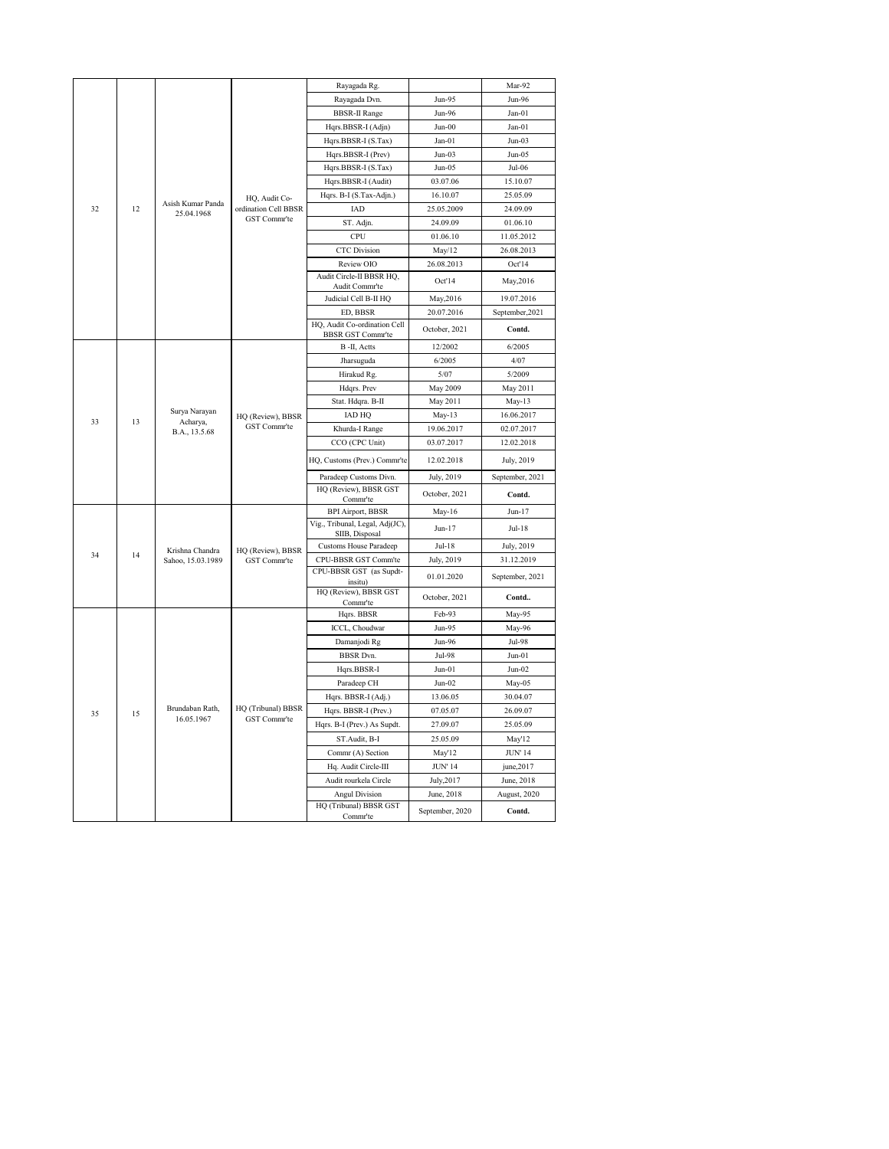|    |                                                        |                   |                                       | Rayagada Rg.                                             |                 | Mar-92          |
|----|--------------------------------------------------------|-------------------|---------------------------------------|----------------------------------------------------------|-----------------|-----------------|
|    |                                                        |                   |                                       | Rayagada Dvn.                                            | Jun-95          | Jun-96          |
|    |                                                        |                   |                                       | <b>BBSR-II Range</b>                                     | Jun-96          | $Jan-01$        |
|    |                                                        |                   |                                       | Hqrs.BBSR-I (Adjn)                                       | $Jun-00$        | $Jan-01$        |
|    |                                                        |                   |                                       | Hqrs.BBSR-I (S.Tax)                                      | $Jan-01$        | $Jun-03$        |
|    |                                                        |                   |                                       | Hqrs.BBSR-I (Prev)                                       | $Jun-03$        | $Jun-05$        |
|    |                                                        |                   |                                       | Hqrs.BBSR-I (S.Tax)                                      | $Jun-05$        | Jul-06          |
|    |                                                        |                   |                                       | Hqrs.BBSR-I (Audit)                                      | 03.07.06        | 15.10.07        |
|    |                                                        |                   | HQ, Audit Co-<br>ordination Cell BBSR | Hqrs. B-I (S.Tax-Adjn.)                                  | 16.10.07        | 25.05.09        |
| 32 | 12                                                     | Asish Kumar Panda |                                       | IAD                                                      | 25.05.2009      | 24.09.09        |
|    | 25.04.1968                                             | GST Commr'te      | ST. Adjn.                             | 24.09.09                                                 | 01.06.10        |                 |
|    |                                                        |                   |                                       | CPU                                                      | 01.06.10        | 11.05.2012      |
|    |                                                        |                   |                                       | <b>CTC</b> Division                                      | May/12          | 26.08.2013      |
|    |                                                        |                   |                                       | Review OIO                                               | 26.08.2013      | Oct'14          |
|    |                                                        |                   |                                       | Audit Circle-II BBSR HQ,                                 |                 |                 |
|    |                                                        |                   |                                       | Audit Commr'te                                           | Oct'14          | May, 2016       |
|    |                                                        |                   |                                       | Judicial Cell B-II HQ                                    | May, 2016       | 19.07.2016      |
|    |                                                        |                   |                                       | ED, BBSR                                                 | 20.07.2016      | September, 2021 |
|    |                                                        |                   |                                       | HQ, Audit Co-ordination Cell<br><b>BBSR GST Commr'te</b> | October, 2021   | Contd.          |
|    |                                                        |                   |                                       | B-II, Actts                                              | 12/2002         | 6/2005          |
|    |                                                        |                   |                                       | Jharsuguda                                               | 6/2005          | 4/07            |
|    |                                                        |                   |                                       | Hirakud Rg.                                              | 5/07            | 5/2009          |
|    |                                                        |                   |                                       | Hdqrs. Prev                                              | May 2009        | May 2011        |
|    | Surya Narayan<br>33<br>13<br>Acharya,<br>B.A., 13.5.68 |                   | Stat. Hdqra. B-II                     | May 2011                                                 | May-13          |                 |
|    |                                                        |                   | HQ (Review), BBSR<br>GST Commr'te     | <b>IAD HQ</b>                                            | $May-13$        | 16.06.2017      |
|    |                                                        |                   |                                       | Khurda-I Range                                           | 19.06.2017      | 02.07.2017      |
|    |                                                        |                   |                                       | CCO (CPC Unit)                                           | 03.07.2017      | 12.02.2018      |
|    |                                                        |                   |                                       | HQ, Customs (Prev.) Commr'te                             | 12.02.2018      | July, 2019      |
|    |                                                        |                   |                                       | Paradeep Customs Divn.                                   | July, 2019      | September, 2021 |
|    |                                                        |                   |                                       | HQ (Review), BBSR GST                                    | October, 2021   | Contd.          |
|    |                                                        |                   |                                       | Commr'te<br><b>BPI Airport, BBSR</b>                     | May-16          | $Jun-17$        |
|    |                                                        |                   |                                       | Vig., Tribunal, Legal, Adj(JC),                          |                 |                 |
|    |                                                        |                   |                                       | SIIB, Disposal                                           | $Jun-17$        | Jul-18          |
| 34 | 14                                                     | Krishna Chandra   | HQ (Review), BBSR                     | <b>Customs House Paradeep</b>                            | Jul-18          | July, 2019      |
|    |                                                        | Sahoo, 15.03.1989 | GST Commr'te                          | CPU-BBSR GST Comm'te                                     | July, 2019      | 31.12.2019      |
|    |                                                        |                   |                                       | CPU-BBSR GST (as Supdt-<br>insitu)                       | 01.01.2020      | September, 2021 |
|    |                                                        |                   |                                       | HQ (Review), BBSR GST                                    | October, 2021   | Contd           |
|    |                                                        |                   |                                       | Commr'te                                                 |                 |                 |
|    |                                                        |                   |                                       | Hqrs. BBSR                                               | Feb-93          | May-95          |
|    |                                                        |                   |                                       | ICCL, Choudwar                                           | Jun-95          | May-96          |
|    |                                                        |                   |                                       | Damanjodi Rg                                             | Jun-96          | Jul-98          |
|    |                                                        |                   |                                       | <b>BBSR</b> Dvn.                                         | Jul-98          | $Jun-01$        |
|    |                                                        |                   |                                       | Hqrs.BBSR-I                                              | $Jun-01$        | $Jun-02$        |
|    |                                                        |                   |                                       | Paradeep CH                                              | $Jun-02$        | May-05          |
|    |                                                        | Brundaban Rath,   | HQ (Tribunal) BBSR                    | Hqrs. BBSR-I (Adj.)                                      | 13.06.05        | 30.04.07        |
| 35 | 15                                                     | 16.05.1967        | GST Commr'te                          | Hqrs. BBSR-I (Prev.)                                     | 07.05.07        | 26.09.07        |
|    |                                                        |                   |                                       | Hqrs. B-I (Prev.) As Supdt.                              | 27.09.07        | 25.05.09        |
|    |                                                        |                   |                                       | ST.Audit, B-I                                            | 25.05.09        | May'12          |
|    |                                                        |                   |                                       | Commr (A) Section                                        | May'12          | <b>JUN' 14</b>  |
|    |                                                        |                   |                                       | Hq. Audit Circle-III                                     | <b>JUN' 14</b>  | june,2017       |
|    |                                                        |                   |                                       | Audit rourkela Circle                                    | July, 2017      | June, 2018      |
|    |                                                        |                   |                                       | <b>Angul Division</b>                                    | June, 2018      | August, 2020    |
|    |                                                        |                   |                                       | HQ (Tribunal) BBSR GST<br>Comm <sup>-te</sup>            | September, 2020 | Contd.          |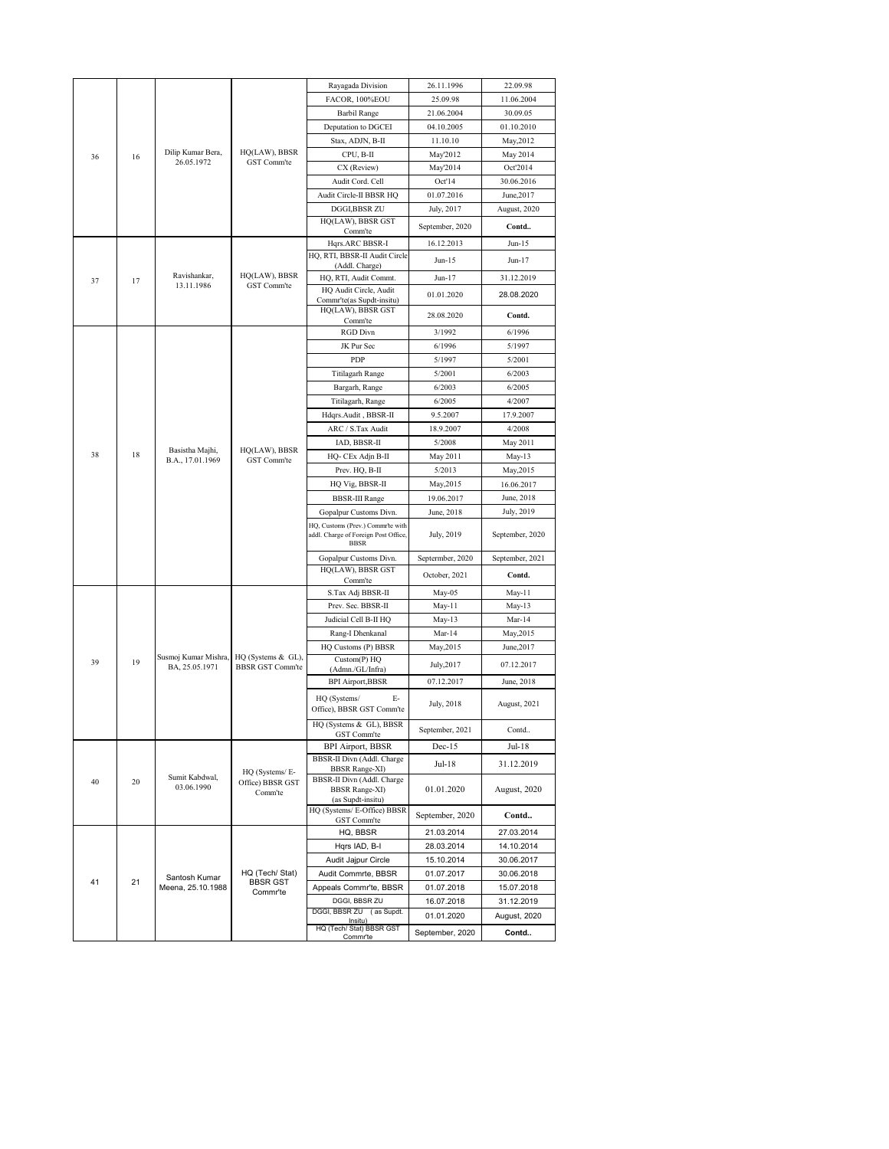|    |    |                                        |                                               | Rayagada Division                                           | 26.11.1996         | 22.09.98         |
|----|----|----------------------------------------|-----------------------------------------------|-------------------------------------------------------------|--------------------|------------------|
|    |    |                                        |                                               | FACOR, 100%EOU                                              | 25.09.98           | 11.06.2004       |
|    |    |                                        |                                               | <b>Barbil Range</b>                                         | 21.06.2004         | 30.09.05         |
|    |    |                                        |                                               | Deputation to DGCEI                                         | 04.10.2005         | 01.10.2010       |
|    |    |                                        |                                               | Stax, ADJN, B-II                                            | 11.10.10           | May, 2012        |
| 36 | 16 | Dilip Kumar Bera,                      | HQ(LAW), BBSR                                 | CPU, B-II                                                   | May'2012           | May 2014         |
|    |    | 26.05.1972                             | GST Comm'te                                   | CX (Review)                                                 | May'2014           | Oct'2014         |
|    |    |                                        |                                               | Audit Cord. Cell                                            | Oct'14             | 30.06.2016       |
|    |    |                                        |                                               | Audit Circle-II BBSR HQ                                     | 01.07.2016         | June, 2017       |
|    |    |                                        |                                               | DGGI,BBSR ZU                                                | July, 2017         | August, 2020     |
|    |    |                                        |                                               | HQ(LAW), BBSR GST                                           |                    |                  |
|    |    |                                        |                                               | Comm'te                                                     | September, 2020    | Contd            |
|    |    |                                        |                                               | Hqrs.ARC BBSR-I                                             | 16.12.2013         | Jun-15           |
|    |    |                                        |                                               | HQ, RTI, BBSR-II Audit Circle                               | $Jun-15$           | Jun-17           |
| 37 | 17 | Ravishankar,                           | HQ(LAW), BBSR                                 | (Addl. Charge)<br>HQ, RTI, Audit Commt.                     | $Jun-17$           | 31.12.2019       |
|    |    | 13.11.1986                             | GST Comm'te                                   | HQ Audit Circle, Audit                                      |                    |                  |
|    |    |                                        |                                               | Commr'te(as Supdt-insitu)                                   | 01.01.2020         | 28.08.2020       |
|    |    |                                        |                                               | HQ(LAW), BBSR GST                                           | 28.08.2020         | Contd.           |
|    |    |                                        |                                               | Comm'te<br><b>RGD</b> Divn                                  | 3/1992             | 6/1996           |
|    |    |                                        |                                               | JK Pur Sec                                                  | 6/1996             | 5/1997           |
|    |    |                                        |                                               | PDP                                                         | 5/1997             | 5/2001           |
|    |    |                                        |                                               | Titilagarh Range                                            | 5/2001             | 6/2003           |
|    |    |                                        |                                               |                                                             | 6/2003             |                  |
|    |    |                                        |                                               | Bargarh, Range                                              | 6/2005             | 6/2005<br>4/2007 |
|    |    |                                        |                                               | Titilagarh, Range<br>Hdqrs.Audit, BBSR-II                   | 9.5.2007           |                  |
|    |    |                                        |                                               |                                                             |                    | 17.9.2007        |
|    |    |                                        |                                               | ARC / S.Tax Audit                                           | 18.9.2007          | 4/2008           |
| 38 | 18 | Basistha Majhi,                        | HQ(LAW), BBSR                                 | IAD, BBSR-II                                                | 5/2008             | May 2011         |
|    |    | B.A., 17.01.1969                       | GST Comm'te                                   | HQ- CEx Adjn B-II<br>Prev. HQ, B-II                         | May 2011<br>5/2013 | $May-13$         |
|    |    |                                        |                                               |                                                             |                    | May, 2015        |
|    |    |                                        |                                               | HQ Vig, BBSR-II                                             | May, 2015          | 16.06.2017       |
|    |    |                                        |                                               | <b>BBSR-III Range</b>                                       | 19.06.2017         | June, 2018       |
|    |    |                                        |                                               | Gopalpur Customs Divn.<br>HQ, Customs (Prev.) Commr'te with | June, 2018         | July, 2019       |
|    |    |                                        |                                               | addl. Charge of Foreign Post Office,<br><b>BBSR</b>         | July, 2019         | September, 2020  |
|    |    |                                        |                                               |                                                             |                    |                  |
|    |    |                                        |                                               | Gopalpur Customs Divn.<br>HQ(LAW), BBSR GST                 | Septermber, 2020   | September, 2021  |
|    |    |                                        |                                               | Comm'te                                                     | October, 2021      | Contd.           |
|    |    |                                        |                                               | S.Tax Adj BBSR-II                                           | May-05             | May-11           |
|    |    |                                        |                                               | Prev. Sec. BBSR-II                                          | May-11             | $May-13$         |
|    |    |                                        |                                               | Judicial Cell B-II HQ                                       | May-13             | Mar-14           |
|    |    |                                        |                                               | Rang-I Dhenkanal                                            | Mar-14             | May, 2015        |
|    |    |                                        |                                               | HQ Customs (P) BBSR                                         | May, 2015          | June, 2017       |
| 39 | 19 | Susmoj Kumar Mishra,<br>BA, 25.05.1971 | HQ (Systems & GL),<br><b>BBSR GST Comm'te</b> | Custom(P) HQ                                                | July, 2017         | 07.12.2017       |
|    |    |                                        |                                               | (Admn./GL/Infra)                                            |                    |                  |
|    |    |                                        |                                               | <b>BPI Airport, BBSR</b>                                    | 07.12.2017         | June, 2018       |
|    |    |                                        |                                               | HQ (Systems/<br>Е-<br>Office), BBSR GST Comm'te             | July, 2018         | August, 2021     |
|    |    |                                        |                                               | HQ (Systems & GL), BBSR                                     |                    |                  |
|    |    |                                        |                                               | GST Comm'te                                                 | September, 2021    | Contd            |
|    |    |                                        |                                               | BPI Airport, BBSR                                           | $Dec-15$           | Jul-18           |
|    |    |                                        |                                               | BBSR-II Divn (Addl. Charge                                  | Jul-18             | 31.12.2019       |
|    |    | Sumit Kabdwal,                         | HQ (Systems/E-                                | <b>BBSR Range-XI)</b>                                       |                    |                  |
| 40 | 20 | 03.06.1990                             | Office) BBSR GST<br>Comm'te                   | BBSR-II Divn (Addl. Charge<br><b>BBSR Range-XI)</b>         | 01.01.2020         | August, 2020     |
|    |    |                                        |                                               | (as Supdt-insitu)                                           |                    |                  |
|    |    |                                        |                                               | HQ (Systems/E-Office) BBSR<br>GST Comm'te                   | September, 2020    | Contd            |
|    |    |                                        |                                               | HQ, BBSR                                                    | 21.03.2014         | 27.03.2014       |
|    |    |                                        |                                               | Hqrs IAD, B-I                                               | 28.03.2014         | 14.10.2014       |
|    |    |                                        |                                               | Audit Jajpur Circle                                         | 15.10.2014         | 30.06.2017       |
|    |    |                                        | HQ (Tech/ Stat)                               | Audit Commrte, BBSR                                         | 01.07.2017         | 30.06.2018       |
| 41 | 21 | Santosh Kumar<br>Meena, 25.10.1988     | <b>BBSR GST</b>                               | Appeals Commr'te, BBSR                                      | 01.07.2018         | 15.07.2018       |
|    |    |                                        | Commr'te                                      | DGGI, BBSR ZU                                               | 16.07.2018         | 31.12.2019       |
|    |    |                                        |                                               | DGGI, BBSR ZU (as Supdt.                                    | 01.01.2020         | August, 2020     |
|    |    |                                        |                                               | Insitu)<br>HQ (Tech/ Stat) BBSR GST                         |                    |                  |
|    |    |                                        |                                               | Commr'te                                                    | September, 2020    | Contd            |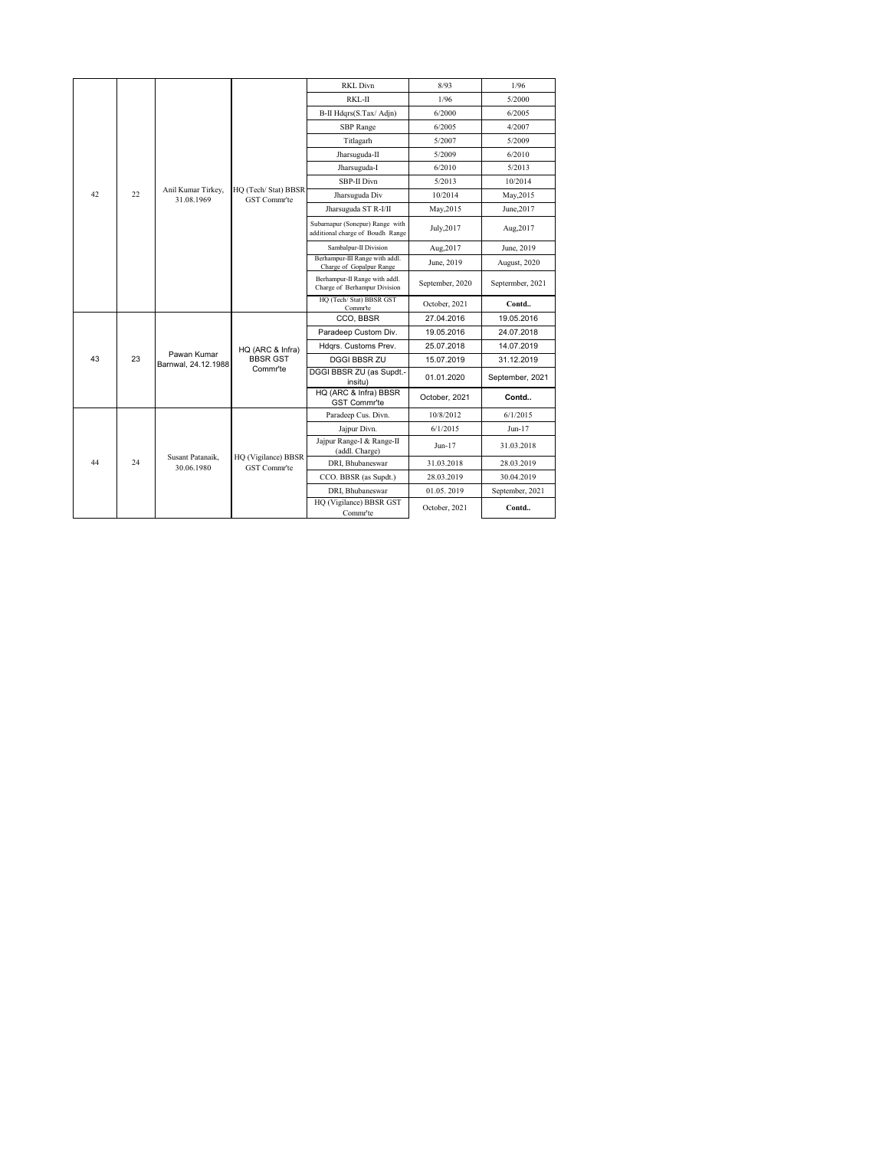|    |    |                                          |                                     | <b>RKL Divn</b>                                                     | 8/93            | 1/96             |
|----|----|------------------------------------------|-------------------------------------|---------------------------------------------------------------------|-----------------|------------------|
|    |    |                                          |                                     | RKL-II                                                              | 1/96            | 5/2000           |
|    |    |                                          |                                     | B-II Hdqrs(S.Tax/Adjn)                                              | 6/2000          | 6/2005           |
|    |    |                                          |                                     | SBP Range                                                           | 6/2005          | 4/2007           |
|    |    |                                          |                                     | Titlagarh                                                           | 5/2007          | 5/2009           |
|    |    |                                          |                                     | Jharsuguda-II                                                       | 5/2009          | 6/2010           |
|    |    |                                          |                                     | Jharsuguda-I                                                        | 6/2010          | 5/2013           |
|    |    |                                          |                                     | SBP-II Divn                                                         | 5/2013          | 10/2014          |
| 42 | 22 | Anil Kumar Tirkey,<br>31.08.1969         | HQ (Tech/Stat) BBSR<br>GST Commr'te | Jharsuguda Div                                                      | 10/2014         | May, 2015        |
|    |    |                                          |                                     | Jharsuguda ST R-I/II                                                | May, 2015       | June, 2017       |
|    |    |                                          |                                     | Subarnapur (Sonepur) Range with<br>additional charge of Boudh Range | July, 2017      | Aug, 2017        |
|    |    |                                          | Sambalpur-II Division               | Aug, 2017                                                           | June, 2019      |                  |
|    |    |                                          |                                     | Berhampur-III Range with addl.<br>Charge of Gopalpur Range          | June, 2019      | August, 2020     |
|    |    |                                          |                                     | Berhampur-II Range with addl.<br>Charge of Berhampur Division       | September, 2020 | Septermber, 2021 |
|    |    |                                          |                                     | HQ (Tech/ Stat) BBSR GST<br>Commr'te                                | October, 2021   | Contd            |
|    |    |                                          |                                     | CCO, BBSR                                                           | 27.04.2016      | 19.05.2016       |
|    |    | Pawan Kumar<br>23<br>Barnwal, 24,12,1988 |                                     | Paradeep Custom Div.                                                | 19.05.2016      | 24.07.2018       |
|    |    |                                          | HQ (ARC & Infra)                    | Hdgrs. Customs Prev.                                                | 25.07.2018      | 14.07.2019       |
| 43 |    |                                          | <b>BBSR GST</b>                     | <b>DGGI BBSR ZU</b>                                                 | 15.07.2019      | 31.12.2019       |
|    |    |                                          | Commr'te                            | DGGI BBSR ZU (as Supdt.-<br>insitu)                                 | 01.01.2020      | September, 2021  |
|    |    |                                          |                                     | HQ (ARC & Infra) BBSR<br>GST Commr'te                               | October, 2021   | Contd            |
|    |    |                                          |                                     | Paradeep Cus. Divn.                                                 | 10/8/2012       | 6/1/2015         |
|    |    |                                          |                                     | Jajpur Divn.                                                        | 6/1/2015        | $Jun-17$         |
|    |    |                                          |                                     | Jajpur Range-I & Range-II<br>(addl. Charge)                         | $Jun-17$        | 31.03.2018       |
| 44 | 24 | Susant Patanaik.<br>30.06.1980           | HQ (Vigilance) BBSR<br>GST Commr'te | DRI. Bhubaneswar                                                    | 31.03.2018      | 28.03.2019       |
|    |    |                                          |                                     | CCO. BBSR (as Supdt.)                                               | 28.03.2019      | 30.04.2019       |
|    |    |                                          |                                     | DRI. Bhubaneswar                                                    | 01.05.2019      | September, 2021  |
|    |    |                                          |                                     | HQ (Vigilance) BBSR GST<br>Comm <sup>-te</sup>                      | October, 2021   | Contd            |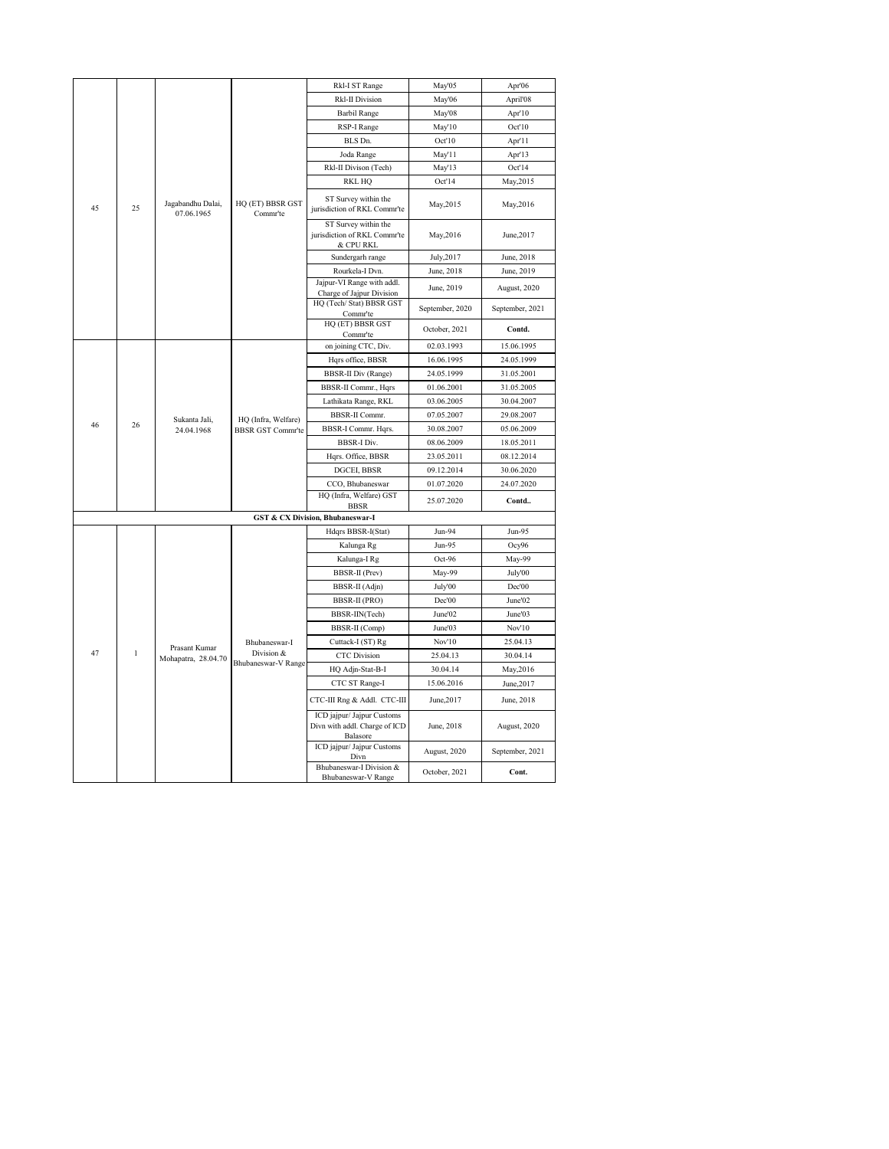|    |              |                                 |                              | Rkl-I ST Range                                                          | May'05          | Apr'06          |
|----|--------------|---------------------------------|------------------------------|-------------------------------------------------------------------------|-----------------|-----------------|
|    |              |                                 |                              | <b>Rkl-II Division</b>                                                  | May'06          | April'08        |
|    |              |                                 |                              | <b>Barbil Range</b>                                                     | May'08          | Apr'10          |
|    |              |                                 |                              | RSP-I Range                                                             | May'10          | Oct'10          |
|    |              |                                 |                              | BLS Dn.                                                                 | Oct'10          | Apr'l l         |
|    |              |                                 |                              | Joda Range                                                              | May'l l         | Apr'13          |
|    |              |                                 |                              | Rkl-II Divison (Tech)                                                   | May'13          | Oct'14          |
|    |              |                                 |                              | <b>RKL HQ</b>                                                           | Oct'14          | May, 2015       |
| 45 | 25           | Jagabandhu Dalai,<br>07.06.1965 | HQ (ET) BBSR GST<br>Commr'te | ST Survey within the<br>jurisdiction of RKL Commr'te                    | May, 2015       | May, 2016       |
|    |              |                                 |                              | ST Survey within the<br>jurisdiction of RKL Commr'te<br>& CPU RKL       | May, 2016       | June, 2017      |
|    |              |                                 |                              | Sundergarh range                                                        | July, 2017      | June, 2018      |
|    |              |                                 |                              | Rourkela-I Dvn.                                                         | June, 2018      | June, 2019      |
|    |              |                                 |                              | Jajpur-VI Range with addl.                                              | June, 2019      | August, 2020    |
|    |              |                                 |                              | Charge of Jajpur Division<br>HQ (Tech/ Stat) BBSR GST                   | September, 2020 | September, 2021 |
|    |              |                                 |                              | Commr'te<br>HQ (ET) BBSR GST                                            |                 |                 |
|    |              |                                 |                              | Commr'te                                                                | October, 2021   | Contd.          |
|    |              |                                 |                              | on joining CTC, Div.                                                    | 02.03.1993      | 15.06.1995      |
|    |              |                                 |                              | Hqrs office, BBSR                                                       | 16.06.1995      | 24.05.1999      |
|    |              |                                 | <b>BBSR-II Div (Range)</b>   | 24.05.1999                                                              | 31.05.2001      |                 |
|    |              |                                 | <b>BBSR-II Commr.</b> , Hqrs | 01.06.2001                                                              | 31.05.2005      |                 |
|    |              |                                 |                              | Lathikata Range, RKL                                                    | 03.06.2005      | 30.04.2007      |
|    |              | Sukanta Jali,                   | HQ (Infra, Welfare)          | <b>BBSR-II Commr.</b>                                                   | 07.05.2007      | 29.08.2007      |
| 46 | 26           | 24.04.1968                      | <b>BBSR GST Commr'te</b>     | BBSR-I Commr. Hqrs.                                                     | 30.08.2007      | 05.06.2009      |
|    |              |                                 |                              | <b>BBSR-I Div.</b>                                                      | 08.06.2009      | 18.05.2011      |
|    |              |                                 |                              | Hqrs. Office, BBSR                                                      | 23.05.2011      | 08.12.2014      |
|    |              |                                 |                              | DGCEI, BBSR                                                             | 09.12.2014      | 30.06.2020      |
|    |              |                                 |                              | CCO, Bhubaneswar                                                        | 01.07.2020      | 24.07.2020      |
|    |              |                                 |                              | HQ (Infra, Welfare) GST<br><b>BBSR</b>                                  | 25.07.2020      | Contd           |
|    |              |                                 |                              | <b>GST &amp; CX Division, Bhubaneswar-I</b>                             |                 |                 |
|    |              |                                 |                              | Hdqrs BBSR-I(Stat)                                                      | Jun-94          | Jun-95          |
|    |              |                                 |                              | Kalunga Rg                                                              | Jun-95          | Ocy96           |
|    |              |                                 |                              | Kalunga-I Rg                                                            | Oct-96          | May-99          |
|    |              |                                 |                              | <b>BBSR-II</b> (Prev)                                                   | May-99          | July'00         |
|    |              |                                 |                              | BBSR-II (Adjn)                                                          | July'00         | Dec'00          |
|    |              |                                 |                              | BBSR-II (PRO)                                                           | Dec'00          | June'02         |
|    |              |                                 |                              | BBSR-IIN(Tech)                                                          | June'02         | June'03         |
|    |              |                                 |                              | BBSR-II (Comp)                                                          | June'03         | Nov'10          |
|    |              | Prasant Kumar                   | Bhubaneswar-I                | Cuttack-I (ST) Rg                                                       | Nov'10          | 25.04.13        |
| 47 | $\mathbf{1}$ | Mohapatra, 28.04.70             | Division &                   | <b>CTC</b> Division                                                     | 25.04.13        | 30.04.14        |
|    |              |                                 | Bhubaneswar-V Range          | HQ Adjn-Stat-B-I                                                        | 30.04.14        | May, 2016       |
|    |              |                                 |                              | CTC ST Range-I                                                          | 15.06.2016      | June, 2017      |
|    |              |                                 |                              | CTC-III Rng & Addl. CTC-III                                             | June, 2017      | June, 2018      |
|    |              |                                 |                              | ICD jajpur/ Jajpur Customs<br>Divn with addl. Charge of ICD<br>Balasore | June, 2018      | August, 2020    |
|    |              |                                 |                              | ICD jajpur/ Jajpur Customs<br>Divn                                      | August, 2020    | September, 2021 |
|    |              |                                 |                              | Bhubaneswar-I Division &<br>Bhubaneswar-V Range                         | October, 2021   | Cont.           |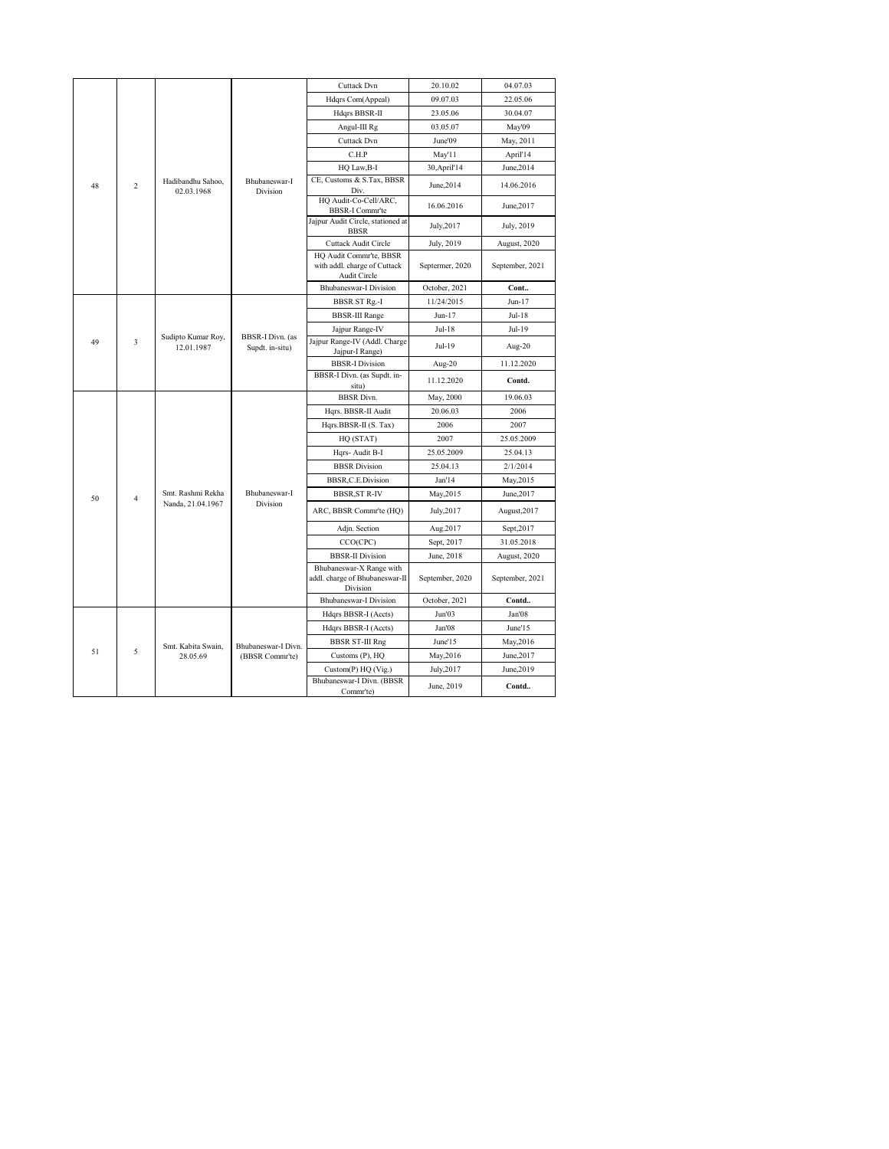|                      |                                  |                                            |                                                  | Cuttack Dvn                                                             | 20.10.02                  | 04.07.03        |
|----------------------|----------------------------------|--------------------------------------------|--------------------------------------------------|-------------------------------------------------------------------------|---------------------------|-----------------|
|                      |                                  |                                            |                                                  | Hdqrs Com(Appeal)                                                       | 09.07.03                  | 22.05.06        |
|                      |                                  |                                            |                                                  | Hdqrs BBSR-II                                                           | 23.05.06                  | 30.04.07        |
|                      |                                  |                                            |                                                  | Angul-III Rg                                                            | 03.05.07                  | May'09          |
|                      |                                  |                                            |                                                  | <b>Cuttack Dvn</b>                                                      | June'09                   | May, 2011       |
|                      |                                  |                                            |                                                  | C.H.P                                                                   | May'11                    | April'14        |
|                      |                                  |                                            |                                                  | HQ Law, B-I                                                             | 30, April <sup>'</sup> 14 | June, 2014      |
| 48<br>$\overline{c}$ | Hadibandhu Sahoo,<br>02.03.1968  | Bhubaneswar-I<br>Division                  | CE, Customs & S.Tax, BBSR<br>Div.                | June, 2014                                                              | 14.06.2016                |                 |
|                      |                                  |                                            |                                                  | HQ Audit-Co-Cell/ARC,<br><b>BBSR-I Commr'te</b>                         | 16.06.2016                | June, 2017      |
|                      |                                  |                                            |                                                  | Jajpur Audit Circle, stationed at<br><b>BBSR</b>                        | July, 2017                | July, 2019      |
|                      |                                  |                                            |                                                  | Cuttack Audit Circle                                                    | July, 2019                | August, 2020    |
|                      |                                  |                                            |                                                  | HQ Audit Commr'te, BBSR<br>with addl. charge of Cuttack<br>Audit Circle | Septermer, 2020           | September, 2021 |
|                      |                                  |                                            |                                                  | <b>Bhubaneswar-I Division</b>                                           | October, 2021             | Cont            |
|                      |                                  |                                            |                                                  | <b>BBSR ST Rg.-I</b>                                                    | 11/24/2015                | $Jun-17$        |
|                      |                                  |                                            |                                                  | <b>BBSR-III Range</b>                                                   | $Jun-17$                  | Jul-18          |
|                      |                                  |                                            |                                                  | Jajpur Range-IV                                                         | $Jul-18$                  | Jul-19          |
| 49<br>3              | Sudipto Kumar Roy,<br>12.01.1987 | <b>BBSR-I Divn.</b> (as<br>Supdt. in-situ) | Jajpur Range-IV (Addl. Charge<br>Jajpur-I Range) | Jul-19                                                                  | Aug-20                    |                 |
|                      |                                  |                                            |                                                  | <b>BBSR-I Division</b>                                                  | Aug-20                    | 11.12.2020      |
|                      |                                  |                                            |                                                  | BBSR-I Divn. (as Supdt. in-<br>situ)                                    | 11.12.2020                | Contd.          |
|                      |                                  |                                            |                                                  | <b>BBSR</b> Divn.                                                       | May, 2000                 | 19.06.03        |
|                      |                                  |                                            |                                                  | Hqrs. BBSR-II Audit                                                     | 20.06.03                  | 2006            |
|                      |                                  |                                            |                                                  | Hqrs.BBSR-II (S. Tax)                                                   | 2006                      | 2007            |
|                      |                                  |                                            |                                                  | HQ (STAT)                                                               | 2007                      | 25.05.2009      |
|                      |                                  |                                            |                                                  | Hqrs-Audit B-I                                                          | 25.05.2009                | 25.04.13        |
|                      |                                  |                                            |                                                  | <b>BBSR</b> Division                                                    | 25.04.13                  | 2/1/2014        |
|                      |                                  |                                            |                                                  | BBSR,C.E.Division                                                       | Jan'14                    | May, 2015       |
| 50                   | 4                                | Smt. Rashmi Rekha                          | Bhubaneswar-I                                    | <b>BBSR, ST R-IV</b>                                                    | May, 2015                 | June, 2017      |
|                      |                                  | Nanda, 21.04.1967                          | Division                                         | ARC, BBSR Commr'te (HQ)                                                 | July, 2017                | August, 2017    |
|                      |                                  |                                            |                                                  | Adjn. Section                                                           | Aug.2017                  | Sept, 2017      |
|                      |                                  |                                            |                                                  | CCO(CPC)                                                                | Sept, 2017                | 31.05.2018      |
|                      |                                  |                                            |                                                  | <b>BBSR-II Division</b>                                                 | June, 2018                | August, 2020    |
|                      |                                  |                                            |                                                  | Bhubaneswar-X Range with<br>addl. charge of Bhubaneswar-II<br>Division  | September, 2020           | September, 2021 |
|                      |                                  |                                            |                                                  | <b>Bhubaneswar-I Division</b>                                           | October, 2021             | Contd           |
|                      |                                  |                                            |                                                  | Hdqrs BBSR-I (Accts)                                                    | Jun'03                    | Jan'08          |
|                      |                                  |                                            |                                                  | Hdqrs BBSR-I (Accts)                                                    | Jan'08                    | June'15         |
|                      |                                  | Smt. Kabita Swain,                         | Bhubaneswar-I Divn.                              | <b>BBSR ST-III Rng</b>                                                  | June'15                   | May, 2016       |
| 51                   | 5                                | 28.05.69                                   | (BBSR Commr'te)                                  | Customs (P), HQ                                                         | May, 2016                 | June, 2017      |
|                      |                                  |                                            |                                                  | Custom(P) HQ (Vig.)                                                     | July, 2017                | June, 2019      |
|                      |                                  |                                            |                                                  | Bhubaneswar-I Divn. (BBSR<br>Commr'te)                                  | June, 2019                | Contd           |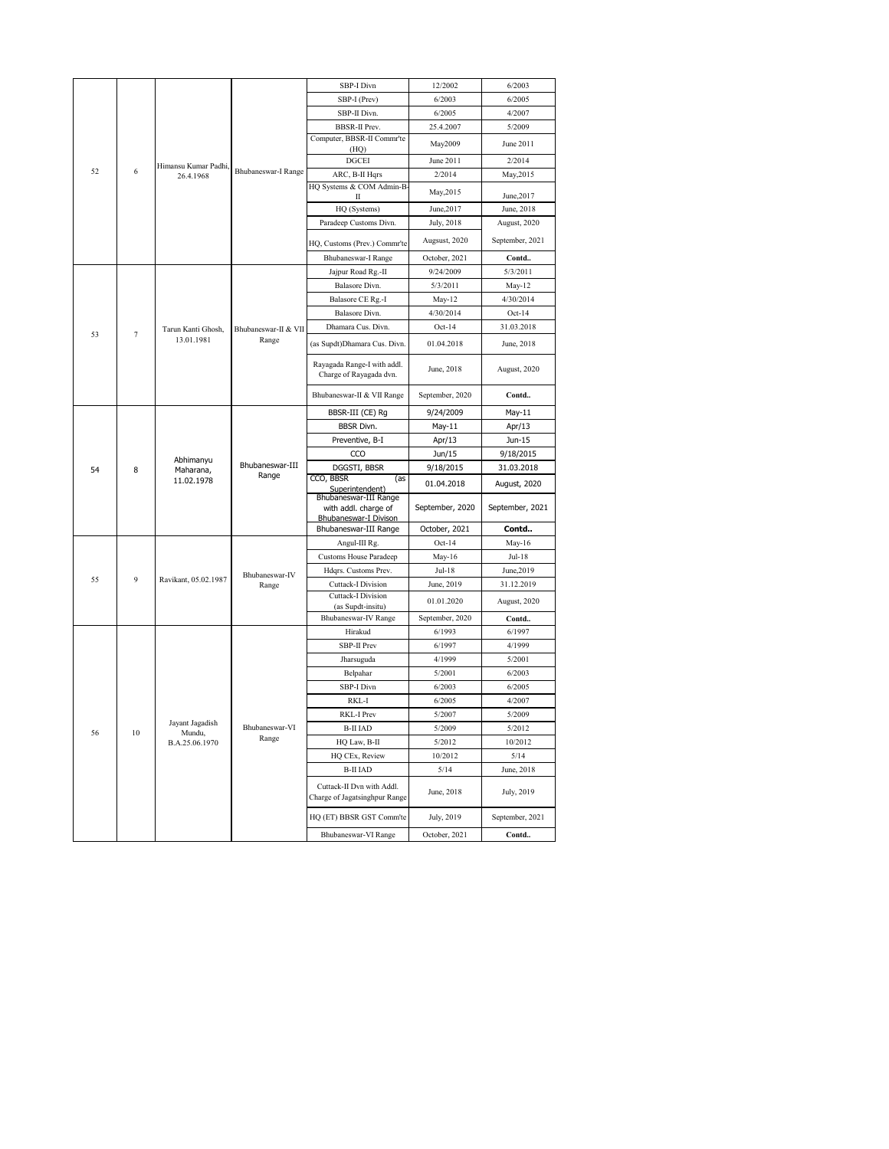|    |                |                                  |                               | SBP-I Divn                                                    | 12/2002                  | 6/2003                     |
|----|----------------|----------------------------------|-------------------------------|---------------------------------------------------------------|--------------------------|----------------------------|
|    |                |                                  |                               | SBP-I (Prev)                                                  | 6/2003                   | 6/2005                     |
|    |                |                                  |                               | SBP-II Divn.                                                  | 6/2005                   | 4/2007                     |
|    |                |                                  |                               | <b>BBSR-II Prev.</b>                                          | 25.4.2007                | 5/2009                     |
|    |                |                                  | Computer, BBSR-II Commr'te    | May2009                                                       | June 2011                |                            |
|    |                |                                  | (HQ)                          |                                                               |                          |                            |
| 52 | 6              | Himansu Kumar Padhi.             | Bhubaneswar-I Range           | <b>DGCEI</b>                                                  | June 2011                | 2/2014                     |
|    |                | 26.4.1968                        |                               | ARC, B-II Hqrs<br>HQ Systems & COM Admin-B                    | 2/2014                   | May, 2015                  |
|    |                |                                  |                               | П                                                             | May, 2015                | June, 2017                 |
|    |                |                                  |                               | HQ (Systems)                                                  | June, 2017               | June, 2018                 |
|    |                |                                  |                               | Paradeep Customs Divn.                                        | July, 2018               | August, 2020               |
|    |                |                                  |                               |                                                               | Augsust, 2020            | September, 2021            |
|    |                |                                  |                               | HQ, Customs (Prev.) Commr'te<br><b>Bhubaneswar-I Range</b>    | October, 2021            | Contd                      |
|    |                |                                  |                               | Jajpur Road Rg.-II                                            | 9/24/2009                | 5/3/2011                   |
|    |                |                                  |                               | Balasore Divn.                                                | 5/3/2011                 | May-12                     |
|    |                |                                  |                               | Balasore CE Rg.-I                                             | May-12                   | 4/30/2014                  |
|    |                |                                  |                               | Balasore Divn.                                                | 4/30/2014                | $Oct-14$                   |
|    |                |                                  | Dhamara Cus. Divn.            | $Oct-14$                                                      | 31.03.2018               |                            |
| 53 | $\overline{7}$ | Tarun Kanti Ghosh,<br>13.01.1981 | Bhubaneswar-II & VII<br>Range |                                                               |                          |                            |
|    |                |                                  |                               | (as Supdt)Dhamara Cus. Divn.                                  | 01.04.2018               | June, 2018                 |
|    |                |                                  |                               | Rayagada Range-I with addl.<br>Charge of Rayagada dvn.        | June, 2018               | August, 2020               |
|    |                |                                  |                               | Bhubaneswar-II & VII Range                                    | September, 2020          | Contd                      |
|    |                |                                  |                               | BBSR-III (CE) Rg                                              | 9/24/2009                | May-11                     |
|    |                |                                  |                               | <b>BBSR Divn.</b>                                             | May-11                   | Apr/13                     |
|    |                |                                  |                               | Preventive, B-I                                               | Apr/13                   | Jun-15                     |
|    |                | Abhimanyu                        |                               | CCO                                                           | Jun/15                   | 9/18/2015                  |
| 54 | 8              | Maharana,                        | Bhubaneswar-III               | DGGSTI, BBSR                                                  | 9/18/2015                | 31.03.2018                 |
|    |                | 11.02.1978                       | Range                         | CCO, BBSR<br>(as<br>Superintendent)                           | 01.04.2018               | August, 2020               |
|    |                |                                  |                               |                                                               |                          |                            |
|    |                |                                  |                               | Bhubaneswar-III Range<br>with addl. charge of                 | September, 2020          | September, 2021            |
|    |                |                                  |                               | Bhubaneswar-I Divison                                         |                          |                            |
|    |                |                                  |                               | Bhubaneswar-III Range                                         | October, 2021            | Contd                      |
|    |                |                                  |                               | Angul-III Rg.                                                 | $Oct-14$                 | May-16                     |
|    |                |                                  |                               | <b>Customs House Paradeep</b>                                 | May-16                   | Jul-18                     |
| 55 | 9              | Ravikant, 05.02.1987             | Bhubaneswar-IV                | Hdqrs. Customs Prev.                                          | Jul-18                   | June, 2019                 |
|    |                |                                  | Range                         | Cuttack-I Division<br>Cuttack-I Division<br>(as Supdt-insitu) | June, 2019<br>01.01.2020 | 31.12.2019<br>August, 2020 |
|    |                |                                  |                               | <b>Bhubaneswar-IV Range</b>                                   | September, 2020          | Contd                      |
|    |                |                                  |                               | Hirakud                                                       | 6/1993                   | 6/1997                     |
|    |                |                                  |                               | SBP-II Prev                                                   | 6/1997                   | 4/1999                     |
|    |                |                                  |                               | Jharsuguda                                                    | 4/1999                   | 5/2001                     |
|    |                |                                  |                               | Belpahar                                                      | 5/2001                   | 6/2003                     |
|    |                |                                  |                               | SBP-I Divn                                                    | 6/2003                   | 6/2005                     |
|    |                |                                  |                               | RKL-I                                                         | 6/2005                   | 4/2007                     |
|    |                |                                  |                               | RKL-I Prev                                                    | 5/2007                   | 5/2009                     |
| 56 | $10\,$         | Jayant Jagadish<br>Mundu,        | Bhubaneswar-VI                | <b>B-II IAD</b>                                               | 5/2009                   | 5/2012                     |
|    |                | B.A.25.06.1970                   | Range                         | HQ Law, B-II                                                  | 5/2012                   | 10/2012                    |
|    |                |                                  |                               | HQ CEx, Review                                                | 10/2012                  | 5/14                       |
|    |                |                                  |                               | <b>B-II IAD</b>                                               | 5/14                     | June, 2018                 |
|    |                |                                  |                               | Cuttack-II Dvn with Addl.<br>Charge of Jagatsinghpur Range    | June, 2018               | July, 2019                 |
|    |                |                                  |                               | HQ (ET) BBSR GST Comm'te                                      | July, 2019               | September, 2021            |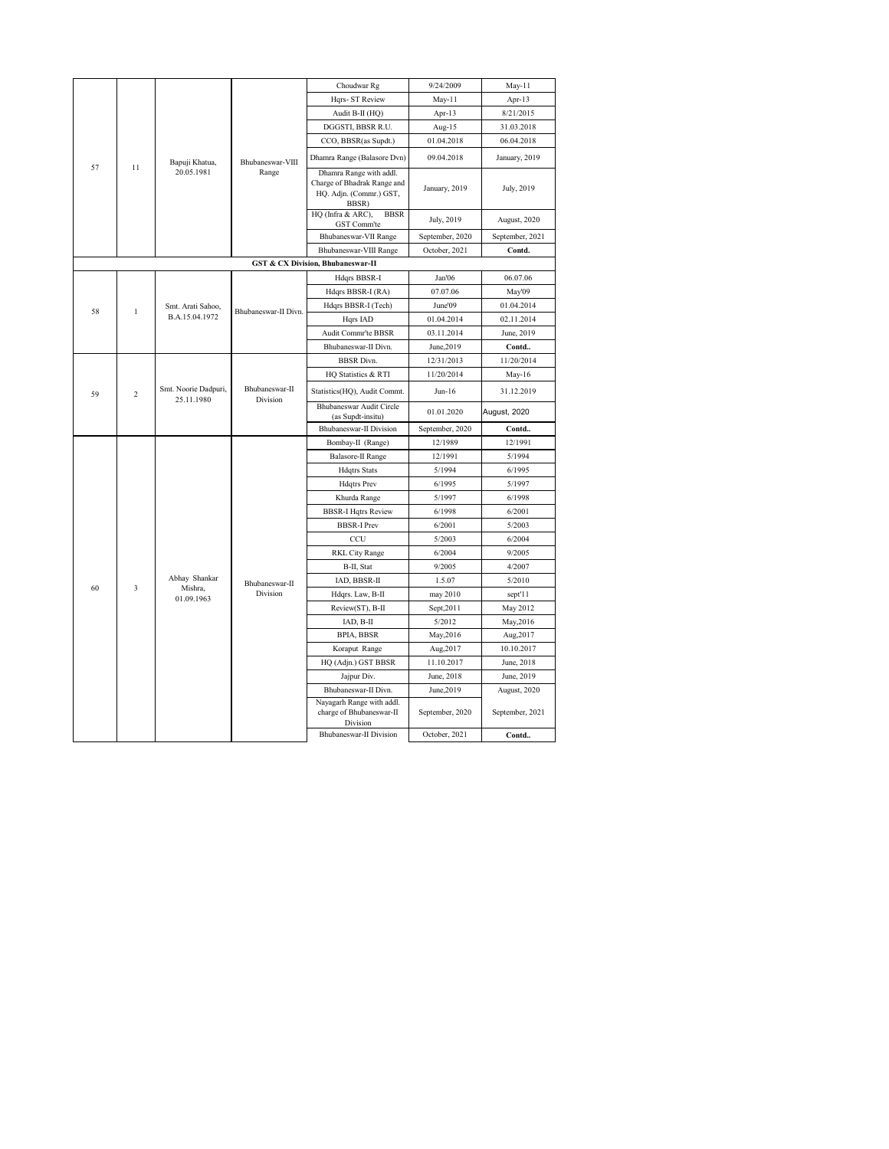|    |                         |                                    |                            | Choudwar Rg                                                                                | 9/24/2009       | May-11          |
|----|-------------------------|------------------------------------|----------------------------|--------------------------------------------------------------------------------------------|-----------------|-----------------|
|    |                         |                                    |                            | Hqrs- ST Review                                                                            | May-11          | Apr-13          |
|    |                         |                                    |                            | Audit B-II (HQ)                                                                            | Apr- $13$       | 8/21/2015       |
|    |                         |                                    |                            | DGGSTI, BBSR R.U.                                                                          | Aug-15          | 31.03.2018      |
|    |                         |                                    |                            | CCO, BBSR(as Supdt.)                                                                       | 01.04.2018      | 06.04.2018      |
| 57 | 11                      | Bapuji Khatua,                     | Bhubaneswar-VIII           | Dhamra Range (Balasore Dvn)                                                                | 09.04.2018      | January, 2019   |
|    |                         | 20.05.1981                         | Range                      | Dhamra Range with addl.<br>Charge of Bhadrak Range and<br>HQ. Adjn. (Commr.) GST,<br>BBSR) | January, 2019   | July, 2019      |
|    |                         |                                    |                            | HQ (Infra & ARC),<br><b>BBSR</b><br>GST Comm'te                                            | July, 2019      | August, 2020    |
|    |                         |                                    |                            | Bhubaneswar-VII Range                                                                      | September, 2020 | September, 2021 |
|    |                         |                                    |                            | Bhubaneswar-VIII Range                                                                     | October, 2021   | Contd.          |
|    |                         |                                    |                            | <b>GST &amp; CX Division, Bhubaneswar-II</b>                                               |                 |                 |
|    |                         |                                    |                            | Hdqrs BBSR-I                                                                               | Jan'06          | 06.07.06        |
|    |                         |                                    |                            | Hdqrs BBSR-I (RA)                                                                          | 07.07.06        | May'09          |
| 58 | 1                       | Smt. Arati Sahoo,                  | Bhubaneswar-II Divn.       | Hdqrs BBSR-I (Tech)                                                                        | June'09         | 01.04.2014      |
|    |                         | B.A.15.04.1972                     |                            | Hqrs IAD                                                                                   | 01.04.2014      | 02.11.2014      |
|    |                         |                                    |                            | Audit Commr'te BBSR                                                                        | 03.11.2014      | June, 2019      |
|    |                         |                                    |                            | Bhubaneswar-II Divn.                                                                       | June, 2019      | Contd           |
|    |                         |                                    | <b>BBSR</b> Divn.          | 12/31/2013                                                                                 | 11/20/2014      |                 |
|    |                         |                                    | HQ Statistics & RTI        | 11/20/2014                                                                                 | May-16          |                 |
| 59 | $\overline{c}$          | Smt. Noorie Dadpuri,<br>25.11.1980 | Bhubaneswar-II<br>Division | Statistics(HQ), Audit Commt.                                                               | Jun-16          | 31.12.2019      |
|    |                         |                                    |                            | Bhubaneswar Audit Circle<br>(as Supdt-insitu)                                              | 01.01.2020      | August, 2020    |
|    |                         |                                    |                            | <b>Bhubaneswar-II Division</b>                                                             | September, 2020 | Contd           |
|    |                         |                                    |                            | Bombay-II (Range)                                                                          | 12/1989         | 12/1991         |
|    |                         |                                    |                            | <b>Balasore-II Range</b>                                                                   | 12/1991         | 5/1994          |
|    |                         |                                    |                            | <b>Hdqtrs</b> Stats                                                                        | 5/1994          | 6/1995          |
|    |                         |                                    |                            | <b>Hdqtrs</b> Prev                                                                         | 6/1995          | 5/1997          |
|    |                         |                                    |                            | Khurda Range                                                                               | 5/1997          | 6/1998          |
|    |                         |                                    |                            | <b>BBSR-I Hqtrs Review</b>                                                                 | 6/1998          | 6/2001          |
|    |                         |                                    |                            | <b>BBSR-I Prev</b>                                                                         | 6/2001          | 5/2003          |
|    |                         |                                    |                            | CCU                                                                                        | 5/2003          | 6/2004          |
|    |                         |                                    |                            | <b>RKL City Range</b>                                                                      | 6/2004          | 9/2005          |
|    |                         |                                    |                            | B-II, Stat                                                                                 | 9/2005          | 4/2007          |
| 60 | $\overline{\mathbf{3}}$ | Abhay Shankar<br>Mishra,           | Bhubaneswar-II             | IAD, BBSR-II                                                                               | 1.5.07          | 5/2010          |
|    |                         | 01.09.1963                         | Division                   | Hdqrs. Law, B-II                                                                           | may 2010        | sept'11         |
|    |                         |                                    |                            | Review(ST), B-II                                                                           | Sept, 2011      | May 2012        |
|    |                         |                                    |                            | IAD, B-II                                                                                  | 5/2012          | May, 2016       |
|    |                         |                                    |                            | <b>BPIA, BBSR</b>                                                                          | May, 2016       | Aug, 2017       |
|    |                         |                                    |                            | Koraput Range                                                                              | Aug, 2017       | 10.10.2017      |
|    |                         |                                    |                            | HQ (Adjn.) GST BBSR                                                                        | 11.10.2017      | June, 2018      |
|    |                         |                                    |                            | Jajpur Div.                                                                                | June, 2018      | June, 2019      |
|    |                         |                                    |                            | Bhubaneswar-II Divn.                                                                       | June, 2019      | August, 2020    |
|    |                         |                                    |                            | Nayagarh Range with addl.<br>charge of Bhubaneswar-II<br>Division                          | September, 2020 | September, 2021 |
|    |                         |                                    |                            | Bhubaneswar-II Division                                                                    | October, 2021   | Contd           |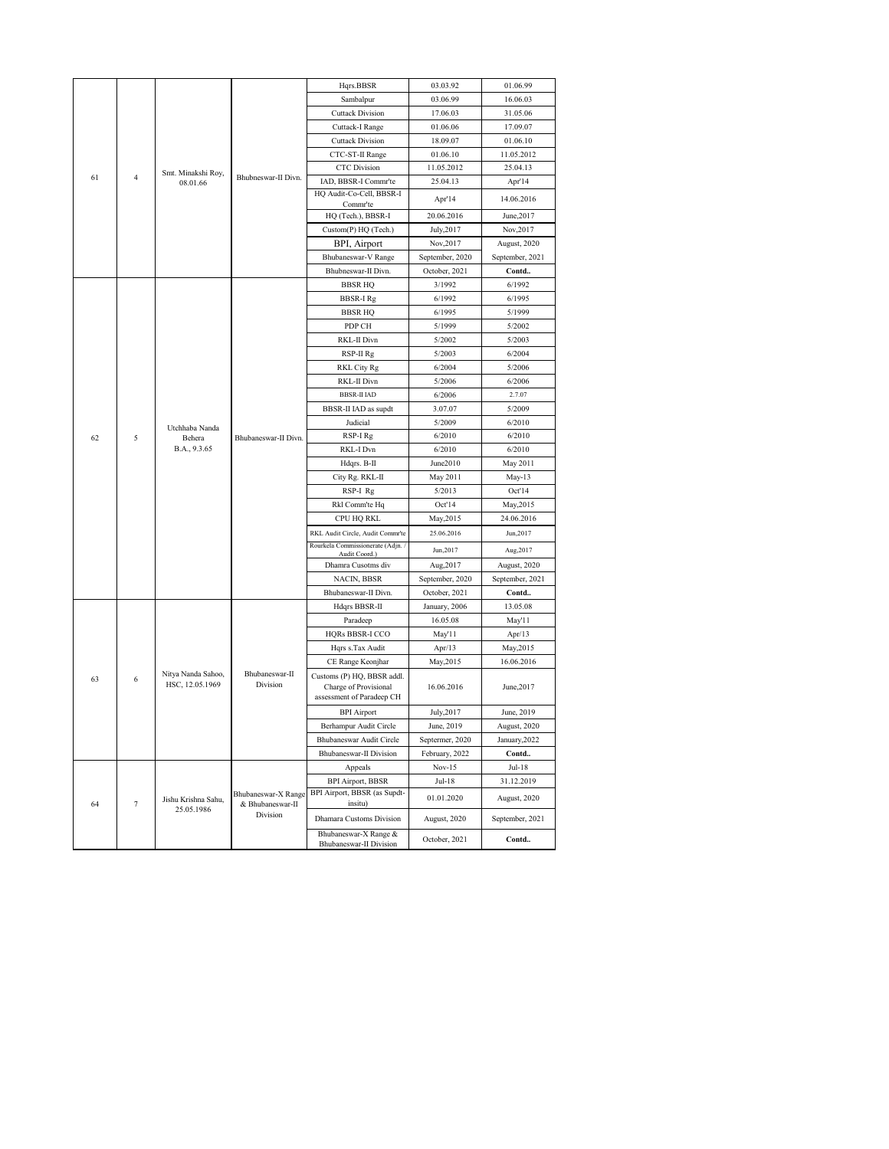|    |                |                                   |                         | Hqrs.BBSR                                                | 03.03.92                          | 01.06.99               |
|----|----------------|-----------------------------------|-------------------------|----------------------------------------------------------|-----------------------------------|------------------------|
|    |                |                                   |                         | Sambalpur                                                | 03.06.99                          | 16.06.03               |
|    |                |                                   |                         | <b>Cuttack Division</b>                                  | 17.06.03                          | 31.05.06               |
|    |                |                                   |                         | Cuttack-I Range                                          | 01.06.06                          | 17.09.07               |
|    |                |                                   | <b>Cuttack Division</b> | 18.09.07                                                 | 01.06.10                          |                        |
|    |                |                                   | Bhubneswar-II Divn.     | CTC-ST-II Range                                          | 01.06.10                          | 11.05.2012             |
| 61 | $\overline{4}$ | Smt. Minakshi Roy,                |                         | <b>CTC</b> Division                                      | 11.05.2012                        | 25.04.13               |
|    |                | 08.01.66                          |                         | IAD, BBSR-I Commr'te<br>HQ Audit-Co-Cell, BBSR-I         | 25.04.13                          | Apr'14                 |
|    |                |                                   |                         | Commr'te                                                 | Apr'14                            | 14.06.2016             |
|    |                |                                   |                         | HQ (Tech.), BBSR-I                                       | 20.06.2016                        | June, 2017             |
|    |                |                                   |                         | Custom(P) HQ (Tech.)                                     | July, 2017                        | Nov, 2017              |
|    |                |                                   |                         | BPI, Airport                                             | Nov, 2017                         | August, 2020           |
|    |                |                                   |                         | Bhubaneswar-V Range                                      | September, 2020                   | September, 2021        |
|    |                |                                   |                         | Bhubneswar-II Divn.                                      | October, 2021                     | Contd                  |
|    |                |                                   |                         | <b>BBSR HQ</b>                                           | 3/1992                            | 6/1992                 |
|    |                |                                   |                         | <b>BBSR-I Rg</b>                                         | 6/1992                            | 6/1995                 |
|    |                |                                   |                         | <b>BBSR HQ</b>                                           | 6/1995                            | 5/1999                 |
|    |                |                                   |                         | PDP CH                                                   | 5/1999                            | 5/2002                 |
|    |                |                                   | RKL-II Divn             | 5/2002                                                   | 5/2003                            |                        |
|    |                |                                   | RSP-II Rg               | 5/2003                                                   | 6/2004                            |                        |
|    |                |                                   | RKL City Rg             | 6/2004                                                   | 5/2006                            |                        |
|    |                |                                   | RKL-II Divn             | 5/2006                                                   | 6/2006                            |                        |
|    |                |                                   | <b>BBSR-II IAD</b>      | 6/2006                                                   | 2.7.07                            |                        |
|    |                |                                   | BBSR-II IAD as supdt    | 3.07.07                                                  | 5/2009                            |                        |
|    | Utchhaba Nanda |                                   | Judicial                | 5/2009                                                   | 6/2010                            |                        |
| 62 | 5              | Behera                            | Bhubaneswar-II Divn.    | RSP-I Rg                                                 | 6/2010                            | 6/2010                 |
|    |                | B.A., 9.3.65                      |                         | RKL-I Dvn                                                | 6/2010                            | 6/2010                 |
|    |                |                                   |                         | Hdqrs. B-II                                              | June2010                          | May 2011               |
|    |                |                                   |                         | City Rg. RKL-II                                          | May 2011                          | May-13                 |
|    |                |                                   |                         | RSP-I Rg                                                 | 5/2013                            | Oct'14                 |
|    |                |                                   |                         | Rkl Comm'te Hq                                           | Oct'14                            | May, 2015              |
|    |                |                                   |                         | CPU HQ RKL                                               | May, 2015                         | 24.06.2016             |
|    |                |                                   |                         | RKL Audit Circle, Audit Commr'te                         | 25.06.2016                        | Jun, 2017              |
|    |                |                                   |                         | Rourkela Commissionerate (Adjn.<br>Audit Coord.)         | Jun, 2017                         | Aug, 2017              |
|    |                |                                   |                         | Dhamra Cusotms div                                       | Aug, 2017                         | August, 2020           |
|    |                |                                   |                         | NACIN, BBSR                                              | September, 2020                   | September, 2021        |
|    |                |                                   |                         | Bhubaneswar-II Divn.                                     | October, 2021                     | Contd                  |
|    |                |                                   |                         | Hdqrs BBSR-II                                            | January, 2006                     | 13.05.08               |
|    |                |                                   |                         | Paradeep                                                 | 16.05.08                          | May'11                 |
|    |                |                                   |                         | HQRs BBSR-I CCO                                          | May'11                            | Apr/13                 |
|    |                |                                   |                         | Hqrs s.Tax Audit                                         | Apr $/13$                         | May, 2015              |
|    |                |                                   |                         | CE Range Keonjhar                                        | May, 2015                         | 16.06.2016             |
| 63 | 6              | Nitya Nanda Sahoo,                | Bhubaneswar-II          | Customs (P) HQ, BBSR addl.                               |                                   |                        |
|    |                | HSC, 12.05.1969                   | Division                | Charge of Provisional<br>assessment of Paradeep CH       | 16.06.2016                        | June, 2017             |
|    |                |                                   |                         |                                                          |                                   |                        |
|    |                |                                   |                         | <b>BPI</b> Airport<br>Berhampur Audit Circle             | July, 2017                        | June, 2019             |
|    |                |                                   |                         |                                                          | June, 2019                        | August, 2020           |
|    |                |                                   |                         | Bhubaneswar Audit Circle<br>Bhubaneswar-II Division      | Septermer, 2020<br>February, 2022 | January, 2022<br>Contd |
|    |                |                                   |                         |                                                          |                                   |                        |
|    |                |                                   |                         | Appeals                                                  | $Nov-15$                          | Jul-18                 |
|    |                |                                   | Bhubaneswar-X Range     | <b>BPI Airport, BBSR</b><br>BPI Airport, BBSR (as Supdt- | Jul-18                            | 31.12.2019             |
| 64 | $\overline{7}$ | Jishu Krishna Sahu,<br>25.05.1986 | & Bhubaneswar-II        | insitu)                                                  | 01.01.2020                        | August, 2020           |
|    |                |                                   | Division                | Dhamara Customs Division                                 | August, 2020                      | September, 2021        |
|    |                |                                   |                         | Bhubaneswar-X Range &                                    |                                   |                        |
|    |                |                                   |                         | Bhubaneswar-II Division                                  | October, 2021                     | Contd                  |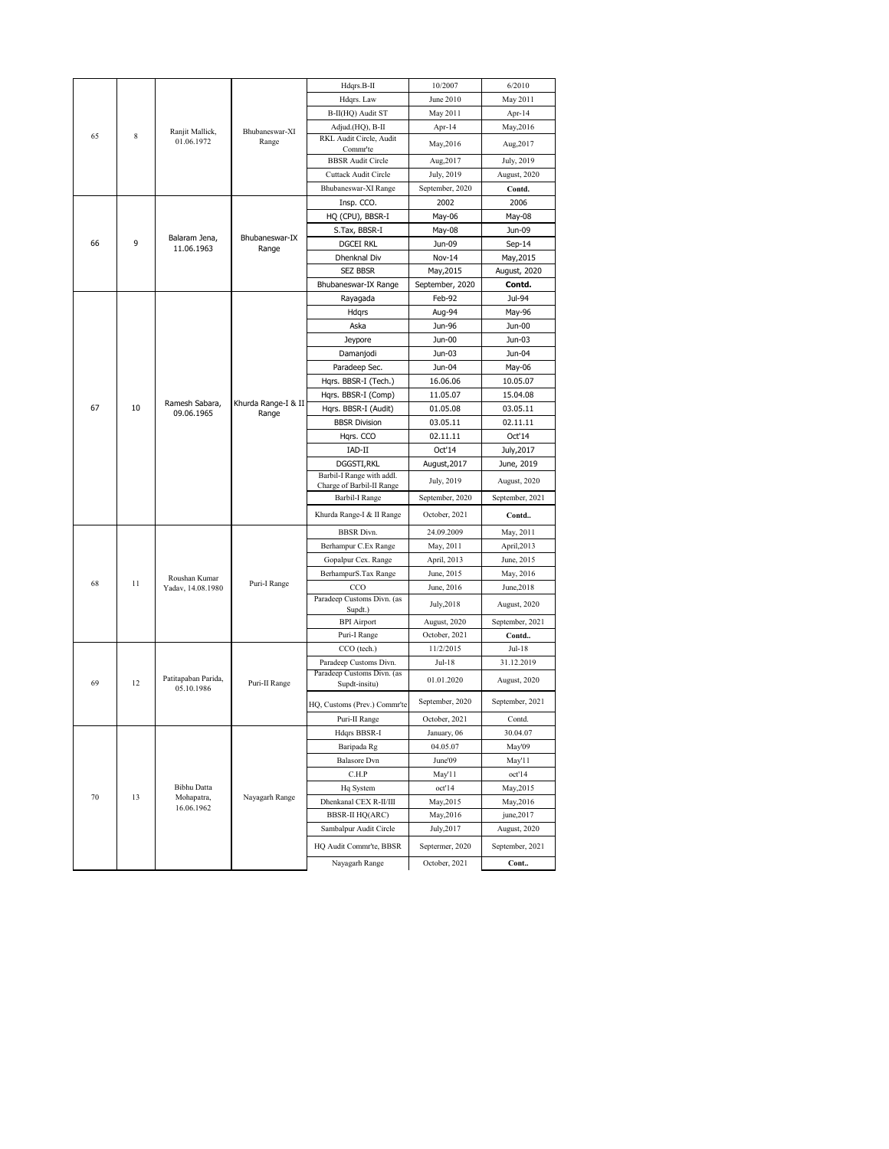|        |                                          |                                   |                         | Hdqrs.B-II                                           | 10/2007         | 6/2010          |
|--------|------------------------------------------|-----------------------------------|-------------------------|------------------------------------------------------|-----------------|-----------------|
|        |                                          |                                   |                         | Hdqrs. Law                                           | June 2010       | May 2011        |
|        |                                          |                                   |                         | B-II(HQ) Audit ST                                    | May 2011        | Apr- $14$       |
|        |                                          |                                   | Bhubaneswar-XI          | Adjud.(HQ), B-II                                     | Apr-14          | May, 2016       |
| 65     | 8                                        | Ranjit Mallick,<br>01.06.1972     | Range                   | RKL Audit Circle, Audit<br>Commr'te                  | May, 2016       | Aug, 2017       |
|        |                                          |                                   |                         | <b>BBSR</b> Audit Circle                             | Aug, 2017       | July, 2019      |
|        |                                          |                                   |                         | <b>Cuttack Audit Circle</b>                          | July, 2019      | August, 2020    |
|        |                                          |                                   |                         | Bhubaneswar-XI Range                                 | September, 2020 | Contd.          |
|        |                                          |                                   |                         | Insp. CCO.                                           | 2002            | 2006            |
|        |                                          |                                   |                         | HQ (CPU), BBSR-I                                     | May-06          | May-08          |
|        |                                          |                                   |                         | S.Tax, BBSR-I                                        | May-08          | Jun-09          |
| 66     | 9                                        | Balaram Jena,<br>11.06.1963       | Bhubaneswar-IX<br>Range | <b>DGCEI RKL</b>                                     | Jun-09          | $Sep-14$        |
|        |                                          |                                   |                         | Dhenknal Div                                         | Nov-14          | May, 2015       |
|        |                                          |                                   |                         | <b>SEZ BBSR</b>                                      | May, 2015       | August, 2020    |
|        |                                          |                                   |                         | Bhubaneswar-IX Range                                 | September, 2020 | Contd.          |
|        |                                          |                                   |                         | Rayagada                                             | Feb-92          | Jul-94          |
|        |                                          |                                   |                         | Hdqrs                                                | Aug-94          | May-96          |
|        |                                          |                                   |                         | Aska                                                 | Jun-96          | Jun-00          |
|        |                                          |                                   |                         | Jeypore                                              | Jun-00          | Jun-03          |
|        |                                          |                                   |                         | Damanjodi                                            | Jun-03          | Jun-04          |
|        |                                          |                                   | Paradeep Sec.           | Jun-04                                               | May-06          |                 |
|        |                                          |                                   |                         | Hqrs. BBSR-I (Tech.)                                 | 16.06.06        | 10.05.07        |
|        | Ramesh Sabara,<br>67<br>10<br>09.06.1965 |                                   | Hgrs. BBSR-I (Comp)     | 11.05.07                                             | 15.04.08        |                 |
|        |                                          | Khurda Range-I & II               | Hqrs. BBSR-I (Audit)    | 01.05.08                                             | 03.05.11        |                 |
|        |                                          | Range                             | <b>BBSR Division</b>    | 03.05.11                                             | 02.11.11        |                 |
|        |                                          |                                   | Hqrs. CCO               | 02.11.11                                             | Oct'14          |                 |
|        |                                          |                                   |                         | IAD-II                                               | Oct'14          | July, 2017      |
|        |                                          |                                   |                         | DGGSTI, RKL                                          | August, 2017    | June, 2019      |
|        |                                          |                                   |                         | Barbil-I Range with addl.                            |                 |                 |
|        |                                          |                                   |                         | Charge of Barbil-II Range                            | July, 2019      | August, 2020    |
|        |                                          |                                   |                         | <b>Barbil-I Range</b>                                | September, 2020 | September, 2021 |
|        |                                          |                                   |                         | Khurda Range-I & II Range                            | October, 2021   | Contd           |
|        |                                          |                                   |                         | <b>BBSR</b> Divn.                                    | 24.09.2009      | May, 2011       |
|        |                                          |                                   |                         | Berhampur C.Ex Range                                 | May, 2011       | April,2013      |
|        |                                          |                                   |                         | Gopalpur Cex. Range                                  | April, 2013     | June, 2015      |
| 68     | 11                                       | Roushan Kumar                     | Puri-I Range            | BerhampurS.Tax Range                                 | June, 2015      | May, 2016       |
|        |                                          | Yadav, 14.08.1980                 |                         | CCO                                                  | June, 2016      | June, 2018      |
|        |                                          |                                   |                         | Paradeep Customs Divn. (as<br>Supdt.)                | July, 2018      | August, 2020    |
|        |                                          |                                   |                         | <b>BPI</b> Airport                                   | August, 2020    | September, 2021 |
|        |                                          |                                   |                         | Puri-I Range                                         | October, 2021   | Contd           |
|        |                                          |                                   |                         | CCO (tech.)                                          | 11/2/2015       | Jul-18          |
|        |                                          |                                   |                         | Paradeep Customs Divn.<br>Paradeep Customs Divn. (as | Jul-18          | 31.12.2019      |
| 69     | 12                                       | Patitapaban Parida,<br>05.10.1986 | Puri-II Range           | Supdt-insitu)                                        | 01.01.2020      | August, 2020    |
|        |                                          |                                   |                         | HQ, Customs (Prev.) Commr'te                         | September, 2020 | September, 2021 |
|        |                                          |                                   |                         | Puri-II Range                                        | October, 2021   | Contd.          |
|        |                                          |                                   |                         | Hdqrs BBSR-I                                         | January, 06     | 30.04.07        |
|        |                                          |                                   |                         | Baripada Rg                                          | 04.05.07        | May'09          |
|        |                                          |                                   |                         | <b>Balasore</b> Dvn                                  | June'09         | May'11          |
|        |                                          |                                   |                         | C.H.P                                                | May'11          | oct'14          |
| $70\,$ | 13                                       | <b>Bibhu Datta</b><br>Mohapatra,  | Nayagarh Range          | Hq System                                            | oct'14          | May, 2015       |
|        |                                          | 16.06.1962                        |                         | Dhenkanal CEX R-II/III                               | May, 2015       | May, 2016       |
|        |                                          |                                   |                         | <b>BBSR-II HQ(ARC)</b>                               | May, 2016       | june, 2017      |
|        |                                          |                                   |                         | Sambalpur Audit Circle                               | July, 2017      | August, 2020    |
|        |                                          |                                   |                         | HQ Audit Commr'te, BBSR                              | Septermer, 2020 | September, 2021 |
|        |                                          |                                   |                         | Nayagarh Range                                       | October, 2021   | Cont            |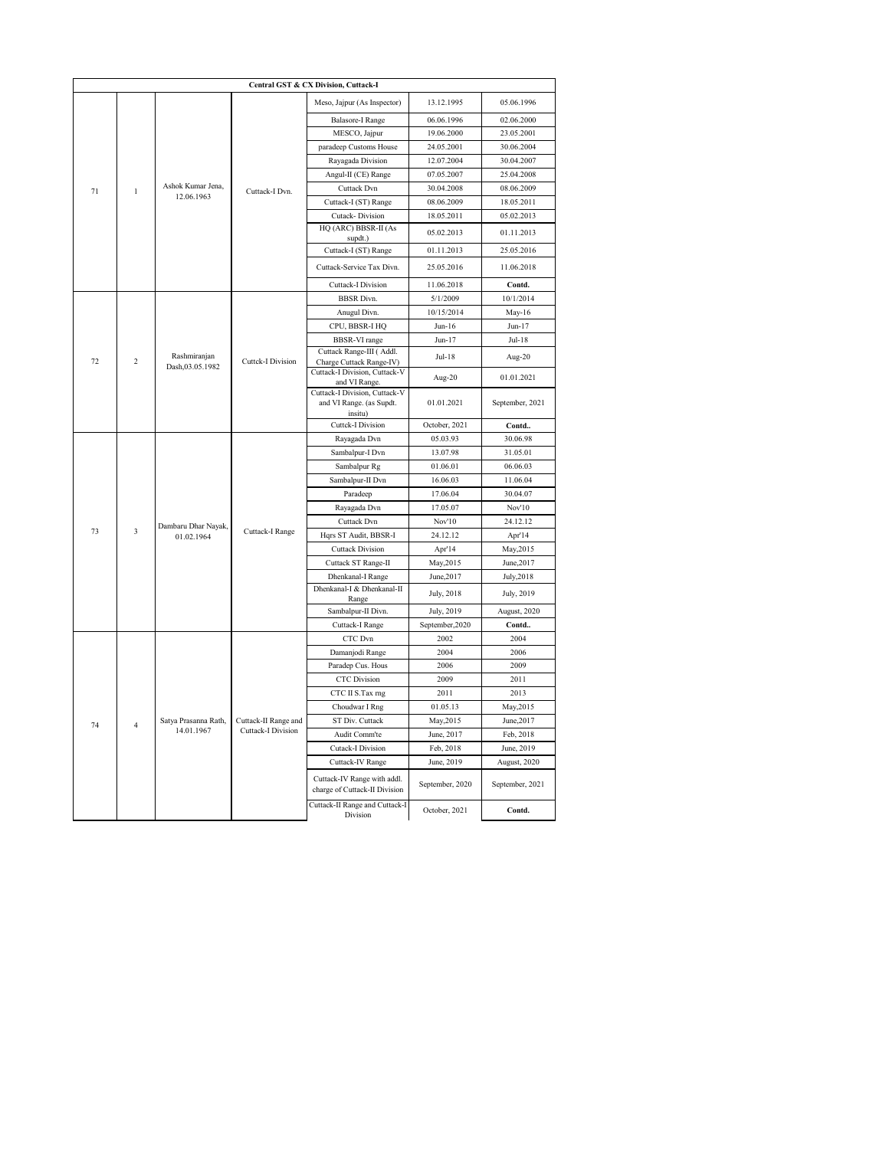|                      | Central GST & CX Division, Cuttack-I |                                 |                                                      |                                                                                       |                         |                 |  |  |  |
|----------------------|--------------------------------------|---------------------------------|------------------------------------------------------|---------------------------------------------------------------------------------------|-------------------------|-----------------|--|--|--|
|                      |                                      |                                 |                                                      | Meso, Jajpur (As Inspector)                                                           | 13.12.1995              | 05.06.1996      |  |  |  |
|                      |                                      |                                 |                                                      | <b>Balasore-I Range</b>                                                               | 06.06.1996              | 02.06.2000      |  |  |  |
|                      |                                      |                                 |                                                      | MESCO, Jajpur                                                                         | 19.06.2000              | 23.05.2001      |  |  |  |
|                      |                                      |                                 |                                                      | paradeep Customs House                                                                | 24.05.2001              | 30.06.2004      |  |  |  |
|                      |                                      |                                 |                                                      | Rayagada Division                                                                     | 12.07.2004              | 30.04.2007      |  |  |  |
|                      |                                      |                                 |                                                      | Angul-II (CE) Range                                                                   | 07.05.2007              | 25.04.2008      |  |  |  |
| 71                   | $\,1$                                | Ashok Kumar Jena,<br>12.06.1963 | Cuttack-I Dvn.                                       | Cuttack Dvn                                                                           | 30.04.2008              | 08.06.2009      |  |  |  |
|                      |                                      |                                 |                                                      | Cuttack-I (ST) Range                                                                  | 08.06.2009              | 18.05.2011      |  |  |  |
|                      |                                      |                                 |                                                      | Cutack-Division                                                                       | 18.05.2011              | 05.02.2013      |  |  |  |
|                      |                                      |                                 |                                                      | HQ (ARC) BBSR-II (As<br>supdt.)                                                       | 05.02.2013              | 01.11.2013      |  |  |  |
|                      |                                      |                                 |                                                      | Cuttack-I (ST) Range                                                                  | 01.11.2013              | 25.05.2016      |  |  |  |
|                      |                                      |                                 |                                                      | Cuttack-Service Tax Divn.                                                             | 25.05.2016              | 11.06.2018      |  |  |  |
|                      |                                      |                                 |                                                      | <b>Cuttack-I Division</b>                                                             | 11.06.2018              | Contd.          |  |  |  |
|                      |                                      |                                 |                                                      | <b>BBSR</b> Divn.                                                                     | 5/1/2009                | 10/1/2014       |  |  |  |
|                      |                                      |                                 | Anugul Divn.                                         | 10/15/2014                                                                            | $May-16$                |                 |  |  |  |
|                      |                                      |                                 | CPU, BBSR-I HQ                                       | $Jun-16$                                                                              | $Jun-17$                |                 |  |  |  |
|                      |                                      |                                 |                                                      | <b>BBSR-VI</b> range                                                                  | $Jun-17$                | $Jul-18$        |  |  |  |
| 72<br>$\overline{c}$ | Rashmiranjan                         | <b>Cuttck-I Division</b>        | Cuttack Range-III (Addl.<br>Charge Cuttack Range-IV) | $Jul-18$                                                                              | Aug-20                  |                 |  |  |  |
|                      |                                      | Dash, 03.05.1982                |                                                      | Cuttack-I Division, Cuttack-V                                                         | Aug-20                  | 01.01.2021      |  |  |  |
|                      |                                      |                                 |                                                      | and VI Range.<br>Cuttack-I Division, Cuttack-V<br>and VI Range. (as Supdt.<br>insitu) | 01.01.2021              | September, 2021 |  |  |  |
|                      |                                      |                                 |                                                      | <b>Cuttck-I Division</b>                                                              | October, 2021           | Contd           |  |  |  |
|                      |                                      |                                 |                                                      | Rayagada Dvn                                                                          | 05.03.93                | 30.06.98        |  |  |  |
|                      |                                      |                                 |                                                      | Sambalpur-I Dvn                                                                       | 13.07.98                | 31.05.01        |  |  |  |
|                      |                                      |                                 |                                                      | Sambalpur Rg                                                                          | 01.06.01                | 06.06.03        |  |  |  |
|                      |                                      | Dambaru Dhar Nayak,             |                                                      | Sambalpur-II Dvn                                                                      | 16.06.03                | 11.06.04        |  |  |  |
|                      |                                      |                                 |                                                      | Paradeep                                                                              | 17.06.04                | 30.04.07        |  |  |  |
|                      |                                      |                                 |                                                      | Rayagada Dvn                                                                          | 17.05.07                | Nov'10          |  |  |  |
|                      |                                      |                                 |                                                      | Cuttack Dvn                                                                           | Nov'10                  | 24.12.12        |  |  |  |
| 73                   | $\overline{\mathbf{3}}$              | 01.02.1964                      | Cuttack-I Range                                      | Hqrs ST Audit, BBSR-I                                                                 | 24.12.12                | Apr'14          |  |  |  |
|                      |                                      |                                 |                                                      | <b>Cuttack Division</b>                                                               | Apr'14                  | May, 2015       |  |  |  |
|                      |                                      |                                 |                                                      | Cuttack ST Range-II                                                                   | May, 2015               | June, 2017      |  |  |  |
|                      |                                      |                                 |                                                      | Dhenkanal-I Range                                                                     | June, 2017              | July, 2018      |  |  |  |
|                      |                                      |                                 |                                                      | Dhenkanal-I & Dhenkanal-II                                                            | July, 2018              | July, 2019      |  |  |  |
|                      |                                      |                                 |                                                      | Range                                                                                 |                         |                 |  |  |  |
|                      |                                      |                                 |                                                      | Sambalpur-II Divn.                                                                    | July, 2019              | August, 2020    |  |  |  |
|                      |                                      |                                 |                                                      | Cuttack-I Range<br>CTC Dvn                                                            | September, 2020<br>2002 | Contd<br>2004   |  |  |  |
|                      |                                      |                                 |                                                      | Damanjodi Range                                                                       | 2004                    | 2006            |  |  |  |
|                      |                                      |                                 |                                                      | Paradep Cus. Hous                                                                     | 2006                    | 2009            |  |  |  |
|                      |                                      |                                 |                                                      | <b>CTC</b> Division                                                                   | 2009                    | 2011            |  |  |  |
|                      |                                      |                                 |                                                      | CTC II S.Tax rng                                                                      | 2011                    | 2013            |  |  |  |
|                      |                                      |                                 |                                                      | Choudwar I Rng                                                                        | 01.05.13                | May, 2015       |  |  |  |
|                      |                                      | Satya Prasanna Rath,            | Cuttack-II Range and                                 | ST Div. Cuttack                                                                       | May, 2015               | June, 2017      |  |  |  |
| 74                   | $\overline{4}$                       | 14.01.1967                      | <b>Cuttack-I Division</b>                            | Audit Comm'te                                                                         | June, 2017              | Feb, 2018       |  |  |  |
|                      |                                      |                                 |                                                      | Cutack-I Division                                                                     | Feb, 2018               | June, 2019      |  |  |  |
|                      |                                      |                                 |                                                      | Cuttack-IV Range                                                                      | June, 2019              | August, 2020    |  |  |  |
|                      |                                      |                                 |                                                      | Cuttack-IV Range with addl.<br>charge of Cuttack-II Division                          | September, 2020         | September, 2021 |  |  |  |
|                      |                                      |                                 |                                                      | Cuttack-II Range and Cuttack-I<br>Division                                            | October, 2021           | Contd.          |  |  |  |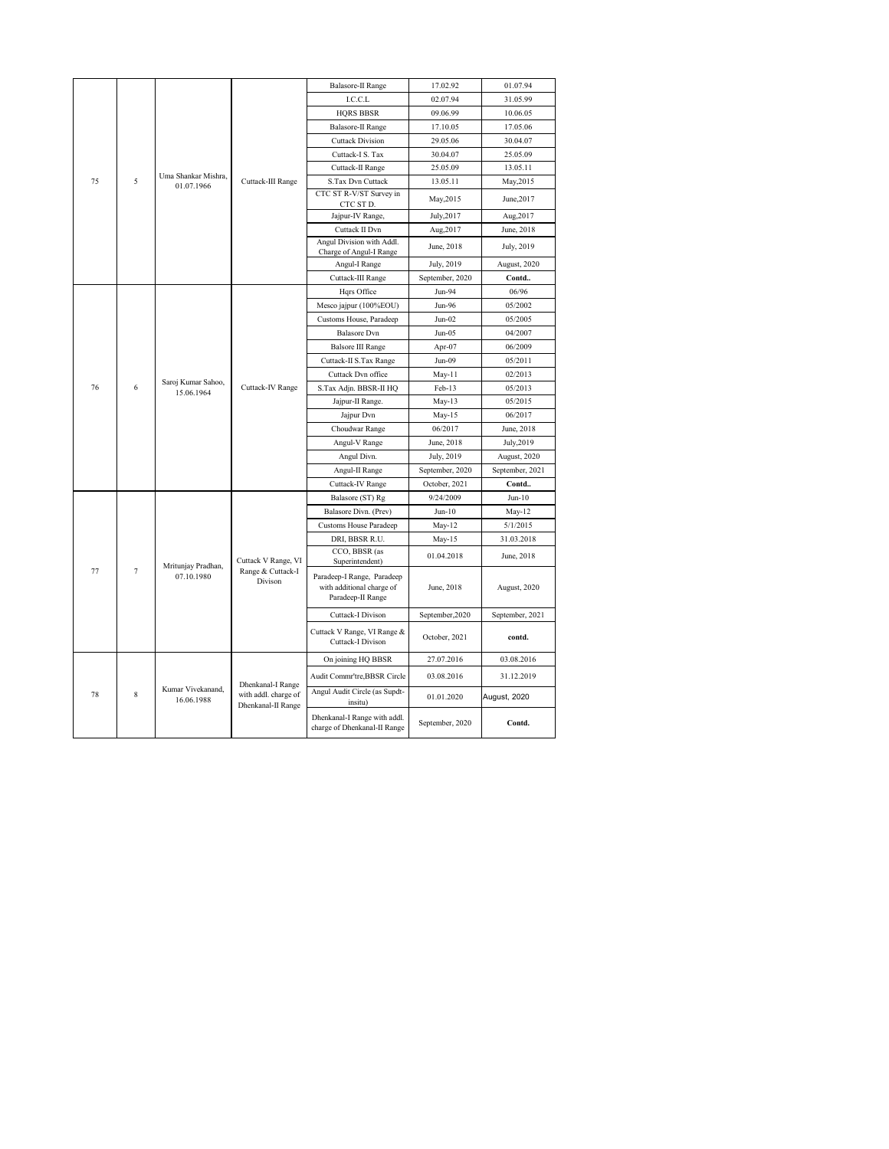|         |                                   |                                 |                                            | <b>Balasore-II Range</b>                                                     | 17.02.92        | 01.07.94        |
|---------|-----------------------------------|---------------------------------|--------------------------------------------|------------------------------------------------------------------------------|-----------------|-----------------|
|         |                                   |                                 |                                            | I.C.C.L                                                                      | 02.07.94        | 31.05.99        |
|         |                                   |                                 |                                            | <b>HQRS BBSR</b>                                                             | 09.06.99        | 10.06.05        |
|         |                                   |                                 |                                            | <b>Balasore-II Range</b>                                                     | 17.10.05        | 17.05.06        |
| 75<br>5 |                                   |                                 |                                            | <b>Cuttack Division</b>                                                      | 29.05.06        | 30.04.07        |
|         |                                   |                                 | Cuttack-I S. Tax                           | 30.04.07                                                                     | 25.05.09        |                 |
|         |                                   |                                 | Cuttack-II Range                           | 25.05.09                                                                     | 13.05.11        |                 |
|         | Uma Shankar Mishra,<br>01.07.1966 | Cuttack-III Range               | S.Tax Dvn Cuttack                          | 13.05.11                                                                     | May, 2015       |                 |
|         |                                   |                                 |                                            | CTC ST R-V/ST Survey in<br>CTC ST D.                                         | May, 2015       | June, 2017      |
|         |                                   |                                 | Jajpur-IV Range,                           | July, 2017                                                                   | Aug, 2017       |                 |
|         |                                   |                                 |                                            | Cuttack II Dvn                                                               | Aug, 2017       | June, 2018      |
|         |                                   |                                 |                                            | Angul Division with Addl.<br>Charge of Angul-I Range                         | June, 2018      | July, 2019      |
|         |                                   |                                 |                                            | Angul-I Range                                                                | July, 2019      | August, 2020    |
|         |                                   |                                 |                                            | Cuttack-III Range                                                            | September, 2020 | Contd           |
|         |                                   |                                 |                                            | Hqrs Office                                                                  | Jun-94          | 06/96           |
|         |                                   |                                 |                                            | Mesco jajpur (100%EOU)                                                       | Jun-96          | 05/2002         |
|         |                                   |                                 |                                            | Customs House, Paradeep                                                      | $Jun-02$        | 05/2005         |
|         |                                   |                                 |                                            | <b>Balasore</b> Dvn                                                          | $Jun-05$        | 04/2007         |
|         |                                   |                                 |                                            | <b>Balsore III Range</b>                                                     | Apr-07          | 06/2009         |
|         | Saroj Kumar Sahoo,<br>76<br>6     |                                 | Cuttack-II S.Tax Range                     | $Jun-09$                                                                     | 05/2011         |                 |
|         |                                   |                                 | Cuttack-IV Range                           | Cuttack Dvn office                                                           | May-11          | 02/2013         |
|         |                                   | 15.06.1964                      |                                            | S.Tax Adjn. BBSR-II HQ                                                       | Feb-13          | 05/2013         |
|         |                                   |                                 |                                            | Jajpur-II Range.                                                             | May-13          | 05/2015         |
|         |                                   |                                 |                                            | Jajpur Dvn                                                                   | May-15          | 06/2017         |
|         |                                   |                                 |                                            | Choudwar Range                                                               | 06/2017         | June, 2018      |
|         |                                   |                                 |                                            | Angul-V Range                                                                | June, 2018      | July, 2019      |
|         |                                   |                                 |                                            | Angul Divn.                                                                  | July, 2019      | August, 2020    |
|         |                                   |                                 |                                            | Angul-II Range                                                               | September, 2020 | September, 2021 |
|         |                                   |                                 |                                            | Cuttack-IV Range                                                             | October, 2021   | Contd           |
|         |                                   |                                 |                                            | Balasore (ST) Rg                                                             | 9/24/2009       | $Jun-10$        |
|         |                                   |                                 |                                            | Balasore Divn. (Prev)                                                        | $Jun-10$        | May-12          |
|         |                                   |                                 |                                            | <b>Customs House Paradeep</b>                                                | $May-12$        | 5/1/2015        |
|         |                                   |                                 |                                            | DRI, BBSR R.U.                                                               | $May-15$        | 31.03.2018      |
|         |                                   | Mritunjay Pradhan,              | Cuttack V Range, VI                        | CCO, BBSR (as<br>Superintendent)                                             | 01.04.2018      | June, 2018      |
| 77      | $\tau$                            | 07.10.1980                      | Range & Cuttack-I<br>Divison               | Paradeep-I Range, Paradeep<br>with additional charge of<br>Paradeep-II Range | June, 2018      | August, 2020    |
|         |                                   |                                 |                                            | Cuttack-I Divison                                                            | September, 2020 | September, 2021 |
|         |                                   |                                 |                                            | Cuttack V Range, VI Range &<br>Cuttack-I Divison                             | October, 2021   | contd.          |
|         |                                   |                                 |                                            | On joining HQ BBSR                                                           | 27.07.2016      | 03.08.2016      |
|         |                                   |                                 | Dhenkanal-I Range                          | Audit Commr'tre, BBSR Circle                                                 | 03.08.2016      | 31.12.2019      |
| 78      | 8                                 | Kumar Vivekanand.<br>16.06.1988 | with addl. charge of<br>Dhenkanal-II Range | Angul Audit Circle (as Supdt-<br>insitu)                                     | 01.01.2020      | August, 2020    |
|         |                                   |                                 |                                            | Dhenkanal-I Range with addl.<br>charge of Dhenkanal-II Range                 | September, 2020 | Contd.          |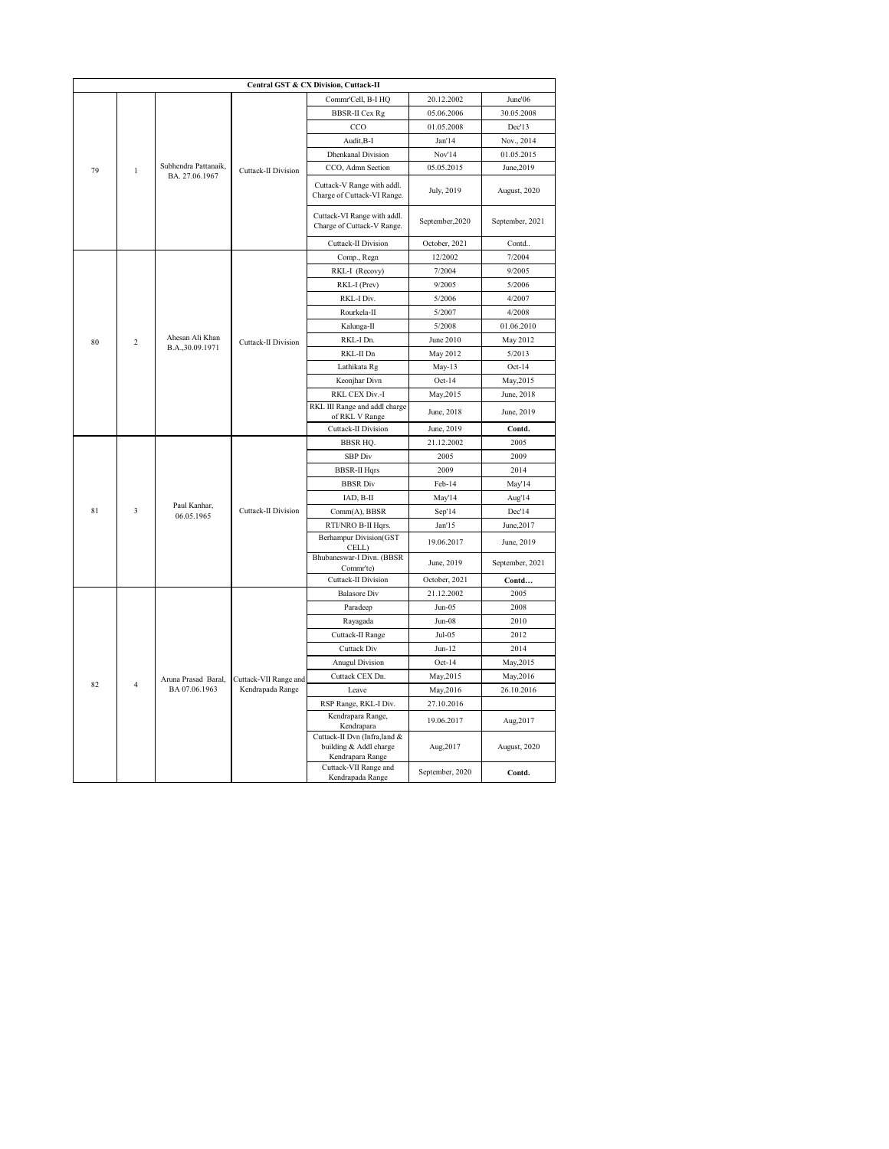| Central GST & CX Division, Cuttack-II |                  |                            |                            |                                                                            |                 |                 |  |  |
|---------------------------------------|------------------|----------------------------|----------------------------|----------------------------------------------------------------------------|-----------------|-----------------|--|--|
|                                       |                  |                            |                            | Commr'Cell, B-I HQ                                                         | 20.12.2002      | June'06         |  |  |
|                                       |                  |                            |                            | <b>BBSR-II</b> Cex Rg                                                      | 05.06.2006      | 30.05.2008      |  |  |
|                                       |                  |                            |                            | CCO                                                                        | 01.05.2008      | Dec'13          |  |  |
|                                       |                  |                            |                            | Audit, B-I                                                                 | Jan'14          | Nov., 2014      |  |  |
|                                       |                  |                            |                            | <b>Dhenkanal Division</b>                                                  | Nov'14          | 01.05.2015      |  |  |
| 79                                    | $\mathbf{1}$     | Subhendra Pattanaik,       | <b>Cuttack-II Division</b> | CCO, Admn Section                                                          | 05.05.2015      | June, 2019      |  |  |
|                                       |                  | BA. 27.06.1967             |                            | Cuttack-V Range with addl.<br>Charge of Cuttack-VI Range.                  | July, 2019      | August, 2020    |  |  |
|                                       |                  |                            |                            | Cuttack-VI Range with addl.<br>Charge of Cuttack-V Range.                  | September, 2020 | September, 2021 |  |  |
|                                       |                  |                            |                            | Cuttack-II Division                                                        | October, 2021   | Contd           |  |  |
|                                       |                  |                            |                            | Comp., Regn                                                                | 12/2002         | 7/2004          |  |  |
|                                       |                  |                            |                            | RKL-I (Recovy)                                                             | 7/2004          | 9/2005          |  |  |
|                                       |                  |                            |                            | RKL-I (Prev)                                                               | 9/2005          | 5/2006          |  |  |
|                                       |                  |                            |                            | RKL-I Div.                                                                 | 5/2006          | 4/2007          |  |  |
|                                       |                  |                            |                            | Rourkela-II                                                                | 5/2007          | 4/2008          |  |  |
|                                       |                  |                            |                            | Kalunga-II                                                                 | 5/2008          | 01.06.2010      |  |  |
| 80                                    | $\overline{2}$   | Ahesan Ali Khan            | Cuttack-II Division        | RKL-I Dn.                                                                  | June 2010       | May 2012        |  |  |
|                                       | B.A., 30.09.1971 |                            | RKL-II Dn                  | May 2012                                                                   | 5/2013          |                 |  |  |
|                                       |                  |                            | Lathikata Rg               | $May-13$                                                                   | $Oct-14$        |                 |  |  |
|                                       |                  |                            |                            | Keonjhar Divn                                                              | $Oct-14$        | May, 2015       |  |  |
|                                       |                  |                            |                            | RKL CEX Div.-I                                                             | May, 2015       | June, 2018      |  |  |
|                                       |                  |                            |                            | RKL III Range and addl charge<br>of RKL V Range                            | June, 2018      | June, 2019      |  |  |
|                                       |                  |                            |                            | Cuttack-II Division                                                        | June, 2019      | Contd.          |  |  |
|                                       |                  |                            |                            | <b>BBSR HQ.</b>                                                            | 21.12.2002      | 2005            |  |  |
|                                       |                  |                            |                            | <b>SBP</b> Div                                                             | 2005            | 2009            |  |  |
|                                       |                  |                            |                            | <b>BBSR-II Hqrs</b>                                                        | 2009            | 2014            |  |  |
|                                       |                  |                            |                            | <b>BBSR</b> Div                                                            | Feb-14          | May'14          |  |  |
|                                       |                  |                            |                            | IAD, B-II                                                                  | May'14          | Aug'14          |  |  |
| 81                                    | 3                | Paul Kanhar,<br>06.05.1965 | Cuttack-II Division        | Comm(A), BBSR                                                              | Sep'14          | Dec'14          |  |  |
|                                       |                  |                            |                            | RTI/NRO B-II Hqrs.                                                         | Jan'15          | June, 2017      |  |  |
|                                       |                  |                            |                            | <b>Berhampur Division(GST</b><br>CELL)                                     | 19.06.2017      | June, 2019      |  |  |
|                                       |                  |                            |                            | Bhubaneswar-I Divn. (BBSR<br>Commr'te)                                     | June, 2019      | September, 2021 |  |  |
|                                       |                  |                            |                            | Cuttack-II Division                                                        | October, 2021   | Contd           |  |  |
|                                       |                  |                            |                            | <b>Balasore</b> Div                                                        | 21.12.2002      | 2005            |  |  |
|                                       |                  |                            |                            | Paradeep                                                                   | $Jun-05$        | 2008            |  |  |
|                                       |                  |                            |                            | Rayagada                                                                   | Jun-08          | 2010            |  |  |
|                                       |                  |                            |                            | Cuttack-II Range                                                           | $Jul-05$        | 2012            |  |  |
|                                       |                  |                            |                            | Cuttack Div                                                                | $Jun-12$        | 2014            |  |  |
|                                       |                  |                            |                            | <b>Anugul Division</b>                                                     | $Oct-14$        | May, 2015       |  |  |
| 82                                    | $\overline{4}$   | Aruna Prasad Baral.        | Cuttack-VII Range and      | Cuttack CEX Dn.                                                            | May, 2015       | May, 2016       |  |  |
|                                       |                  | BA 07.06.1963              | Kendrapada Range           | Leave                                                                      | May, 2016       | 26.10.2016      |  |  |
|                                       |                  |                            |                            | RSP Range, RKL-I Div.                                                      | 27.10.2016      |                 |  |  |
|                                       |                  |                            |                            | Kendrapara Range,<br>Kendrapara                                            | 19.06.2017      | Aug, 2017       |  |  |
|                                       |                  |                            |                            | Cuttack-II Dvn (Infra,land &<br>building & Addl charge<br>Kendrapara Range | Aug, 2017       | August, 2020    |  |  |
|                                       |                  |                            |                            | Cuttack-VII Range and<br>Kendrapada Range                                  | September, 2020 | Contd.          |  |  |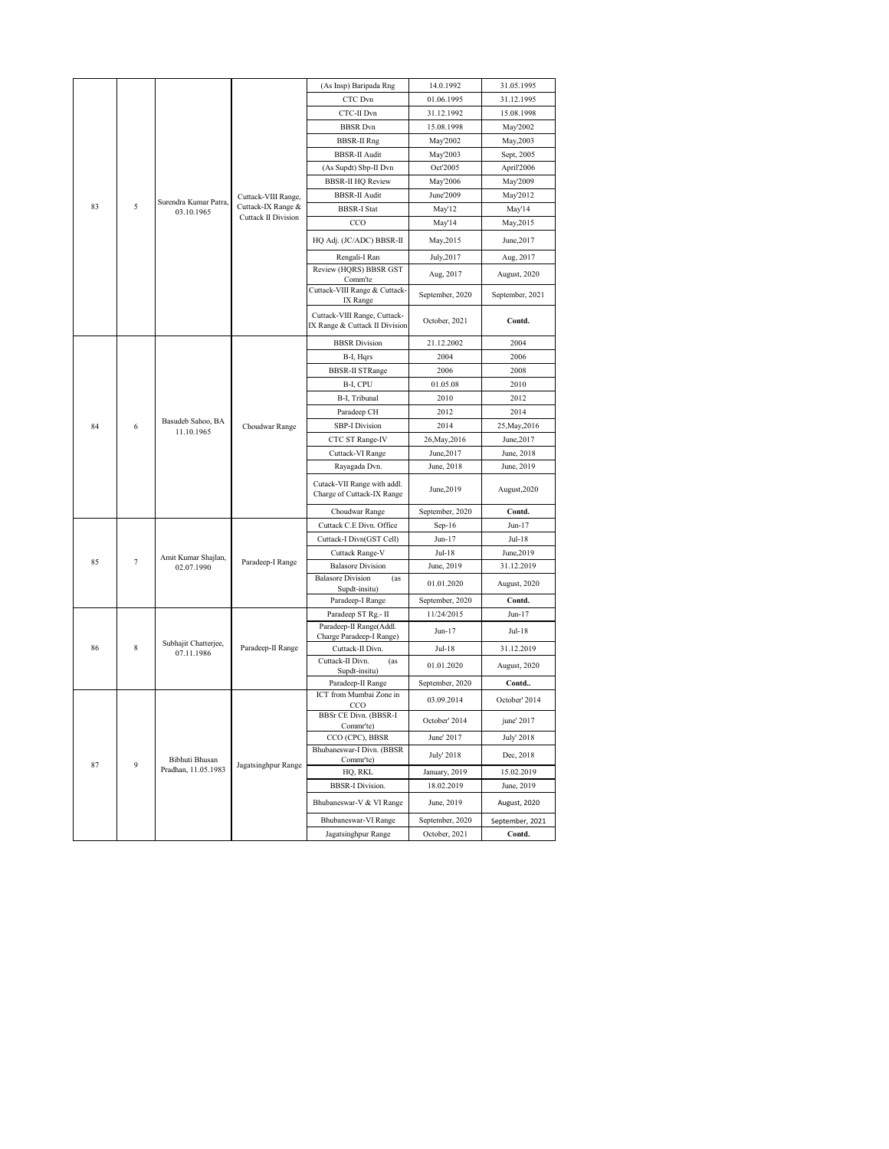|         |                       |                                 |                          | (As Insp) Baripada Rng                                         | 14.0.1992       | 31.05.1995      |
|---------|-----------------------|---------------------------------|--------------------------|----------------------------------------------------------------|-----------------|-----------------|
|         |                       |                                 |                          | CTC Dvn                                                        | 01.06.1995      | 31.12.1995      |
|         |                       |                                 |                          | CTC-II Dvn                                                     | 31.12.1992      | 15.08.1998      |
|         |                       |                                 |                          | <b>BBSR</b> Dvn                                                | 15.08.1998      | May'2002        |
|         |                       |                                 |                          | <b>BBSR-II Rng</b>                                             | May'2002        | May, 2003       |
| 83<br>5 |                       |                                 |                          | <b>BBSR-II Audit</b>                                           | May'2003        | Sept, 2005      |
|         |                       |                                 | (As Supdt) Sbp-II Dvn    | Oct'2005                                                       | April'2006      |                 |
|         |                       |                                 | <b>BBSR-II HQ Review</b> | May'2006                                                       | May'2009        |                 |
|         | Surendra Kumar Patra, | Cuttack-VIII Range,             | <b>BBSR-II Audit</b>     | June'2009                                                      | May'2012        |                 |
|         | 03.10.1965            | Cuttack-IX Range &              | <b>BBSR-I Stat</b>       | May'12                                                         | May'14          |                 |
|         |                       | Cuttack II Division             | $_{\rm CCO}$             | May'14                                                         | May, 2015       |                 |
|         |                       |                                 |                          | HQ Adj. (JC/ADC) BBSR-II                                       | May, 2015       | June, 2017      |
|         |                       |                                 |                          | Rengali-I Ran                                                  | July, 2017      | Aug, 2017       |
|         |                       |                                 |                          | Review (HQRS) BBSR GST                                         | Aug, 2017       | August, 2020    |
|         |                       |                                 |                          | Comm'te<br>Cuttack-VIII Range & Cuttack-<br>IX Range           | September, 2020 | September, 2021 |
|         |                       |                                 |                          | Cuttack-VIII Range, Cuttack-<br>IX Range & Cuttack II Division | October, 2021   | Contd.          |
|         |                       |                                 |                          | <b>BBSR</b> Division                                           | 21.12.2002      | 2004            |
|         |                       |                                 |                          | B-I, Hqrs                                                      | 2004            | 2006            |
|         |                       |                                 |                          | <b>BBSR-II STRange</b>                                         | 2006            | 2008            |
|         |                       |                                 |                          | B-I, CPU                                                       | 01.05.08        | 2010            |
| 84<br>6 |                       |                                 | B-I, Tribunal            | 2010                                                           | 2012            |                 |
|         |                       |                                 | Paradeep CH              | 2012                                                           | 2014            |                 |
|         |                       | Basudeb Sahoo, BA<br>11.10.1965 | Choudwar Range           | <b>SBP-I Division</b>                                          | 2014            | 25, May, 2016   |
|         |                       |                                 |                          | CTC ST Range-IV                                                | 26, May, 2016   | June, 2017      |
|         |                       |                                 |                          | Cuttack-VI Range                                               | June, 2017      | June, 2018      |
|         |                       |                                 |                          | Rayagada Dvn.                                                  | June, 2018      | June, 2019      |
|         |                       |                                 |                          | Cutack-VII Range with addl.<br>Charge of Cuttack-IX Range      | June, 2019      | August, 2020    |
|         |                       |                                 |                          | Choudwar Range                                                 | September, 2020 | Contd.          |
|         |                       |                                 |                          | Cuttack C.E Divn. Office                                       | $Sep-16$        | $Jun-17$        |
|         |                       |                                 |                          | Cuttack-I Divn(GST Cell)                                       | Jun-17          | Jul-18          |
|         |                       | Amit Kumar Shajlan,             |                          | Cuttack Range-V                                                | Jul-18          | June, 2019      |
| 85      | $\overline{7}$        | 02.07.1990                      | Paradeep-I Range         | <b>Balasore Division</b>                                       | June, 2019      | 31.12.2019      |
|         |                       |                                 |                          | <b>Balasore Division</b><br>(as<br>Supdt-insitu)               | 01.01.2020      | August, 2020    |
|         |                       |                                 |                          | Paradeep-I Range                                               | September, 2020 | Contd.          |
|         |                       |                                 |                          | Paradeep ST Rg.- II                                            | 11/24/2015      | Jun-17          |
|         |                       | Subhajit Chatterjee,            |                          | Paradeep-II Range(Addl.<br>Charge Paradeep-I Range)            | Jun-17          | Jul-18          |
| 86      | 8                     | 07.11.1986                      | Paradeep-II Range        | Cuttack-II Divn.                                               | Jul-18          | 31.12.2019      |
|         |                       |                                 |                          | Cuttack-II Divn.<br>(as<br>Supdt-insitu)                       | 01.01.2020      | August, 2020    |
|         |                       |                                 |                          | Paradeep-II Range                                              | September, 2020 | Contd           |
|         |                       |                                 |                          | ICT from Mumbai Zone in<br>CCO                                 | 03.09.2014      | October' 2014   |
|         |                       |                                 |                          | BBSr CE Divn. (BBSR-I<br>Comm <sup>'te</sup> )                 | October' 2014   | june' 2017      |
|         |                       |                                 |                          | CCO (CPC), BBSR                                                | June' 2017      | July' 2018      |
| 87      | 9                     | Bibhuti Bhusan                  |                          | Bhubaneswar-I Divn. (BBSR<br>Commr'te)                         | July' 2018      | Dec, 2018       |
|         |                       | Pradhan, 11.05.1983             | Jagatsinghpur Range      | HQ, RKL                                                        | January, 2019   | 15.02.2019      |
|         |                       |                                 |                          | <b>BBSR-I Division.</b>                                        | 18.02.2019      | June, 2019      |
|         |                       |                                 |                          | Bhubaneswar-V & VI Range                                       | June, 2019      | August, 2020    |
|         |                       |                                 |                          |                                                                |                 |                 |
|         |                       |                                 |                          | Bhubaneswar-VI Range                                           | September, 2020 | September, 2021 |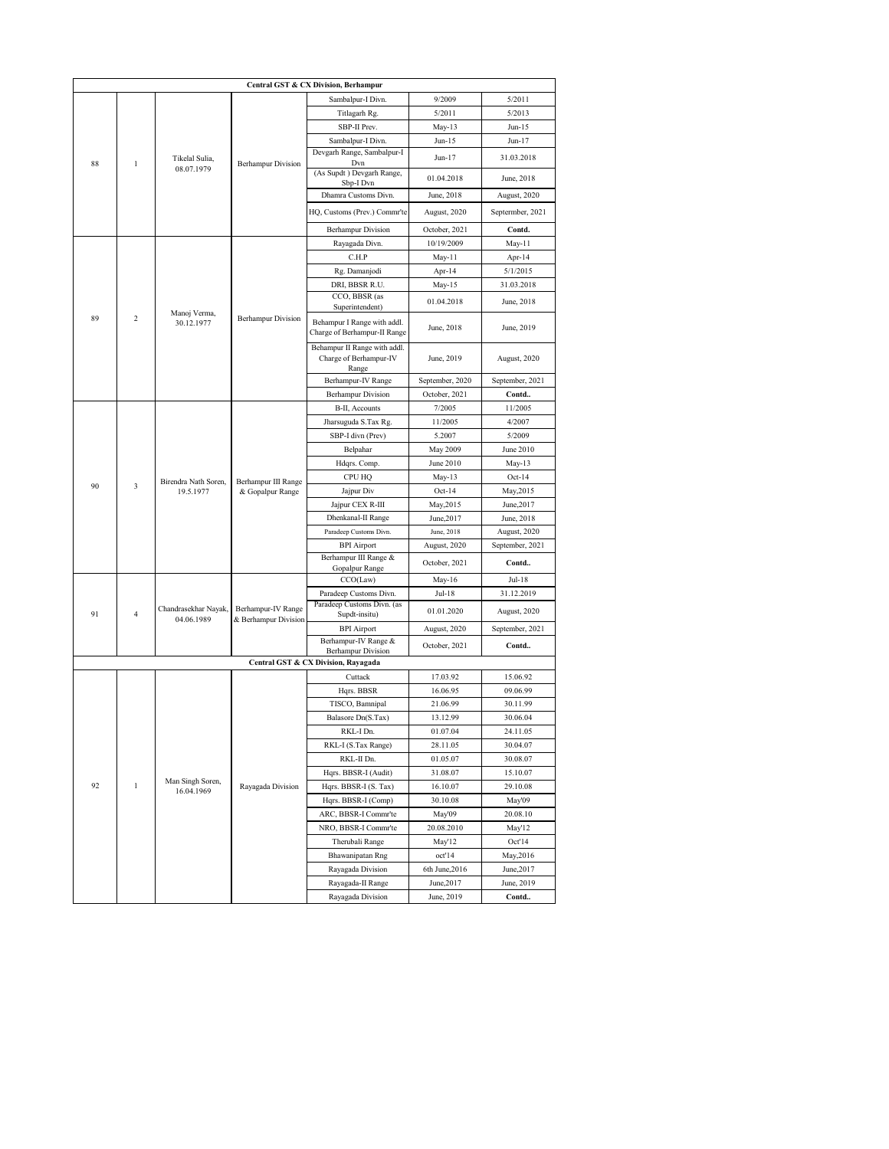| Central GST & CX Division, Berhampur |                         |                            |                           |                                                                  |                      |                      |  |
|--------------------------------------|-------------------------|----------------------------|---------------------------|------------------------------------------------------------------|----------------------|----------------------|--|
|                                      |                         |                            |                           | Sambalpur-I Divn.                                                | 9/2009               | 5/2011               |  |
|                                      |                         |                            |                           | Titlagarh Rg.                                                    | 5/2011               | 5/2013               |  |
|                                      |                         |                            |                           | SBP-II Prev.                                                     | $May-13$             | Jun-15               |  |
|                                      |                         |                            |                           | Sambalpur-I Divn.                                                | $Jun-15$             | Jun-17               |  |
| 88                                   | $\mathbf{1}$            | Tikelal Sulia,             | <b>Berhampur Division</b> | Devgarh Range, Sambalpur-I<br>Dvn                                | Jun-17               | 31.03.2018           |  |
|                                      |                         | 08.07.1979                 |                           | (As Supdt) Devgarh Range,<br>Sbp-I Dvn                           | 01.04.2018           | June, 2018           |  |
|                                      |                         |                            |                           | Dhamra Customs Divn.                                             | June, 2018           | August, 2020         |  |
|                                      |                         |                            |                           | HQ, Customs (Prev.) Commr'te                                     | August, 2020         | Septermber, 2021     |  |
|                                      |                         |                            |                           | <b>Berhampur Division</b>                                        | October, 2021        | Contd.               |  |
|                                      |                         |                            |                           | Rayagada Divn.                                                   | 10/19/2009           | May-11               |  |
|                                      |                         |                            |                           | C.H.P                                                            | May-11               | Apr-14               |  |
|                                      |                         |                            |                           | Rg. Damanjodi                                                    | Apr-14               | 5/1/2015             |  |
|                                      |                         |                            |                           | DRI, BBSR R.U.                                                   | May-15               | 31.03.2018           |  |
|                                      |                         |                            |                           | CCO, BBSR (as<br>Superintendent)                                 | 01.04.2018           | June, 2018           |  |
| 89                                   | $\overline{c}$          | Manoj Verma,<br>30.12.1977 | <b>Berhampur Division</b> | Behampur I Range with addl.<br>Charge of Berhampur-II Range      | June, 2018           | June, 2019           |  |
|                                      |                         |                            |                           | Behampur II Range with addl.<br>Charge of Berhampur-IV           | June, 2019           | August, 2020         |  |
|                                      |                         |                            |                           | Range                                                            |                      |                      |  |
|                                      |                         |                            |                           | Berhampur-IV Range                                               | September, 2020      | September, 2021      |  |
|                                      |                         |                            |                           | <b>Berhampur Division</b>                                        | October, 2021        | Contd                |  |
|                                      |                         |                            |                           | B-II, Accounts                                                   | 7/2005               | 11/2005              |  |
|                                      |                         |                            | Jharsuguda S.Tax Rg.      | 11/2005                                                          | 4/2007               |                      |  |
| 90                                   |                         |                            |                           | SBP-I divn (Prev)                                                | 5.2007               | 5/2009               |  |
|                                      |                         |                            |                           | Belpahar                                                         | May 2009             | June 2010            |  |
|                                      |                         |                            |                           | Hdqrs. Comp.                                                     | June 2010            | $May-13$             |  |
|                                      | $\overline{\mathbf{3}}$ | Birendra Nath Soren,       | Berhampur III Range       | CPU HQ                                                           | $May-13$             | $Oct-14$             |  |
|                                      |                         | 19.5.1977                  | & Gopalpur Range          | Jajpur Div                                                       | $Oct-14$             | May, 2015            |  |
|                                      |                         |                            |                           | Jajpur CEX R-III                                                 | May, 2015            | June, 2017           |  |
|                                      |                         |                            |                           | Dhenkanal-II Range                                               | June, 2017           | June, 2018           |  |
|                                      |                         |                            |                           | Paradeep Customs Divn.                                           | June, 2018           | August, 2020         |  |
|                                      |                         |                            |                           | <b>BPI</b> Airport                                               | August, 2020         | September, 2021      |  |
|                                      |                         |                            |                           | Berhampur III Range &<br>Gopalpur Range                          | October, 2021        | Contd                |  |
|                                      |                         |                            |                           | CCO(Law)                                                         | May-16               | Jul-18               |  |
|                                      |                         |                            |                           | Paradeep Customs Divn.                                           | Jul-18               | 31.12.2019           |  |
| 91                                   | $\overline{4}$          | Chandrasekhar Nayak,       | Berhampur-IV Range        | Paradeep Customs Divn. (as<br>Supdt-insitu)                      | 01.01.2020           | August, 2020         |  |
|                                      |                         | 04.06.1989                 | & Berhampur Division      | <b>BPI</b> Airport                                               | August, 2020         | September, 2021      |  |
|                                      |                         |                            |                           | Berhampur-IV Range &                                             | October, 2021        | Contd                |  |
|                                      |                         |                            |                           | <b>Berhampur Division</b><br>Central GST & CX Division, Rayagada |                      |                      |  |
|                                      |                         |                            |                           | Cuttack                                                          | 17.03.92             | 15.06.92             |  |
|                                      |                         |                            |                           | Hqrs. BBSR                                                       | 16.06.95             | 09.06.99             |  |
|                                      |                         |                            |                           |                                                                  |                      |                      |  |
|                                      |                         |                            |                           | TISCO, Bamnipal<br>Balasore Dn(S.Tax)                            | 21.06.99<br>13.12.99 | 30.11.99             |  |
|                                      |                         |                            |                           | RKL-I Dn.                                                        |                      | 30.06.04             |  |
|                                      |                         |                            |                           | RKL-I (S.Tax Range)                                              | 01.07.04<br>28.11.05 | 24.11.05<br>30.04.07 |  |
|                                      |                         |                            |                           |                                                                  |                      |                      |  |
|                                      |                         |                            |                           | RKL-II Dn.                                                       | 01.05.07             | 30.08.07             |  |
| 92                                   | $\mathbf{1}$            | Man Singh Soren,           | Rayagada Division         | Hqrs. BBSR-I (Audit)                                             | 31.08.07             | 15.10.07             |  |
|                                      |                         | 16.04.1969                 |                           | Hqrs. BBSR-I (S. Tax)                                            | 16.10.07             | 29.10.08             |  |
|                                      |                         |                            |                           | Hqrs. BBSR-I (Comp)                                              | 30.10.08             | May'09               |  |
|                                      |                         |                            |                           | ARC, BBSR-I Commr'te                                             | May'09               | 20.08.10             |  |
|                                      |                         |                            |                           | NRO, BBSR-I Commr'te                                             | 20.08.2010           | May'12               |  |
|                                      |                         |                            |                           | Therubali Range                                                  | May'12               | Oct'14               |  |
|                                      |                         |                            |                           | Bhawanipatan Rng                                                 | oct'14               | May, 2016            |  |
|                                      |                         |                            |                           | Rayagada Division                                                | 6th June, 2016       | June, 2017           |  |
|                                      |                         |                            |                           | Rayagada-II Range                                                | June, 2017           | June, 2019           |  |
|                                      |                         |                            |                           | Rayagada Division                                                | June, 2019           | Contd                |  |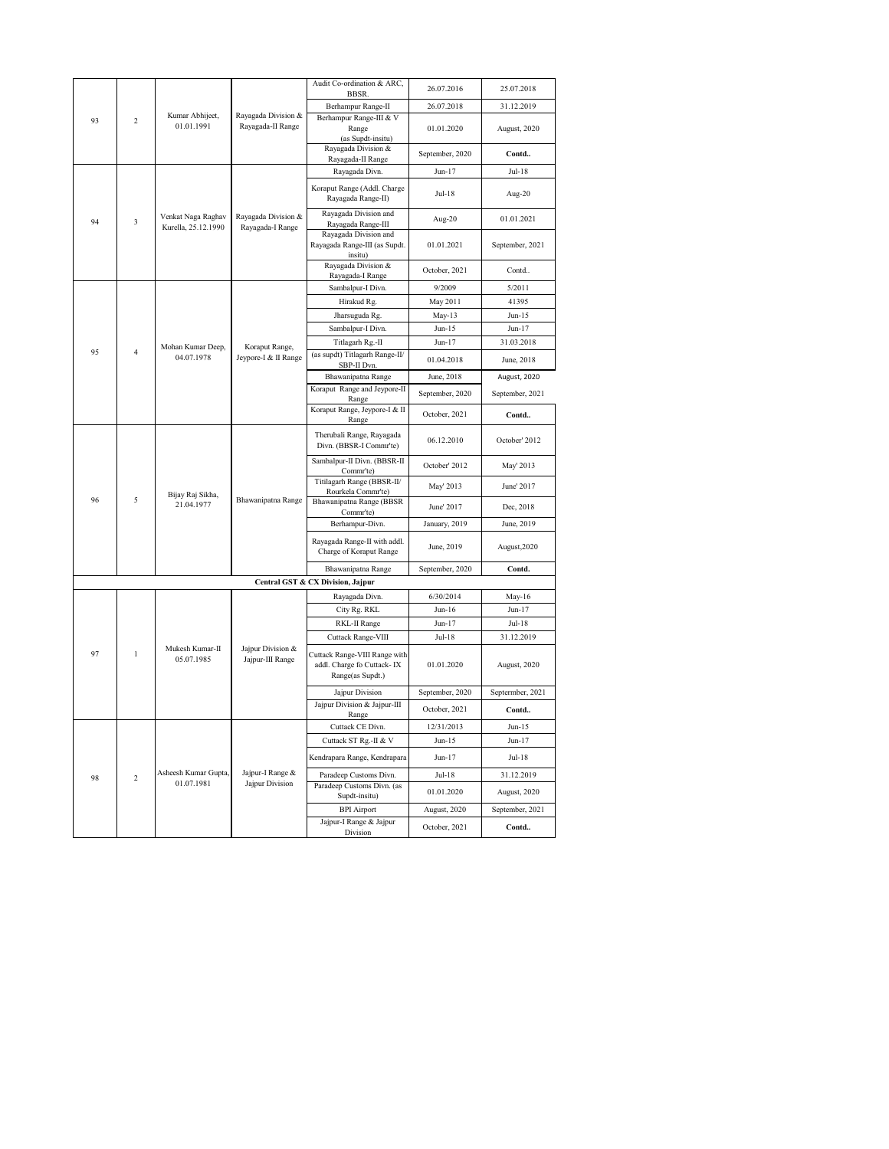|    |                         |                                           |                                         | Audit Co-ordination & ARC,                                                      | 26.07.2016      | 25.07.2018       |
|----|-------------------------|-------------------------------------------|-----------------------------------------|---------------------------------------------------------------------------------|-----------------|------------------|
|    |                         |                                           |                                         | <b>BBSR</b><br>Berhampur Range-II                                               | 26.07.2018      | 31.12.2019       |
| 93 | $\overline{c}$          | Kumar Abhijeet,<br>01.01.1991             | Rayagada Division &                     | Berhampur Range-III & V                                                         |                 |                  |
|    |                         |                                           | Rayagada-II Range                       | Range                                                                           | 01.01.2020      | August, 2020     |
|    |                         |                                           |                                         | (as Supdt-insitu)<br>Rayagada Division &                                        |                 |                  |
|    |                         |                                           |                                         | Rayagada-II Range                                                               | September, 2020 | Contd            |
|    |                         |                                           |                                         | Rayagada Divn.                                                                  | Jun-17          | Jul-18           |
|    |                         |                                           |                                         | Koraput Range (Addl. Charge<br>Rayagada Range-II)                               | $Jul-18$        | Aug-20           |
| 94 | 3                       | Venkat Naga Raghav<br>Kurella, 25.12.1990 | Rayagada Division &<br>Rayagada-I Range | Rayagada Division and<br>Rayagada Range-III                                     | Aug-20          | 01.01.2021       |
|    |                         |                                           |                                         | Rayagada Division and<br>Rayagada Range-III (as Supdt.<br>insitu)               | 01.01.2021      | September, 2021  |
|    |                         |                                           |                                         | Rayagada Division &<br>Rayagada-I Range                                         | October, 2021   | Contd            |
|    |                         |                                           |                                         | Sambalpur-I Divn.                                                               | 9/2009          | 5/2011           |
|    |                         |                                           |                                         | Hirakud Rg.                                                                     | May 2011        | 41395            |
|    |                         |                                           | Jharsuguda Rg.                          | $May-13$                                                                        | $Jun-15$        |                  |
|    |                         |                                           |                                         | Sambalpur-I Divn.                                                               | $Jun-15$        | $Jun-17$         |
|    |                         | Mohan Kumar Deep,                         |                                         | Titlagarh Rg.-II                                                                | $Jun-17$        | 31.03.2018       |
| 95 | $\overline{\mathbf{4}}$ | 04.07.1978                                | Koraput Range,<br>Jeypore-I & II Range  | (as supdt) Titlagarh Range-II/<br>SBP-II Dvn.                                   | 01.04.2018      | June, 2018       |
|    |                         |                                           |                                         | Bhawanipatna Range                                                              | June, 2018      | August, 2020     |
|    |                         |                                           |                                         | Koraput Range and Jeypore-II<br>Range                                           | September, 2020 | September, 2021  |
|    |                         |                                           |                                         | Koraput Range, Jeypore-I & II<br>Range                                          | October, 2021   | Contd            |
|    |                         |                                           | Bhawanipatna Range                      | Therubali Range, Rayagada<br>Divn. (BBSR-I Commr'te)                            | 06.12.2010      | October' 2012    |
|    |                         |                                           |                                         | Sambalpur-II Divn. (BBSR-II<br>Comm <sup>'te</sup> )                            | October' 2012   | May' 2013        |
|    | 5                       | Bijay Raj Sikha,<br>21.04.1977            |                                         | Titilagarh Range (BBSR-II/<br>Rourkela Commr'te)                                | May' 2013       | June' 2017       |
| 96 |                         |                                           |                                         | Bhawanipatna Range (BBSR<br>Commr'te)                                           | June' 2017      | Dec, 2018        |
|    |                         |                                           |                                         | Berhampur-Divn.                                                                 | January, 2019   | June, 2019       |
|    |                         |                                           |                                         | Rayagada Range-II with addl.<br>Charge of Koraput Range                         | June, 2019      | August, 2020     |
|    |                         |                                           |                                         | Bhawanipatna Range                                                              | September, 2020 | Contd.           |
|    |                         |                                           |                                         | Central GST & CX Division, Jajpur                                               |                 |                  |
|    |                         |                                           |                                         | Rayagada Divn.                                                                  | 6/30/2014       | May-16           |
|    |                         |                                           |                                         | City Rg. RKL                                                                    | $Jun-16$        | $Jun-17$         |
|    |                         |                                           |                                         | RKL-II Range                                                                    | $Jun-17$        | $Jul-18$         |
|    |                         |                                           |                                         | Cuttack Range-VIII                                                              | $Jul-18$        | 31.12.2019       |
| 97 | $\mathbf{1}$            | Mukesh Kumar-II<br>05.07.1985             | Jajpur Division &<br>Jajpur-III Range   | Cuttack Range-VIII Range with<br>addl. Charge fo Cuttack-IX<br>Range(as Supdt.) | 01.01.2020      | August, 2020     |
|    |                         |                                           |                                         | Jajpur Division                                                                 | September, 2020 | Septermber, 2021 |
|    |                         |                                           |                                         | Jajpur Division & Jajpur-III<br>Range                                           | October, 2021   | Contd            |
|    |                         |                                           |                                         | Cuttack CE Divn.                                                                | 12/31/2013      | $Jun-15$         |
|    |                         |                                           |                                         | Cuttack ST Rg.-II & V                                                           | $Jun-15$        | $Jun-17$         |
|    |                         |                                           |                                         | Kendrapara Range, Kendrapara                                                    | $Jun-17$        | $Jul-18$         |
| 98 | $\overline{2}$          | Asheesh Kumar Gupta,                      | Jajpur-I Range &                        | Paradeep Customs Divn.                                                          | $Jul-18$        | 31.12.2019       |
|    |                         | 01.07.1981                                | Jajpur Division                         | Paradeep Customs Divn. (as<br>Supdt-insitu)                                     | 01.01.2020      | August, 2020     |
|    |                         |                                           |                                         | <b>BPI</b> Airport                                                              | August, 2020    | September, 2021  |
|    |                         |                                           |                                         | Jajpur-I Range & Jajpur<br>Division                                             | October, 2021   | Contd            |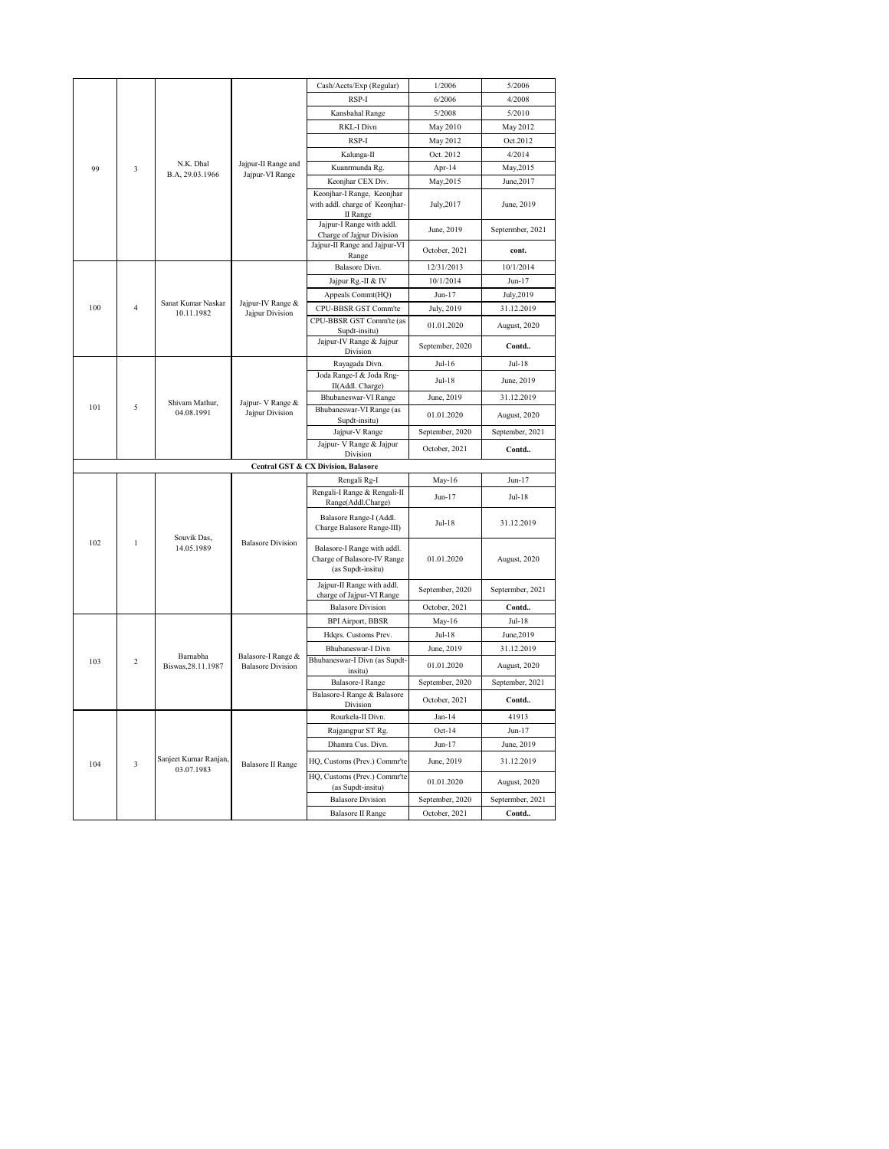|          |                              |                                     |                                           | Cash/Accts/Exp (Regular)                                                        | 1/2006          | 5/2006           |
|----------|------------------------------|-------------------------------------|-------------------------------------------|---------------------------------------------------------------------------------|-----------------|------------------|
|          |                              |                                     |                                           | RSP-I                                                                           | 6/2006          | 4/2008           |
|          |                              |                                     |                                           | Kansbahal Range                                                                 | 5/2008          | 5/2010           |
|          |                              |                                     |                                           | RKL-I Divn                                                                      | May 2010        | May 2012         |
|          |                              |                                     |                                           | RSP-I                                                                           | May 2012        | Oct.2012         |
|          |                              |                                     |                                           | Kalunga-II                                                                      | Oct. 2012       | 4/2014           |
| 99<br>3  | N.K. Dhal<br>B.A, 29.03.1966 | Jajpur-II Range and                 | Kuanrmunda Rg.                            | Apr-14                                                                          | May, 2015       |                  |
|          |                              |                                     | Jajpur-VI Range                           | Keonjhar CEX Div.                                                               | May, 2015       | June, 2017       |
|          |                              |                                     |                                           | Keonjhar-I Range, Keonjhar<br>with addl. charge of Keonjhar-<br>II Range        | July, 2017      | June, 2019       |
|          |                              |                                     |                                           | Jajpur-I Range with addl.<br>Charge of Jajpur Division                          | June, 2019      | Septermber, 2021 |
|          |                              |                                     |                                           | Jajpur-II Range and Jajpur-VI<br>Range                                          | October, 2021   | cont.            |
|          |                              |                                     |                                           | Balasore Divn.                                                                  | 12/31/2013      | 10/1/2014        |
|          |                              |                                     |                                           | Jajpur Rg.-II & IV                                                              | 10/1/2014       | $Jun-17$         |
|          |                              | Sanat Kumar Naskar                  | Jajpur-IV Range &                         | Appeals Commt(HQ)                                                               | Jun-17          | July, 2019       |
| 100      | $\overline{4}$               | 10.11.1982                          | Jajpur Division                           | CPU-BBSR GST Comm'te                                                            | July, 2019      | 31.12.2019       |
|          |                              |                                     | CPU-BBSR GST Comm'te (as<br>Supdt-insitu) | 01.01.2020                                                                      | August, 2020    |                  |
|          |                              |                                     | Jajpur-IV Range & Jajpur<br>Division      | September, 2020                                                                 | Contd           |                  |
|          |                              |                                     |                                           | Rayagada Divn.                                                                  | $Jul-16$        | $Jul-18$         |
|          |                              | Shivam Mathur,                      | Jajpur- V Range &                         | Joda Range-I & Joda Rng-<br>II(Addl. Charge)                                    | Jul-18          | June, 2019       |
|          |                              |                                     |                                           | Bhubaneswar-VI Range                                                            | June, 2019      | 31.12.2019       |
| 101<br>5 | 04.08.1991                   | Jajpur Division                     | Bhubaneswar-VI Range (as<br>Supdt-insitu) | 01.01.2020                                                                      | August, 2020    |                  |
|          |                              |                                     |                                           | Jajpur-V Range                                                                  | September, 2020 | September, 2021  |
|          |                              |                                     |                                           | Jajpur- V Range & Jajpur<br>Division                                            | October, 2021   | Contd            |
|          |                              |                                     |                                           | Central GST & CX Division, Balasore                                             |                 |                  |
|          |                              |                                     |                                           | Rengali Rg-I                                                                    | $May-16$        | $Jun-17$         |
|          |                              |                                     | <b>Balasore Division</b>                  | Rengali-I Range & Rengali-II<br>Range(Addl.Charge)                              | Jun-17          | $Jul-18$         |
|          |                              |                                     |                                           | Balasore Range-I (Addl.<br>Charge Balasore Range-III)                           | Jul-18          | 31.12.2019       |
| 102      | $\mathbf{1}$                 | Souvik Das,<br>14.05.1989           |                                           | Balasore-I Range with addl.<br>Charge of Balasore-IV Range<br>(as Supdt-insitu) | 01.01.2020      | August, 2020     |
|          |                              |                                     |                                           | Jajpur-II Range with addl.<br>charge of Jajpur-VI Range                         | September, 2020 | Septermber, 2021 |
|          |                              |                                     |                                           | <b>Balasore Division</b>                                                        | October, 2021   | Contd            |
|          |                              |                                     |                                           | <b>BPI Airport, BBSR</b>                                                        | May-16          | $Jul-18$         |
|          |                              |                                     |                                           | Hdqrs. Customs Prev.                                                            | $Jul-18$        | June, 2019       |
|          |                              | Barnabha                            | Balasore-I Range &                        | Bhubaneswar-I Divn                                                              | June, 2019      | 31.12.2019       |
| 103      | $\overline{c}$               | Biswas, 28.11.1987                  | <b>Balasore Division</b>                  | Bhubaneswar-I Divn (as Supdt-<br>insitu)                                        | 01.01.2020      | August, 2020     |
|          |                              |                                     |                                           | <b>Balasore-I Range</b>                                                         | September, 2020 | September, 2021  |
|          |                              |                                     |                                           | Balasore-I Range & Balasore<br>Division                                         | October, 2021   | Contd            |
|          |                              |                                     |                                           | Rourkela-II Divn.                                                               | $Jan-14$        | 41913            |
|          |                              |                                     |                                           | Rajgangpur ST Rg.                                                               | $Oct-14$        | $Jun-17$         |
|          |                              |                                     |                                           | Dhamra Cus. Divn.                                                               | $Jun-17$        | June, 2019       |
| 104      | 3                            | Sanjeet Kumar Ranjan,<br>03.07.1983 | <b>Balasore II Range</b>                  | HQ, Customs (Prev.) Commr'te                                                    | June, 2019      | 31.12.2019       |
|          |                              |                                     |                                           | HQ, Customs (Prev.) Commr'te<br>(as Supdt-insitu)                               | 01.01.2020      | August, 2020     |
|          |                              |                                     |                                           | <b>Balasore Division</b>                                                        | September, 2020 | Septermber, 2021 |
|          |                              |                                     |                                           | <b>Balasore II Range</b>                                                        | October, 2021   | Contd            |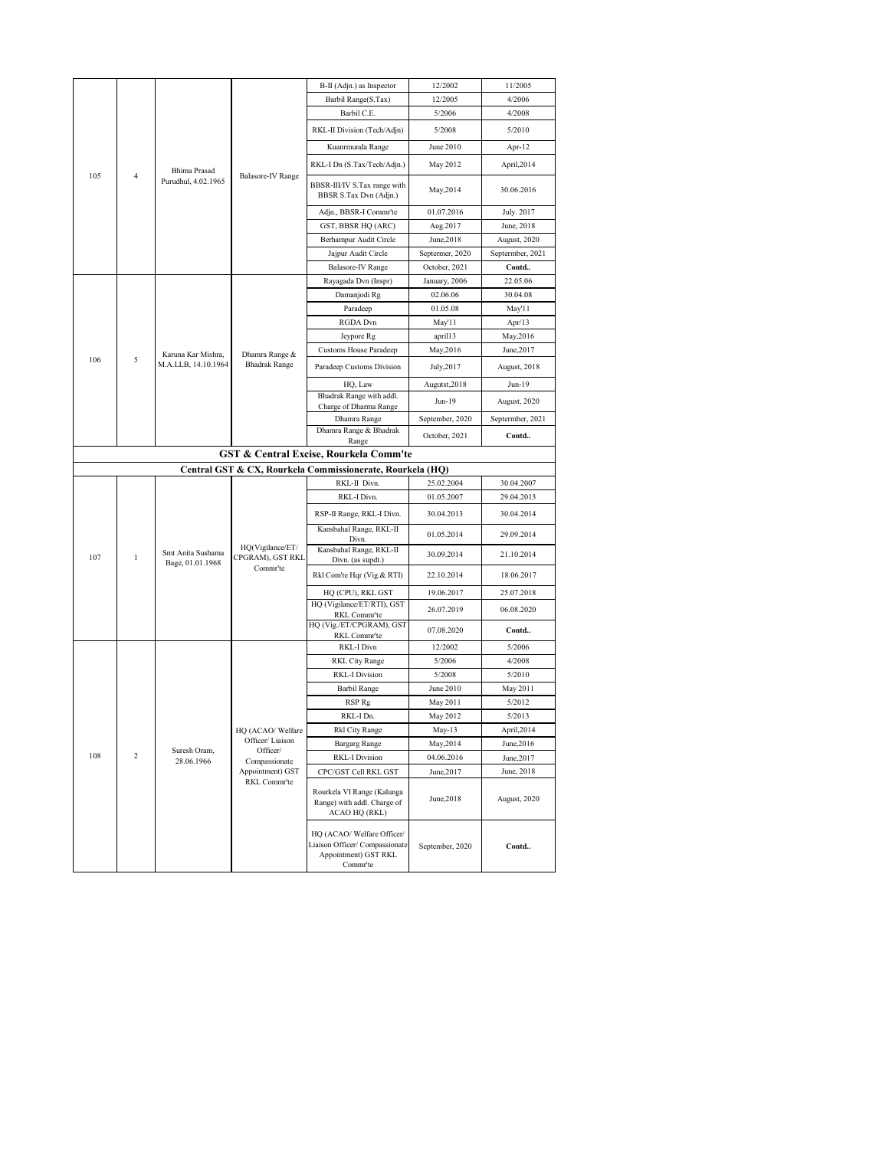|     |                     |                                       |                                                  | B-II (Adjn.) as Inspector                                                                        | 12/2002               | 11/2005              |
|-----|---------------------|---------------------------------------|--------------------------------------------------|--------------------------------------------------------------------------------------------------|-----------------------|----------------------|
|     |                     |                                       |                                                  | Barbil Range(S.Tax)                                                                              | 12/2005               | 4/2006               |
|     |                     |                                       |                                                  | Barbil C.E.                                                                                      | 5/2006                | 4/2008               |
|     |                     |                                       |                                                  |                                                                                                  |                       |                      |
|     |                     |                                       |                                                  | RKL-II Division (Tech/Adjn)                                                                      | 5/2008                | 5/2010               |
|     |                     |                                       |                                                  | Kuanrmunda Range                                                                                 | June 2010             | Apr-12               |
|     |                     | <b>Bhima Prasad</b>                   |                                                  | RKL-I Dn (S.Tax/Tech/Adjn.)                                                                      | May 2012              | April, 2014          |
| 105 | 4                   | Purudhul, 4.02.1965                   | Balasore-IV Range                                | BBSR-III/IV S.Tax range with<br>BBSR S.Tax Dvn (Adjn.)                                           | May, 2014             | 30.06.2016           |
|     |                     |                                       |                                                  | Adjn., BBSR-I Commr'te                                                                           | 01.07.2016            | July. 2017           |
|     |                     |                                       |                                                  | GST, BBSR HQ (ARC)                                                                               | Aug.2017              | June, 2018           |
|     |                     |                                       |                                                  | Berhampur Audit Circle                                                                           | June, 2018            | August, 2020         |
|     |                     |                                       | Jajpur Audit Circle                              | Septermer, 2020                                                                                  | Septermber, 2021      |                      |
|     |                     |                                       |                                                  | <b>Balasore-IV Range</b>                                                                         | October, 2021         | Contd                |
|     |                     |                                       |                                                  | Rayagada Dvn (Inspr)                                                                             | January, 2006         | 22.05.06             |
|     |                     |                                       |                                                  | Damanjodi Rg                                                                                     | 02.06.06              | 30.04.08             |
|     |                     |                                       |                                                  | Paradeep                                                                                         | 01.05.08              | May'11               |
|     |                     |                                       |                                                  | <b>RGDA</b> Dvn                                                                                  | May'11                | Apr $/13$            |
|     |                     |                                       |                                                  | Jeypore Rg                                                                                       | april13               | May, 2016            |
| 106 | 5                   | Karuna Kar Mishra,                    | Dhamra Range &                                   | <b>Customs House Paradeep</b>                                                                    | May, 2016             | June, 2017           |
|     | M.A.LLB, 14.10.1964 | <b>Bhadrak Range</b>                  | Paradeep Customs Division                        | July, 2017                                                                                       | August, 2018          |                      |
|     |                     |                                       |                                                  | HQ, Law                                                                                          | Augutst, 2018         | Jun-19               |
|     |                     |                                       |                                                  | Bhadrak Range with addl.                                                                         | Jun-19                | August, 2020         |
|     |                     |                                       |                                                  | Charge of Dharma Range<br>Dhamra Range                                                           | September, 2020       | Septermber, 2021     |
|     |                     |                                       |                                                  | Dhamra Range & Bhadrak                                                                           |                       |                      |
|     |                     |                                       |                                                  | Range                                                                                            | October, 2021         | Contd                |
|     |                     |                                       |                                                  | GST & Central Excise, Rourkela Comm'te                                                           |                       |                      |
|     |                     |                                       |                                                  | Central GST & CX, Rourkela Commissionerate, Rourkela (HQ)                                        |                       |                      |
|     |                     |                                       |                                                  | RKL-II Divn.                                                                                     | 25.02.2004            | 30.04.2007           |
|     |                     |                                       | HQ(Vigilance/ET/<br>CPGRAM), GST RKL<br>Commr'te | RKL-I Divn.                                                                                      | 01.05.2007            | 29.04.2013           |
|     |                     |                                       |                                                  | RSP-II Range, RKL-I Divn.                                                                        | 30.04.2013            | 30.04.2014           |
|     |                     | Smt Anita Sushama<br>Bage, 01.01.1968 |                                                  | Kansbahal Range, RKL-II<br>Divn.                                                                 | 01.05.2014            | 29.09.2014           |
| 107 | $\mathbf{1}$        |                                       |                                                  | Kansbahal Range, RKL-II<br>Divn. (as supdt.)                                                     | 30.09.2014            | 21.10.2014           |
|     |                     |                                       |                                                  | Rkl Com'te Hqr (Vig.& RTI)                                                                       | 22.10.2014            | 18.06.2017           |
|     |                     |                                       |                                                  | HQ (CPU), RKL GST                                                                                | 19.06.2017            | 25.07.2018           |
|     |                     |                                       |                                                  | HQ (Vigilance/ET/RTI), GST                                                                       | 26.07.2019            | 06.08.2020           |
|     |                     |                                       |                                                  | RKL Commr'te<br>HQ (Vig./ET/CPGRAM), GST                                                         |                       |                      |
|     |                     |                                       |                                                  | RKL Commr'te                                                                                     | 07.08.2020            | Contd                |
|     |                     |                                       |                                                  | RKL-I Divn                                                                                       | 12/2002               | 5/2006               |
|     |                     |                                       |                                                  | RKL City Range                                                                                   | 5/2006                | 4/2008               |
|     |                     |                                       |                                                  | <b>RKL-I Division</b>                                                                            | 5/2008                | 5/2010               |
|     |                     |                                       |                                                  | <b>Barbil Range</b>                                                                              | June 2010<br>May 2011 | May 2011             |
|     |                     |                                       |                                                  | RSP Rg<br>RKL-I Dn.                                                                              |                       | 5/2012               |
|     |                     |                                       |                                                  | Rkl City Range                                                                                   | May 2012<br>May-13    | 5/2013<br>April,2014 |
|     |                     |                                       | HQ (ACAO/Welfare<br>Officer/Liaison              | <b>Bargarg Range</b>                                                                             | May, 2014             | June, 2016           |
| 108 | 2                   | Suresh Oram,                          | Officer/                                         | <b>RKL-I Division</b>                                                                            | 04.06.2016            | June, 2017           |
|     |                     | 28.06.1966                            | Compassionate<br>Appointment) GST                | CPC/GST Cell RKL GST                                                                             | June, 2017            | June, 2018           |
|     |                     |                                       | RKL Commr'te                                     | Rourkela VI Range (Kalunga<br>Range) with addl. Charge of<br>ACAO HQ (RKL)                       | June, 2018            | August, 2020         |
|     |                     |                                       |                                                  | HQ (ACAO/ Welfare Officer/<br>Liaison Officer/ Compassionate<br>Appointment) GST RKL<br>Commr'te | September, 2020       | Contd                |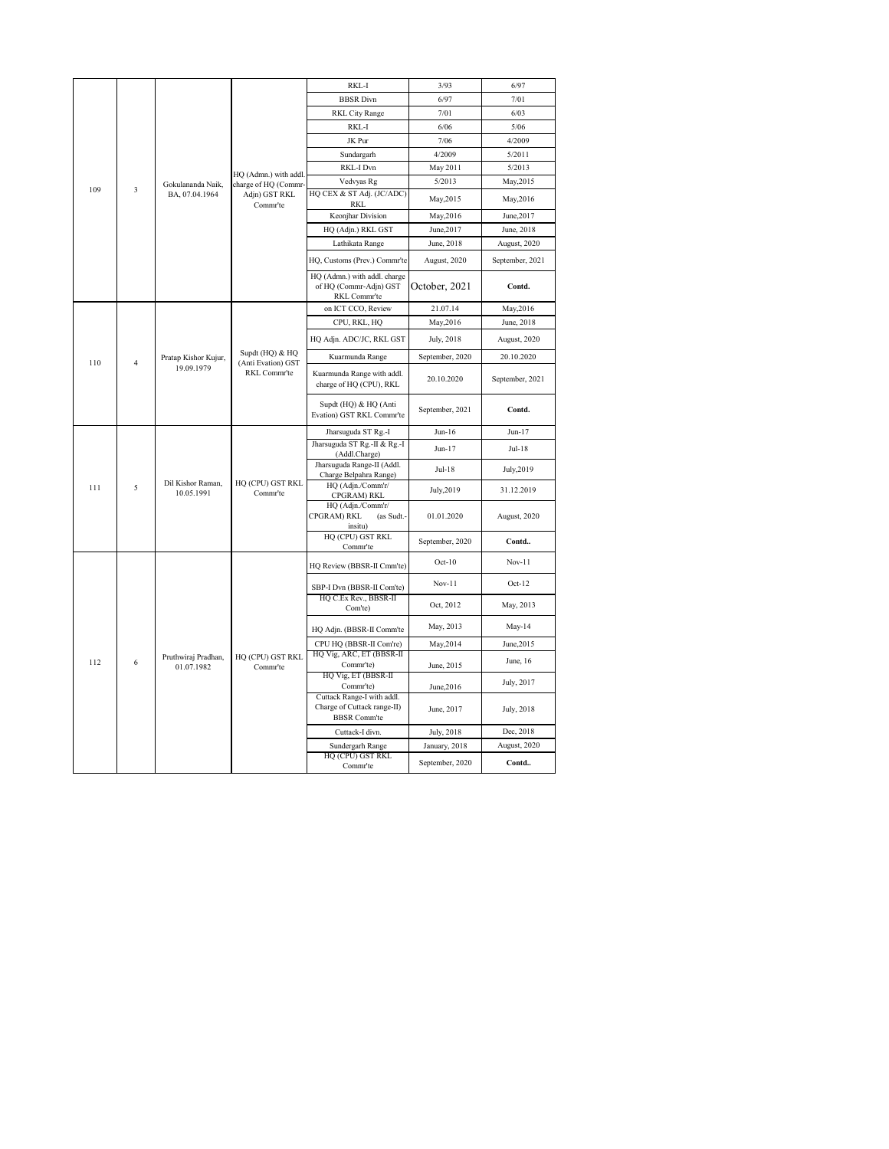|                                     |                      |                                               |                              | RKL-I                                                                            | 3/93            | 6/97            |
|-------------------------------------|----------------------|-----------------------------------------------|------------------------------|----------------------------------------------------------------------------------|-----------------|-----------------|
|                                     |                      |                                               |                              | <b>BBSR</b> Divn                                                                 | 6/97            | 7/01            |
|                                     |                      |                                               |                              | <b>RKL City Range</b>                                                            | 7/01            | 6/03            |
|                                     |                      |                                               |                              | RKL-I                                                                            | 6/06            | 5/06            |
|                                     |                      |                                               |                              | JK Pur                                                                           | 7/06            | 4/2009          |
|                                     |                      |                                               |                              | Sundargarh                                                                       | 4/2009          | 5/2011          |
|                                     |                      |                                               |                              | RKL-I Dvn                                                                        | May 2011        | 5/2013          |
| 109<br>3                            | Gokulananda Naik,    | HQ (Admn.) with addl.<br>charge of HQ (Commr- | Vedvyas Rg                   | 5/2013                                                                           | May, 2015       |                 |
|                                     | BA, 07.04.1964       | Adjn) GST RKL                                 | HQ CEX & ST Adj. (JC/ADC)    | May, 2015                                                                        | May, 2016       |                 |
|                                     |                      |                                               | Commr'te                     | RKI.<br>Keonjhar Division                                                        | May, 2016       | June, 2017      |
|                                     |                      |                                               |                              | HQ (Adjn.) RKL GST                                                               | June, 2017      | June, 2018      |
|                                     |                      |                                               |                              | Lathikata Range                                                                  | June, 2018      | August, 2020    |
|                                     |                      |                                               |                              | HQ, Customs (Prev.) Commr'te                                                     | August, 2020    | September, 2021 |
|                                     |                      |                                               |                              | HQ (Admn.) with addl. charge<br>of HQ (Commr-Adjn) GST<br>RKL Commr'te           | October, 2021   | Contd.          |
|                                     |                      |                                               |                              | on ICT CCO, Review                                                               | 21.07.14        | May, 2016       |
|                                     |                      |                                               |                              | CPU, RKL, HQ                                                                     | May, 2016       | June, 2018      |
| 110<br>$\overline{4}$<br>19.09.1979 |                      |                                               | HQ Adjn. ADC/JC, RKL GST     | July, 2018                                                                       | August, 2020    |                 |
|                                     | Pratap Kishor Kujur, | Supdt (HQ) & HQ<br>(Anti Evation) GST         | Kuarmunda Range              | September, 2020                                                                  | 20.10.2020      |                 |
|                                     |                      |                                               | RKL Commr'te                 | Kuarmunda Range with addl.<br>charge of HQ (CPU), RKL                            | 20.10.2020      | September, 2021 |
|                                     |                      |                                               |                              | Supdt (HQ) & HQ (Anti<br>Evation) GST RKL Commr'te                               | September, 2021 | Contd.          |
|                                     |                      |                                               |                              | Jharsuguda ST Rg.-I                                                              | $Jun-16$        | $Jun-17$        |
|                                     |                      |                                               |                              |                                                                                  |                 |                 |
|                                     |                      |                                               |                              | Jharsuguda ST Rg.-II & Rg.-I                                                     | Jun-17          | Jul-18          |
|                                     |                      |                                               |                              | (Addl.Charge)<br>Jharsuguda Range-II (Addl.<br>Charge Belpahra Range)            | $Jul-18$        | July, 2019      |
| 111                                 | 5                    | Dil Kishor Raman,<br>10.05.1991               | HQ (CPU) GST RKL<br>Commr'te | HQ (Adjn./Comm'r/<br>CPGRAM) RKL                                                 | July, 2019      | 31.12.2019      |
|                                     |                      |                                               |                              | HQ (Adjn./Comm'r/<br><b>CPGRAM) RKL</b><br>(as Sudt.-                            | 01.01.2020      | August, 2020    |
|                                     |                      |                                               |                              | insitu)<br>HQ (CPU) GST RKL<br>Commr'te                                          | September, 2020 | Contd           |
|                                     |                      |                                               |                              | HQ Review (BBSR-II Cmm'te)                                                       | $Oct-10$        | $Nov-11$        |
|                                     |                      |                                               |                              | SBP-I Dvn (BBSR-II Com'te)                                                       | $Nov-11$        | $Oct-12$        |
|                                     |                      |                                               |                              | HQ C.Ex Rev., BBSR-II<br>Com'te)                                                 | Oct, 2012       | May, 2013       |
|                                     |                      |                                               |                              | HQ Adjn. (BBSR-II Comm'te                                                        | May, 2013       | May-14          |
|                                     |                      |                                               |                              | CPU HQ (BBSR-II Com're)                                                          | May, 2014       | June, 2015      |
| 112                                 | 6                    | Pruthwiraj Pradhan,<br>01.07.1982             | HQ (CPU) GST RKL<br>Commr'te | HQ Vig, ARC, ET (BBSR-II<br>Commr'te)                                            | June, 2015      | June, 16        |
|                                     |                      |                                               |                              | HQ Vig, ET (BBSR-II<br>Commr'te)                                                 | June, 2016      | July, 2017      |
|                                     |                      |                                               |                              | Cuttack Range-I with addl.<br>Charge of Cuttack range-II)<br><b>BBSR</b> Comm'te | June, 2017      | July, 2018      |
|                                     |                      |                                               |                              | Cuttack-I divn.                                                                  | July, 2018      | Dec, 2018       |
|                                     |                      |                                               |                              | Sundergarh Range<br>HQ (CPU) GST RKL                                             | January, 2018   | August, 2020    |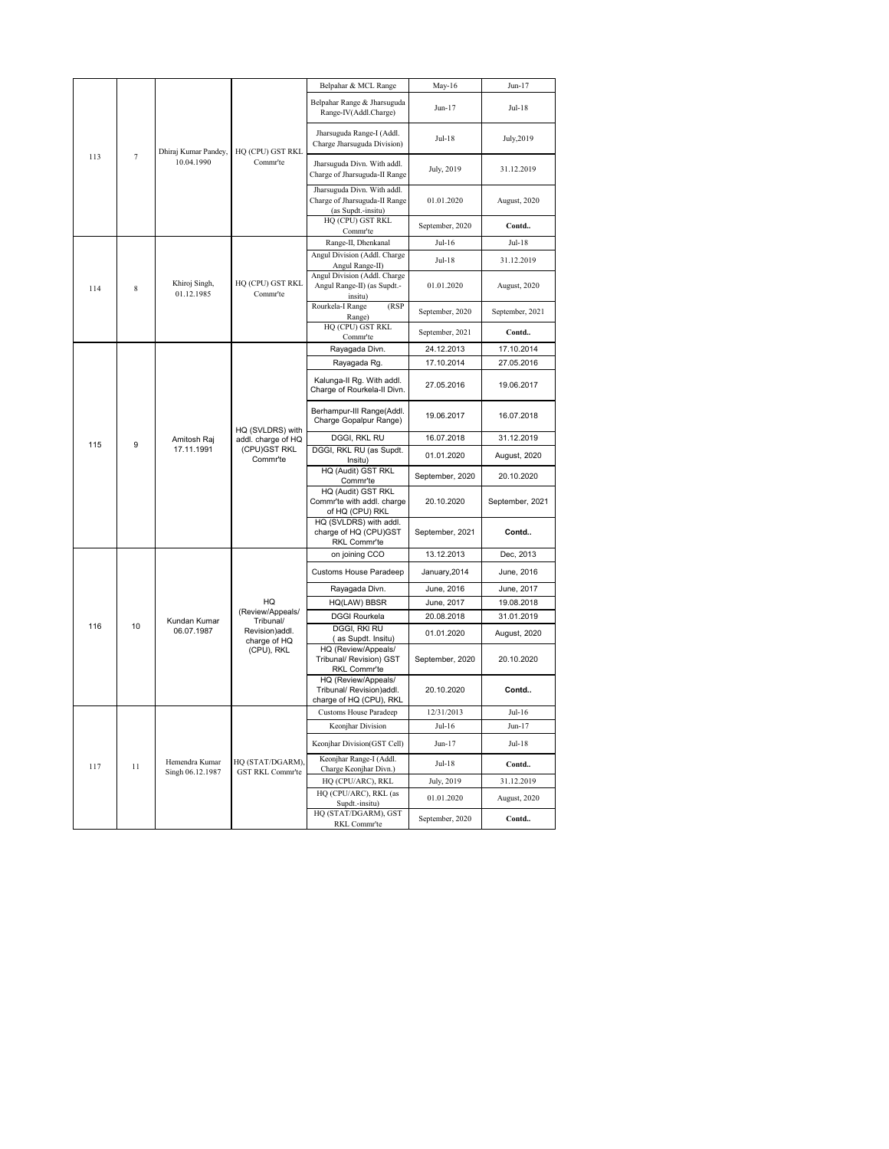|     |                |                                    |                                                                                    | Belpahar & MCL Range                                                       | May-16          | $Jun-17$        |
|-----|----------------|------------------------------------|------------------------------------------------------------------------------------|----------------------------------------------------------------------------|-----------------|-----------------|
|     |                |                                    |                                                                                    | Belpahar Range & Jharsuguda<br>Range-IV(Addl.Charge)                       | Jun-17          | $Jul-18$        |
|     |                | Dhiraj Kumar Pandey,               | HQ (CPU) GST RKL                                                                   | Jharsuguda Range-I (Addl.<br>Charge Jharsuguda Division)                   | $Jul-18$        | July, 2019      |
| 113 | $\overline{7}$ | 10.04.1990                         | Comm <sup>-te</sup>                                                                | Jharsuguda Divn. With addl.<br>Charge of Jharsuguda-II Range               | July, 2019      | 31.12.2019      |
|     |                |                                    | Jharsuguda Divn. With addl.<br>Charge of Jharsuguda-II Range<br>(as Supdt.-insitu) | 01.01.2020                                                                 | August, 2020    |                 |
|     |                |                                    | HQ (CPU) GST RKL<br>Commr'te                                                       | September, 2020                                                            | Contd           |                 |
|     |                |                                    |                                                                                    | Range-II, Dhenkanal                                                        | $Jul-16$        | $Jul-18$        |
|     |                |                                    |                                                                                    | Angul Division (Addl. Charge<br>Angul Range-II)                            | $Jul-18$        | 31.12.2019      |
| 114 | 8              | Khiroj Singh,<br>01.12.1985        | HQ (CPU) GST RKL<br>Comm <sup>+</sup> te                                           | Angul Division (Addl. Charge<br>Angul Range-II) (as Supdt.-<br>insitu)     | 01.01.2020      | August, 2020    |
|     |                |                                    | (RSP)<br>Rourkela-I Range<br>Range)<br>HQ (CPU) GST RKL                            | September, 2020                                                            | September, 2021 |                 |
|     |                |                                    |                                                                                    | Comm <sup>-te</sup>                                                        | September, 2021 | Contd           |
|     |                |                                    |                                                                                    | Rayagada Divn.                                                             | 24.12.2013      | 17.10.2014      |
|     |                |                                    |                                                                                    | Rayagada Rg.                                                               | 17.10.2014      | 27.05.2016      |
|     |                |                                    | Kalunga-II Rg. With addl.<br>Charge of Rourkela-II Divn.                           | 27.05.2016                                                                 | 19.06.2017      |                 |
|     |                |                                    | HQ (SVLDRS) with<br>addl. charge of HQ<br>(CPU)GST RKL<br>Commr'te                 | Berhampur-III Range(Addl.<br>Charge Gopalpur Range)                        | 19.06.2017      | 16.07.2018      |
| 115 | 9              | Amitosh Raj                        |                                                                                    | DGGI, RKL RU                                                               | 16.07.2018      | 31.12.2019      |
|     |                | 17.11.1991                         |                                                                                    | DGGI, RKL RU (as Supdt.<br>Insitu)                                         | 01.01.2020      | August, 2020    |
|     |                |                                    |                                                                                    | HQ (Audit) GST RKL<br>Commr'te                                             | September, 2020 | 20.10.2020      |
|     |                |                                    |                                                                                    | HQ (Audit) GST RKL<br>Commr'te with addl. charge<br>of HQ (CPU) RKL        | 20.10.2020      | September, 2021 |
|     |                |                                    |                                                                                    | HQ (SVLDRS) with addl.<br>charge of HQ (CPU)GST<br>RKL Commr'te            | September, 2021 | Contd           |
|     |                |                                    |                                                                                    | on joining CCO                                                             | 13.12.2013      | Dec, 2013       |
|     |                |                                    |                                                                                    | Customs House Paradeep                                                     | January, 2014   | June, 2016      |
|     |                |                                    |                                                                                    | Rayagada Divn.                                                             | June, 2016      | June, 2017      |
|     |                |                                    | HQ                                                                                 | HQ(LAW) BBSR                                                               | June, 2017      | 19.08.2018      |
|     |                | Kundan Kumar                       | (Review/Appeals/<br>Tribunal/                                                      | <b>DGGI Rourkela</b>                                                       | 20.08.2018      | 31.01.2019      |
| 116 | 10             | 06.07.1987                         | Revision)addl.                                                                     | <b>DGGI, RKI RU</b><br>(as Supdt. Insitu)                                  | 01.01.2020      | August, 2020    |
|     |                |                                    | charge of HQ<br>(CPU), RKL                                                         | HQ (Review/Appeals/<br>Tribunal/ Revision) GST<br>RKL Commr'te             | September, 2020 | 20.10.2020      |
|     |                |                                    |                                                                                    | HQ (Review/Appeals/<br>Tribunal/ Revision)addl.<br>charge of HQ (CPU), RKL | 20.10.2020      | Contd           |
|     |                |                                    |                                                                                    | <b>Customs House Paradeep</b>                                              | 12/31/2013      | $Jul-16$        |
|     |                |                                    |                                                                                    | Keonjhar Division                                                          | $Jul-16$        | $Jun-17$        |
|     |                |                                    |                                                                                    | Keonjhar Division(GST Cell)                                                | Jun-17          | $Jul-18$        |
| 117 | 11             | Hemendra Kumar<br>Singh 06.12.1987 | HQ (STAT/DGARM),<br><b>GST RKL Commr'te</b>                                        | Keonjhar Range-I (Addl.<br>Charge Keonjhar Divn.)                          | Jul-18          | Contd           |
|     |                |                                    |                                                                                    | HQ (CPU/ARC), RKL                                                          | July, 2019      | 31.12.2019      |
|     |                |                                    |                                                                                    | HQ (CPU/ARC), RKL (as<br>Supdt.-insitu)                                    | 01.01.2020      | August, 2020    |
|     |                |                                    |                                                                                    | HQ (STAT/DGARM), GST<br>RKL Commr'te                                       | September, 2020 | Contd           |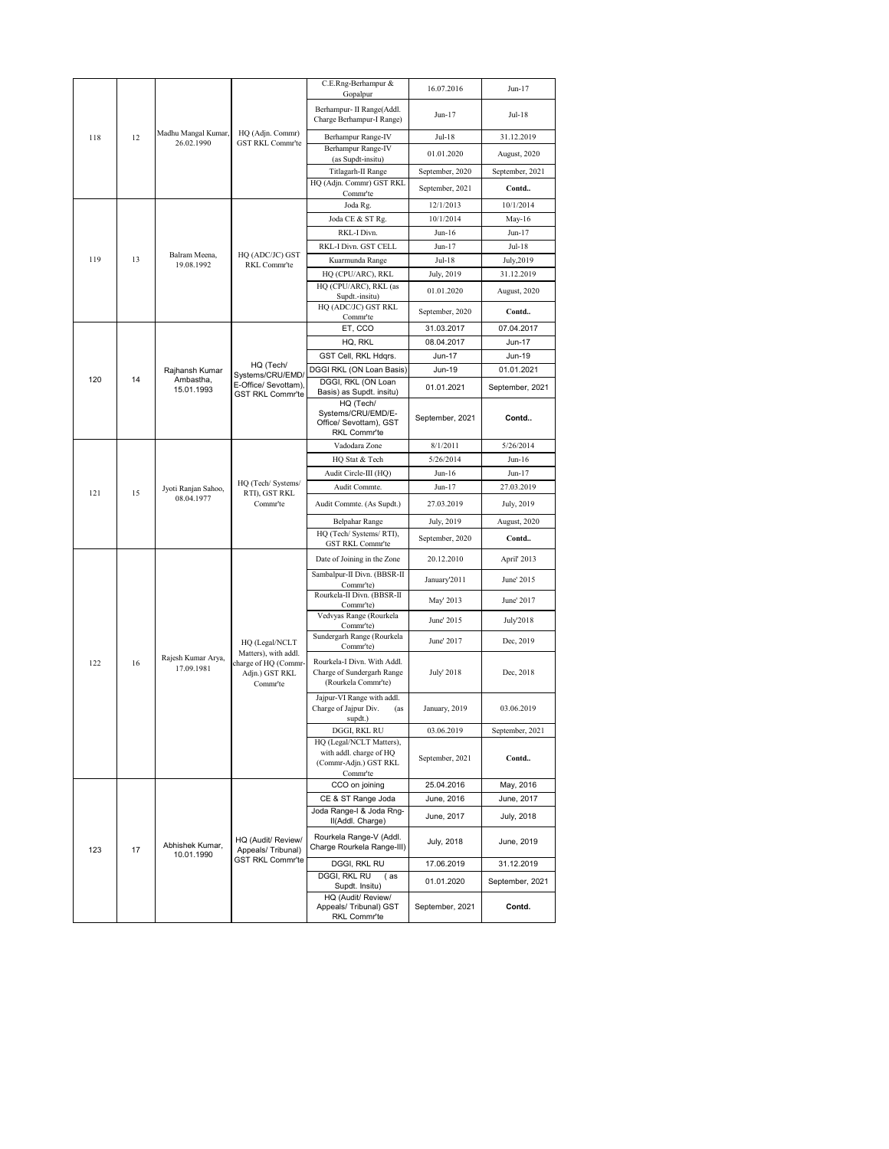|     |            |                                   |                                                                           | C.E.Rng-Berhampur &<br>Gopalpur                                                          | 16.07.2016              | Jun-17               |
|-----|------------|-----------------------------------|---------------------------------------------------------------------------|------------------------------------------------------------------------------------------|-------------------------|----------------------|
|     |            |                                   |                                                                           | Berhampur- II Range(Addl.<br>Charge Berhampur-I Range)                                   | Jun-17                  | Jul-18               |
| 118 | 12         | Madhu Mangal Kumar,               | HQ (Adjn. Commr)                                                          | Berhampur Range-IV                                                                       | Jul-18                  | 31.12.2019           |
|     |            | 26.02.1990                        | GST RKL Commr'te                                                          | Berhampur Range-IV                                                                       | 01.01.2020              | August, 2020         |
|     |            |                                   |                                                                           | (as Supdt-insitu)<br>Titlagarh-II Range                                                  | September, 2020         | September, 2021      |
|     |            |                                   |                                                                           | HQ (Adjn. Commr) GST RKL                                                                 | September, 2021         | Contd                |
|     |            |                                   |                                                                           | Commr'te                                                                                 |                         |                      |
|     |            |                                   |                                                                           | Joda Rg.                                                                                 | 12/1/2013               | 10/1/2014            |
|     |            |                                   |                                                                           | Joda CE & ST Rg.<br>RKL-I Divn.                                                          | 10/1/2014<br>Jun-16     | $May-16$<br>$Jun-17$ |
|     |            |                                   |                                                                           | RKL-I Divn. GST CELL                                                                     | $Jun-17$                | Jul-18               |
| 119 | 13         | Balram Meena,                     | HQ (ADC/JC) GST                                                           | Kuarmunda Range                                                                          | Jul-18                  | July, 2019           |
|     |            | 19.08.1992                        | RKL Commr'te                                                              | HQ (CPU/ARC), RKL                                                                        | July, 2019              | 31.12.2019           |
|     |            |                                   | HQ (CPU/ARC), RKL (as                                                     | 01.01.2020                                                                               | August, 2020            |                      |
|     |            |                                   |                                                                           | Supdt.-insitu)<br>HQ (ADC/JC) GST RKL                                                    |                         |                      |
|     |            |                                   |                                                                           | Commr'te                                                                                 | September, 2020         | Contd                |
|     |            |                                   |                                                                           | ET, CCO                                                                                  | 31.03.2017              | 07.04.2017           |
|     |            |                                   |                                                                           | HQ, RKL                                                                                  | 08.04.2017              | Jun-17               |
|     |            | Rajhansh Kumar<br>Ambastha,       | HQ (Tech/                                                                 | GST Cell, RKL Hdgrs.<br>DGGI RKL (ON Loan Basis)                                         | <b>Jun-17</b><br>Jun-19 | Jun-19<br>01.01.2021 |
| 120 | 14         |                                   | Systems/CRU/EMD/<br>E-Office/ Sevottam),                                  | DGGI, RKL (ON Loan                                                                       |                         |                      |
|     | 15.01.1993 | <b>GST RKL Commr'te</b>           | Basis) as Supdt. insitu)                                                  | 01.01.2021                                                                               | September, 2021         |                      |
|     |            |                                   | HQ (Tech/<br>Systems/CRU/EMD/E-<br>Office/ Sevottam), GST<br>RKL Commr'te | September, 2021                                                                          | Contd                   |                      |
|     |            |                                   | Vadodara Zone                                                             | 8/1/2011                                                                                 | 5/26/2014               |                      |
|     |            |                                   |                                                                           | HQ Stat & Tech                                                                           | 5/26/2014               | Jun-16               |
|     |            |                                   |                                                                           | Audit Circle-III (HQ)                                                                    | $Jun-16$                | Jun-17               |
| 121 | 15         | Jyoti Ranjan Sahoo,<br>08.04.1977 | HQ (Tech/ Systems/<br>RTI), GST RKL                                       | Audit Commte.                                                                            | $Jun-17$                | 27.03.2019           |
|     |            |                                   | Comm <sup>-t</sup> e                                                      | Audit Commte. (As Supdt.)                                                                | 27.03.2019              | July, 2019           |
|     |            |                                   |                                                                           | <b>Belpahar Range</b>                                                                    | July, 2019              | August, 2020         |
|     |            |                                   |                                                                           | HQ (Tech/ Systems/ RTI),<br>GST RKL Commr'te                                             | September, 2020         | Contd                |
|     |            |                                   |                                                                           | Date of Joining in the Zone                                                              | 20.12.2010              | April' 2013          |
|     |            |                                   |                                                                           | Sambalpur-II Divn. (BBSR-II                                                              | January'2011            | June' 2015           |
|     |            |                                   |                                                                           | Commr'te)<br>Rourkela-II Divn. (BBSR-II<br>Commr'te)                                     | May' 2013               | June' 2017           |
|     |            |                                   |                                                                           | Vedvyas Range (Rourkela<br>Commr'te)                                                     | June' 2015              | July'2018            |
|     |            |                                   | HQ (Legal/NCLT                                                            | Sundergarh Range (Rourkela                                                               | June' 2017              | Dec, 2019            |
|     |            | Rajesh Kumar Arya,                | Matters), with addl.                                                      | Commr'te)                                                                                |                         |                      |
| 122 | 16         | 17.09.1981                        | charge of HQ (Commr-<br>Adjn.) GST RKL<br>Commr'te                        | Rourkela-I Divn. With Addl.<br>Charge of Sundergarh Range<br>(Rourkela Commr'te)         | July' 2018              | Dec, 2018            |
|     |            |                                   |                                                                           | Jajpur-VI Range with addl.<br>Charge of Jajpur Div.<br>(as<br>supdt.)                    | January, 2019           | 03.06.2019           |
|     |            |                                   |                                                                           | DGGI, RKL RU                                                                             | 03.06.2019              | September, 2021      |
|     |            |                                   |                                                                           | HQ (Legal/NCLT Matters),<br>with addl. charge of HQ<br>(Commr-Adjn.) GST RKL<br>Commr'te | September, 2021         | Contd                |
|     |            |                                   |                                                                           | CCO on joining                                                                           | 25.04.2016              | May, 2016            |
|     |            |                                   |                                                                           | CE & ST Range Joda                                                                       | June, 2016              | June, 2017           |
|     |            |                                   |                                                                           | Joda Range-I & Joda Rng-<br>II(Addl. Charge)                                             | June, 2017              | July, 2018           |
| 123 | 17         | Abhishek Kumar,<br>10.01.1990     | HQ (Audit/ Review/<br>Appeals/ Tribunal)                                  | Rourkela Range-V (Addl.<br>Charge Rourkela Range-III)                                    | July, 2018              | June, 2019           |
|     |            |                                   | <b>GST RKL Commr'te</b>                                                   | DGGI, RKL RU                                                                             | 17.06.2019              | 31.12.2019           |
|     |            |                                   |                                                                           | DGGI, RKL RU<br>(as<br>Supdt. Insitu)                                                    | 01.01.2020              | September, 2021      |
|     |            |                                   |                                                                           | HQ (Audit/ Review/<br>Appeals/ Tribunal) GST<br>RKL Commr'te                             | September, 2021         | Contd.               |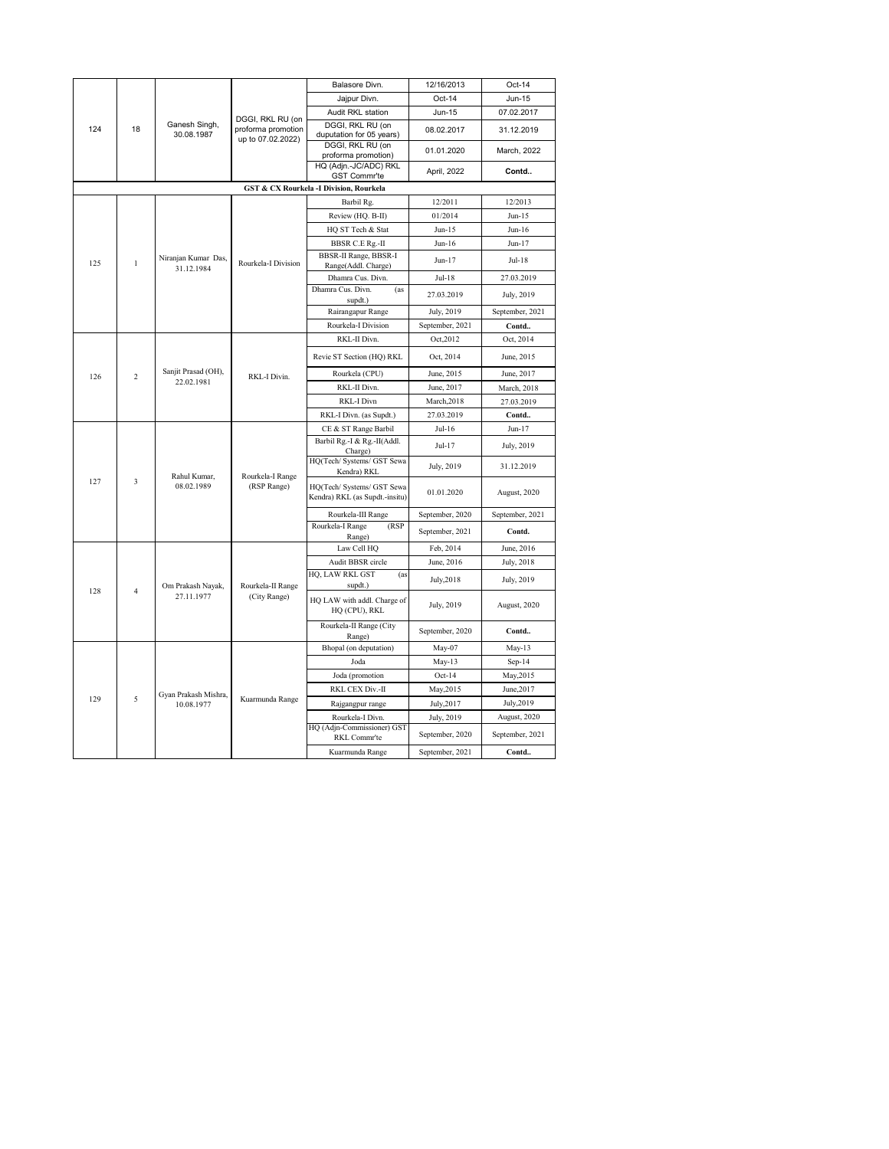|                     |                                   |                                   |                                                             | Balasore Divn.                                               | 12/16/2013      | Oct-14          |
|---------------------|-----------------------------------|-----------------------------------|-------------------------------------------------------------|--------------------------------------------------------------|-----------------|-----------------|
|                     |                                   |                                   |                                                             | Jajpur Divn.                                                 | Oct-14          | Jun-15          |
|                     |                                   |                                   |                                                             | Audit RKL station                                            | Jun-15          | 07.02.2017      |
| 124                 | 18                                | Ganesh Singh,<br>30.08.1987       | DGGI, RKL RU (on<br>proforma promotion<br>up to 07.02.2022) | DGGI, RKL RU (on<br>duputation for 05 years)                 | 08.02.2017      | 31.12.2019      |
|                     |                                   |                                   |                                                             | DGGI, RKL RU (on<br>proforma promotion)                      | 01.01.2020      | March, 2022     |
|                     |                                   |                                   |                                                             | HQ (Adjn.-JC/ADC) RKL<br>GST Commr'te                        | April, 2022     | Contd           |
|                     |                                   |                                   | <b>GST &amp; CX Rourkela -I Division, Rourkela</b>          |                                                              |                 |                 |
|                     |                                   |                                   |                                                             | Barbil Rg.                                                   | 12/2011         | 12/2013         |
|                     |                                   |                                   |                                                             | Review (HQ. B-II)                                            | 01/2014         | $Jun-15$        |
|                     |                                   |                                   |                                                             | HQ ST Tech & Stat                                            | $Jun-15$        | Jun-16          |
|                     |                                   |                                   |                                                             | <b>BBSR C.E Rg.-II</b>                                       | $Jun-16$        | $Jun-17$        |
| 125<br>$\mathbf{1}$ | Niranjan Kumar Das,<br>31.12.1984 | Rourkela-I Division               | BBSR-II Range, BBSR-I<br>Range(Addl. Charge)                | Jun-17                                                       | Jul-18          |                 |
|                     |                                   |                                   | Dhamra Cus. Divn.                                           | Jul-18                                                       | 27.03.2019      |                 |
|                     |                                   |                                   |                                                             | Dhamra Cus. Divn.<br>(as<br>supdt.)                          | 27.03.2019      | July, 2019      |
|                     |                                   |                                   | Rairangapur Range                                           | July, 2019                                                   | September, 2021 |                 |
|                     |                                   |                                   | Rourkela-I Division                                         | September, 2021                                              | Contd           |                 |
|                     |                                   |                                   | RKL-I Divin.                                                | RKL-II Divn.                                                 | Oct, 2012       | Oct, 2014       |
|                     |                                   |                                   |                                                             | Revie ST Section (HQ) RKL                                    | Oct, 2014       | June, 2015      |
| 126                 | $\overline{c}$                    | Sanjit Prasad (OH),<br>22.02.1981 |                                                             | Rourkela (CPU)                                               | June, 2015      | June, 2017      |
|                     |                                   |                                   | RKL-II Divn.                                                | June, 2017                                                   | March, 2018     |                 |
|                     |                                   |                                   |                                                             | RKL-I Divn                                                   | March, 2018     | 27.03.2019      |
|                     |                                   |                                   |                                                             | RKL-I Divn. (as Supdt.)                                      | 27.03.2019      | Contd           |
|                     |                                   |                                   | Rourkela-I Range<br>(RSP Range)                             | CE & ST Range Barbil                                         | $Jul-16$        | $Jun-17$        |
|                     |                                   |                                   |                                                             | Barbil Rg.-I & Rg.-II(Addl.<br>Charge)                       | Jul-17          | July, 2019      |
|                     |                                   | Rahul Kumar,                      |                                                             | HQ(Tech/ Systems/ GST Sewa<br>Kendra) RKL                    | July, 2019      | 31.12.2019      |
| 127                 | 3                                 | 08.02.1989                        |                                                             | HQ(Tech/ Systems/ GST Sewa<br>Kendra) RKL (as Supdt.-insitu) | 01.01.2020      | August, 2020    |
|                     |                                   |                                   |                                                             | Rourkela-III Range                                           | September, 2020 | September, 2021 |
|                     |                                   |                                   |                                                             | Rourkela-I Range<br>(RSP)<br>Range)                          | September, 2021 | Contd.          |
|                     |                                   |                                   |                                                             | Law Cell HQ                                                  | Feb, 2014       | June, 2016      |
|                     |                                   |                                   |                                                             | Audit BBSR circle                                            | June, 2016      | July, 2018      |
| 128                 | $\boldsymbol{\Lambda}$            | Om Prakash Nayak,                 | Rourkela-II Range                                           | HQ, LAW RKL GST<br>(as<br>supdt.)                            | July, 2018      | July, 2019      |
|                     |                                   | 27.11.1977                        | (City Range)                                                | HQ LAW with addl. Charge of<br>HQ (CPU), RKL                 | July, 2019      | August, 2020    |
|                     |                                   |                                   |                                                             | Rourkela-II Range (City<br>Range)                            | September, 2020 | Contd           |
|                     |                                   |                                   |                                                             | Bhopal (on deputation)                                       | May-07          | $May-13$        |
|                     |                                   |                                   |                                                             | Joda                                                         | May-13          | $Sep-14$        |
|                     |                                   |                                   |                                                             | Joda (promotion                                              | $Oct-14$        | May, 2015       |
|                     |                                   | Gyan Prakash Mishra,              |                                                             | RKL CEX Div.-II                                              | May, 2015       | June, 2017      |
| 129                 | 5                                 | 10.08.1977                        | Kuarmunda Range                                             | Rajgangpur range                                             | July, 2017      | July, 2019      |
|                     |                                   |                                   |                                                             | Rourkela-I Divn.                                             | July, 2019      | August, 2020    |
|                     |                                   |                                   |                                                             | HQ (Adjn-Commissioner) GST<br>RKL Commr'te                   | September, 2020 | September, 2021 |
|                     |                                   |                                   |                                                             | Kuarmunda Range                                              | September, 2021 | Contd           |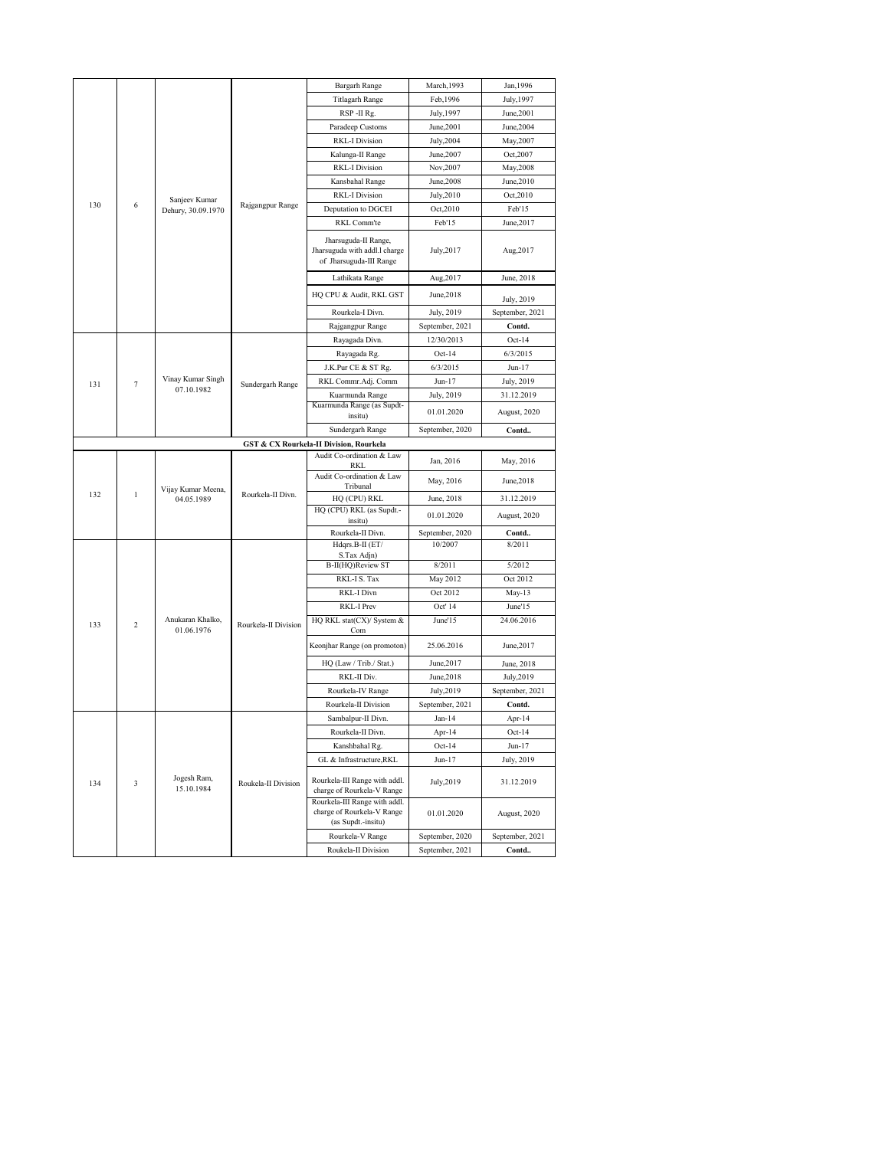|     |                                                    |                                |                                                                                  | Bargarh Range                                                                     | March, 1993     | Jan, 1996       |  |  |
|-----|----------------------------------------------------|--------------------------------|----------------------------------------------------------------------------------|-----------------------------------------------------------------------------------|-----------------|-----------------|--|--|
|     |                                                    |                                |                                                                                  | <b>Titlagarh Range</b>                                                            | Feb, 1996       | July, 1997      |  |  |
|     |                                                    |                                |                                                                                  | RSP-II Rg.                                                                        | July, 1997      | June, 2001      |  |  |
|     |                                                    |                                |                                                                                  | Paradeep Customs                                                                  | June, 2001      | June, 2004      |  |  |
|     |                                                    |                                |                                                                                  | <b>RKL-I Division</b>                                                             | July, 2004      | May, 2007       |  |  |
|     |                                                    |                                |                                                                                  | Kalunga-II Range                                                                  | June, 2007      | Oct, 2007       |  |  |
|     |                                                    |                                |                                                                                  | <b>RKL-I Division</b>                                                             | Nov, 2007       | May, 2008       |  |  |
|     |                                                    |                                |                                                                                  | Kansbahal Range                                                                   | June, 2008      | June, 2010      |  |  |
|     |                                                    | Sanjeev Kumar                  |                                                                                  | <b>RKL-I Division</b>                                                             | July, 2010      | Oct, 2010       |  |  |
| 130 | 6                                                  | Dehury, 30.09.1970             | Rajgangpur Range                                                                 | Deputation to DGCEI                                                               | Oct, 2010       | Feb'15          |  |  |
|     |                                                    |                                |                                                                                  | RKL Comm'te                                                                       | Feb'15          | June, 2017      |  |  |
|     |                                                    |                                | Jharsuguda-II Range,<br>Jharsuguda with addl.l charge<br>of Jharsuguda-III Range | July,2017                                                                         | Aug, 2017       |                 |  |  |
|     |                                                    |                                | Lathikata Range                                                                  | Aug, 2017                                                                         | June, 2018      |                 |  |  |
|     |                                                    |                                |                                                                                  | HQ CPU & Audit, RKL GST                                                           | June, 2018      | July, 2019      |  |  |
|     |                                                    |                                |                                                                                  | Rourkela-I Divn.                                                                  | July, 2019      | September, 2021 |  |  |
|     |                                                    |                                | Rajgangpur Range                                                                 | September, 2021                                                                   | Contd.          |                 |  |  |
|     |                                                    |                                |                                                                                  | Rayagada Divn.                                                                    | 12/30/2013      | $Oct-14$        |  |  |
|     |                                                    |                                |                                                                                  | Rayagada Rg.                                                                      | $Oct-14$        | 6/3/2015        |  |  |
|     |                                                    |                                |                                                                                  | J.K.Pur CE & ST Rg.                                                               | 6/3/2015        | $Jun-17$        |  |  |
|     | Vinay Kumar Singh<br>131<br>7<br>07.10.1982        | Sundergarh Range               | RKL Commr.Adj. Comm                                                              | Jun-17                                                                            | July, 2019      |                 |  |  |
|     |                                                    |                                | Kuarmunda Range                                                                  | July, 2019                                                                        | 31.12.2019      |                 |  |  |
|     |                                                    |                                |                                                                                  | Kuarmunda Range (as Supdt-<br>insitu)                                             | 01.01.2020      | August, 2020    |  |  |
|     |                                                    |                                |                                                                                  | Sundergarh Range                                                                  | September, 2020 | Contd           |  |  |
|     | <b>GST &amp; CX Rourkela-II Division, Rourkela</b> |                                |                                                                                  |                                                                                   |                 |                 |  |  |
|     |                                                    |                                |                                                                                  | Audit Co-ordination & Law<br><b>RKL</b>                                           | Jan, 2016       | May, 2016       |  |  |
|     |                                                    | Vijay Kumar Meena,             | Rourkela-II Divn.                                                                | Audit Co-ordination & Law<br>Tribunal                                             | May, 2016       | June, 2018      |  |  |
| 132 | $\mathbf{1}$                                       | 04.05.1989                     |                                                                                  | HQ (CPU) RKL                                                                      | June, 2018      | 31.12.2019      |  |  |
|     |                                                    |                                |                                                                                  | HQ (CPU) RKL (as Supdt.-<br>insitu)                                               | 01.01.2020      | August, 2020    |  |  |
|     |                                                    |                                |                                                                                  | Rourkela-II Divn.                                                                 | September, 2020 | Contd           |  |  |
|     |                                                    |                                |                                                                                  | Hdqrs.B-II (ET/                                                                   | 10/2007         | 8/2011          |  |  |
|     |                                                    |                                |                                                                                  | S.Tax Adjn)<br>B-II(HQ)Review ST                                                  | 8/2011          | 5/2012          |  |  |
|     |                                                    |                                |                                                                                  | RKL-I S. Tax                                                                      | May 2012        | Oct 2012        |  |  |
|     |                                                    |                                |                                                                                  | RKL-I Divn                                                                        | Oct 2012        | May-13          |  |  |
|     |                                                    |                                |                                                                                  | <b>RKL-I Prev</b>                                                                 | Oct' 14         | June'15         |  |  |
| 133 | $\overline{c}$                                     | Anukaran Khalko,<br>01.06.1976 | Rourkela-II Division                                                             | HQ RKL stat(CX)/ System &                                                         | June' $15$      | 24.06.2016      |  |  |
|     |                                                    |                                |                                                                                  | Com<br>Keonjhar Range (on promoton)                                               | 25.06.2016      | June, 2017      |  |  |
|     |                                                    |                                |                                                                                  | HQ (Law / Trib./ Stat.)                                                           | June, 2017      | June, 2018      |  |  |
|     |                                                    |                                |                                                                                  | RKL-II Div.                                                                       | June, 2018      | July, 2019      |  |  |
|     |                                                    |                                |                                                                                  | Rourkela-IV Range                                                                 | July, 2019      | September, 2021 |  |  |
|     |                                                    |                                |                                                                                  | Rourkela-II Division                                                              | September, 2021 | Contd.          |  |  |
|     |                                                    |                                |                                                                                  | Sambalpur-II Divn.                                                                | $Jan-14$        | Apr-14          |  |  |
|     |                                                    |                                |                                                                                  | Rourkela-II Divn.                                                                 | Apr-14          | $Oct-14$        |  |  |
|     |                                                    |                                |                                                                                  | Kanshbahal Rg.                                                                    | $Oct-14$        | Jun-17          |  |  |
|     |                                                    |                                |                                                                                  | GL & Infrastructure, RKL                                                          | Jun-17          | July, 2019      |  |  |
| 134 | 3                                                  | Jogesh Ram,<br>15.10.1984      | Roukela-II Division                                                              | Rourkela-III Range with addl.<br>charge of Rourkela-V Range                       | July, 2019      | 31.12.2019      |  |  |
|     |                                                    |                                |                                                                                  | Rourkela-III Range with addl.<br>charge of Rourkela-V Range<br>(as Supdt.-insitu) | 01.01.2020      | August, 2020    |  |  |
|     |                                                    |                                |                                                                                  | Rourkela-V Range                                                                  | September, 2020 | September, 2021 |  |  |
|     |                                                    |                                |                                                                                  | Roukela-II Division                                                               | September, 2021 | Contd           |  |  |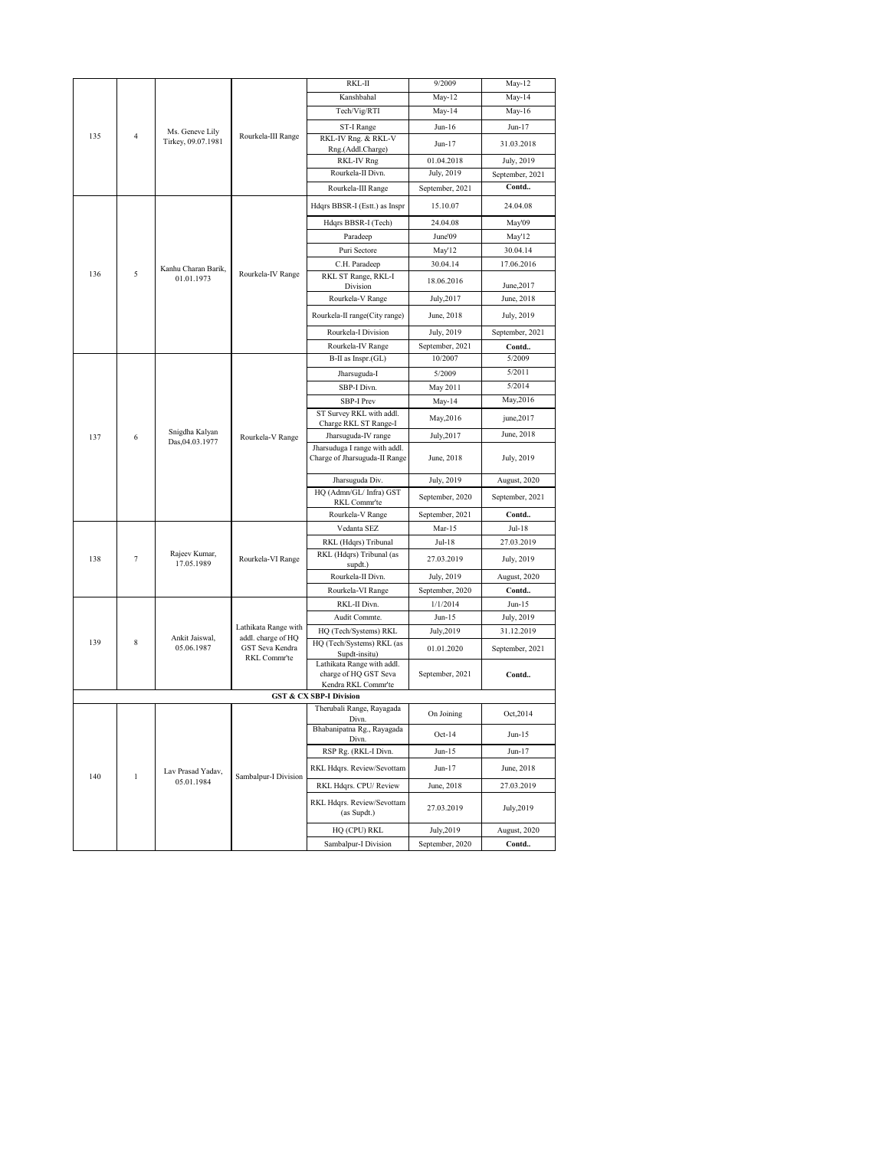|     |                        |                                       |                                                   | RKL-II                                                               | 9/2009          | May-12          |
|-----|------------------------|---------------------------------------|---------------------------------------------------|----------------------------------------------------------------------|-----------------|-----------------|
|     |                        |                                       |                                                   | Kanshbahal                                                           | $May-12$        | May-14          |
|     |                        |                                       |                                                   | Tech/Vig/RTI                                                         | May-14          | May-16          |
|     |                        |                                       |                                                   | ST-I Range                                                           | $Jun-16$        | Jun-17          |
| 135 | $\overline{4}$         | Ms. Geneve Lily<br>Tirkey, 09.07.1981 | Rourkela-III Range                                | RKL-IV Rng. & RKL-V                                                  |                 |                 |
|     |                        |                                       |                                                   | Rng.(Addl.Charge)                                                    | Jun-17          | 31.03.2018      |
|     |                        |                                       | RKL-IV Rng                                        | 01.04.2018                                                           | July, 2019      |                 |
|     |                        |                                       | Rourkela-II Divn.                                 | July, 2019                                                           | September, 2021 |                 |
|     |                        |                                       | Rourkela-III Range                                | September, 2021                                                      | Contd           |                 |
|     |                        |                                       |                                                   | Hdqrs BBSR-I (Estt.) as Inspr                                        | 15.10.07        | 24.04.08        |
|     |                        |                                       |                                                   | Hdqrs BBSR-I (Tech)                                                  | 24.04.08        | May'09          |
|     |                        |                                       |                                                   | Paradeep                                                             | June'09         | May'12          |
|     |                        |                                       |                                                   | Puri Sectore                                                         | May'12          | 30.04.14        |
|     |                        | Kanhu Charan Barik,                   |                                                   | C.H. Paradeep                                                        | 30.04.14        | 17.06.2016      |
|     | 5<br>136<br>01.01.1973 | Rourkela-IV Range                     | RKL ST Range, RKL-I<br>Division                   | 18.06.2016                                                           | June, 2017      |                 |
|     |                        |                                       | Rourkela-V Range                                  | July, 2017                                                           | June, 2018      |                 |
|     |                        |                                       | Rourkela-II range(City range)                     | June, 2018                                                           | July, 2019      |                 |
|     |                        |                                       |                                                   | Rourkela-I Division                                                  | July, 2019      | September, 2021 |
|     |                        |                                       | Rourkela-IV Range                                 | September, 2021                                                      | Contd           |                 |
|     |                        |                                       |                                                   | B-II as Inspr.(GL)                                                   | 10/2007         | 5/2009          |
|     |                        |                                       |                                                   | Jharsuguda-I                                                         | 5/2009          | 5/2011          |
|     |                        |                                       |                                                   | SBP-I Divn.                                                          | May 2011        | 5/2014          |
|     |                        |                                       |                                                   | <b>SBP-I Prev</b>                                                    | $May-14$        | May, 2016       |
|     |                        |                                       | ST Survey RKL with addl.<br>Charge RKL ST Range-I | May, 2016                                                            | june, 2017      |                 |
| 137 | 6                      | Snigdha Kalyan<br>Das, 04.03.1977     | Rourkela-V Range                                  | Jharsuguda-IV range                                                  | July, 2017      | June, 2018      |
|     |                        |                                       |                                                   | Jharsuduga I range with addl.<br>Charge of Jharsuguda-II Range       | June, 2018      | July, 2019      |
|     |                        |                                       |                                                   | Jharsuguda Div.                                                      | July, 2019      | August, 2020    |
|     |                        |                                       |                                                   | HQ (Admn/GL/ Infra) GST                                              | September, 2020 | September, 2021 |
|     |                        |                                       |                                                   | RKL Commr'te                                                         |                 |                 |
|     |                        |                                       |                                                   | Rourkela-V Range                                                     | September, 2021 | Contd           |
|     |                        |                                       |                                                   | Vedanta SEZ                                                          | Mar-15          | Jul-18          |
|     |                        |                                       |                                                   | RKL (Hdqrs) Tribunal                                                 | Jul-18          | 27.03.2019      |
| 138 | 7                      | Rajeev Kumar,<br>17.05.1989           | Rourkela-VI Range                                 | RKL (Hdqrs) Tribunal (as<br>supdt.)                                  | 27.03.2019      | July, 2019      |
|     |                        |                                       |                                                   | Rourkela-II Divn.                                                    | July, 2019      | August, 2020    |
|     |                        |                                       |                                                   | Rourkela-VI Range                                                    | September, 2020 | Contd           |
|     |                        |                                       |                                                   | RKL-II Divn.                                                         | 1/1/2014        | Jun-15          |
|     |                        |                                       |                                                   | Audit Commte.                                                        | Jun-15          | July, 2019      |
|     |                        | Ankit Jaiswal,                        | Lathikata Range with<br>addl. charge of HQ        | HQ (Tech/Systems) RKL                                                | July, 2019      | 31.12.2019      |
| 139 | 8                      | 05.06.1987                            | GST Seva Kendra                                   | HQ (Tech/Systems) RKL (as                                            | 01.01.2020      | September, 2021 |
|     |                        |                                       | RKL Commr'te                                      | Supdt-insitu)<br>Lathikata Range with addl.<br>charge of HQ GST Seva | September, 2021 | Contd           |
|     |                        |                                       |                                                   | Kendra RKL Commr'te                                                  |                 |                 |
|     |                        |                                       |                                                   | <b>GST &amp; CX SBP-I Division</b>                                   |                 |                 |
|     |                        |                                       |                                                   | Therubali Range, Rayagada<br>Divn.                                   | On Joining      | Oct, 2014       |
|     |                        |                                       |                                                   | Bhabanipatna Rg., Rayagada<br>Divn.                                  | $Oct-14$        | $Jun-15$        |
|     |                        |                                       |                                                   | RSP Rg. (RKL-I Divn.                                                 | Jun-15          | Jun-17          |
| 140 | $\,1$                  | Lav Prasad Yadav,                     | Sambalpur-I Division                              | RKL Hdqrs. Review/Sevottam                                           | Jun-17          | June, 2018      |
|     |                        | 05.01.1984                            |                                                   | RKL Hdqrs. CPU/ Review                                               | June, 2018      | 27.03.2019      |
|     |                        |                                       |                                                   | RKL Hdqrs. Review/Sevottam<br>(as Supdt.)                            | 27.03.2019      | July, 2019      |
|     |                        |                                       |                                                   | HQ (CPU) RKL                                                         | July, 2019      | August, 2020    |
|     |                        |                                       |                                                   | Sambalpur-I Division                                                 | September, 2020 | Contd           |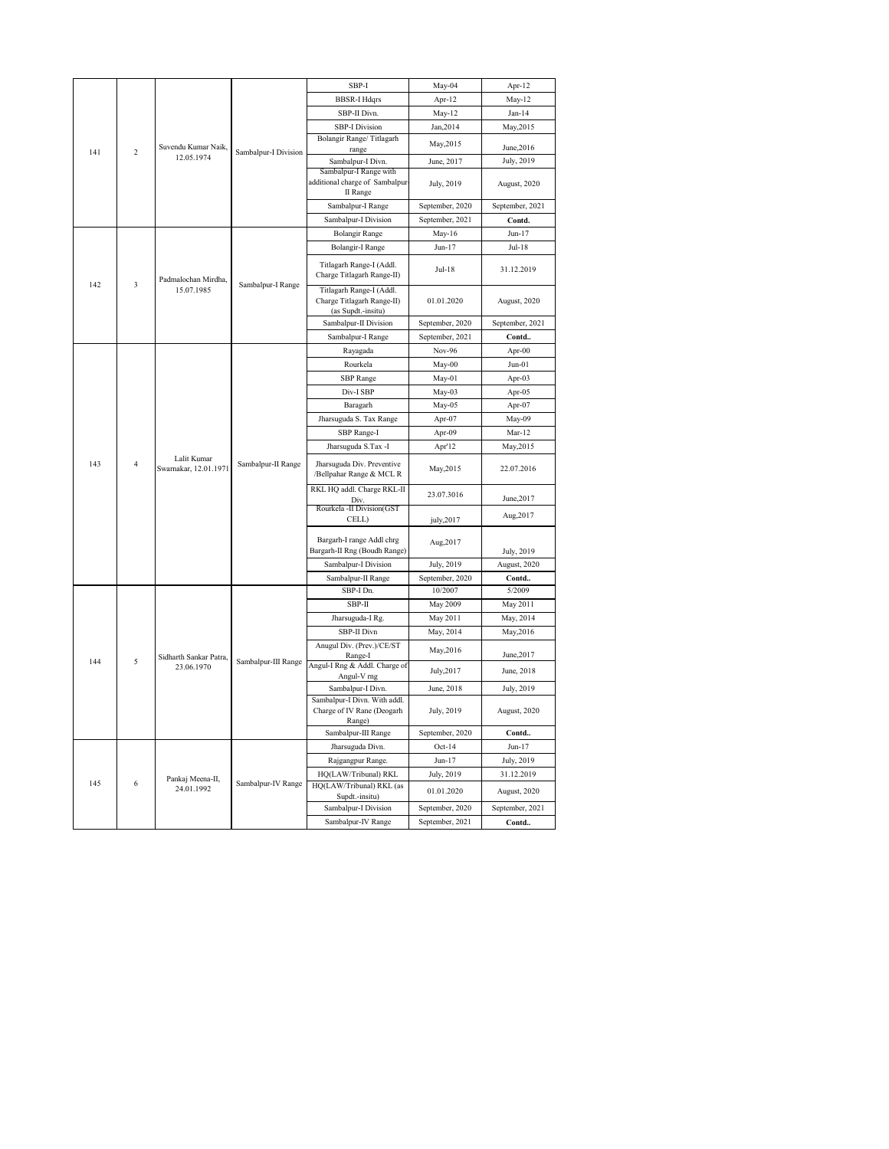|          |                                                     |                                      |                                                                              | SBP-I                                                     | May-04          | Apr-12                     |
|----------|-----------------------------------------------------|--------------------------------------|------------------------------------------------------------------------------|-----------------------------------------------------------|-----------------|----------------------------|
|          |                                                     |                                      |                                                                              | <b>BBSR-I Hdqrs</b>                                       | Apr-12          | $May-12$                   |
|          |                                                     |                                      |                                                                              | SBP-II Divn.                                              | $May-12$        | $Jan-14$                   |
|          |                                                     |                                      |                                                                              | <b>SBP-I Division</b>                                     | Jan, 2014       | May, 2015                  |
|          |                                                     |                                      |                                                                              | Bolangir Range/Titlagarh                                  | May, 2015       |                            |
| 141      | Suvendu Kumar Naik.<br>$\overline{c}$<br>12.05.1974 | Sambalpur-I Division                 | range                                                                        |                                                           | June, 2016      |                            |
|          |                                                     |                                      |                                                                              | Sambalpur-I Divn.                                         | June, 2017      | July, 2019                 |
|          |                                                     |                                      |                                                                              | Sambalpur-I Range with<br>additional charge of Sambalpur  | July, 2019      | August, 2020               |
|          |                                                     |                                      | II Range                                                                     |                                                           |                 |                            |
|          |                                                     |                                      |                                                                              | Sambalpur-I Range                                         | September, 2020 | September, 2021            |
|          |                                                     |                                      |                                                                              | Sambalpur-I Division                                      | September, 2021 | Contd.                     |
|          |                                                     |                                      |                                                                              | <b>Bolangir Range</b>                                     | May-16          | $Jun-17$                   |
|          |                                                     |                                      |                                                                              | <b>Bolangir-I Range</b>                                   | $Jun-17$        | $Jul-18$                   |
|          | Padmalochan Mirdha,                                 |                                      | Titlagarh Range-I (Addl.<br>Charge Titlagarh Range-II)                       | Jul-18                                                    | 31.12.2019      |                            |
| 142<br>3 | 15.07.1985                                          | Sambalpur-I Range                    | Titlagarh Range-I (Addl.<br>Charge Titlagarh Range-II)<br>(as Supdt.-insitu) | 01.01.2020                                                | August, 2020    |                            |
|          |                                                     |                                      | Sambalpur-II Division                                                        | September, 2020                                           | September, 2021 |                            |
|          |                                                     |                                      | Sambalpur-I Range                                                            | September, 2021                                           | Contd           |                            |
|          |                                                     |                                      |                                                                              | Rayagada                                                  | Nov-96          | Apr-00                     |
|          |                                                     |                                      |                                                                              | Rourkela                                                  | May-00          | $Jun-01$                   |
|          |                                                     |                                      | Sambalpur-II Range                                                           | <b>SBP</b> Range                                          | May-01          | Apr-03                     |
|          |                                                     |                                      |                                                                              | Div-I SBP                                                 | May-03          | Apr-05                     |
|          |                                                     |                                      |                                                                              | Baragarh                                                  | May-05          | Apr-07                     |
|          |                                                     |                                      |                                                                              | Jharsuguda S. Tax Range                                   | Apr-07          | May-09                     |
|          |                                                     |                                      |                                                                              | SBP Range-I                                               | Apr-09          | $Mar-12$                   |
|          |                                                     |                                      |                                                                              | Jharsuguda S.Tax -I                                       | Apr'12          | May, 2015                  |
| 143      | $\overline{4}$                                      | Lalit Kumar<br>Swarnakar, 12.01.1971 |                                                                              | Jharsuguda Div. Preventive<br>/Bellpahar Range & MCL R    | May, 2015       | 22.07.2016                 |
|          |                                                     |                                      |                                                                              | RKL HQ addl. Charge RKL-II                                | 23.07.3016      |                            |
|          |                                                     |                                      |                                                                              | Div<br>Rourkela -II Division(GST                          |                 | June, 2017                 |
|          |                                                     |                                      |                                                                              | CELL)                                                     | july, 2017      | Aug, 2017                  |
|          |                                                     |                                      |                                                                              |                                                           |                 |                            |
|          |                                                     |                                      |                                                                              | Bargarh-I range Addl chrg<br>Bargarh-II Rng (Boudh Range) | Aug, 2017       |                            |
|          |                                                     |                                      |                                                                              | Sambalpur-I Division                                      | July, 2019      | July, 2019<br>August, 2020 |
|          |                                                     |                                      |                                                                              | Sambalpur-II Range                                        | September, 2020 | Contd                      |
|          |                                                     |                                      |                                                                              | SBP-I Dn.                                                 | 10/2007         | 5/2009                     |
|          |                                                     |                                      |                                                                              | SBP-II                                                    | May 2009        | May 2011                   |
|          |                                                     |                                      |                                                                              | Jharsuguda-I Rg.                                          | May 2011        | May, 2014                  |
|          |                                                     |                                      |                                                                              | SBP-II Divn                                               | May, 2014       | May, 2016                  |
|          |                                                     |                                      |                                                                              | Anugul Div. (Prev.)/CE/ST                                 | May, 2016       | June, 2017                 |
| 144      | 5                                                   | Sidharth Sankar Patra,<br>23.06.1970 | Sambalpur-III Range                                                          | Range-I<br>Angul-I Rng & Addl. Charge of                  | July, 2017      | June, 2018                 |
|          |                                                     |                                      |                                                                              | Angul-V rng<br>Sambalpur-I Divn.                          | June, 2018      | July, 2019                 |
|          |                                                     |                                      |                                                                              | Sambalpur-I Divn. With addl.                              |                 |                            |
|          |                                                     |                                      |                                                                              | Charge of IV Rane (Deogarh                                | July, 2019      | August, 2020               |
|          |                                                     |                                      |                                                                              | Range)<br>Sambalpur-III Range                             | September, 2020 | Contd                      |
|          |                                                     |                                      |                                                                              | Jharsuguda Divn.                                          | $Oct-14$        | $Jun-17$                   |
|          |                                                     |                                      |                                                                              | Rajgangpur Range.                                         | $Jun-17$        | July, 2019                 |
|          |                                                     |                                      |                                                                              | HQ(LAW/Tribunal) RKL                                      | July, 2019      | 31.12.2019                 |
| 145      | 6                                                   | Pankaj Meena-II,<br>24.01.1992       | Sambalpur-IV Range                                                           | HQ(LAW/Tribunal) RKL (as                                  |                 |                            |
|          |                                                     |                                      |                                                                              | Supdt.-insitu)                                            | 01.01.2020      | August, 2020               |
|          |                                                     |                                      |                                                                              | Sambalpur-I Division                                      | September, 2020 | September, 2021            |
|          |                                                     |                                      |                                                                              | Sambalpur-IV Range                                        | September, 2021 | Contd                      |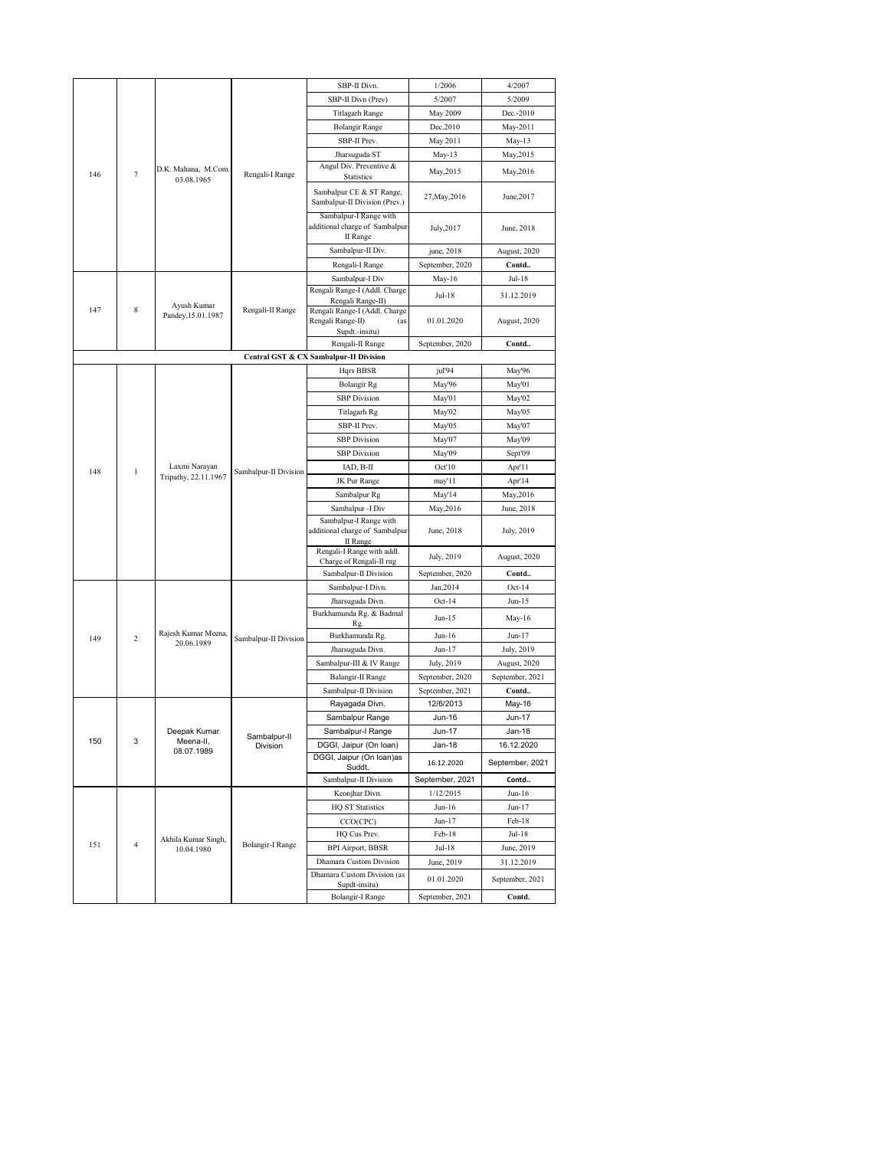|     |                |                                       |                                                                      | SBP-II Divn.                                                                | 1/2006           | 4/2007               |
|-----|----------------|---------------------------------------|----------------------------------------------------------------------|-----------------------------------------------------------------------------|------------------|----------------------|
|     |                |                                       |                                                                      | SBP-II Divn (Prev)                                                          | 5/2007           | 5/2009               |
|     |                |                                       |                                                                      | Titlagarh Range                                                             | May 2009         | Dec.-2010            |
|     |                |                                       |                                                                      | <b>Bolangir Range</b>                                                       | Dec.2010         | May-2011             |
|     |                |                                       |                                                                      | SBP-II Prev.                                                                | May 2011         | May-13               |
|     |                |                                       | Rengali-I Range                                                      | Jharsuguda ST                                                               | May-13           | May, 2015            |
| 146 | 7              | D.K. Mahana, M.Com.<br>03.08.1965     |                                                                      | Angul Div. Preventive &<br><b>Statistics</b>                                | May, 2015        | May, 2016            |
|     |                |                                       |                                                                      | Sambalpur CE & ST Range,<br>Sambalpur-II Division (Prev.)                   | 27, May, 2016    | June, 2017           |
|     |                |                                       | Sambalpur-I Range with<br>additional charge of Sambalpur<br>II Range | July, 2017                                                                  | June, 2018       |                      |
|     |                |                                       | Sambalpur-II Div.                                                    | june, 2018                                                                  | August, 2020     |                      |
|     |                |                                       | Rengali-I Range                                                      | September, 2020                                                             | Contd            |                      |
|     |                |                                       |                                                                      | Sambalpur-I Div                                                             | May-16           | Jul-18               |
|     |                | Ayush Kumar                           |                                                                      | Rengali Range-I (Addl. Charge<br>Rengali Range-II)                          | Jul-18           | 31.12.2019           |
| 147 | 8              | Pandey, 15.01.1987                    | Rengali-II Range                                                     | Rengali Range-I (Addl. Charge<br>Rengali Range-II)<br>(as<br>Supdt.-insitu) | 01.01.2020       | August, 2020         |
|     |                |                                       |                                                                      | Rengali-II Range                                                            | September, 2020  | Contd                |
|     |                |                                       |                                                                      | Central GST & CX Sambalpur-II Division                                      |                  |                      |
|     |                |                                       |                                                                      | Hqrs BBSR                                                                   | jul'94           | May'96               |
|     |                |                                       |                                                                      | <b>Bolangir Rg</b>                                                          | May'96           | May'01               |
|     |                |                                       |                                                                      | <b>SBP</b> Division                                                         | May'01           | May'02               |
|     |                |                                       | Titlagarh Rg                                                         | May'02                                                                      | May'05           |                      |
|     |                |                                       | SBP-II Prev.                                                         | May'05                                                                      | May'07           |                      |
|     |                |                                       | <b>SBP</b> Division                                                  | May'07                                                                      | May'09           |                      |
|     |                |                                       | <b>SBP</b> Division                                                  | May'09                                                                      | Sept'09          |                      |
| 148 | $\mathbf{1}$   | Laxmi Narayan<br>Tripathy, 22.11.1967 | Sambalpur-II Division                                                | IAD, B-II                                                                   | Oct'10           | Apr'l l              |
|     |                |                                       |                                                                      | JK Pur Range                                                                | may'11           | Apr'14               |
|     |                |                                       |                                                                      | Sambalpur Rg                                                                | May'14           | May, 2016            |
|     |                |                                       |                                                                      | Sambalpur -I Div                                                            | May, 2016        | June, 2018           |
|     |                |                                       |                                                                      | Sambalpur-I Range with<br>additional charge of Sambalpur<br>II Range        | June, 2018       | July, 2019           |
|     |                |                                       |                                                                      | Rengali-I Range with addl.<br>Charge of Rengali-II rng                      | July, 2019       | August, 2020         |
|     |                |                                       |                                                                      | Sambalpur-II Division                                                       | September, 2020  | Contd                |
|     |                |                                       |                                                                      | Sambalpur-I Divn.                                                           | Jan, 2014        | $Oct-14$             |
|     |                |                                       |                                                                      | Jharsuguda Divn.                                                            | $Oct-14$         | Jun-15               |
|     |                |                                       |                                                                      | Burkhamunda Rg. & Badmal                                                    | Jun-15           | May-16               |
|     |                | Rajesh Kumar Meena,                   |                                                                      | Rg                                                                          |                  |                      |
| 149 | $\overline{c}$ | 20.06.1989                            | Sambalpur-II Division                                                | Burkhamunda Rg.<br>Jharsuguda Divn.                                         | Jun-16<br>Jun-17 | Jun-17<br>July, 2019 |
|     |                |                                       |                                                                      | Sambalpur-III & IV Range                                                    | July, 2019       | August, 2020         |
|     |                |                                       |                                                                      | Balangir-II Range                                                           | September, 2020  | September, 2021      |
|     |                |                                       |                                                                      | Sambalpur-II Division                                                       | September, 2021  | Contd                |
|     |                |                                       |                                                                      | Rayagada Divn.                                                              | 12/6/2013        | May-16               |
|     |                |                                       |                                                                      | Sambalpur Range                                                             | Jun-16           | Jun-17               |
|     |                | Deepak Kumar                          |                                                                      | Sambalpur-I Range                                                           | Jun-17           | Jan-18               |
| 150 | 3              | Meena-II,                             | Sambalpur-II<br>Division                                             | DGGI, Jaipur (On loan)                                                      | Jan-18           | 16.12.2020           |
|     |                | 08.07.1989                            |                                                                      | DGGI, Jaipur (On Ioan)as<br>Suddt.                                          | 16.12.2020       | September, 2021      |
|     |                |                                       |                                                                      | Sambalpur-II Division                                                       | September, 2021  | Contd                |
|     |                |                                       |                                                                      | Keonjhar Divn.                                                              | 1/12/2015        | Jun-16               |
|     |                |                                       |                                                                      | <b>HQ ST Statistics</b>                                                     | Jun-16           | Jun-17               |
|     |                |                                       |                                                                      | CCO(CPC)                                                                    | Jun-17           | Feb-18               |
|     |                | Akhila Kumar Singh,                   |                                                                      | HQ Cus Prev.                                                                | Feb-18           | Jul-18               |
| 151 | $\overline{4}$ | 10.04.1980                            | Bolangir-I Range                                                     | BPI Airport, BBSR                                                           | Jul-18           | June, 2019           |
|     |                |                                       |                                                                      | Dhamara Custom Division                                                     | June, 2019       | 31.12.2019           |
|     |                |                                       |                                                                      | Dhamara Custom Division (as<br>Supdt-insitu)                                | 01.01.2020       | September, 2021      |
|     |                |                                       |                                                                      | Bolangir-I Range                                                            | September, 2021  | Contd.               |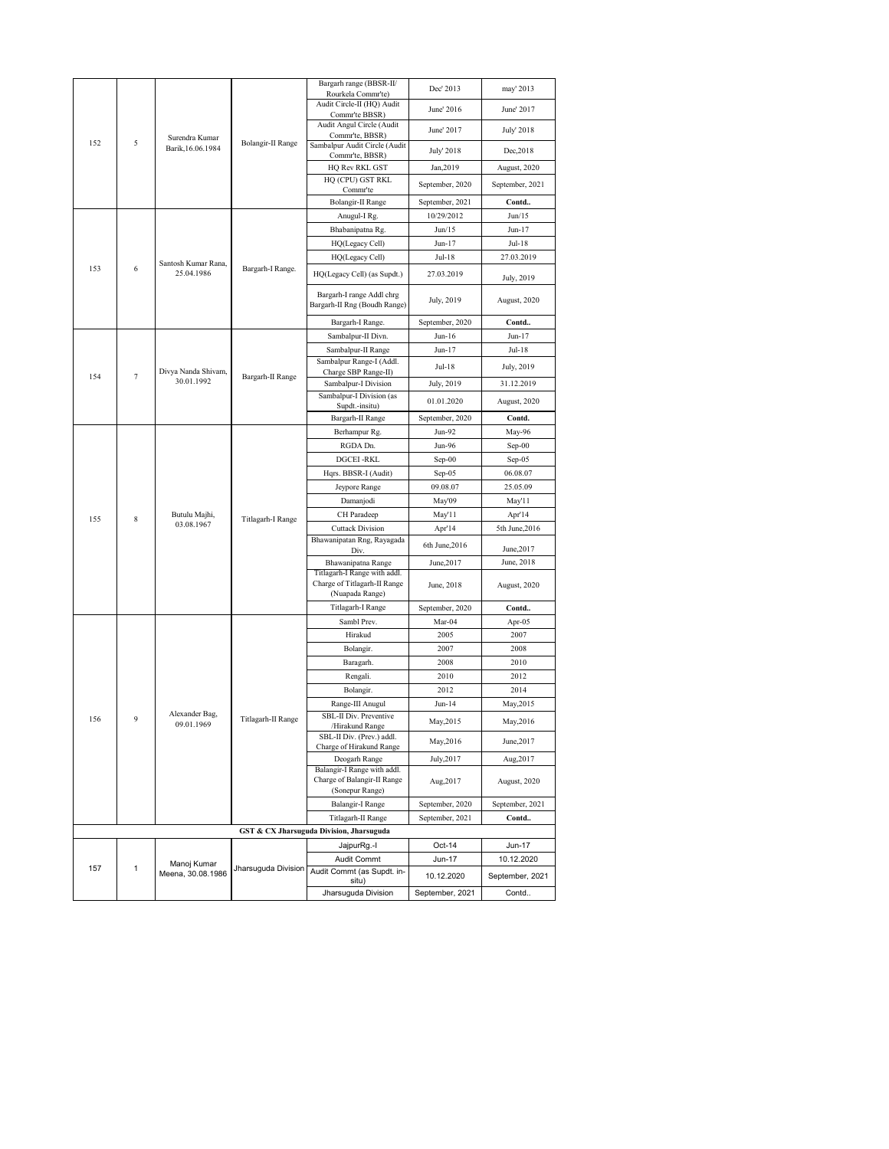|     |                |                              |                          | Bargarh range (BBSR-II/                                                       | Dec' 2013       | may' 2013       |
|-----|----------------|------------------------------|--------------------------|-------------------------------------------------------------------------------|-----------------|-----------------|
|     |                |                              |                          | Rourkela Commr'te)                                                            |                 |                 |
|     |                |                              |                          | Audit Circle-II (HQ) Audit<br>Commr'te BBSR)                                  | June' 2016      | June' 2017      |
|     |                |                              |                          | Audit Angul Circle (Audit                                                     |                 |                 |
|     |                | Surendra Kumar               |                          | Commr'te, BBSR)                                                               | June' 2017      | July' 2018      |
| 152 | 5              | Barik, 16.06.1984            | Bolangir-II Range        | Sambalpur Audit Circle (Audit                                                 | July' 2018      | Dec, 2018       |
|     |                |                              |                          | Commr'te, BBSR)<br>HQ Rev RKL GST                                             | Jan, 2019       | August, 2020    |
|     |                |                              |                          | HQ (CPU) GST RKL                                                              |                 |                 |
|     |                |                              |                          | Commr'te                                                                      | September, 2020 | September, 2021 |
|     |                |                              |                          | Bolangir-II Range                                                             | September, 2021 | Contd           |
|     |                |                              |                          | Anugul-I Rg.                                                                  | 10/29/2012      | Jun/15          |
|     |                |                              |                          | Bhabanipatna Rg.                                                              | Jun/15          | Jun-17          |
|     |                |                              |                          | HQ(Legacy Cell)                                                               | $Jun-17$        | Jul-18          |
|     |                | Santosh Kumar Rana,          |                          | HQ(Legacy Cell)                                                               | Jul-18          | 27.03.2019      |
| 153 | 6              | 25.04.1986                   | Bargarh-I Range.         | HQ(Legacy Cell) (as Supdt.)                                                   | 27.03.2019      | July, 2019      |
|     |                |                              |                          | Bargarh-I range Addl chrg<br>Bargarh-II Rng (Boudh Range)                     | July, 2019      | August, 2020    |
|     |                |                              |                          | Bargarh-I Range.                                                              | September, 2020 | Contd           |
|     |                |                              |                          | Sambalpur-II Divn.                                                            | $Jun-16$        | Jun-17          |
|     |                |                              |                          | Sambalpur-II Range                                                            | Jun-17          | Jul-18          |
|     |                | Divya Nanda Shivam,          |                          | Sambalpur Range-I (Addl.                                                      | Jul-18          | July, 2019      |
| 154 | $\overline{7}$ | 30.01.1992                   | Bargarh-II Range         | Charge SBP Range-II)<br>Sambalpur-I Division                                  | July, 2019      | 31.12.2019      |
|     |                |                              | Sambalpur-I Division (as |                                                                               |                 |                 |
|     |                |                              |                          | Supdt.-insitu)                                                                | 01.01.2020      | August, 2020    |
|     |                |                              |                          | Bargarh-II Range                                                              | September, 2020 | Contd.          |
|     |                |                              |                          | Berhampur Rg.                                                                 | Jun-92          | May-96          |
|     |                |                              |                          | RGDA Dn.                                                                      | Jun-96          | $Sep-00$        |
|     |                |                              |                          | <b>DGCEI-RKL</b>                                                              | Sep-00          | Sep-05          |
|     |                |                              | Hqrs. BBSR-I (Audit)     | Sep-05                                                                        | 06.08.07        |                 |
|     |                |                              | Jeypore Range            | 09.08.07                                                                      | 25.05.09        |                 |
|     |                |                              | Titlagarh-I Range        | Damanjodi                                                                     | May'09          | May'11          |
| 155 | 8              | Butulu Majhi,                |                          | CH Paradeep                                                                   | May'l l         | Apr'14          |
|     |                | 03.08.1967                   |                          | <b>Cuttack Division</b>                                                       | Apr'14          | 5th June, 2016  |
|     |                |                              |                          | Bhawanipatan Rng, Rayagada<br>Div.                                            | 6th June, 2016  | June, 2017      |
|     |                |                              |                          | Bhawanipatna Range                                                            | June, 2017      | June, 2018      |
|     |                |                              |                          | Titlagarh-I Range with addl.                                                  |                 |                 |
|     |                |                              |                          | Charge of Titlagarh-II Range<br>(Nuapada Range)                               | June, 2018      | August, 2020    |
|     |                |                              |                          | Titlagarh-I Range                                                             | September, 2020 | Contd           |
|     |                |                              |                          | Sambl Prev.                                                                   | Mar-04          | Apr-05          |
|     |                |                              |                          | Hirakud                                                                       | 2005            | 2007            |
|     |                |                              |                          | Bolangir.                                                                     | 2007            | 2008            |
|     |                |                              |                          | Baragarh.                                                                     | 2008            | 2010            |
|     |                |                              |                          | Rengali.                                                                      | 2010            | 2012            |
|     |                |                              |                          | Bolangir.                                                                     | 2012            | 2014            |
|     |                |                              |                          | Range-III Anugul                                                              | $Jun-14$        | May, 2015       |
| 156 | 9              | Alexander Bag,<br>09.01.1969 | Titlagarh-II Range       | SBL-II Div. Preventive<br>/Hirakund Range                                     | May, 2015       | May,2016        |
|     |                |                              |                          | SBL-II Div. (Prev.) addl.<br>Charge of Hirakund Range                         | May, 2016       | June, 2017      |
|     |                |                              |                          | Deogarh Range                                                                 | July, 2017      | Aug, 2017       |
|     |                |                              |                          | Balangir-I Range with addl.<br>Charge of Balangir-II Range<br>(Sonepur Range) | Aug, 2017       | August, 2020    |
|     |                |                              |                          | Balangir-I Range                                                              | September, 2020 | September, 2021 |
|     |                |                              |                          | Titlagarh-II Range                                                            | September, 2021 | Contd           |
|     |                |                              |                          | GST & CX Jharsuguda Division, Jharsuguda                                      |                 |                 |
|     |                |                              |                          | JajpurRg.-I                                                                   | Oct-14          | Jun-17          |
|     |                | Manoj Kumar                  |                          | Audit Commt                                                                   | Jun-17          | 10.12.2020      |
| 157 | 1              | Meena, 30.08.1986            | Jharsuguda Division      | Audit Commt (as Supdt. in-<br>situ)                                           | 10.12.2020      | September, 2021 |
|     |                |                              |                          | Jharsuguda Division                                                           | September, 2021 | Contd           |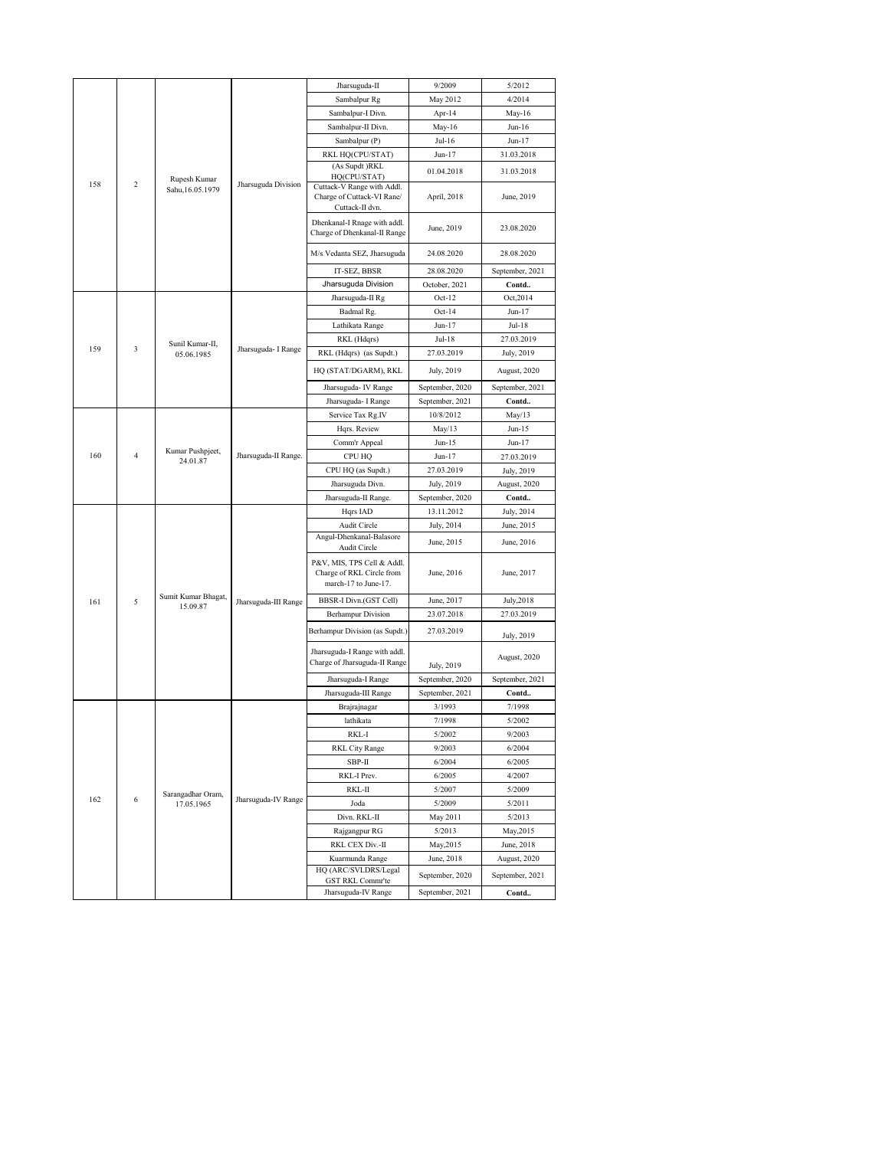|          |                  |                                 |                                                              | Jharsuguda-II                                                                   | 9/2009          | 5/2012                     |
|----------|------------------|---------------------------------|--------------------------------------------------------------|---------------------------------------------------------------------------------|-----------------|----------------------------|
|          |                  |                                 |                                                              | Sambalpur Rg                                                                    | May 2012        | 4/2014                     |
|          |                  |                                 |                                                              | Sambalpur-I Divn.                                                               | Apr-14          | May-16                     |
|          |                  |                                 |                                                              | Sambalpur-II Divn.                                                              | May-16          | $Jun-16$                   |
|          |                  |                                 |                                                              | Sambalpur (P)                                                                   | Jul-16          | Jun-17                     |
|          |                  |                                 |                                                              | RKL HQ(CPU/STAT)                                                                | Jun-17          | 31.03.2018                 |
|          |                  |                                 | (As Supdt )RKL                                               | 01.04.2018                                                                      | 31.03.2018      |                            |
| 158      | $\overline{c}$   | Rupesh Kumar                    | Jharsuguda Division                                          | HQ(CPU/STAT)                                                                    |                 |                            |
|          |                  | Sahu, 16.05.1979                |                                                              | Cuttack-V Range with Addl.<br>Charge of Cuttack-VI Rane/<br>Cuttack-II dvn.     | April, 2018     | June, 2019                 |
|          |                  |                                 | Dhenkanal-I Rnage with addl.<br>Charge of Dhenkanal-II Range | June, 2019                                                                      | 23.08.2020      |                            |
|          |                  |                                 | M/s Vedanta SEZ, Jharsuguda                                  | 24.08.2020                                                                      | 28.08.2020      |                            |
|          |                  |                                 |                                                              | IT-SEZ, BBSR                                                                    | 28.08.2020      | September, 2021            |
|          |                  |                                 | Jharsuguda Division                                          | October, 2021                                                                   | Contd           |                            |
|          |                  |                                 |                                                              | Jharsuguda-II Rg                                                                | $Oct-12$        | Oct, 2014                  |
|          |                  |                                 |                                                              | Badmal Rg.                                                                      | $Oct-14$        | Jun-17                     |
|          |                  |                                 |                                                              | Lathikata Range                                                                 | Jun-17          | Jul-18                     |
|          | Sunil Kumar-II,  |                                 | RKL (Hdqrs)                                                  | Jul-18                                                                          | 27.03.2019      |                            |
| 159<br>3 | 05.06.1985       | Jharsuguda- I Range             | RKL (Hdqrs) (as Supdt.)                                      | 27.03.2019                                                                      | July, 2019      |                            |
|          |                  |                                 | HQ (STAT/DGARM), RKL                                         | July, 2019                                                                      | August, 2020    |                            |
|          |                  |                                 | Jharsuguda- IV Range                                         | September, 2020                                                                 | September, 2021 |                            |
|          |                  |                                 | Jharsuguda- I Range                                          | September, 2021                                                                 | Contd           |                            |
|          |                  |                                 |                                                              | Service Tax Rg.IV                                                               | 10/8/2012       | May/13                     |
|          |                  |                                 |                                                              | Hqrs. Review                                                                    | May/13          | Jun-15                     |
|          | Kumar Pushpjeet, |                                 | Comm'r Appeal                                                | $Jun-15$                                                                        | Jun-17          |                            |
| 160      | $\overline{4}$   | 24.01.87                        | Jharsuguda-II Range.                                         | CPU HQ                                                                          | Jun-17          | 27.03.2019                 |
|          |                  |                                 |                                                              | CPU HQ (as Supdt.)                                                              | 27.03.2019      | July, 2019                 |
|          |                  |                                 |                                                              | Jharsuguda Divn.                                                                | July, 2019      | August, 2020               |
|          |                  |                                 |                                                              | Jharsuguda-II Range.                                                            | September, 2020 | Contd                      |
|          |                  |                                 |                                                              | Hqrs IAD                                                                        | 13.11.2012      | July, 2014                 |
|          |                  |                                 |                                                              | Audit Circle<br>Angul-Dhenkanal-Balasore                                        | July, 2014      | June, 2015                 |
|          |                  |                                 |                                                              | Audit Circle                                                                    | June, 2015      | June, 2016                 |
|          |                  |                                 |                                                              | P&V, MIS, TPS Cell & Addl.<br>Charge of RKL Circle from<br>march-17 to June-17. | June, 2016      | June, 2017                 |
| 161      | 5                | Sumit Kumar Bhagat,<br>15.09.87 | Jharsuguda-III Range                                         | BBSR-I Divn.(GST Cell)                                                          | June, 2017      | July, 2018                 |
|          |                  |                                 |                                                              | <b>Berhampur Division</b>                                                       | 23.07.2018      | 27.03.2019                 |
|          |                  |                                 |                                                              | Berhampur Division (as Supdt.)                                                  | 27.03.2019      |                            |
|          |                  |                                 |                                                              | Jharsuguda-I Range with addl.                                                   |                 | July, 2019<br>August, 2020 |
|          |                  |                                 |                                                              | Charge of Jharsuguda-II Range                                                   | July, 2019      |                            |
|          |                  |                                 |                                                              | Jharsuguda-I Range                                                              | September, 2020 | September, 2021            |
|          |                  |                                 |                                                              | Jharsuguda-III Range                                                            | September, 2021 | Contd                      |
|          |                  |                                 |                                                              | Brajrajnagar                                                                    | 3/1993          | 7/1998                     |
|          |                  |                                 |                                                              | lathikata                                                                       | 7/1998          | 5/2002                     |
|          |                  |                                 |                                                              | RKL-I                                                                           | 5/2002          | 9/2003                     |
|          |                  |                                 |                                                              | RKL City Range                                                                  | 9/2003          | 6/2004                     |
|          |                  |                                 |                                                              | SBP-II                                                                          | 6/2004          | 6/2005                     |
|          |                  |                                 |                                                              | RKL-I Prev.                                                                     | 6/2005          | 4/2007                     |
| 162      | 6                | Sarangadhar Oram,               | Jharsuguda-IV Range                                          | RKL-II                                                                          | 5/2007          | 5/2009                     |
|          |                  | 17.05.1965                      |                                                              | Joda                                                                            | 5/2009          | 5/2011                     |
|          |                  |                                 |                                                              | Divn. RKL-II                                                                    | May 2011        | 5/2013                     |
|          |                  |                                 |                                                              | Rajgangpur RG                                                                   | 5/2013          | May, 2015                  |
|          |                  |                                 |                                                              | RKL CEX Div.-II                                                                 | May, 2015       | June, 2018                 |
|          |                  |                                 |                                                              | Kuarmunda Range                                                                 | June, 2018      | August, 2020               |
|          |                  |                                 |                                                              |                                                                                 |                 |                            |
|          |                  |                                 |                                                              | HQ (ARC/SVLDRS/Legal<br>GST RKL Commr'te                                        | September, 2020 | September, 2021            |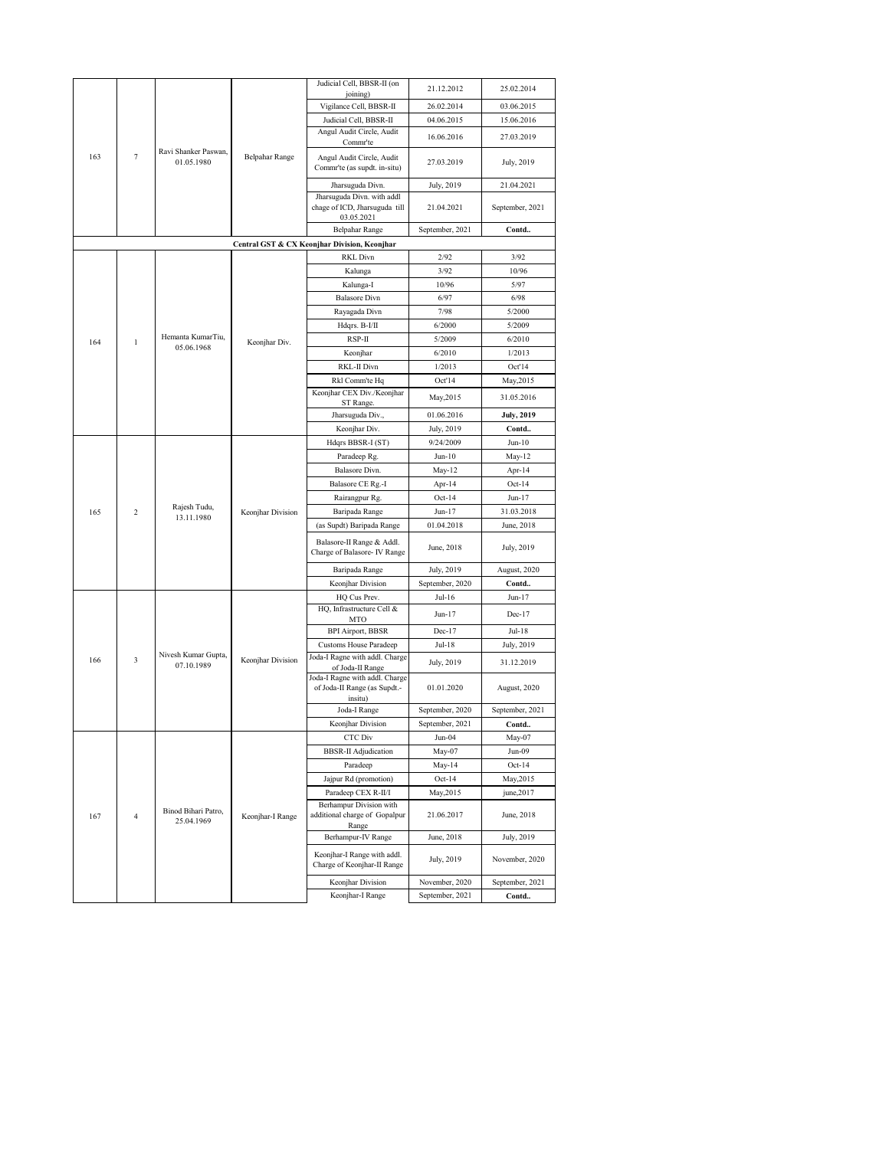|          |                                    |                                   |                                                           | Judicial Cell, BBSR-II (on                                                | 21.12.2012        | 25.02.2014      |
|----------|------------------------------------|-----------------------------------|-----------------------------------------------------------|---------------------------------------------------------------------------|-------------------|-----------------|
|          |                                    |                                   |                                                           | joining)                                                                  |                   |                 |
|          |                                    |                                   |                                                           | Vigilance Cell, BBSR-II                                                   | 26.02.2014        | 03.06.2015      |
|          |                                    |                                   |                                                           | Judicial Cell, BBSR-II                                                    | 04.06.2015        | 15.06.2016      |
|          |                                    |                                   |                                                           | Angul Audit Circle, Audit<br>Commr'te                                     | 16.06.2016        | 27.03.2019      |
| 163<br>7 | Ravi Shanker Paswan,<br>01.05.1980 | <b>Belpahar Range</b>             | Angul Audit Circle, Audit<br>Commr'te (as supdt. in-situ) | 27.03.2019                                                                | July, 2019        |                 |
|          |                                    |                                   |                                                           | Jharsuguda Divn.                                                          | July, 2019        | 21.04.2021      |
|          |                                    |                                   |                                                           | Jharsuguda Divn. with addl                                                |                   |                 |
|          |                                    |                                   |                                                           | chage of ICD, Jharsuguda till<br>03.05.2021                               | 21.04.2021        | September, 2021 |
|          |                                    |                                   |                                                           | <b>Belpahar Range</b>                                                     | September, 2021   | Contd           |
|          |                                    |                                   |                                                           | Central GST & CX Keonjhar Division, Keonjhar                              |                   |                 |
|          |                                    |                                   |                                                           | <b>RKL Divn</b>                                                           | 2/92              | 3/92            |
|          |                                    |                                   |                                                           | Kalunga                                                                   | 3/92              | 10/96           |
|          |                                    |                                   |                                                           | Kalunga-I                                                                 | 10/96             | 5/97            |
|          |                                    |                                   |                                                           | <b>Balasore Divn</b>                                                      | 6/97              | 6/98            |
|          |                                    |                                   |                                                           | Rayagada Divn                                                             | 7/98              | 5/2000          |
|          |                                    |                                   |                                                           | Hdqrs. B-I/II                                                             | 6/2000            | 5/2009          |
| 164      | $\mathbf{1}$                       | Hemanta KumarTiu,<br>05.06.1968   | Keonjhar Div.                                             | RSP-II                                                                    | 5/2009            | 6/2010          |
|          |                                    |                                   |                                                           | Keonjhar                                                                  | 6/2010            | 1/2013          |
|          |                                    |                                   |                                                           | RKL-II Divn                                                               | 1/2013            | Oct'14          |
|          |                                    |                                   |                                                           | Rkl Comm'te Hq                                                            | Oct'14            | May, 2015       |
|          |                                    |                                   |                                                           | Keonjhar CEX Div./Keonjhar<br>ST Range.                                   | May, 2015         | 31.05.2016      |
|          |                                    |                                   | Jharsuguda Div.,                                          | 01.06.2016                                                                | <b>July, 2019</b> |                 |
|          |                                    |                                   | Keonjhar Div.                                             | July, 2019                                                                | Contd             |                 |
|          |                                    |                                   | Hdqrs BBSR-I (ST)                                         | 9/24/2009                                                                 | $Jun-10$          |                 |
|          |                                    |                                   | Keonjhar Division                                         | Paradeep Rg.                                                              | $Jun-10$          | May-12          |
|          |                                    |                                   |                                                           | Balasore Divn.                                                            | May-12            | Apr-14          |
|          |                                    |                                   |                                                           | Balasore CE Rg.-I                                                         | Apr-14            | Oct-14          |
|          |                                    |                                   |                                                           | Rairangpur Rg.                                                            | $Oct-14$          | Jun-17          |
| 165      | 2                                  | Rajesh Tudu,<br>13.11.1980        |                                                           | Baripada Range                                                            | Jun-17            | 31.03.2018      |
|          |                                    |                                   |                                                           | (as Supdt) Baripada Range                                                 | 01.04.2018        | June, 2018      |
|          |                                    |                                   |                                                           | Balasore-II Range & Addl.<br>Charge of Balasore- IV Range                 | June, 2018        | July, 2019      |
|          |                                    |                                   |                                                           | Baripada Range                                                            | July, 2019        | August, 2020    |
|          |                                    |                                   |                                                           | Keonjhar Division                                                         | September, 2020   | Contd           |
|          |                                    |                                   |                                                           | HQ Cus Prev.                                                              | Jul-16            | Jun-17          |
|          |                                    |                                   |                                                           | HQ, Infrastructure Cell &                                                 | Jun-17            | $Dec-17$        |
|          |                                    |                                   |                                                           | MTO<br>BPI Airport, BBSR                                                  | $Dec-17$          | Jul-18          |
|          |                                    |                                   |                                                           | <b>Customs House Paradeep</b>                                             | Jul-18            | July, 2019      |
| 166      | 3                                  | Nivesh Kumar Gupta,               | Keonjhar Division                                         | Joda-I Ragne with addl. Charge                                            |                   | 31.12.2019      |
|          |                                    | 07.10.1989                        |                                                           | of Joda-II Range                                                          | July, 2019        |                 |
|          |                                    |                                   |                                                           | Joda-I Ragne with addl. Charge<br>of Joda-II Range (as Supdt.-<br>insitu) | 01.01.2020        | August, 2020    |
|          |                                    |                                   |                                                           | Joda-I Range                                                              | September, 2020   | September, 2021 |
|          |                                    |                                   |                                                           | Keonjhar Division                                                         | September, 2021   | Contd           |
|          |                                    |                                   |                                                           | CTC Div                                                                   | Jun-04            | May-07          |
|          |                                    |                                   |                                                           | <b>BBSR-II</b> Adjudication                                               | May-07            | Jun-09          |
|          |                                    |                                   |                                                           | Paradeep                                                                  | May-14            | $Oct-14$        |
|          |                                    |                                   |                                                           | Jajpur Rd (promotion)                                                     | $Oct-14$          | May, 2015       |
|          |                                    |                                   |                                                           | Paradeep CEX R-II/I<br>Berhampur Division with                            | May, 2015         | june, 2017      |
| 167      | $\overline{4}$                     | Binod Bihari Patro,<br>25.04.1969 | Keonjhar-I Range                                          | additional charge of Gopalpur<br>Range                                    | 21.06.2017        | June, 2018      |
|          |                                    |                                   |                                                           | Berhampur-IV Range                                                        | June, 2018        | July, 2019      |
|          |                                    |                                   |                                                           | Keonjhar-I Range with addl.<br>Charge of Keonjhar-II Range                | July, 2019        | November, 2020  |
|          |                                    |                                   |                                                           | Keonjhar Division                                                         | November, 2020    | September, 2021 |
|          |                                    |                                   |                                                           | Keonjhar-I Range                                                          | September, 2021   | Contd           |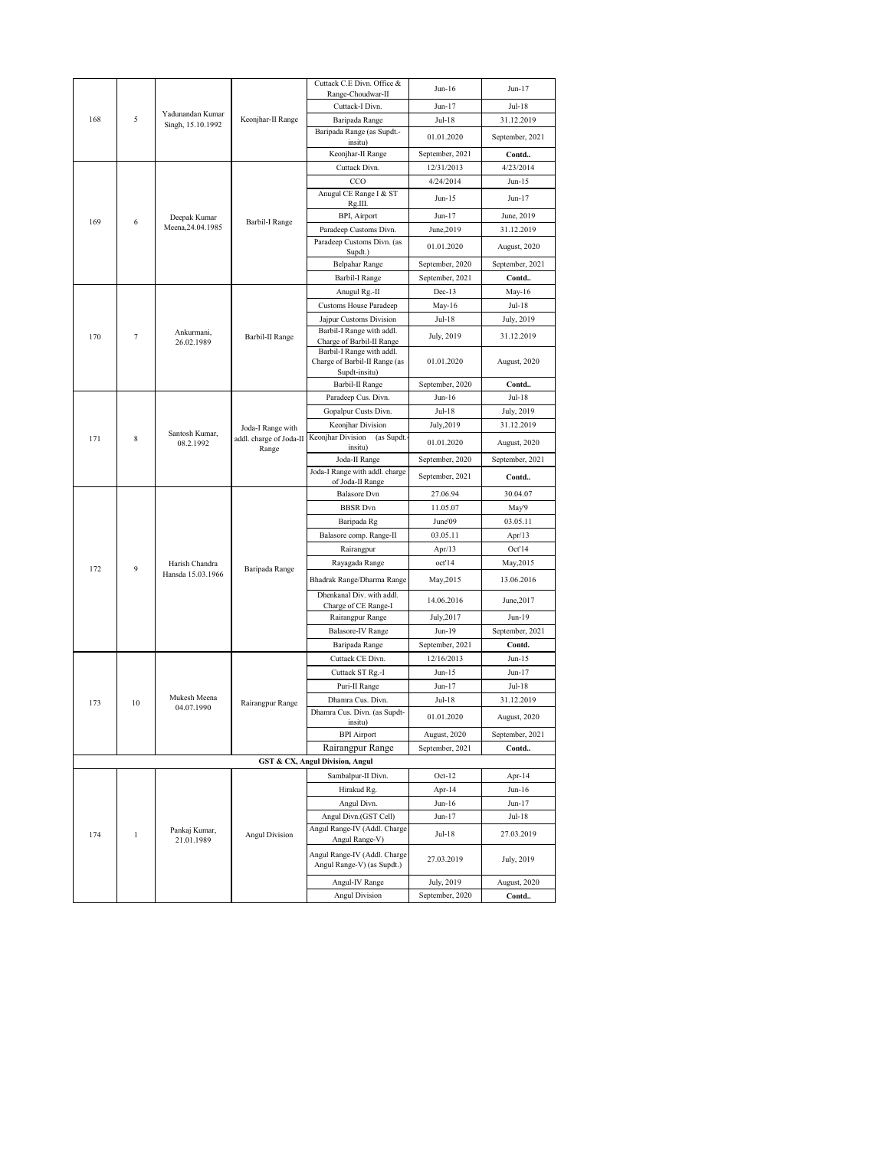|     |                                  |                                  |                                            | Cuttack C.E Divn. Office &                                 | $Jun-16$        | $Jun-17$        |
|-----|----------------------------------|----------------------------------|--------------------------------------------|------------------------------------------------------------|-----------------|-----------------|
|     |                                  |                                  |                                            | Range-Choudwar-II                                          |                 |                 |
|     |                                  | Yadunandan Kumar                 |                                            | Cuttack-I Divn.                                            | $Jun-17$        | Jul-18          |
| 168 | 5                                | Singh, 15.10.1992                | Keonjhar-II Range                          | Baripada Range                                             | Jul-18          | 31.12.2019      |
|     |                                  |                                  | Baripada Range (as Supdt.-<br>insitu)      | 01.01.2020                                                 | September, 2021 |                 |
|     |                                  |                                  |                                            | Keonjhar-II Range                                          | September, 2021 | Contd           |
|     |                                  |                                  |                                            | Cuttack Divn.                                              | 12/31/2013      | 4/23/2014       |
|     |                                  |                                  |                                            | CCO                                                        | 4/24/2014       | $Jun-15$        |
|     |                                  |                                  |                                            | Anugul CE Range I & ST<br>Rg.III.                          | Jun-15          | Jun-17          |
| 169 | 6                                | Deepak Kumar                     |                                            | BPI, Airport                                               | Jun-17          | June, 2019      |
|     |                                  | Meena, 24.04.1985                | Barbil-I Range                             | Paradeep Customs Divn.                                     | June, 2019      | 31.12.2019      |
|     |                                  |                                  |                                            | Paradeep Customs Divn. (as<br>Supdt.)                      | 01.01.2020      | August, 2020    |
|     |                                  |                                  |                                            | <b>Belpahar Range</b>                                      | September, 2020 | September, 2021 |
|     |                                  |                                  |                                            | <b>Barbil-I Range</b>                                      | September, 2021 | Contd           |
|     |                                  |                                  |                                            | Anugul Rg.-II                                              | $Dec-13$        | May-16          |
|     |                                  |                                  |                                            | <b>Customs House Paradeep</b>                              | May-16          | Jul-18          |
|     |                                  |                                  |                                            | Jajpur Customs Division                                    | Jul-18          | July, 2019      |
|     |                                  | Ankurmani,                       |                                            | Barbil-I Range with addl.                                  |                 | 31.12.2019      |
| 170 | 7                                | 26.02.1989                       | Barbil-II Range                            | Charge of Barbil-II Range                                  | July, 2019      |                 |
|     |                                  |                                  |                                            | Barbil-I Range with addl.<br>Charge of Barbil-II Range (as | 01.01.2020      |                 |
|     |                                  |                                  |                                            | Supdt-insitu)                                              |                 | August, 2020    |
|     |                                  |                                  |                                            | Barbil-II Range                                            | September, 2020 | Contd           |
|     |                                  |                                  |                                            | Paradeep Cus. Divn.                                        | $Jun-16$        | Jul-18          |
|     |                                  |                                  |                                            | Gopalpur Custs Divn.                                       | Jul-18          | July, 2019      |
|     |                                  |                                  | Joda-I Range with                          | Keonjhar Division                                          | July, 2019      | 31.12.2019      |
| 171 | Santosh Kumar,<br>8<br>08.2.1992 | addl. charge of Joda-II<br>Range | Keonjhar Division<br>(as Supdt.<br>insitu) | 01.01.2020                                                 | August, 2020    |                 |
|     |                                  |                                  |                                            | Joda-II Range                                              | September, 2020 | September, 2021 |
|     |                                  |                                  |                                            | Joda-I Range with addl. charge                             | September, 2021 | Contd           |
|     |                                  |                                  | of Joda-II Range                           |                                                            |                 |                 |
|     |                                  |                                  |                                            | <b>Balasore</b> Dvn                                        | 27.06.94        | 30.04.07        |
|     |                                  |                                  |                                            | <b>BBSR</b> Dvn                                            | 11.05.07        | May'9           |
|     |                                  |                                  |                                            | Baripada Rg                                                | June'09         | 03.05.11        |
|     |                                  |                                  |                                            | Balasore comp. Range-II                                    | 03.05.11        | Apr/13          |
|     |                                  |                                  |                                            | Rairangpur                                                 | Apr $/13$       | Oct'14          |
| 172 | 9                                | Harish Chandra                   | Baripada Range                             | Rayagada Range                                             | oct'14          | May,2015        |
|     |                                  | Hansda 15.03.1966                |                                            | Bhadrak Range/Dharma Range                                 | May, 2015       | 13.06.2016      |
|     |                                  |                                  |                                            | Dhenkanal Div. with addl.<br>Charge of CE Range-I          | 14.06.2016      | June, 2017      |
|     |                                  |                                  |                                            | Rairangpur Range                                           | July, 2017      | Jun-19          |
|     |                                  |                                  |                                            | Balasore-IV Range                                          | $Jun-19$        | September, 2021 |
|     |                                  |                                  |                                            | Baripada Range                                             | September, 2021 | Contd.          |
|     |                                  |                                  |                                            | Cuttack CE Divn.                                           | 12/16/2013      | $Jun-15$        |
|     |                                  |                                  |                                            | Cuttack ST Rg.-I                                           | $Jun-15$        | $Jun-17$        |
|     |                                  |                                  |                                            | Puri-II Range                                              | Jun-17          | Jul-18          |
| 173 | 10                               | Mukesh Meena                     | Rairangpur Range                           | Dhamra Cus. Divn.                                          | Jul-18          | 31.12.2019      |
|     |                                  | 04.07.1990                       |                                            | Dhamra Cus. Divn. (as Supdt-<br>insitu)                    | 01.01.2020      | August, 2020    |
|     |                                  |                                  |                                            | <b>BPI</b> Airport                                         | August, 2020    | September, 2021 |
|     |                                  |                                  |                                            | Rairangpur Range                                           | September, 2021 | Contd           |
|     |                                  |                                  |                                            | <b>GST &amp; CX, Angul Division, Angul</b>                 |                 |                 |
|     |                                  |                                  |                                            | Sambalpur-II Divn.                                         | $Oct-12$        | Apr-14          |
|     |                                  |                                  |                                            | Hirakud Rg.                                                | Apr-14          | Jun-16          |
|     |                                  |                                  |                                            | Angul Divn.                                                | Jun-16          | Jun-17          |
|     |                                  |                                  |                                            | Angul Divn.(GST Cell)                                      | Jun-17          | Jul-18          |
|     |                                  | Pankaj Kumar,                    |                                            | Angul Range-IV (Addl. Charge                               |                 |                 |
| 174 | $\mathbf{1}$                     | 21.01.1989                       | <b>Angul Division</b>                      | Angul Range-V)                                             | Jul-18          | 27.03.2019      |
|     |                                  |                                  |                                            | Angul Range-IV (Addl. Charge<br>Angul Range-V) (as Supdt.) | 27.03.2019      | July, 2019      |
|     |                                  |                                  |                                            | Angul-IV Range                                             | July, 2019      | August, 2020    |
|     |                                  |                                  |                                            | <b>Angul Division</b>                                      | September, 2020 | Contd           |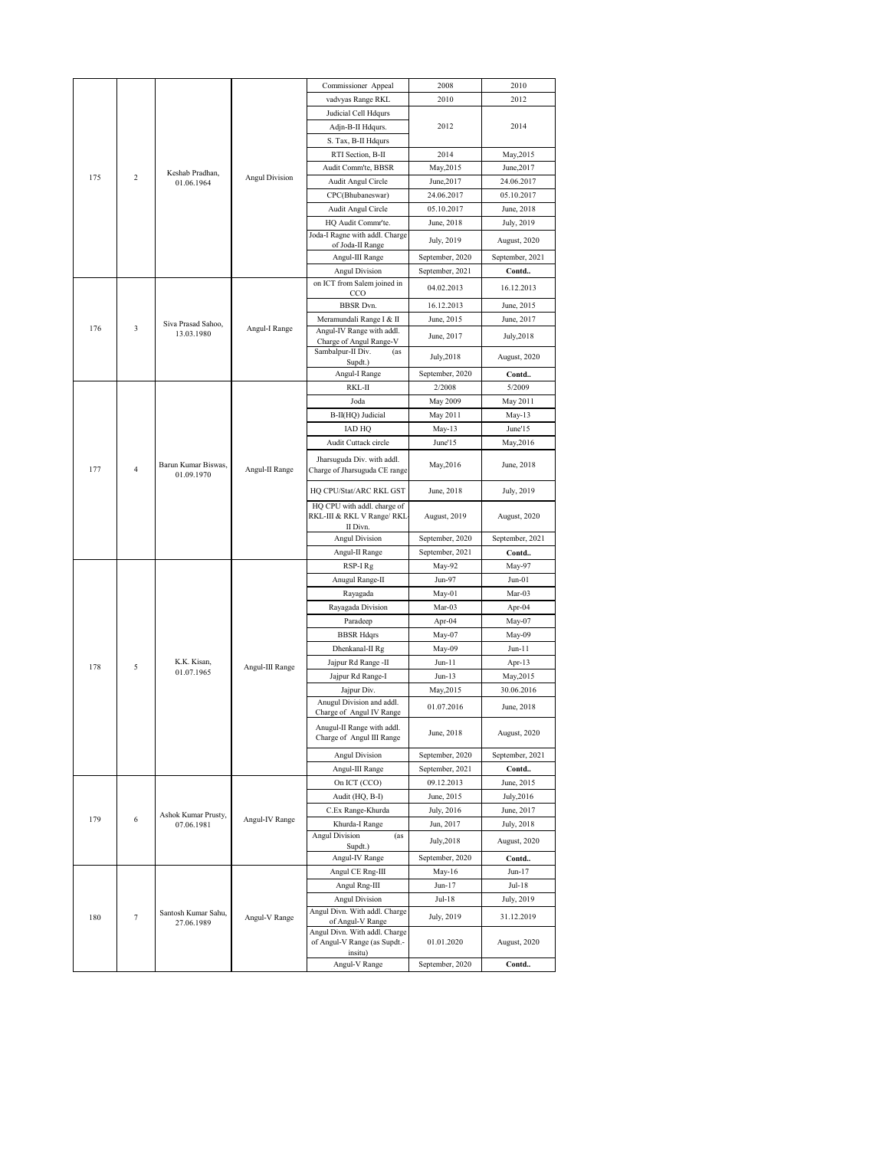|          |                                   |                               |                                                             | Commissioner Appeal                                                   | 2008            | 2010            |
|----------|-----------------------------------|-------------------------------|-------------------------------------------------------------|-----------------------------------------------------------------------|-----------------|-----------------|
|          |                                   |                               |                                                             | vadvyas Range RKL                                                     | 2010            | 2012            |
|          |                                   |                               |                                                             | Judicial Cell Hdqurs                                                  |                 |                 |
|          |                                   |                               |                                                             | Adjn-B-II Hdqurs.                                                     | 2012            | 2014            |
|          |                                   |                               |                                                             | S. Tax, B-II Hdqurs                                                   |                 |                 |
|          |                                   |                               |                                                             | RTI Section, B-II                                                     | 2014            | May, 2015       |
|          |                                   |                               |                                                             | Audit Comm'te, BBSR                                                   | May, 2015       | June, 2017      |
| 175      | 2                                 | Keshab Pradhan,<br>01.06.1964 | <b>Angul Division</b>                                       | Audit Angul Circle                                                    | June, 2017      | 24.06.2017      |
|          |                                   |                               |                                                             | CPC(Bhubaneswar)                                                      | 24.06.2017      | 05.10.2017      |
|          |                                   |                               |                                                             | Audit Angul Circle                                                    | 05.10.2017      | June, 2018      |
|          |                                   |                               |                                                             | HQ Audit Commr'te.                                                    | June, 2018      | July, 2019      |
|          |                                   |                               |                                                             | Joda-I Ragne with addl. Charge                                        | July, 2019      | August, 2020    |
|          |                                   |                               |                                                             | of Joda-II Range                                                      |                 |                 |
|          |                                   |                               |                                                             | Angul-III Range                                                       | September, 2020 | September, 2021 |
|          |                                   |                               |                                                             | <b>Angul Division</b><br>on ICT from Salem joined in                  | September, 2021 | Contd           |
|          |                                   |                               |                                                             | CCO                                                                   | 04.02.2013      | 16.12.2013      |
|          |                                   |                               |                                                             | <b>BBSR</b> Dvn.                                                      | 16.12.2013      | June, 2015      |
|          |                                   | Siva Prasad Sahoo,            |                                                             | Meramundali Range I & II                                              | June, 2015      | June, 2017      |
| 176      | 3                                 | 13.03.1980                    | Angul-I Range                                               | Angul-IV Range with addl.                                             | June, 2017      | July, 2018      |
|          |                                   |                               |                                                             | Charge of Angul Range-V<br>Sambalpur-II Div.<br>(as                   |                 |                 |
|          |                                   |                               |                                                             | Supdt.)                                                               | July, 2018      | August, 2020    |
|          |                                   |                               |                                                             | Angul-I Range                                                         | September, 2020 | Contd           |
|          |                                   |                               |                                                             | RKL-II                                                                | 2/2008          | 5/2009          |
|          |                                   |                               |                                                             | Joda                                                                  | May 2009        | May 2011        |
|          |                                   |                               |                                                             | B-II(HQ) Judicial                                                     | May 2011        | May-13          |
|          |                                   |                               |                                                             | IAD HQ                                                                | May-13          | June'15         |
|          |                                   |                               |                                                             | Audit Cuttack circle                                                  | June'15         | May, 2016       |
| 177<br>4 | Barun Kumar Biswas,<br>01.09.1970 | Angul-II Range                | Jharsuguda Div. with addl.<br>Charge of Jharsuguda CE range | May, 2016                                                             | June, 2018      |                 |
|          |                                   |                               |                                                             | HQ CPU/Stat/ARC RKL GST                                               | June, 2018      | July, 2019      |
|          |                                   |                               |                                                             | HQ CPU with addl. charge of<br>RKL-III & RKL V Range/ RKL<br>II Divn. | August, 2019    | August, 2020    |
|          |                                   |                               |                                                             | <b>Angul Division</b>                                                 | September, 2020 | September, 2021 |
|          |                                   |                               |                                                             | Angul-II Range                                                        | September, 2021 | Contd           |
|          |                                   |                               |                                                             | RSP-I Rg                                                              | May-92          | May-97          |
|          |                                   |                               |                                                             | Anugul Range-II                                                       | Jun-97          | $Jun-01$        |
|          |                                   |                               |                                                             | Rayagada                                                              | May-01          | Mar-03          |
|          |                                   |                               |                                                             | Rayagada Division                                                     | Mar-03          | Apr-04          |
|          |                                   |                               |                                                             | Paradeep                                                              | Apr-04          | May-07          |
|          |                                   |                               |                                                             | <b>BBSR Hdqrs</b>                                                     | May-07          | May-09          |
|          |                                   |                               |                                                             | Dhenkanal-II Rg                                                       | May-09          | Jun-11          |
| 178      | 5                                 | K.K. Kisan,                   | Angul-III Range                                             | Jajpur Rd Range -II                                                   | Jun-11          | Apr-13          |
|          |                                   | 01.07.1965                    |                                                             | Jajpur Rd Range-I                                                     | $Jun-13$        | May, 2015       |
|          |                                   |                               |                                                             | Jajpur Div.                                                           | May, 2015       | 30.06.2016      |
|          |                                   |                               |                                                             | Anugul Division and addl.<br>Charge of Angul IV Range                 | 01.07.2016      | June, 2018      |
|          |                                   |                               |                                                             | Anugul-II Range with addl.                                            |                 |                 |
|          |                                   |                               |                                                             | Charge of Angul III Range                                             | June, 2018      | August, 2020    |
|          |                                   |                               |                                                             | <b>Angul Division</b>                                                 | September, 2020 | September, 2021 |
|          |                                   |                               |                                                             | Angul-III Range                                                       | September, 2021 | Contd           |
|          |                                   |                               |                                                             | On ICT (CCO)                                                          | 09.12.2013      | June, 2015      |
|          |                                   |                               |                                                             | Audit (HQ, B-I)                                                       | June, 2015      | July, 2016      |
|          |                                   | Ashok Kumar Prusty,           |                                                             | C.Ex Range-Khurda                                                     | July, 2016      | June, 2017      |
| 179      | 6                                 | 07.06.1981                    | Angul-IV Range                                              | Khurda-I Range                                                        | Jun, 2017       | July, 2018      |
|          |                                   |                               |                                                             | Angul Division<br>(as<br>Supdt.)                                      | July,2018       | August, 2020    |
|          |                                   |                               |                                                             | Angul-IV Range                                                        | September, 2020 | Contd           |
|          |                                   |                               |                                                             | Angul CE Rng-III                                                      | May-16          | Jun-17          |
|          |                                   |                               |                                                             | Angul Rng-III                                                         | Jun-17          | Jul-18          |
|          |                                   |                               |                                                             | Angul Division                                                        | Jul-18          | July, 2019      |
|          | $\tau$                            | Santosh Kumar Sahu,           |                                                             | Angul Divn. With addl. Charge                                         | July, 2019      | 31.12.2019      |
| 180      |                                   | 27.06.1989                    | Angul-V Range                                               | of Angul-V Range<br>Angul Divn. With addl. Charge                     |                 |                 |
|          |                                   |                               |                                                             | of Angul-V Range (as Supdt.-                                          | 01.01.2020      | August, 2020    |
|          |                                   |                               |                                                             | insitu)                                                               |                 |                 |
|          |                                   |                               |                                                             | Angul-V Range                                                         | September, 2020 | Contd           |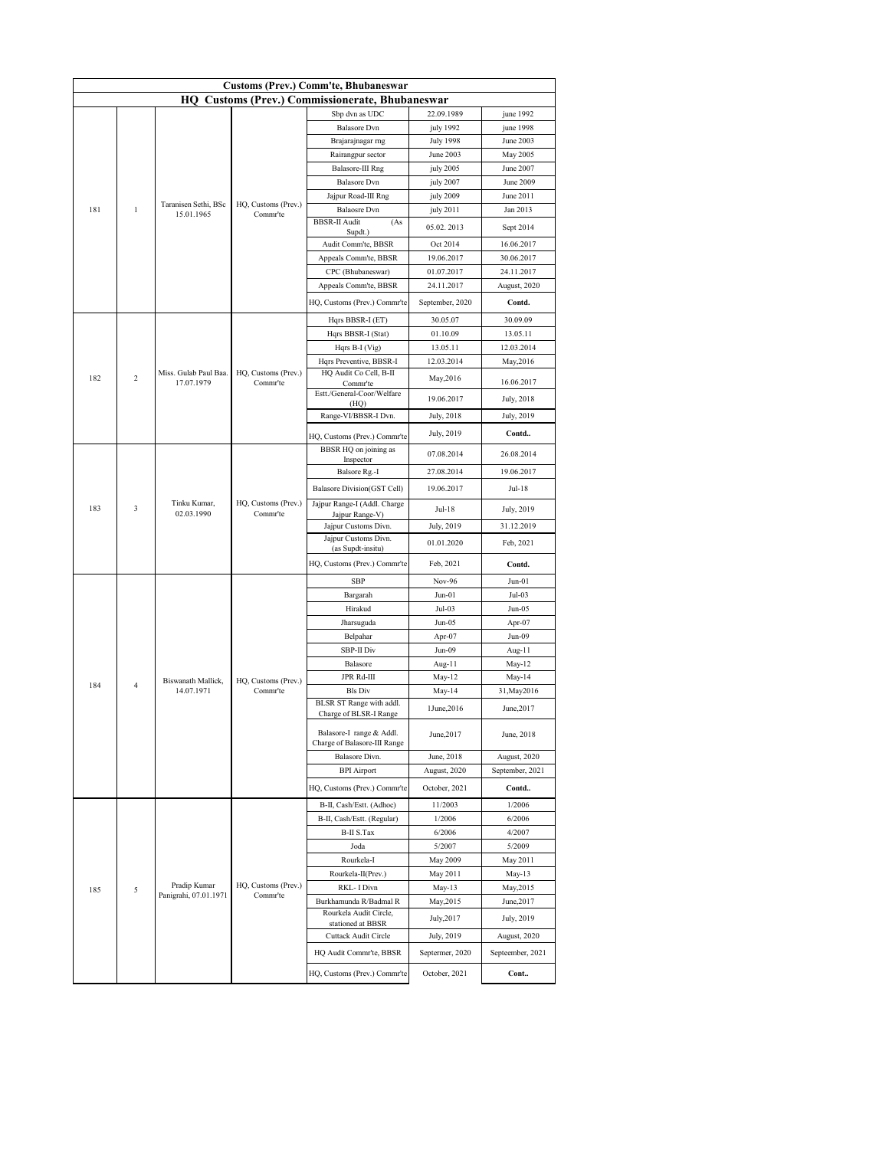| <b>Customs (Prev.) Comm'te, Bhubaneswar</b> |                |                                    |                                    |                                                          |                  |                  |  |  |
|---------------------------------------------|----------------|------------------------------------|------------------------------------|----------------------------------------------------------|------------------|------------------|--|--|
|                                             |                |                                    |                                    | <b>HQ Customs (Prev.) Commissionerate, Bhubaneswar</b>   |                  |                  |  |  |
|                                             |                |                                    |                                    | Sbp dvn as UDC                                           | 22.09.1989       | june 1992        |  |  |
|                                             |                |                                    |                                    | <b>Balasore</b> Dvn                                      | july 1992        | june 1998        |  |  |
|                                             |                |                                    |                                    | Brajarajnagar rng                                        | <b>July 1998</b> | June 2003        |  |  |
|                                             |                |                                    |                                    | Rairangpur sector                                        | June 2003        | May 2005         |  |  |
|                                             |                |                                    |                                    | Balasore-III Rng                                         | july 2005        | June 2007        |  |  |
|                                             |                |                                    |                                    | <b>Balasore</b> Dvn                                      | july 2007        | June 2009        |  |  |
|                                             |                |                                    |                                    | Jajpur Road-III Rng                                      | july 2009        | June 2011        |  |  |
| 181                                         | $\mathbf{1}$   | Taranisen Sethi, BSc<br>15.01.1965 | HQ, Customs (Prev.)<br>Commr'te    | <b>Balaosre</b> Dvn                                      | july 2011        | Jan 2013         |  |  |
|                                             |                |                                    |                                    | <b>BBSR-II Audit</b><br>(As<br>Supdt.)                   | 05.02.2013       | Sept 2014        |  |  |
|                                             |                |                                    |                                    | Audit Comm'te, BBSR                                      | Oct 2014         | 16.06.2017       |  |  |
|                                             |                |                                    |                                    | Appeals Comm'te, BBSR                                    | 19.06.2017       | 30.06.2017       |  |  |
|                                             |                |                                    |                                    | CPC (Bhubaneswar)                                        | 01.07.2017       | 24.11.2017       |  |  |
|                                             |                |                                    |                                    | Appeals Comm'te, BBSR                                    | 24.11.2017       | August, 2020     |  |  |
|                                             |                |                                    |                                    | HQ, Customs (Prev.) Commr'te                             | September, 2020  | Contd.           |  |  |
|                                             |                |                                    |                                    | Hqrs BBSR-I (ET)                                         | 30.05.07         | 30.09.09         |  |  |
|                                             |                |                                    |                                    | Hqrs BBSR-I (Stat)                                       | 01.10.09         | 13.05.11         |  |  |
|                                             |                |                                    |                                    | Hqrs B-I (Vig)                                           | 13.05.11         | 12.03.2014       |  |  |
|                                             |                |                                    |                                    | Hqrs Preventive, BBSR-I                                  | 12.03.2014       | May, 2016        |  |  |
|                                             |                | Miss. Gulab Paul Baa.              | HQ, Customs (Prev.)                | HQ Audit Co Cell, B-II                                   |                  |                  |  |  |
| 182<br>$\overline{c}$                       | 17.07.1979     | Commr'te                           | Commr'te                           | May, 2016                                                | 16.06.2017       |                  |  |  |
|                                             |                |                                    | Estt./General-Coor/Welfare<br>(HQ) | 19.06.2017                                               | July, 2018       |                  |  |  |
|                                             |                |                                    | Range-VI/BBSR-I Dvn.               | July, 2018                                               | July, 2019       |                  |  |  |
|                                             |                |                                    |                                    | HQ, Customs (Prev.) Commr'te                             | July, 2019       | Contd            |  |  |
|                                             |                |                                    |                                    | BBSR HQ on joining as                                    |                  | 26.08.2014       |  |  |
|                                             |                |                                    |                                    | Inspector                                                | 07.08.2014       |                  |  |  |
|                                             |                |                                    |                                    | Balsore Rg.-I                                            | 27.08.2014       | 19.06.2017       |  |  |
|                                             |                |                                    | Balasore Division(GST Cell)        | 19.06.2017                                               | Jul-18           |                  |  |  |
| 183                                         | 3              | Tinku Kumar,<br>02.03.1990         | HQ, Customs (Prev.)<br>Commr'te    | Jajpur Range-I (Addl. Charge<br>Jajpur Range-V)          | Jul-18           | July, 2019       |  |  |
|                                             |                |                                    |                                    | Jajpur Customs Divn.                                     | July, 2019       | 31.12.2019       |  |  |
|                                             |                |                                    |                                    | Jajpur Customs Divn.<br>(as Supdt-insitu)                | 01.01.2020       | Feb, 2021        |  |  |
|                                             |                |                                    |                                    | HQ, Customs (Prev.) Commr'te                             | Feb, 2021        | Contd.           |  |  |
|                                             |                |                                    |                                    | SBP                                                      | Nov-96           | $Jun-01$         |  |  |
|                                             |                |                                    |                                    | Bargarah                                                 | $Jun-01$         | Jul-03           |  |  |
|                                             |                |                                    |                                    | Hirakud                                                  | $Jul-03$         | $Jun-05$         |  |  |
|                                             |                |                                    |                                    | Jharsuguda                                               | $Jun-05$         | Apr-07           |  |  |
|                                             |                |                                    |                                    | Belpahar                                                 | Apr-07           | Jun-09           |  |  |
|                                             |                |                                    |                                    | <b>SBP-II Div</b>                                        | $Jun-09$         | Aug-11           |  |  |
|                                             |                |                                    |                                    | Balasore                                                 | Aug-11           | May-12           |  |  |
|                                             |                | Biswanath Mallick.                 | HQ, Customs (Prev.)                | <b>JPR Rd-III</b>                                        | $May-12$         | May-14           |  |  |
| 184                                         | $\overline{4}$ | 14.07.1971                         | Commr'te                           | <b>Bls Div</b>                                           | May-14           | 31, May 2016     |  |  |
|                                             |                |                                    |                                    | BLSR ST Range with addl.<br>Charge of BLSR-I Range       | 1June, 2016      | June, 2017       |  |  |
|                                             |                |                                    |                                    | Balasore-I range & Addl.<br>Charge of Balasore-III Range | June, 2017       | June, 2018       |  |  |
|                                             |                |                                    |                                    | Balasore Divn.                                           | June, 2018       | August, 2020     |  |  |
|                                             |                |                                    |                                    |                                                          |                  |                  |  |  |
|                                             |                |                                    |                                    | <b>BPI</b> Airport                                       | August, 2020     | September, 2021  |  |  |
|                                             |                |                                    |                                    | HQ, Customs (Prev.) Commr'te                             | October, 2021    | Contd            |  |  |
|                                             |                |                                    |                                    | B-II, Cash/Estt. (Adhoc)                                 | 11/2003          | 1/2006           |  |  |
|                                             |                |                                    |                                    | B-II, Cash/Estt. (Regular)                               | 1/2006           | 6/2006           |  |  |
|                                             |                |                                    |                                    | <b>B-II S.Tax</b>                                        | 6/2006           | 4/2007           |  |  |
|                                             |                |                                    |                                    | Joda                                                     | 5/2007           | 5/2009           |  |  |
|                                             |                |                                    |                                    | Rourkela-I                                               | May 2009         | May 2011         |  |  |
|                                             |                | Pradip Kumar                       | HQ, Customs (Prev.)                | Rourkela-II(Prev.)                                       | May 2011         | May-13           |  |  |
| 185                                         | 5              | Panigrahi, 07.01.1971              | Commr'te                           | RKL- I Divn                                              | May-13           | May, 2015        |  |  |
|                                             |                |                                    |                                    | Burkhamunda R/Badmal R<br>Rourkela Audit Circle,         | May, 2015        | June, 2017       |  |  |
|                                             |                |                                    |                                    | stationed at BBSR                                        | July, 2017       | July, 2019       |  |  |
|                                             |                |                                    |                                    | Cuttack Audit Circle                                     | July, 2019       | August, 2020     |  |  |
|                                             |                |                                    |                                    | HQ Audit Commr'te, BBSR                                  | Septermer, 2020  | Septeember, 2021 |  |  |
|                                             |                |                                    |                                    | HQ, Customs (Prev.) Commr'te                             | October, 2021    | Cont             |  |  |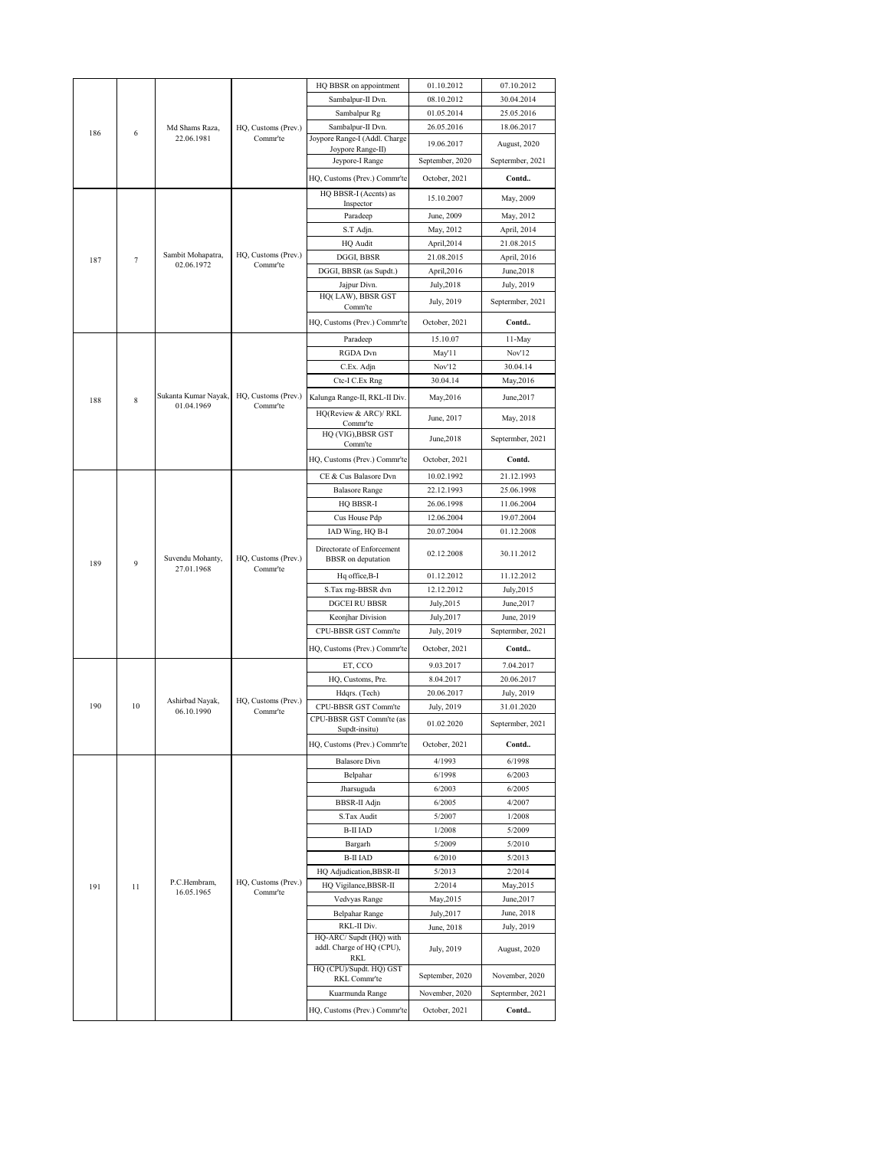|     |    |                                    |                                            | HQ BBSR on appointment                                      | 01.10.2012       | 07.10.2012       |
|-----|----|------------------------------------|--------------------------------------------|-------------------------------------------------------------|------------------|------------------|
|     |    |                                    |                                            | Sambalpur-II Dvn.                                           | 08.10.2012       | 30.04.2014       |
|     |    |                                    |                                            | Sambalpur Rg                                                | 01.05.2014       | 25.05.2016       |
| 186 | 6  | Md Shams Raza,                     | HQ, Customs (Prev.)                        | Sambalpur-II Dvn.                                           | 26.05.2016       | 18.06.2017       |
|     |    | 22.06.1981                         | Commr'te                                   | Joypore Range-I (Addl. Charge                               | 19.06.2017       | August, 2020     |
|     |    |                                    |                                            | Joypore Range-II)<br>Jeypore-I Range                        | September, 2020  | Septermber, 2021 |
|     |    |                                    |                                            | HQ, Customs (Prev.) Commr'te                                | October, 2021    | Contd            |
|     |    |                                    |                                            |                                                             |                  |                  |
|     |    |                                    |                                            | HQ BBSR-I (Accnts) as<br>Inspector                          | 15.10.2007       | May, 2009        |
|     |    |                                    |                                            | Paradeep                                                    | June, 2009       | May, 2012        |
|     |    |                                    |                                            | S.T Adjn.                                                   | May, 2012        | April, 2014      |
|     |    |                                    |                                            | HQ Audit                                                    | April, 2014      | 21.08.2015       |
| 187 | 7  | Sambit Mohapatra,<br>02.06.1972    | HQ, Customs (Prev.)<br>Commr'te            | DGGI, BBSR                                                  | 21.08.2015       | April, 2016      |
|     |    |                                    |                                            | DGGI, BBSR (as Supdt.)                                      | April, 2016      | June, 2018       |
|     |    |                                    |                                            | Jajpur Divn.<br>HQ(LAW), BBSR GST                           | July, 2018       | July, 2019       |
|     |    |                                    |                                            | Comm'te                                                     | July, 2019       | Septermber, 2021 |
|     |    |                                    |                                            | HQ, Customs (Prev.) Commr'te                                | October, 2021    | Contd            |
|     |    |                                    |                                            | Paradeep                                                    | 15.10.07         | 11-May           |
|     |    |                                    |                                            | RGDA Dvn                                                    | May'11           | Nov'12           |
|     |    |                                    |                                            | C.Ex. Adjn                                                  | Nov'12           | 30.04.14         |
|     |    |                                    |                                            | Ctc-I C.Ex Rng                                              | 30.04.14         | May, 2016        |
| 188 | 8  | Sukanta Kumar Nayak,<br>01.04.1969 | HQ, Customs (Prev.)<br>Comm <sup>'te</sup> | Kalunga Range-II, RKL-II Div.                               | May, 2016        | June, 2017       |
|     |    |                                    |                                            | HQ(Review & ARC)/RKL<br>Commr'te                            | June, 2017       | May, 2018        |
|     |    |                                    |                                            | HQ (VIG), BBSR GST                                          | June, 2018       | Septermber, 2021 |
|     |    |                                    |                                            | Comm'te<br>HQ, Customs (Prev.) Commr'te                     | October, 2021    | Contd.           |
|     |    |                                    |                                            | CE & Cus Balasore Dvn                                       | 10.02.1992       | 21.12.1993       |
|     |    |                                    |                                            | <b>Balasore Range</b>                                       | 22.12.1993       | 25.06.1998       |
|     |    |                                    |                                            | HQ BBSR-I                                                   | 26.06.1998       | 11.06.2004       |
|     |    |                                    | Cus House Pdp                              | 12.06.2004                                                  | 19.07.2004       |                  |
|     |    |                                    | IAD Wing, HQ B-I                           | 20.07.2004                                                  | 01.12.2008       |                  |
| 189 | 9  | Suvendu Mohanty,<br>27.01.1968     | HQ, Customs (Prev.)                        | Directorate of Enforcement<br><b>BBSR</b> on deputation     | 02.12.2008       | 30.11.2012       |
|     |    |                                    | Commr'te                                   | Hq office, B-I                                              | 01.12.2012       | 11.12.2012       |
|     |    |                                    |                                            | S.Tax rng-BBSR dvn                                          | 12.12.2012       | July, 2015       |
|     |    |                                    |                                            | <b>DGCEI RU BBSR</b>                                        | July, 2015       | June, 2017       |
|     |    |                                    |                                            | Keonjhar Division                                           | July, 2017       | June, 2019       |
|     |    |                                    |                                            | CPU-BBSR GST Comm'te                                        | July, 2019       | Septermber, 2021 |
|     |    |                                    |                                            | HQ, Customs (Prev.) Commr'te                                | October, 2021    | Contd            |
|     |    |                                    |                                            | ET, CCO                                                     | 9.03.2017        | 7.04.2017        |
|     |    |                                    |                                            | HQ, Customs, Pre.                                           | 8.04.2017        | 20.06.2017       |
|     |    | Ashirbad Nayak,                    | HQ, Customs (Prev.)                        | Hdqrs. (Tech)                                               | 20.06.2017       | July, 2019       |
| 190 | 10 | 06.10.1990                         | Comm <sup>'te</sup>                        | CPU-BBSR GST Comm'te<br>CPU-BBSR GST Comm'te (as            | July, 2019       | 31.01.2020       |
|     |    |                                    |                                            | Supat-insitu)                                               | 01.02.2020       | Septermber, 2021 |
|     |    |                                    |                                            | HQ, Customs (Prev.) Commr'te                                | October, 2021    | Contd            |
|     |    |                                    |                                            | <b>Balasore</b> Divn                                        | 4/1993           | 6/1998           |
|     |    |                                    |                                            | Belpahar                                                    | 6/1998           | 6/2003           |
|     |    |                                    |                                            | Jharsuguda                                                  | 6/2003           | 6/2005           |
|     |    |                                    |                                            | BBSR-II Adjn                                                | 6/2005           | 4/2007           |
|     |    |                                    |                                            | S.Tax Audit<br><b>B-II IAD</b>                              | 5/2007<br>1/2008 | 1/2008<br>5/2009 |
|     |    |                                    |                                            | Bargarh                                                     | 5/2009           | 5/2010           |
|     |    |                                    |                                            | <b>B-II IAD</b>                                             | 6/2010           | 5/2013           |
|     |    |                                    |                                            | HQ Adjudication, BBSR-II                                    | 5/2013           | 2/2014           |
| 191 | 11 | P.C.Hembram,                       | HQ, Customs (Prev.)                        | HQ Vigilance, BBSR-II                                       | 2/2014           | May, 2015        |
|     |    | 16.05.1965                         | Comm <sup>-t</sup> e                       | Vedvyas Range                                               | May, 2015        | June, 2017       |
|     |    |                                    |                                            | Belpahar Range                                              | July, 2017       | June, 2018       |
|     |    |                                    |                                            | RKL-II Div.                                                 | June, 2018       | July, 2019       |
|     |    |                                    |                                            | HQ-ARC/ Supdt (HQ) with<br>addl. Charge of HQ (CPU),<br>RKL | July, 2019       | August, 2020     |
|     |    |                                    |                                            | HQ (CPU)/Supdt. HQ) GST<br>RKL Commr'te                     | September, 2020  | November, 2020   |
|     |    |                                    |                                            | Kuarmunda Range                                             | November, 2020   | Septermber, 2021 |
|     |    |                                    |                                            | HQ, Customs (Prev.) Commr'te                                | October, 2021    | Contd            |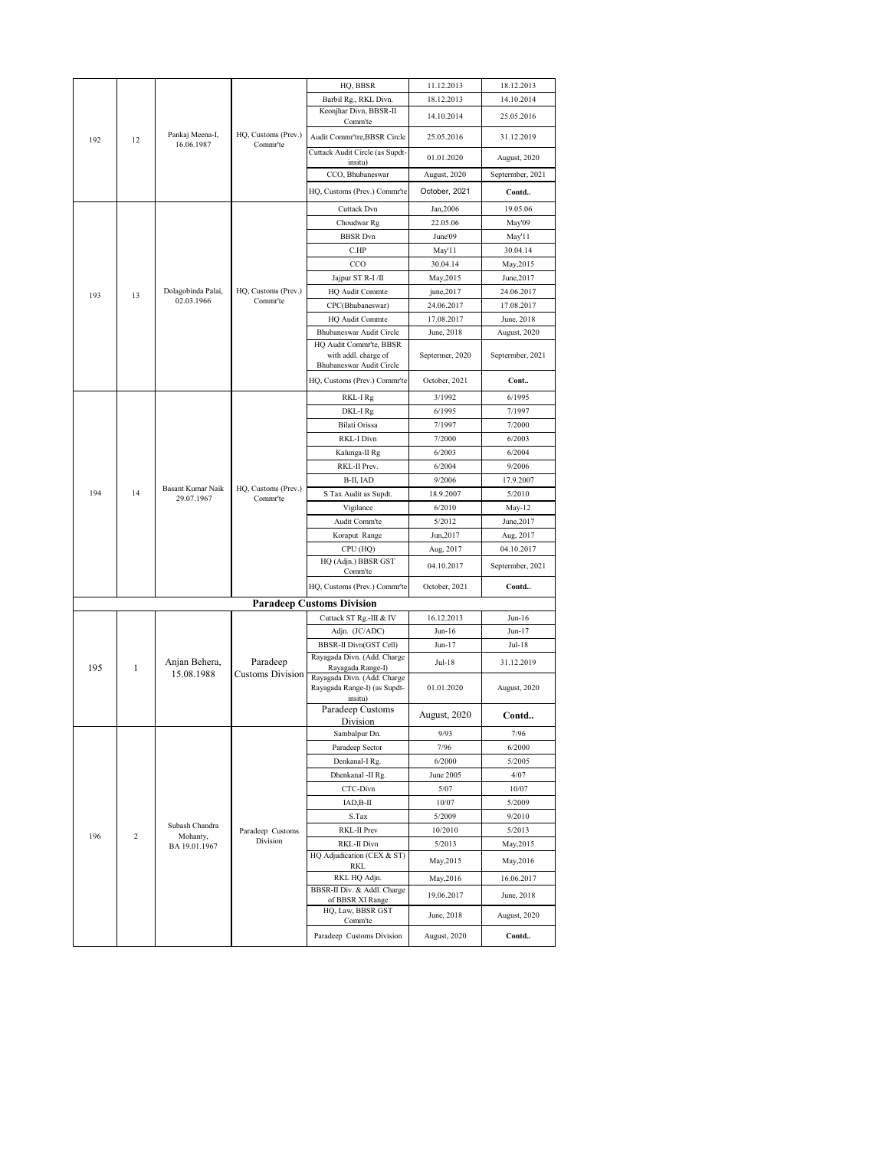|           |                |                               |                         | HQ, BBSR                                                                                    | 11.12.2013      | 18.12.2013       |
|-----------|----------------|-------------------------------|-------------------------|---------------------------------------------------------------------------------------------|-----------------|------------------|
|           |                |                               |                         | Barbil Rg., RKL Divn.                                                                       | 18.12.2013      | 14.10.2014       |
|           |                |                               |                         | Keonjhar Divn, BBSR-II<br>Comm'te                                                           | 14.10.2014      | 25.05.2016       |
| 192       | 12             | Pankaj Meena-I,<br>16.06.1987 | HQ, Customs (Prev.)     | Audit Commr'tre, BBSR Circle                                                                | 25.05.2016      | 31.12.2019       |
|           |                |                               | Commr'te                | Cuttack Audit Circle (as Supdt-                                                             | 01.01.2020      | August, 2020     |
|           |                |                               |                         | insitu)<br>CCO, Bhubaneswar                                                                 | August, 2020    | Septermber, 2021 |
|           |                |                               |                         | HQ, Customs (Prev.) Commr'te                                                                | October, 2021   | Contd            |
|           |                |                               | Cuttack Dvn             | Jan, 2006                                                                                   | 19.05.06        |                  |
|           |                |                               |                         | Choudwar Rg                                                                                 | 22.05.06        | May'09           |
|           |                |                               |                         | <b>BBSR</b> Dvn                                                                             | June'09         | May'11           |
|           |                |                               |                         | C.HP                                                                                        | May'11          | 30.04.14         |
|           |                |                               |                         | CCO                                                                                         | 30.04.14        | May,2015         |
|           |                |                               |                         | Jajpur ST R-I/II                                                                            | May, 2015       | June, 2017       |
| 193       | 13             | Dolagobinda Palai,            | HQ, Customs (Prev.)     | HQ Audit Commte                                                                             | june,2017       | 24.06.2017       |
|           |                | 02.03.1966                    | Commr'te                | CPC(Bhubaneswar)                                                                            | 24.06.2017      | 17.08.2017       |
|           |                |                               |                         | HQ Audit Commte                                                                             | 17.08.2017      | June, 2018       |
|           |                |                               |                         | Bhubaneswar Audit Circle                                                                    | June, 2018      | August, 2020     |
|           |                |                               |                         | HQ Audit Commr'te, BBSR                                                                     |                 |                  |
|           |                |                               |                         | with addl. charge of<br>Bhubaneswar Audit Circle                                            | Septermer, 2020 | Septermber, 2021 |
|           |                |                               |                         | HQ, Customs (Prev.) Commr'te                                                                | October, 2021   | Cont             |
|           |                |                               | RKL-I Rg                | 3/1992                                                                                      | 6/1995          |                  |
|           |                |                               |                         | DKL-I Rg                                                                                    | 6/1995          | 7/1997           |
|           |                |                               |                         | Bilati Orissa                                                                               | 7/1997          | 7/2000           |
|           |                |                               | RKL-I Divn              | 7/2000                                                                                      | 6/2003          |                  |
| 194<br>14 |                |                               | Kalunga-II Rg           | 6/2003                                                                                      | 6/2004          |                  |
|           |                |                               |                         | RKL-II Prev.                                                                                | 6/2004          | 9/2006           |
|           |                | <b>Basant Kumar Naik</b>      | HQ, Customs (Prev.)     | B-II, IAD                                                                                   | 9/2006          | 17.9.2007        |
|           |                | 29.07.1967                    | Commr'te                | S Tax Audit as Supdt.                                                                       | 18.9.2007       | 5/2010           |
|           |                |                               | Vigilance               | 6/2010                                                                                      | May-12          |                  |
|           |                |                               |                         | Audit Comm'te                                                                               | 5/2012          | June, 2017       |
|           |                |                               |                         | Koraput Range                                                                               | Jun, 2017       | Aug, 2017        |
|           |                |                               |                         | CPU (HQ)                                                                                    | Aug, 2017       | 04.10.2017       |
|           |                |                               |                         | HQ (Adjn.) BBSR GST<br>Comm'te                                                              | 04.10.2017      | Septermber, 2021 |
|           |                |                               |                         | HQ, Customs (Prev.) Commr'te                                                                | October, 2021   | Contd            |
|           |                |                               |                         | <b>Paradeep Customs Division</b>                                                            |                 |                  |
|           |                |                               |                         | Cuttack ST Rg.-III & IV                                                                     | 16.12.2013      | $Jun-16$         |
|           |                |                               |                         | Adjn. (JC/ADC)                                                                              | Jun-16          | Jun-17           |
|           |                |                               |                         | BBSR-II Divn(GST Cell)                                                                      | Jun-17          | Jul-18           |
|           |                | Anjan Behera,                 | Paradeep                | Rayagada Divn. (Add. Charge                                                                 | Jul-18          | 31.12.2019       |
| 195       | 1              | 15.08.1988                    | <b>Customs Division</b> | Rayagada Range-I)<br>Rayagada Divn. (Add. Charge<br>Rayagada Range-I) (as Supdt-<br>insitu) | 01.01.2020      | August, 2020     |
|           |                |                               |                         | Paradeep Customs<br>Division                                                                | August, 2020    | Contd            |
|           |                |                               |                         | Sambalpur Dn.                                                                               | 9/93            | 7/96             |
|           |                |                               |                         | Paradeep Sector                                                                             | 7/96            | 6/2000           |
|           |                |                               |                         | Denkanal-I Rg.                                                                              | 6/2000          | 5/2005           |
|           |                |                               |                         | Dhenkanal - II Rg.                                                                          | June 2005       | 4/07             |
|           |                |                               |                         | CTC-Divn                                                                                    | 5/07            | 10/07            |
|           |                |                               |                         | IAD,B-II                                                                                    | 10/07           | 5/2009           |
|           |                |                               |                         | S.Tax                                                                                       | 5/2009          | 9/2010           |
| 196       | $\overline{c}$ | Subash Chandra                | Paradeep Customs        | RKL-II Prev                                                                                 | 10/2010         | 5/2013           |
|           |                | Mohanty,<br>BA 19.01.1967     | Division                | RKL-II Divn                                                                                 | 5/2013          | May, 2015        |
|           |                |                               |                         | HQ Adjudication (CEX & ST)                                                                  | May, 2015       | May, 2016        |
|           |                |                               |                         | RKL                                                                                         |                 |                  |
|           |                |                               |                         | RKL HQ Adjn.<br>BBSR-II Div. & Addl. Charge                                                 | May, 2016       | 16.06.2017       |
|           |                |                               |                         | of BBSR XI Range                                                                            | 19.06.2017      | June, 2018       |
|           |                |                               |                         | HQ, Law, BBSR GST                                                                           | June, 2018      | August, 2020     |
|           |                |                               |                         | $\mathop{\mathsf{Comm}}\nolimits$ te<br>Paradeep Customs Division                           | August, 2020    | Contd            |
|           |                |                               |                         |                                                                                             |                 |                  |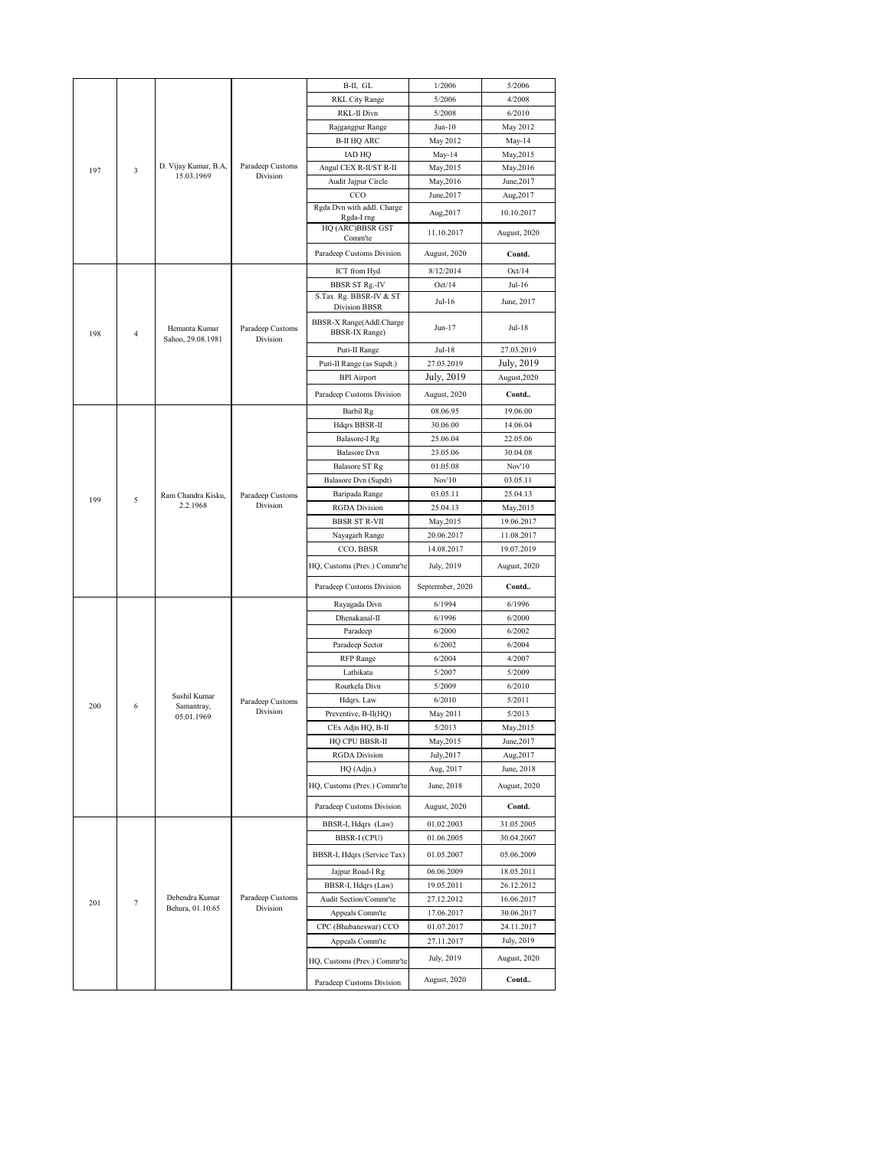|     |          |                                    |                              | B-II, GL                              | 1/2006              | 5/2006           |
|-----|----------|------------------------------------|------------------------------|---------------------------------------|---------------------|------------------|
|     |          |                                    |                              | <b>RKL City Range</b>                 | 5/2006              | 4/2008           |
|     |          |                                    |                              | RKL-II Divn                           | 5/2008              | 6/2010           |
|     |          |                                    |                              | Rajgangpur Range                      | $Jun-10$            | May 2012         |
|     |          |                                    |                              | <b>B-II HQ ARC</b>                    | May 2012            | May-14           |
|     |          |                                    |                              | <b>IAD HQ</b>                         | May-14              | May, 2015        |
| 197 | 3        | D. Vijay Kumar, B.A,               | Paradeep Customs             | Angul CEX R-II/ST R-II                | May, 2015           | May, 2016        |
|     |          | 15.03.1969                         | Division                     | Audit Jajpur Circle                   | May, 2016           | June, 2017       |
|     |          |                                    |                              | CCO                                   | June, 2017          | Aug, 2017        |
|     |          |                                    |                              | Rgda Dvn with addl. Charge            | Aug, 2017           | 10.10.2017       |
|     |          |                                    |                              | Rgda-I rng<br>HQ (ARC)BBSR GST        |                     |                  |
|     |          |                                    | Comm'te                      | 11.10.2017                            | August, 2020        |                  |
|     |          |                                    |                              | Paradeep Customs Division             | August, 2020        | Contd.           |
|     |          |                                    |                              |                                       |                     |                  |
|     |          |                                    |                              | ICT from Hyd<br><b>BBSR ST Rg.-IV</b> | 8/12/2014<br>Oct/14 | Oct/14<br>Jul-16 |
|     |          |                                    |                              | S.Tax Rg. BBSR-IV & ST                |                     |                  |
|     |          |                                    |                              | Division BBSR                         | Jul-16              | June, 2017       |
|     |          |                                    |                              | BBSR-X Range(Addl.Charge              |                     |                  |
| 198 | 4        | Hemanta Kumar                      | Paradeep Customs<br>Division | BBSR-IX Range)                        | Jun-17              | Jul-18           |
|     |          | Sahoo, 29.08.1981                  |                              | Puri-II Range                         | Jul-18              | 27.03.2019       |
|     |          |                                    |                              | Puri-II Range (as Supdt.)             | 27.03.2019          | July, 2019       |
|     |          |                                    |                              | <b>BPI</b> Airport                    | July, 2019          | August, 2020     |
|     |          |                                    |                              |                                       |                     | Contd            |
|     |          |                                    |                              | Paradeep Customs Division             | August, 2020        |                  |
|     |          |                                    |                              | Barbil Rg                             | 08.06.95            | 19.06.00         |
|     |          |                                    |                              | Hdqrs BBSR-II                         | 30.06.00            | 14.06.04         |
|     |          |                                    |                              | Balasore-I Rg                         | 25.06.04            | 22.05.06         |
|     |          |                                    |                              | <b>Balasore</b> Dvn                   | 23.05.06            | 30.04.08         |
|     |          | Ram Chandra Kisku,                 |                              | <b>Balasore ST Rg</b>                 | 01.05.08            | Nov'10           |
|     |          |                                    |                              | Balasore Dvn (Supdt)                  | Nov'10              | 03.05.11         |
| 199 | 5        |                                    | Paradeep Customs<br>Division | Baripada Range                        | 03.05.11            | 25.04.13         |
|     | 2.2.1968 |                                    | <b>RGDA</b> Division         | 25.04.13                              | May,2015            |                  |
|     |          |                                    | BBSR ST R-VII                | May, 2015                             | 19.06.2017          |                  |
|     |          |                                    |                              | Nayagarh Range                        | 20.06.2017          | 11.08.2017       |
|     |          |                                    |                              | CCO, BBSR                             | 14.08.2017          | 19.07.2019       |
|     |          |                                    |                              | HQ, Customs (Prev.) Commr'te          | July, 2019          | August, 2020     |
|     |          |                                    |                              | Paradeep Customs Division             | Septermber, 2020    | Contd            |
|     |          |                                    |                              | Rayagada Divn                         | 6/1994              | 6/1996           |
|     |          |                                    |                              | Dhenakanal-II                         | 6/1996              | 6/2000           |
|     |          |                                    |                              | Paradeep                              | 6/2000              | 6/2002           |
|     |          |                                    |                              | Paradeep Sector                       | 6/2002              | 6/2004           |
|     |          |                                    |                              | RFP Range                             | 6/2004              | 4/2007           |
|     |          |                                    |                              | Lathikata                             | 5/2007              | 5/2009           |
|     |          |                                    |                              | Rourkela Divn                         | 5/2009              | 6/2010           |
|     |          | Sushil Kumar                       |                              | Hdqrs. Law                            | 6/2010              | 5/2011           |
| 200 | 6        | Samantray,                         | Paradeep Customs<br>Division | Preventive, B-II(HQ)                  | May 2011            | 5/2013           |
|     |          | 05.01.1969                         |                              | CEx Adjn HQ, B-II                     | 5/2013              | May, 2015        |
|     |          |                                    |                              | HQ CPU BBSR-II                        | May, 2015           | June, 2017       |
|     |          |                                    |                              | <b>RGDA</b> Division                  | July, 2017          | Aug, 2017        |
|     |          |                                    |                              | HQ (Adjn.)                            | Aug, 2017           | June, 2018       |
|     |          |                                    |                              |                                       |                     |                  |
|     |          |                                    |                              | HQ, Customs (Prev.) Commr'te          | June, 2018          | August, 2020     |
|     |          |                                    |                              | Paradeep Customs Division             | August, 2020        | Contd.           |
|     |          |                                    |                              | BBSR-I, Hdqrs (Law)                   | 01.02.2003          | 31.05.2005       |
|     |          |                                    |                              | BBSR-I (CPU)                          | 01.06.2005          | 30.04.2007       |
|     |          |                                    |                              |                                       |                     | 05.06.2009       |
|     |          |                                    |                              | BBSR-I, Hdqrs (Service Tax)           | 01.05.2007          |                  |
|     |          |                                    |                              | Jajpur Road-I Rg                      | 06.06.2009          | 18.05.2011       |
|     |          |                                    |                              | BBSR-I, Hdqrs (Law)                   | 19.05.2011          | 26.12.2012       |
| 201 | 7        | Debendra Kumar<br>Behura, 01.10.65 | Paradeep Customs<br>Division | Audit Section/Commr'te                | 27.12.2012          | 16.06.2017       |
|     |          |                                    |                              | Appeals Comm'te                       | 17.06.2017          | 30.06.2017       |
|     |          |                                    |                              | CPC (Bhubaneswar) CCO                 | 01.07.2017          | 24.11.2017       |
|     |          |                                    |                              | Appeals Comm'te                       | 27.11.2017          | July, 2019       |
|     |          |                                    |                              | HQ, Customs (Prev.) Commr'te          | July, 2019          | August, 2020     |
|     |          |                                    |                              |                                       |                     |                  |
|     |          |                                    |                              | Paradeep Customs Division             | August, 2020        | Contd            |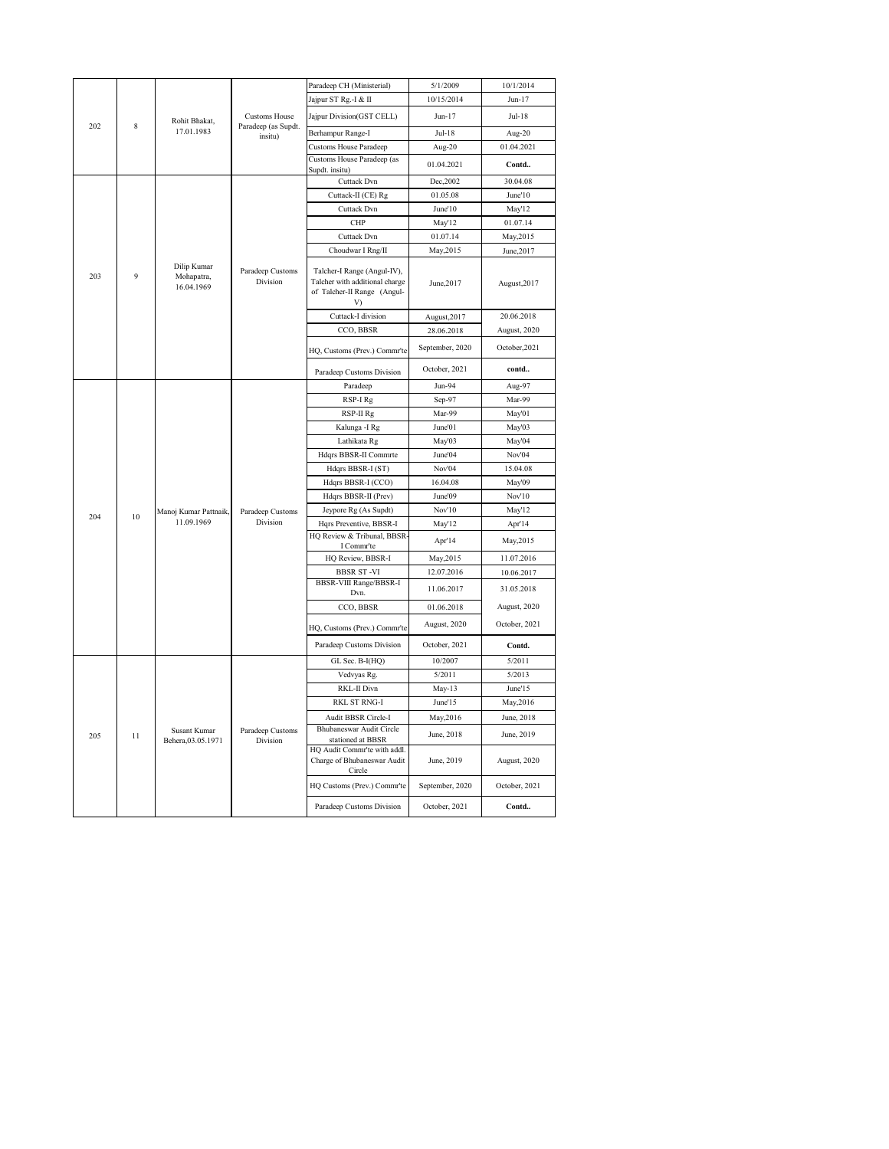|          |    |                                         |                                | Paradeep CH (Ministerial)                                                                          | 5/1/2009        | 10/1/2014     |
|----------|----|-----------------------------------------|--------------------------------|----------------------------------------------------------------------------------------------------|-----------------|---------------|
|          |    |                                         |                                | Jajpur ST Rg.-I & II                                                                               | 10/15/2014      | $Jun-17$      |
|          |    | Rohit Bhakat,                           | <b>Customs House</b>           | Jajpur Division(GST CELL)                                                                          | Jun-17          | Jul-18        |
| 202      | 8  | 17.01.1983                              | Paradeep (as Supdt.<br>insitu) | Berhampur Range-I                                                                                  | $Jul-18$        | Aug-20        |
|          |    |                                         |                                | <b>Customs House Paradeep</b>                                                                      | Aug-20          | 01.04.2021    |
|          |    |                                         |                                | Customs House Paradeep (as<br>Supdt. insitu)                                                       | 01.04.2021      | Contd         |
|          |    |                                         |                                | Cuttack Dvn                                                                                        | Dec, 2002       | 30.04.08      |
|          |    |                                         |                                | Cuttack-II (CE) Rg                                                                                 | 01.05.08        | June'10       |
|          |    |                                         |                                | Cuttack Dvn                                                                                        | June'10         | May'12        |
|          |    |                                         | CHP                            | May'12                                                                                             | 01.07.14        |               |
|          |    |                                         | Cuttack Dvn                    | 01.07.14                                                                                           | May, 2015       |               |
|          |    |                                         |                                | Choudwar I Rng/II                                                                                  | May, 2015       | June, 2017    |
| 203<br>9 |    | Dilip Kumar<br>Mohapatra,<br>16.04.1969 | Paradeep Customs<br>Division   | Talcher-I Range (Angul-IV),<br>Talcher with additional charge<br>of Talcher-II Range (Angul-<br>V) | June, 2017      | August, 2017  |
|          |    |                                         |                                | Cuttack-I division                                                                                 | August, 2017    | 20.06.2018    |
|          |    |                                         |                                | CCO, BBSR                                                                                          | 28.06.2018      | August, 2020  |
|          |    |                                         |                                | HQ, Customs (Prev.) Commr'te                                                                       | September, 2020 | October, 2021 |
|          |    |                                         |                                | Paradeep Customs Division                                                                          | October, 2021   | contd         |
|          |    |                                         |                                | Paradeep                                                                                           | Jun-94          | Aug-97        |
|          |    |                                         | RSP-I Rg                       | Sep-97                                                                                             | Mar-99          |               |
|          |    |                                         | RSP-II Rg                      | Mar-99                                                                                             | May'01          |               |
|          |    |                                         |                                | Kalunga -I Rg                                                                                      | June'01         | May'03        |
|          |    |                                         |                                | Lathikata Rg                                                                                       | May'03          | May'04        |
|          |    |                                         |                                | Hdqrs BBSR-II Commrte                                                                              | June'04         | Nov'04        |
|          |    |                                         |                                | Hdqrs BBSR-I (ST)                                                                                  | Nov'04          | 15.04.08      |
|          |    |                                         |                                | Hdqrs BBSR-I (CCO)                                                                                 | 16.04.08        | May'09        |
|          |    |                                         |                                | Hdqrs BBSR-II (Prev)                                                                               | June'09         | Nov'10        |
| 204      | 10 | Manoj Kumar Pattnaik,<br>11.09.1969     | Paradeep Customs<br>Division   | Jeypore Rg (As Supdt)                                                                              | Nov'10          | May'12        |
|          |    |                                         |                                | Hqrs Preventive, BBSR-I<br>HQ Review & Tribunal, BBSR-                                             | May'12          | Apr'14        |
|          |    |                                         |                                | I Commr'te                                                                                         | Apr'14          | May, 2015     |
|          |    |                                         |                                | HQ Review, BBSR-I                                                                                  | May, 2015       | 11.07.2016    |
|          |    |                                         |                                | <b>BBSR ST-VI</b>                                                                                  | 12.07.2016      | 10.06.2017    |
|          |    |                                         |                                | BBSR-VIII Range/BBSR-I<br>Dvn.                                                                     | 11.06.2017      | 31.05.2018    |
|          |    |                                         |                                | CCO, BBSR                                                                                          | 01.06.2018      | August, 2020  |
|          |    |                                         |                                | HQ, Customs (Prev.) Commr'te                                                                       | August, 2020    | October, 2021 |
|          |    |                                         |                                | Paradeep Customs Division                                                                          | October, 2021   | Contd.        |
|          |    |                                         |                                | GL Sec. B-I(HQ)                                                                                    | 10/2007         | 5/2011        |
|          |    |                                         |                                | Vedvyas Rg.                                                                                        | 5/2011          | 5/2013        |
|          |    |                                         |                                | RKL-II Divn                                                                                        | $May-13$        | June'15       |
|          |    |                                         |                                | <b>RKL ST RNG-I</b>                                                                                | June'15         | May, 2016     |
|          |    |                                         |                                | Audit BBSR Circle-I                                                                                | May, 2016       | June, 2018    |
| 205      | 11 | Susant Kumar                            | Paradeep Customs<br>Division   | Bhubaneswar Audit Circle<br>stationed at BBSR                                                      | June, 2018      | June, 2019    |
|          |    | Behera, 03.05.1971                      |                                | HQ Audit Commr'te with addl.<br>Charge of Bhubaneswar Audit<br>Circle                              | June, 2019      | August, 2020  |
|          |    |                                         |                                | HQ Customs (Prev.) Commr'te                                                                        | September, 2020 | October, 2021 |
|          |    |                                         |                                | Paradeep Customs Division                                                                          | October, 2021   | Contd         |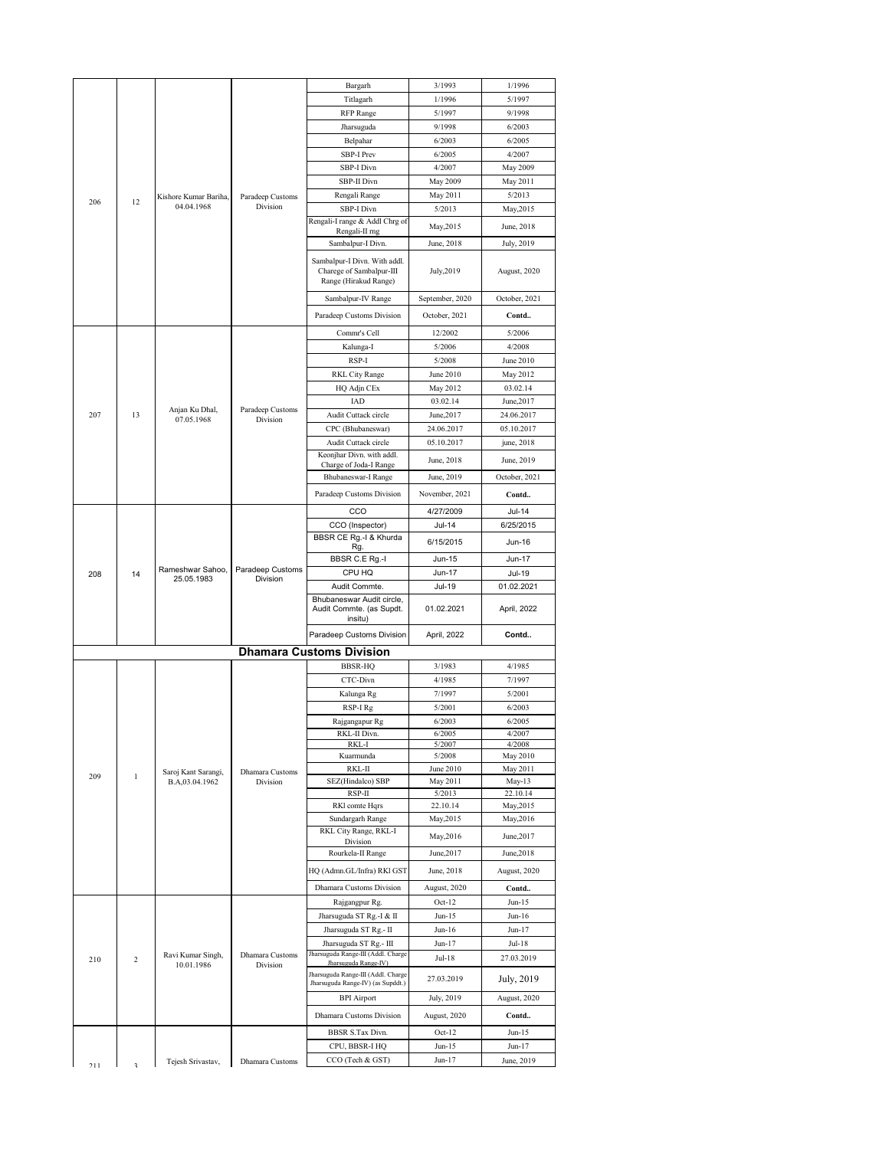|           |              |                                     |                           | Bargarh                                                                           | 3/1993                   | 1/1996               |
|-----------|--------------|-------------------------------------|---------------------------|-----------------------------------------------------------------------------------|--------------------------|----------------------|
|           |              |                                     |                           | Titlagarh                                                                         | 1/1996                   | 5/1997               |
|           |              |                                     |                           | RFP Range                                                                         | 5/1997                   | 9/1998               |
|           |              |                                     |                           | Jharsuguda                                                                        | 9/1998                   | 6/2003               |
|           |              |                                     |                           | Belpahar                                                                          | 6/2003                   | 6/2005               |
|           |              |                                     |                           | SBP-I Prev                                                                        | 6/2005                   | 4/2007               |
|           |              |                                     |                           | SBP-I Divn                                                                        | 4/2007                   | May 2009             |
|           |              |                                     |                           | SBP-II Divn                                                                       | May 2009                 | May 2011             |
| 206       | 12           | Kishore Kumar Bariha,<br>04.04.1968 | Paradeep Customs          | Rengali Range                                                                     | May 2011                 | 5/2013               |
|           |              |                                     | Division                  | SBP-I Divn<br>Rengali-I range & Addl Chrg of                                      | 5/2013                   | May, 2015            |
|           |              |                                     |                           | Rengali-II rng                                                                    | May, 2015                | June, 2018           |
|           |              |                                     |                           | Sambalpur-I Divn.                                                                 | June, 2018               | July, 2019           |
|           |              |                                     |                           | Sambalpur-I Divn. With addl.<br>Charege of Sambalpur-III<br>Range (Hirakud Range) | July, 2019               | August, 2020         |
|           |              |                                     |                           | Sambalpur-IV Range                                                                | September, 2020          | October, 2021        |
|           |              |                                     |                           | Paradeep Customs Division                                                         | October, 2021            | Contd                |
|           |              |                                     |                           |                                                                                   |                          |                      |
|           |              |                                     |                           | Commr's Cell<br>Kalunga-I                                                         | 12/2002<br>5/2006        | 5/2006<br>4/2008     |
|           |              |                                     |                           | RSP-I                                                                             | 5/2008                   | June 2010            |
|           |              |                                     |                           | RKL City Range                                                                    | June 2010                | May 2012             |
|           |              |                                     |                           | HQ Adjn CEx                                                                       | May 2012                 | 03.02.14             |
|           |              |                                     |                           | IAD                                                                               | 03.02.14                 | June, 2017           |
| 207       | 13           | Anjan Ku Dhal,                      | Paradeep Customs          | Audit Cuttack circle                                                              | June, 2017               | 24.06.2017           |
|           |              | 07.05.1968                          | Division                  | CPC (Bhubaneswar)                                                                 | 24.06.2017               | 05.10.2017           |
|           |              |                                     |                           | Audit Cuttack circle                                                              | 05.10.2017               | june, 2018           |
|           |              |                                     |                           | Keonjhar Divn. with addl.                                                         |                          |                      |
|           |              |                                     | Charge of Joda-I Range    | June, 2018                                                                        | June, 2019               |                      |
|           |              |                                     | Bhubaneswar-I Range       | June, 2019                                                                        | October, 2021            |                      |
|           |              |                                     | Paradeep Customs Division | November, 2021                                                                    | Contd                    |                      |
|           |              |                                     |                           | CCO                                                                               | 4/27/2009                | <b>Jul-14</b>        |
|           |              |                                     | CCO (Inspector)           | Jul-14                                                                            | 6/25/2015                |                      |
|           |              |                                     |                           | BBSR CE Rg.-I & Khurda                                                            | 6/15/2015                | Jun-16               |
| 208<br>14 |              |                                     | Rg.<br>BBSR C.E Rg.-I     | Jun-15                                                                            | <b>Jun-17</b>            |                      |
|           |              | Rameshwar Sahoo,                    | Paradeep Customs          | CPU HQ                                                                            | Jun-17                   |                      |
|           |              | 25.05.1983                          | Division                  | Audit Commte.                                                                     | Jul-19                   | Jul-19<br>01.02.2021 |
|           |              |                                     |                           |                                                                                   |                          |                      |
|           |              |                                     |                           |                                                                                   |                          |                      |
|           |              |                                     |                           | Bhubaneswar Audit circle,<br>Audit Commte. (as Supdt.                             | 01.02.2021               | April, 2022          |
|           |              |                                     |                           | insitu)                                                                           |                          |                      |
|           |              |                                     |                           | Paradeep Customs Division                                                         | April, 2022              | Contd                |
|           |              |                                     |                           | <b>Dhamara Customs Division</b>                                                   |                          |                      |
|           |              |                                     |                           | <b>BBSR-HQ</b>                                                                    | 3/1983                   | 4/1985               |
|           |              |                                     |                           | CTC-Divn                                                                          | 4/1985                   | 7/1997               |
|           |              |                                     |                           | Kalunga Rg                                                                        | 7/1997                   | 5/2001               |
|           |              |                                     |                           | RSP-I Rg                                                                          | 5/2001                   | 6/2003               |
|           |              |                                     |                           | Rajgangapur Rg                                                                    | 6/2003                   | 6/2005               |
|           |              |                                     |                           | RKL-II Divn.<br>RKL-I                                                             | 6/2005                   | 4/2007               |
|           |              |                                     |                           | Kuarmunda                                                                         | 5/2007<br>5/2008         | 4/2008<br>May 2010   |
|           |              | Saroj Kant Sarangi,                 | Dhamara Customs           | RKL-II                                                                            | June 2010                | May 2011             |
| 209       | $\mathbf{1}$ | B.A,03.04.1962                      | Division                  | SEZ(Hindalco) SBP                                                                 | May 2011                 | May-13               |
|           |              |                                     |                           | RSP-II                                                                            | 5/2013                   | 22.10.14             |
|           |              |                                     |                           | RKI comte Hqrs                                                                    | 22.10.14                 | May, 2015            |
|           |              |                                     |                           | Sundargarh Range                                                                  | May, 2015                | May, 2016            |
|           |              |                                     |                           | RKL City Range, RKL-I<br>Division                                                 | May, 2016                | June, 2017           |
|           |              |                                     |                           | Rourkela-II Range                                                                 | June, 2017               | June, 2018           |
|           |              |                                     |                           | HQ (Admn.GL/Infra) RKI GST                                                        | June, 2018               | August, 2020         |
|           |              |                                     |                           | Dhamara Customs Division                                                          |                          |                      |
|           |              |                                     |                           |                                                                                   | August, 2020<br>$Oct-12$ | Contd<br>$Jun-15$    |
|           |              |                                     |                           | Rajgangpur Rg.                                                                    |                          |                      |
|           |              |                                     |                           | Jharsuguda ST Rg.-I & II<br>Jharsuguda ST Rg.- II                                 | Jun-15<br>Jun-16         | Jun-16<br>Jun-17     |
|           |              |                                     |                           | Jharsuguda ST Rg.- III                                                            | Jun-17                   | Jul-18               |
|           |              | Ravi Kumar Singh,                   | Dhamara Customs           | Jharsuguda Range-III (Addl. Charge                                                |                          |                      |
| 210       | 2            | 10.01.1986                          | Division                  | Jharsuguda Range-IV)                                                              | Jul-18                   | 27.03.2019           |
|           |              |                                     |                           | Jharsuguda Range-III (Addl. Charge<br>Jharsuguda Range-IV) (as Supddt.)           | 27.03.2019               | July, 2019           |
|           |              |                                     |                           | <b>BPI</b> Airport                                                                | July, 2019               | August, 2020         |
|           |              |                                     |                           | Dhamara Customs Division                                                          | August, 2020             |                      |
|           |              |                                     |                           |                                                                                   |                          | Contd                |
|           |              |                                     |                           | BBSR S.Tax Divn.                                                                  | $Oct-12$                 | Jun-15               |
| $711$     |              | Tejesh Srivastav,                   | Dhamara Customs           | CPU, BBSR-I HQ<br>CCO (Tech & GST)                                                | $Jun-15$<br>Jun-17       | Jun-17<br>June, 2019 |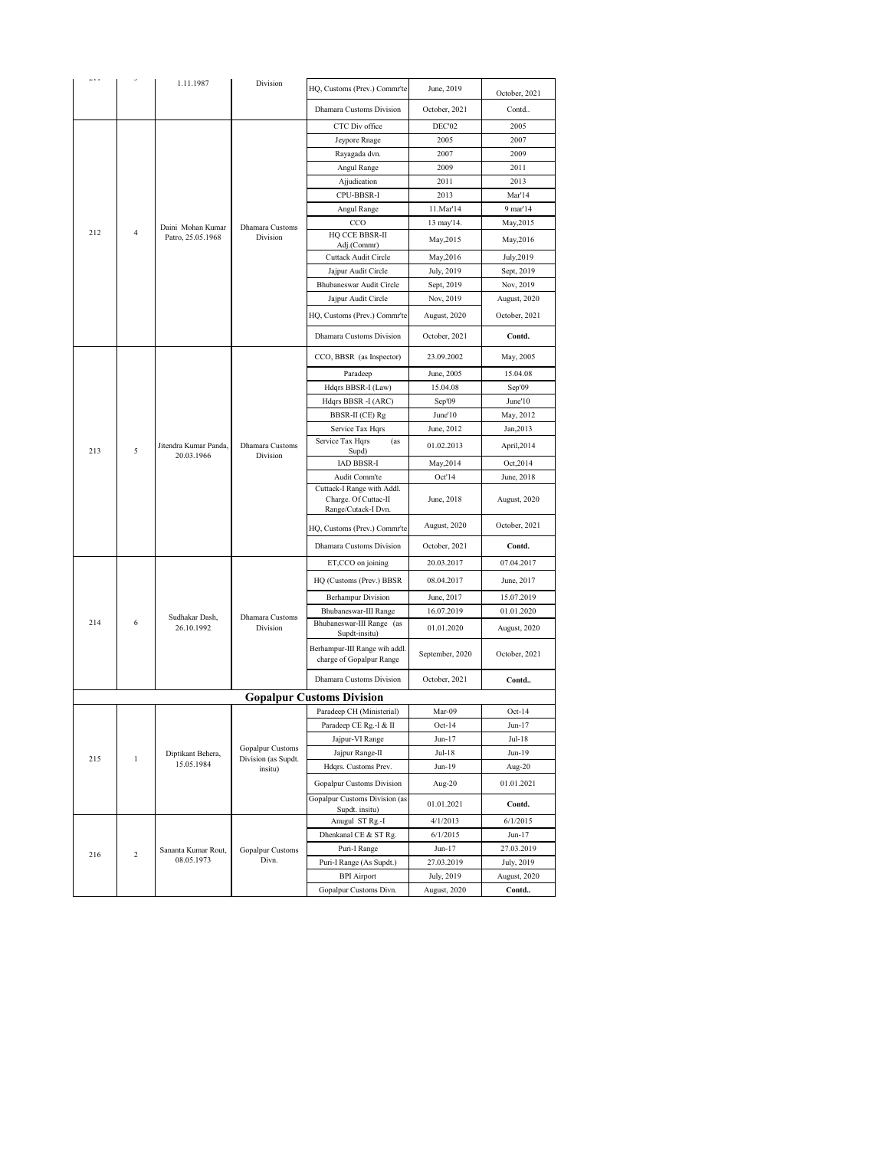| ددت |                | 1.11.1987                           | Division                    | HQ, Customs (Prev.) Commr'te                                              | June, 2019      | October, 2021 |
|-----|----------------|-------------------------------------|-----------------------------|---------------------------------------------------------------------------|-----------------|---------------|
|     |                |                                     |                             | Dhamara Customs Division                                                  | October, 2021   | Contd         |
|     |                |                                     |                             | CTC Div office                                                            | DEC'02          | 2005          |
|     |                |                                     |                             | Jeypore Rnage                                                             | 2005            | 2007          |
|     |                |                                     |                             | Rayagada dvn.                                                             | 2007            | 2009          |
|     |                |                                     |                             | Angul Range                                                               | 2009            | 2011          |
|     |                |                                     |                             | Ajjudication                                                              | 2011            | 2013          |
|     |                |                                     |                             | CPU-BBSR-I                                                                | 2013            | Mar'14        |
|     |                |                                     |                             | Angul Range                                                               | 11.Mar'14       | 9 mar'14      |
|     |                | Daini Mohan Kumar                   | Dhamara Customs             | CCO                                                                       | 13 may'14.      | May, 2015     |
| 212 | $\overline{4}$ | Patro, 25.05.1968                   | Division                    | HQ CCE BBSR-II<br>Adj.(Commr)                                             | May, 2015       | May, 2016     |
|     |                |                                     |                             | Cuttack Audit Circle                                                      | May, 2016       | July, 2019    |
|     |                |                                     |                             | Jajpur Audit Circle                                                       | July, 2019      | Sept, 2019    |
|     |                |                                     |                             | Bhubaneswar Audit Circle                                                  | Sept, 2019      | Nov, 2019     |
|     |                |                                     |                             | Jajpur Audit Circle                                                       | Nov, 2019       | August, 2020  |
|     |                |                                     |                             | HQ, Customs (Prev.) Commr'te                                              | August, 2020    | October, 2021 |
|     |                |                                     |                             | Dhamara Customs Division                                                  | October, 2021   | Contd.        |
|     |                |                                     |                             | CCO, BBSR (as Inspector)                                                  | 23.09.2002      | May, 2005     |
|     |                |                                     |                             | Paradeep                                                                  | June, 2005      | 15.04.08      |
|     |                |                                     |                             | Hdqrs BBSR-I (Law)                                                        | 15.04.08        | Sep'09        |
|     |                |                                     |                             | Hdqrs BBSR -I (ARC)                                                       | Sep'09          | June'10       |
|     |                |                                     |                             | BBSR-II (CE) Rg                                                           | June'10         | May, 2012     |
|     |                |                                     |                             | Service Tax Hqrs                                                          | June, 2012      | Jan, 2013     |
| 213 | 5              | Jitendra Kumar Panda,<br>20.03.1966 | Dhamara Customs<br>Division | Service Tax Hqrs<br>(as<br>Supd)                                          | 01.02.2013      | April,2014    |
|     |                |                                     |                             | IAD BBSR-I                                                                | May, 2014       | Oct, 2014     |
|     |                |                                     |                             | Audit Comm'te                                                             | Oct'14          | June, 2018    |
|     |                |                                     |                             | Cuttack-I Range with Addl.<br>Charge. Of Cuttac-II<br>Range/Cutack-I Dvn. | June, 2018      | August, 2020  |
|     |                |                                     |                             | HQ, Customs (Prev.) Commr'te                                              | August, 2020    | October, 2021 |
|     |                |                                     |                             | Dhamara Customs Division                                                  | October, 2021   | Contd.        |
|     |                |                                     |                             | ET,CCO on joining                                                         | 20.03.2017      | 07.04.2017    |
|     |                |                                     |                             | HQ (Customs (Prev.) BBSR                                                  | 08.04.2017      | June, 2017    |
|     |                |                                     |                             | <b>Berhampur Division</b>                                                 | June, 2017      | 15.07.2019    |
|     |                | Sudhakar Dash,                      | Dhamara Customs             | Bhubaneswar-III Range                                                     | 16.07.2019      | 01.01.2020    |
| 214 | 6              | 26.10.1992                          | Division                    | Bhubaneswar-III Range (as<br>Supdt-insitu)                                | 01.01.2020      | August, 2020  |
|     |                |                                     |                             | Berhampur-III Range wih addl.<br>charge of Gopalpur Range                 | September, 2020 | October, 2021 |
|     |                |                                     |                             | Dhamara Customs Division                                                  | October, 2021   | Contd         |
|     |                |                                     |                             | <b>Gopalpur Customs Division</b>                                          |                 |               |
|     |                |                                     |                             | Paradeep CH (Ministerial)                                                 | Mar-09          | $Oct-14$      |
|     |                |                                     |                             | Paradeen CE Ro.-I & II                                                    | $Oct-14$        | Jun-17        |
|     |                |                                     | Gopalpur Customs            | Jajpur-VI Range                                                           | Jun-17          | Jul-18        |
| 215 | $\,1$          | Diptikant Behera,                   | Division (as Supdt.         | Jajpur Range-II                                                           | Jul-18          | Jun-19        |
|     |                | 15.05.1984                          | insitu)                     | Hdqrs. Customs Prev.                                                      | Jun-19          | Aug-20        |
|     |                |                                     |                             | Gopalpur Customs Division                                                 | Aug- $20$       | 01.01.2021    |
|     |                |                                     |                             | Gopalpur Customs Division (as<br>Supdt. insitu)                           | 01.01.2021      | Contd.        |
|     |                |                                     |                             | Anugul ST Rg.-I                                                           | 4/1/2013        | 6/1/2015      |
|     |                |                                     |                             | Dhenkanal CE & ST Rg.                                                     | 6/1/2015        | Jun-17        |
| 216 | $\overline{c}$ | Sananta Kumar Rout,                 | Gopalpur Customs            | Puri-I Range                                                              | Jun-17          | 27.03.2019    |
|     |                | 08.05.1973                          | Divn.                       | Puri-I Range (As Supdt.)                                                  | 27.03.2019      | July, 2019    |
|     |                |                                     |                             | <b>BPI</b> Airport                                                        | July, 2019      | August, 2020  |
|     |                |                                     |                             | Gopalpur Customs Divn.                                                    | August, 2020    | Contd         |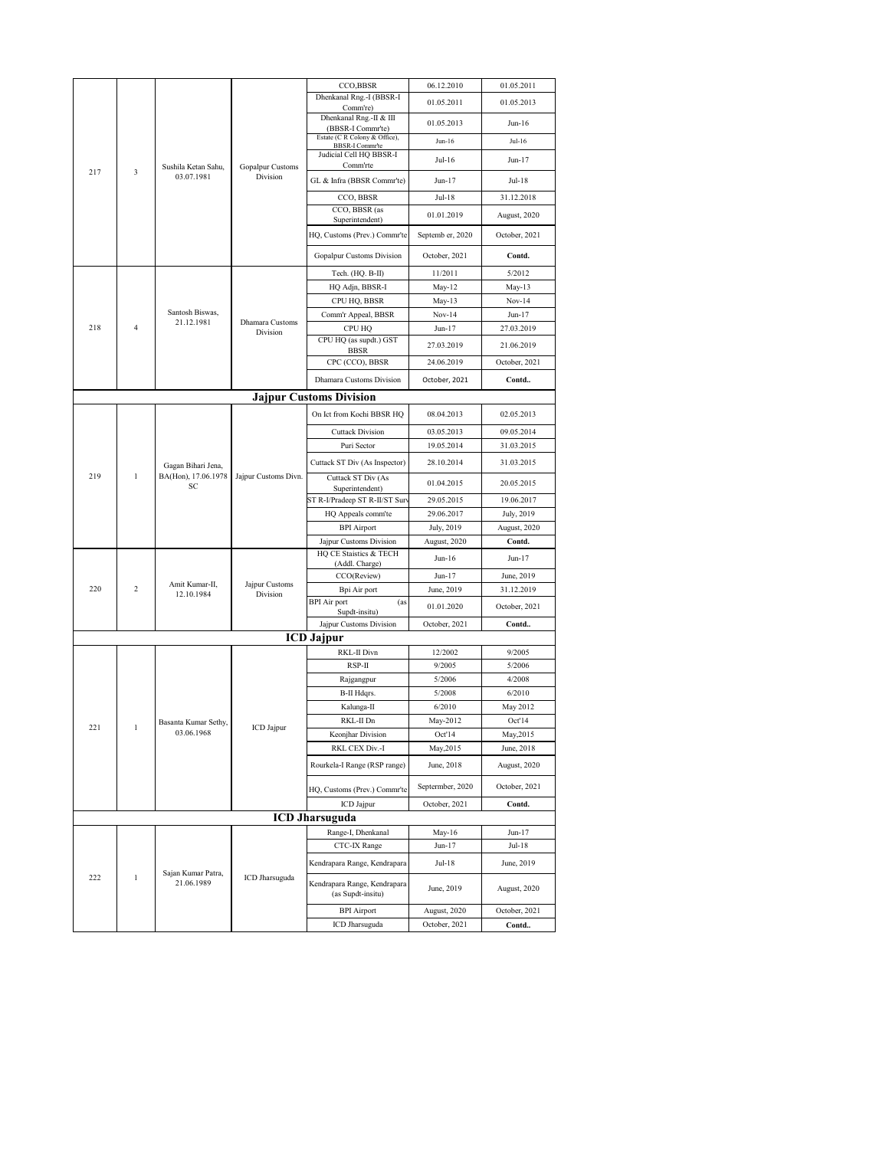|                     |                                   |                                  | CCO,BBSR                               | 06.12.2010                                              | 01.05.2011        |                  |
|---------------------|-----------------------------------|----------------------------------|----------------------------------------|---------------------------------------------------------|-------------------|------------------|
|                     |                                   |                                  |                                        | Dhenkanal Rng.-I (BBSR-I                                | 01.05.2011        | 01.05.2013       |
|                     |                                   |                                  |                                        | Comm're)<br>Dhenkanal Rng.-II & III                     |                   |                  |
|                     |                                   |                                  |                                        | (BBSR-I Commr'te)                                       | 01.05.2013        | Jun-16           |
|                     |                                   |                                  |                                        | Estate (C R Colony & Office),<br><b>BBSR-I Commr'te</b> | $Jun-16$          | Jul-16           |
| 217<br>3            |                                   |                                  | Judicial Cell HQ BBSR-I                | Jul-16                                                  | Jun-17            |                  |
|                     | Sushila Ketan Sahu,<br>03.07.1981 | Gopalpur Customs<br>Division     | Comm'rte<br>GL & Infra (BBSR Commr'te) | Jun-17                                                  | Jul-18            |                  |
|                     |                                   |                                  | CCO, BBSR                              | Jul-18                                                  | 31.12.2018        |                  |
|                     |                                   |                                  | CCO, BBSR (as                          |                                                         |                   |                  |
|                     |                                   |                                  |                                        | Superintendent)                                         | 01.01.2019        | August, 2020     |
|                     |                                   |                                  | HQ, Customs (Prev.) Commr'te           | Septemb er, 2020                                        | October, 2021     |                  |
|                     |                                   |                                  | Gopalpur Customs Division              | October, 2021                                           | Contd.            |                  |
|                     |                                   |                                  |                                        | Tech. (HQ. B-II)                                        | 11/2011           | 5/2012           |
|                     |                                   |                                  |                                        | HQ Adjn, BBSR-I                                         | May-12            | May-13           |
|                     |                                   |                                  |                                        | CPU HQ, BBSR                                            | May-13            | $Nov-14$         |
|                     |                                   | Santosh Biswas,                  |                                        | Comm'r Appeal, BBSR                                     | $Nov-14$          | Jun-17           |
| 218                 | $\overline{4}$                    | 21.12.1981                       | Dhamara Customs<br>Division            | <b>CPU HQ</b>                                           | $Jun-17$          | 27.03.2019       |
|                     |                                   |                                  |                                        | CPU HQ (as supdt.) GST<br><b>BBSR</b>                   | 27.03.2019        | 21.06.2019       |
|                     |                                   |                                  |                                        | CPC (CCO), BBSR                                         | 24.06.2019        | October, 2021    |
|                     |                                   |                                  |                                        | Dhamara Customs Division                                | October, 2021     | Contd            |
|                     |                                   |                                  |                                        | Jajpur Customs Division                                 |                   |                  |
|                     |                                   |                                  |                                        | On Ict from Kochi BBSR HQ                               | 08.04.2013        | 02.05.2013       |
|                     |                                   | Gagan Bihari Jena,               |                                        | <b>Cuttack Division</b>                                 | 03.05.2013        | 09.05.2014       |
|                     |                                   |                                  |                                        | Puri Sector                                             | 19.05.2014        | 31.03.2015       |
| 219<br>$\mathbf{1}$ |                                   |                                  |                                        | Cuttack ST Div (As Inspector)                           | 28.10.2014        | 31.03.2015       |
|                     |                                   | BA(Hon), 17.06.1978              | Jajpur Customs Divn.                   | Cuttack ST Div (As                                      | 01.04.2015        | 20.05.2015       |
|                     |                                   | SC                               |                                        | Superintendent)<br>ST R-I/Pradeep ST R-II/ST Sur        | 29.05.2015        | 19.06.2017       |
|                     |                                   |                                  |                                        | HQ Appeals comm'te                                      | 29.06.2017        | July, 2019       |
|                     |                                   |                                  |                                        | <b>BPI</b> Airport                                      | July, 2019        | August, 2020     |
|                     |                                   |                                  |                                        | Jajpur Customs Division                                 | August, 2020      | Contd.           |
|                     |                                   |                                  |                                        | HQ CE Staistics & TECH                                  | Jun-16            | Jun-17           |
|                     |                                   |                                  |                                        | (Addl. Charge)<br>CCO(Review)                           | Jun-17            | June, 2019       |
| 220                 | $\overline{c}$                    | Amit Kumar-II,                   | Jajpur Customs                         | Bpi Air port                                            | June, 2019        | 31.12.2019       |
|                     |                                   | 12.10.1984                       | Division                               | <b>BPI</b> Air port<br>(as                              | 01.01.2020        | October, 2021    |
|                     |                                   |                                  |                                        | Supdt-insitu)                                           |                   |                  |
|                     |                                   |                                  |                                        | Jajpur Customs Division                                 | October, 2021     | Contd            |
|                     |                                   |                                  |                                        | <b>ICD Jajpur</b>                                       |                   |                  |
|                     |                                   |                                  |                                        | RKL-II Divn<br>RSP-II                                   | 12/2002<br>9/2005 | 9/2005<br>5/2006 |
|                     |                                   |                                  |                                        | Rajgangpur                                              | 5/2006            | 4/2008           |
|                     |                                   |                                  |                                        | B-II Hdqrs.                                             | 5/2008            | 6/2010           |
|                     |                                   |                                  |                                        | Kalunga-II                                              | 6/2010            | May 2012         |
|                     |                                   | Basanta Kumar Sethy,             |                                        | RKL-II Dn                                               | May-2012          | Oct'14           |
| 221                 |                                   | 03.06.1968                       | ICD Jajpur                             | Keonjhar Division                                       | Oct'14            | May, 2015        |
|                     |                                   |                                  |                                        | RKL CEX Div.-I                                          | May, 2015         | June, 2018       |
|                     |                                   |                                  |                                        | Rourkela-I Range (RSP range)                            | June, 2018        | August, 2020     |
|                     |                                   |                                  |                                        | HQ, Customs (Prev.) Commr'te                            | Septermber, 2020  | October, 2021    |
|                     |                                   |                                  |                                        | ICD Jajpur                                              | October, 2021     | Contd.           |
|                     |                                   |                                  |                                        | <b>ICD Jharsuguda</b>                                   |                   |                  |
|                     |                                   |                                  |                                        | Range-I, Dhenkanal                                      | May-16            | Jun-17           |
|                     |                                   |                                  |                                        | CTC-IX Range                                            | Jun-17            | Jul-18           |
|                     |                                   |                                  |                                        | Kendrapara Range, Kendrapara                            | Jul-18            | June, 2019       |
| 222                 | $\mathbf{1}$                      | Sajan Kumar Patra,<br>21.06.1989 | ICD Jharsuguda                         | Kendrapara Range, Kendrapara<br>(as Supdt-insitu)       | June, 2019        | August, 2020     |
|                     |                                   |                                  |                                        | <b>BPI</b> Airport                                      | August, 2020      | October, 2021    |
|                     |                                   |                                  |                                        | ICD Jharsuguda                                          | October, 2021     | Contd            |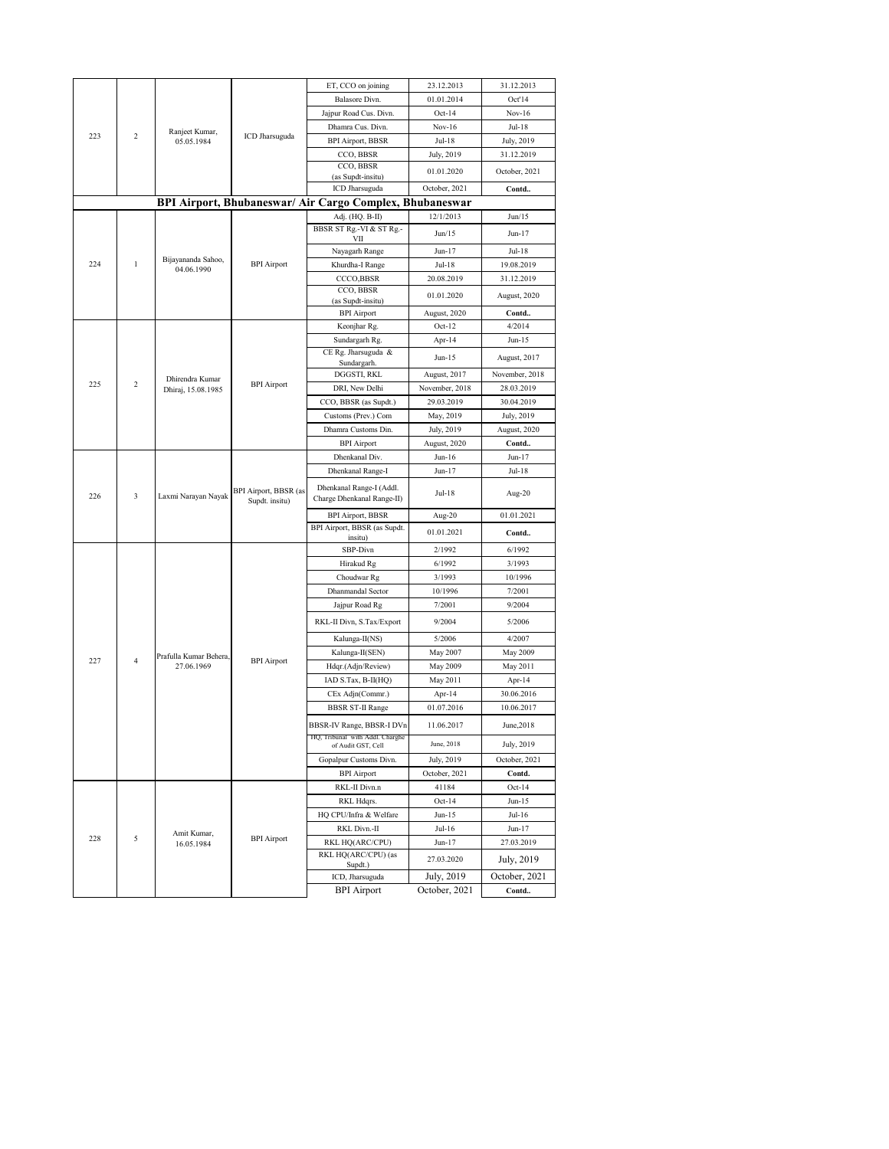|     |                 |                        |                          | ET, CCO on joining                                       | 23.12.2013                  | 31.12.2013         |
|-----|-----------------|------------------------|--------------------------|----------------------------------------------------------|-----------------------------|--------------------|
|     |                 |                        |                          | Balasore Divn.                                           | 01.01.2014                  | Oct'14             |
|     |                 |                        |                          | Jajpur Road Cus. Divn.                                   | $Oct-14$                    | $Nov-16$           |
|     |                 |                        |                          | Dhamra Cus. Divn.                                        | $Nov-16$                    | Jul-18             |
| 223 | $\overline{c}$  | Ranjeet Kumar,         | ICD Jharsuguda           |                                                          | Jul-18                      |                    |
|     |                 | 05.05.1984             |                          | <b>BPI Airport, BBSR</b>                                 |                             | July, 2019         |
|     |                 |                        |                          | CCO, BBSR<br>CCO, BBSR                                   | July, 2019                  | 31.12.2019         |
|     |                 |                        |                          | (as Supdt-insitu)                                        | 01.01.2020                  | October, 2021      |
|     |                 |                        |                          | ICD Jharsuguda                                           | October, 2021               | Contd              |
|     |                 |                        |                          | BPI Airport, Bhubaneswar/ Air Cargo Complex, Bhubaneswar |                             |                    |
|     |                 |                        |                          | Adj. (HQ. B-II)                                          | 12/1/2013                   | Jun/15             |
|     |                 |                        |                          | BBSR ST Rg .- VI & ST Rg .-                              | Jun/15                      | $Jun-17$           |
|     |                 |                        |                          | VІІ                                                      |                             |                    |
|     |                 | Bijayananda Sahoo,     |                          | Nayagarh Range                                           | Jun-17                      | Jul-18             |
| 224 | $\mathbf{1}$    | 04.06.1990             | <b>BPI</b> Airport       | Khurdha-I Range                                          | Jul-18                      | 19.08.2019         |
|     |                 |                        |                          | CCCO,BBSR                                                | 20.08.2019                  | 31.12.2019         |
|     |                 |                        |                          | CCO, BBSR<br>(as Supdt-insitu)                           | 01.01.2020                  | August, 2020       |
|     |                 |                        |                          | <b>BPI</b> Airport                                       | August, 2020                | Contd              |
|     |                 |                        | Keonjhar Rg.             | $Oct-12$                                                 | 4/2014                      |                    |
|     |                 |                        |                          | Sundargarh Rg.                                           | Apr-14                      | $Jun-15$           |
|     |                 |                        | CE Rg. Jharsuguda &      |                                                          |                             |                    |
|     |                 |                        |                          | Sundargarh.                                              | Jun-15                      | August, 2017       |
|     | Dhirendra Kumar |                        | DGGSTI, RKL              | August, 2017                                             | November, 2018              |                    |
| 225 | $\overline{c}$  | Dhiraj, 15.08.1985     | <b>BPI</b> Airport       | DRI, New Delhi                                           | November, 2018              | 28.03.2019         |
|     |                 |                        |                          | CCO, BBSR (as Supdt.)                                    | 29.03.2019                  | 30.04.2019         |
|     |                 |                        | Customs (Prev.) Com      | May, 2019                                                | July, 2019                  |                    |
|     |                 |                        |                          | Dhamra Customs Din.                                      | July, 2019                  | August, 2020       |
|     |                 |                        | <b>BPI</b> Airport       | August, 2020                                             | Contd                       |                    |
|     |                 |                        | Dhenkanal Div.           | Jun-16                                                   | Jun-17                      |                    |
|     |                 |                        | Dhenkanal Range-I        | Jun-17                                                   | Jul-18                      |                    |
|     |                 | BPI Airport, BBSR (as  | Dhenkanal Range-I (Addl. | Jul-18                                                   | Aug-20                      |                    |
| 226 | 3               | Laxmi Narayan Nayak    | Supdt. insitu)           | Charge Dhenkanal Range-II)                               |                             |                    |
|     |                 |                        |                          | <b>BPI Airport, BBSR</b>                                 | Aug-20                      | 01.01.2021         |
|     |                 |                        |                          | BPI Airport, BBSR (as Supdt.                             | 01.01.2021                  | Contd              |
|     |                 |                        |                          | insitu)<br>SBP-Divn                                      | 2/1992                      | 6/1992             |
|     |                 |                        |                          | Hirakud Rg                                               | 6/1992                      | 3/1993             |
|     |                 |                        |                          | Choudwar Rg                                              | 3/1993                      | 10/1996            |
|     |                 |                        |                          | Dhanmandal Sector                                        | 10/1996                     | 7/2001             |
|     |                 |                        |                          | Jajpur Road Rg                                           | 7/2001                      | 9/2004             |
|     |                 |                        |                          |                                                          |                             |                    |
|     |                 |                        |                          | RKL-II Divn, S.Tax/Export                                | 9/2004                      | 5/2006             |
|     |                 |                        |                          | Kalunga-II(NS)                                           | 5/2006                      | 4/2007             |
| 227 | $\overline{4}$  | Prafulla Kumar Behera, |                          | Kalunga-II(SEN)                                          | May 2007                    | May 2009           |
|     |                 | 27.06.1969             | <b>BPI</b> Airport       | Hdqr.(Adjn/Review)                                       | May 2009                    | May 2011           |
|     |                 |                        |                          | IAD S.Tax, B-II(HQ)                                      | May 2011                    | Apr-14             |
|     |                 |                        |                          | CEx Adjn(Commr.)                                         | Apr-14                      | 30.06.2016         |
|     |                 |                        |                          | <b>BBSR ST-II Range</b>                                  | 01.07.2016                  | 10.06.2017         |
|     |                 |                        |                          | BBSR-IV Range, BBSR-I DVn                                | 11.06.2017                  | June,2018          |
|     |                 |                        |                          | HQ, Iribunal with Addi. Chargne                          | June, 2018                  | July, 2019         |
|     |                 |                        |                          | of Audit GST, Cell<br>Gopalpur Customs Divn.             |                             |                    |
|     |                 |                        |                          | <b>BPI</b> Airport                                       | July, 2019<br>October, 2021 | October, 2021      |
|     |                 |                        |                          | RKL-II Divn.n                                            | 41184                       | Contd.<br>$Oct-14$ |
|     |                 |                        |                          | RKL Hdqrs.                                               | $Oct-14$                    | $Jun-15$           |
|     |                 |                        |                          | HQ CPU/Infra & Welfare                                   | $Jun-15$                    | Jul-16             |
|     |                 |                        |                          | RKL Divn.-II                                             | Jul-16                      | Jun-17             |
| 228 | 5               | Amit Kumar,            | <b>BPI</b> Airport       | RKL HQ(ARC/CPU)                                          | Jun-17                      | 27.03.2019         |
|     |                 | 16.05.1984             |                          | RKL HQ(ARC/CPU) (as                                      |                             |                    |
|     |                 |                        |                          | Supdt.)                                                  | 27.03.2020                  | July, 2019         |
|     |                 |                        |                          | ICD, Jharsuguda                                          | July, 2019                  | October, 2021      |
|     |                 |                        |                          | <b>BPI</b> Airport                                       | October, 2021               | Contd              |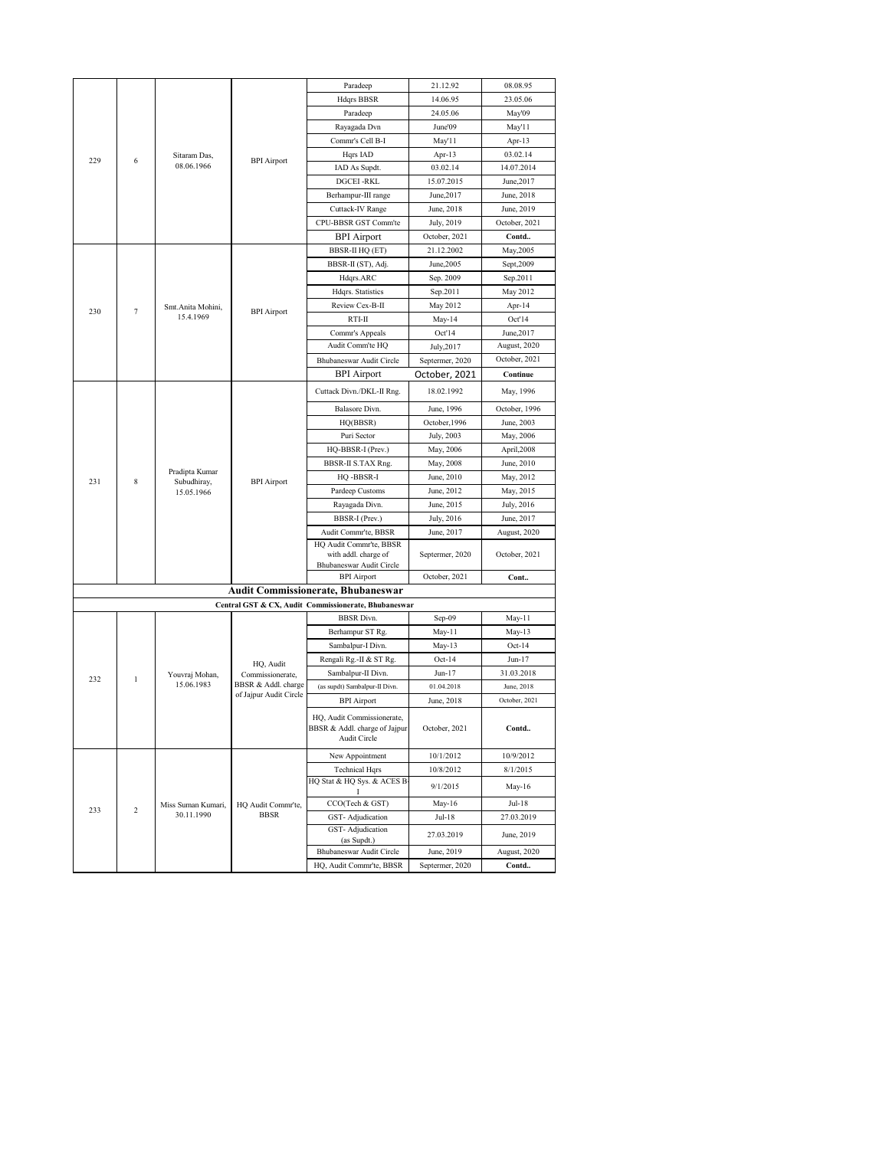|                        |                    |                                  |                                         | Paradeep                                             | 21.12.92             | 08.08.95                 |
|------------------------|--------------------|----------------------------------|-----------------------------------------|------------------------------------------------------|----------------------|--------------------------|
|                        |                    |                                  |                                         | <b>Hdqrs BBSR</b>                                    | 14.06.95             | 23.05.06                 |
|                        |                    |                                  |                                         | Paradeep                                             | 24.05.06             | May'09                   |
|                        |                    |                                  |                                         | Rayagada Dvn                                         | June'09              | May'11                   |
|                        |                    |                                  |                                         | Commr's Cell B-I                                     | May'11               | Apr-13                   |
|                        |                    | Sitaram Das,                     |                                         | Hqrs IAD                                             | Apr-13               | 03.02.14                 |
| 229<br>6<br>08.06.1966 | <b>BPI</b> Airport | IAD As Supdt.                    | 03.02.14                                | 14.07.2014                                           |                      |                          |
|                        |                    |                                  |                                         | <b>DGCEI-RKL</b>                                     | 15.07.2015           | June, 2017               |
|                        |                    |                                  |                                         | Berhampur-III range                                  | June, 2017           | June, 2018               |
|                        |                    |                                  |                                         | Cuttack-IV Range                                     | June, 2018           | June, 2019               |
|                        |                    |                                  |                                         | CPU-BBSR GST Comm'te                                 | July, 2019           | October, 2021            |
|                        |                    |                                  |                                         | <b>BPI</b> Airport                                   | October, 2021        | Contd                    |
|                        |                    |                                  |                                         | <b>BBSR-II HQ (ET)</b>                               | 21.12.2002           | May, 2005                |
|                        |                    |                                  |                                         | BBSR-II (ST), Adj.                                   | June, 2005           | Sept, 2009               |
|                        |                    |                                  |                                         | Hdqrs.ARC                                            | Sep. 2009            | Sep.2011                 |
|                        |                    |                                  |                                         | Hdqrs. Statistics                                    | Sep.2011             | May 2012                 |
|                        |                    | Smt.Anita Mohini,                |                                         | Review Cex-B-II                                      | May 2012             | Apr-14                   |
| 230                    | 7                  | 15.4.1969                        | <b>BPI</b> Airport                      | RTI-II                                               | May-14               | Oct'14                   |
|                        |                    |                                  |                                         | Commr's Appeals                                      | Oct'14               | June, 2017               |
|                        |                    |                                  |                                         | Audit Comm'te HQ                                     | July, 2017           | August, 2020             |
|                        |                    |                                  |                                         | Bhubaneswar Audit Circle                             | Septermer, 2020      | October, 2021            |
|                        |                    |                                  |                                         | <b>BPI</b> Airport                                   | October, 2021        | Continue                 |
|                        |                    |                                  |                                         | Cuttack Divn./DKL-II Rng.                            | 18.02.1992           | May, 1996                |
|                        |                    |                                  |                                         | Balasore Divn.                                       | June, 1996           | October, 1996            |
|                        |                    |                                  |                                         | HQ(BBSR)                                             | October, 1996        | June, 2003               |
|                        |                    |                                  | <b>BPI</b> Airport                      | Puri Sector                                          | July, 2003           | May, 2006                |
|                        |                    |                                  |                                         | HQ-BBSR-I (Prev.)                                    | May, 2006            | April,2008               |
|                        |                    |                                  |                                         | BBSR-II S.TAX Rng.                                   | May, 2008            | June, 2010               |
|                        |                    | Pradipta Kumar                   |                                         | HQ -BBSR-I                                           | June, 2010           | May, 2012                |
| 231                    | 8                  | Subudhiray,<br>15.05.1966        |                                         | Pardeep Customs                                      | June, 2012           | May, 2015                |
|                        |                    |                                  |                                         | Rayagada Divn.                                       | June, 2015           | July, 2016               |
|                        |                    |                                  |                                         | BBSR-I (Prev.)                                       | July, 2016           | June, 2017               |
|                        |                    |                                  |                                         | Audit Commr'te, BBSR                                 | June, 2017           | August, 2020             |
|                        |                    |                                  |                                         | HQ Audit Commr'te, BBSR                              |                      |                          |
|                        |                    |                                  |                                         | with addl. charge of                                 | Septermer, 2020      | October, 2021            |
|                        |                    |                                  |                                         | Bhubaneswar Audit Circle                             |                      |                          |
|                        |                    |                                  |                                         | <b>BPI</b> Airport                                   | October, 2021        | Cont                     |
|                        |                    |                                  |                                         | <b>Audit Commissionerate, Bhubaneswar</b>            |                      |                          |
|                        |                    |                                  |                                         | Central GST & CX, Audit Commissionerate, Bhubaneswar |                      |                          |
|                        |                    |                                  |                                         | <b>BBSR</b> Divn.                                    | Sep-09               | May-11                   |
|                        |                    |                                  |                                         | Berhampur ST Rg.<br>Sambalpur-I Divn.                | May-11<br>$May-13$   | May-13                   |
|                        |                    |                                  |                                         | Rengali Rg.-II & ST Rg.                              | $Oct-14$             | $Oct-14$<br>$Jun-17$     |
|                        |                    |                                  | HQ, Audit                               |                                                      |                      |                          |
| 232                    | $\mathbf{1}$       | Youvraj Mohan,<br>15.06.1983     | Commissionerate,<br>BBSR & Addl. charge | Sambalpur-II Divn.<br>(as supdt) Sambalpur-II Divn.  | Jun-17<br>01.04.2018 | 31.03.2018<br>June, 2018 |
|                        |                    |                                  | of Jajpur Audit Circle                  | <b>BPI</b> Airport                                   | June, 2018           | October, 2021            |
|                        |                    |                                  |                                         |                                                      |                      |                          |
|                        |                    |                                  |                                         | HQ, Audit Commissionerate,                           | October, 2021        |                          |
|                        |                    |                                  |                                         | BBSR & Addl. charge of Jajpur<br>Audit Circle        |                      | Contd                    |
|                        |                    |                                  |                                         | New Appointment                                      | 10/1/2012            | 10/9/2012                |
|                        |                    |                                  |                                         | <b>Technical Hqrs</b>                                | 10/8/2012            | 8/1/2015                 |
|                        |                    |                                  |                                         | HQ Stat & HQ Sys. & ACES B                           | 9/1/2015             | May-16                   |
|                        |                    |                                  |                                         | 1                                                    |                      |                          |
| 233                    | $\,2$              | Miss Suman Kumari,<br>30.11.1990 | HQ Audit Commr'te,<br><b>BBSR</b>       | CCO(Tech & GST)                                      | May-16               | Jul-18                   |
|                        |                    |                                  |                                         | GST-Adjudication<br>GST-Adjudication                 | Jul-18               | 27.03.2019               |
|                        |                    |                                  |                                         | (as Supdt.)                                          | 27.03.2019           | June, 2019               |
|                        |                    |                                  |                                         | Bhubaneswar Audit Circle                             | June, 2019           | August, 2020             |
|                        |                    |                                  |                                         | HQ, Audit Commr'te, BBSR                             | Septermer, 2020      | Contd                    |
|                        |                    |                                  |                                         |                                                      |                      |                          |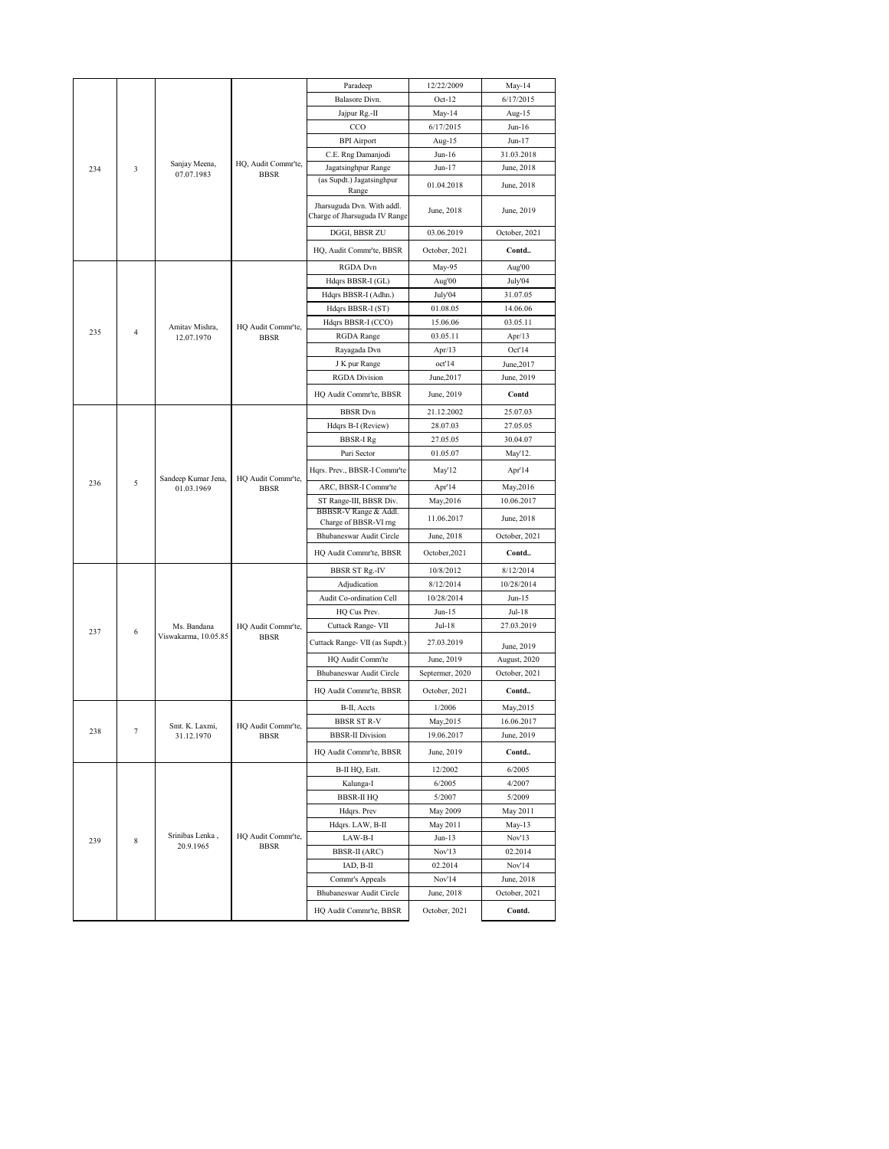|     |                |                                     |                                    | Paradeep                                                    | 12/22/2009      | May-14        |
|-----|----------------|-------------------------------------|------------------------------------|-------------------------------------------------------------|-----------------|---------------|
|     |                |                                     |                                    | Balasore Divn.                                              | $Oct-12$        | 6/17/2015     |
|     |                |                                     |                                    | Jajpur Rg.-II                                               | May-14          | Aug-15        |
|     |                |                                     |                                    | CCO                                                         | 6/17/2015       | Jun-16        |
|     |                |                                     |                                    | <b>BPI</b> Airport                                          | Aug-15          | Jun-17        |
|     |                |                                     |                                    | C.E. Rng Damanjodi                                          | $Jun-16$        | 31.03.2018    |
| 234 | 3              | Sanjay Meena,<br>07.07.1983         | HQ, Audit Commr'te,<br><b>BBSR</b> | Jagatsinghpur Range                                         | $Jun-17$        | June, 2018    |
|     |                |                                     |                                    | (as Supdt.) Jagatsinghpur                                   | 01.04.2018      | June, 2018    |
|     |                |                                     |                                    | Range                                                       |                 |               |
|     |                |                                     |                                    | Jharsuguda Dvn. With addl.<br>Charge of Jharsuguda IV Range | June, 2018      | June, 2019    |
|     |                |                                     |                                    |                                                             |                 |               |
|     |                |                                     |                                    | DGGI, BBSR ZU                                               | 03.06.2019      | October, 2021 |
|     |                |                                     |                                    | HQ, Audit Commr'te, BBSR                                    | October, 2021   | Contd         |
|     |                |                                     |                                    | RGDA Dvn                                                    | May-95          | Aug'00        |
|     |                |                                     |                                    | Hdqrs BBSR-I (GL)                                           | Aug'00          | July'04       |
|     |                |                                     |                                    | Hdqrs BBSR-I (Adhn.)                                        | July'04         | 31.07.05      |
|     |                |                                     |                                    | Hdqrs BBSR-I (ST)                                           | 01.08.05        | 14.06.06      |
|     |                | Amitav Mishra,                      | HQ Audit Commr'te,                 | Hdqrs BBSR-I (CCO)                                          | 15.06.06        | 03.05.11      |
| 235 | $\overline{4}$ | 12.07.1970                          | <b>BBSR</b>                        | RGDA Range                                                  | 03.05.11        | Apr/13        |
|     |                |                                     |                                    | Rayagada Dvn                                                | Apr/13          | Oct'14        |
|     |                |                                     |                                    | J K pur Range                                               | oct'14          | June, 2017    |
|     |                |                                     |                                    | <b>RGDA</b> Division                                        | June, 2017      | June, 2019    |
|     |                |                                     |                                    | HQ Audit Commr'te, BBSR                                     | June, 2019      | Contd         |
|     |                |                                     |                                    | <b>BBSR</b> Dvn                                             | 21.12.2002      | 25.07.03      |
|     |                |                                     |                                    | Hdqrs B-I (Review)                                          | 28.07.03        | 27.05.05      |
|     |                |                                     |                                    | BBSR-I Rg                                                   | 27.05.05        | 30.04.07      |
|     |                |                                     |                                    | Puri Sector                                                 | 01.05.07        | May'12.       |
|     |                |                                     | Hqrs. Prev., BBSR-I Commr'te       | May'12                                                      | Apr'14          |               |
| 236 | 5              | Sandeep Kumar Jena,<br>01.03.1969   | HQ Audit Commr'te,<br><b>BBSR</b>  | ARC, BBSR-I Commr'te                                        | Apr'14          | May, 2016     |
|     |                |                                     |                                    | ST Range-III, BBSR Div.                                     | May, 2016       | 10.06.2017    |
|     |                |                                     |                                    | BBBSR-V Range & Addl.                                       | 11.06.2017      | June, 2018    |
|     |                |                                     |                                    | Charge of BBSR-VI rng                                       |                 |               |
|     |                |                                     |                                    | Bhubaneswar Audit Circle                                    | June, 2018      | October, 2021 |
|     |                |                                     |                                    | HQ Audit Commr'te, BBSR                                     | October, 2021   | Contd         |
|     |                |                                     |                                    | <b>BBSR ST Rg.-IV</b>                                       | 10/8/2012       | 8/12/2014     |
|     |                |                                     |                                    | Adjudication                                                | 8/12/2014       | 10/28/2014    |
|     |                |                                     |                                    | Audit Co-ordination Cell                                    | 10/28/2014      | Jun-15        |
|     |                |                                     |                                    | HQ Cus Prev.                                                | Jun-15          | Jul-18        |
| 237 | 6              | Ms. Bandana<br>Viswakarma, 10.05.85 | HQ Audit Commr'te,<br><b>BBSR</b>  | Cuttack Range- VII                                          | Jul-18          | 27.03.2019    |
|     |                |                                     |                                    | Cuttack Range- VII (as Supdt.)                              | 27.03.2019      | June, 2019    |
|     |                |                                     |                                    | HQ Audit Comm'te                                            | June, 2019      | August, 2020  |
|     |                |                                     |                                    | Bhubaneswar Audit Circle                                    | Septermer, 2020 | October, 2021 |
|     |                |                                     |                                    | HQ Audit Commr'te, BBSR                                     | October, 2021   | Contd         |
|     |                |                                     |                                    | B-II, Accts                                                 | 1/2006          | May,2015      |
|     |                | Smt. K. Laxmi,                      | HQ Audit Commr'te.                 | <b>BBSR ST R-V</b>                                          | May, 2015       | 16.06.2017    |
| 238 |                | 31.12.1970                          | BBSR                               | <b>BBSR-II Division</b>                                     | 19.06.2017      | June, 2019    |
|     |                |                                     |                                    | HQ Audit Commr'te, BBSR                                     | June, 2019      | Contd         |
|     |                |                                     |                                    | B-II HQ, Estt.                                              | 12/2002         | 6/2005        |
|     |                |                                     |                                    | Kalunga-I                                                   | 6/2005          | 4/2007        |
|     |                |                                     |                                    | <b>BBSR-II HQ</b>                                           | 5/2007          | 5/2009        |
|     |                |                                     |                                    | Hdqrs. Prev                                                 | May 2009        | May 2011      |
|     |                |                                     |                                    | Hdqrs. LAW, B-II                                            | May 2011        | $May-13$      |
| 239 | $\,$ 8 $\,$    | Srinibas Lenka,<br>20.9.1965        | HQ Audit Commr'te,<br><b>BBSR</b>  | LAW-B-I                                                     | Jun-13          | Nov'13        |
|     |                |                                     |                                    | <b>BBSR-II</b> (ARC)                                        | Nov'13          | 02.2014       |
|     |                |                                     |                                    | IAD, B-II                                                   | 02.2014         | Nov'14        |
|     |                |                                     |                                    | Commr's Appeals                                             | Nov'14          | June, 2018    |
|     |                |                                     |                                    | Bhubaneswar Audit Circle                                    | June, 2018      | October, 2021 |
|     |                |                                     |                                    | HQ Audit Commr'te, BBSR                                     | October, 2021   | Contd.        |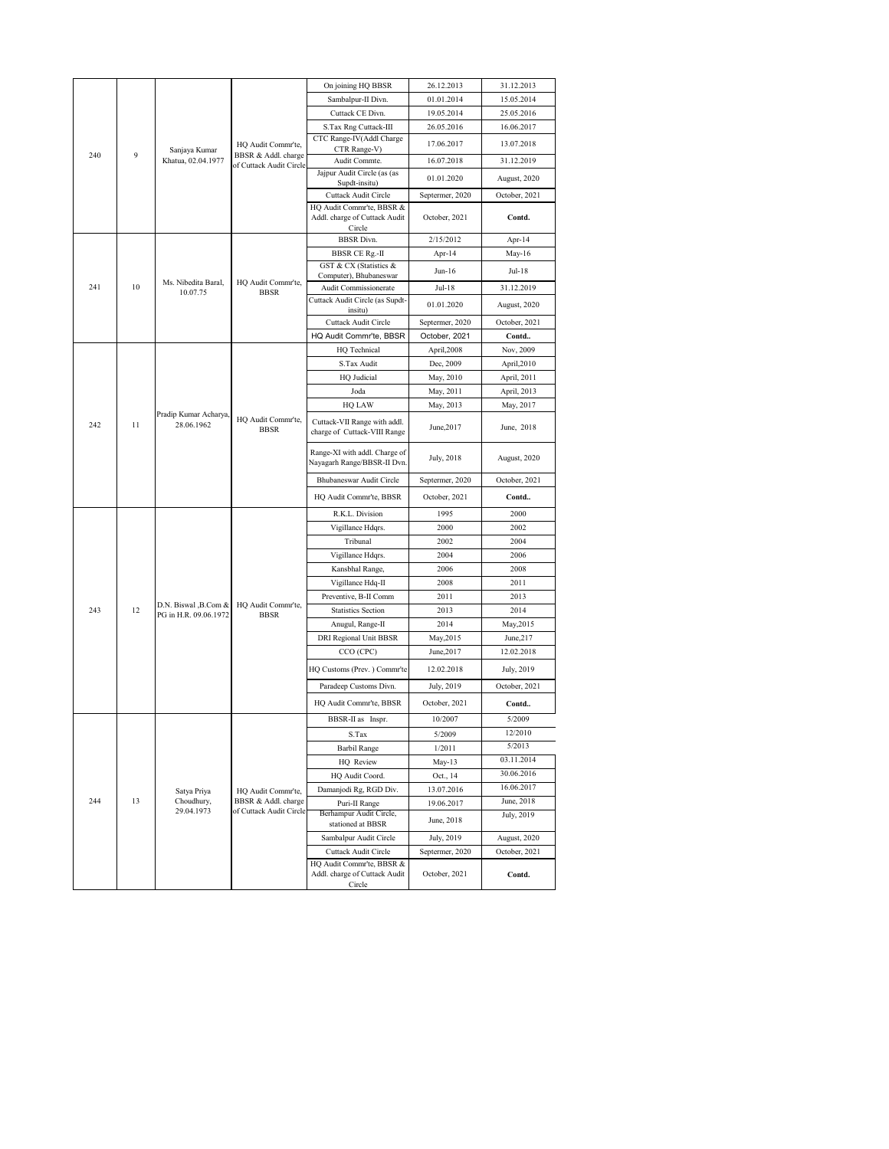|           |               |                          |                                                | On joining HQ BBSR                                                   | 26.12.2013      | 31.12.2013    |
|-----------|---------------|--------------------------|------------------------------------------------|----------------------------------------------------------------------|-----------------|---------------|
|           |               |                          |                                                | Sambalpur-II Divn.                                                   | 01.01.2014      | 15.05.2014    |
|           |               |                          |                                                | Cuttack CE Divn.                                                     | 19.05.2014      | 25.05.2016    |
|           |               |                          |                                                | S.Tax Rng Cuttack-III                                                | 26.05.2016      | 16.06.2017    |
|           | Sanjaya Kumar | HQ Audit Commr'te,       | CTC Range-IV(Addl Charge<br>CTR Range-V)       | 17.06.2017                                                           | 13.07.2018      |               |
| 240       | 9             | Khatua, 02.04.1977       | BBSR & Addl. charge<br>of Cuttack Audit Circle | Audit Commte.                                                        | 16.07.2018      | 31.12.2019    |
|           |               |                          |                                                | Jajpur Audit Circle (as (as                                          | 01.01.2020      | August, 2020  |
|           |               |                          | Supdt-insitu)<br>Cuttack Audit Circle          | Septermer, 2020                                                      | October, 2021   |               |
|           |               |                          |                                                | HQ Audit Commr'te, BBSR &                                            |                 |               |
|           |               |                          | Addl. charge of Cuttack Audit                  | October, 2021                                                        | Contd.          |               |
|           |               |                          |                                                | Circle<br><b>BBSR</b> Divn.                                          | 2/15/2012       | Apr-14        |
|           |               |                          |                                                | BBSR CE Rg.-II                                                       | Apr-14          | May-16        |
|           |               |                          |                                                | GST & CX (Statistics &                                               | $Jun-16$        | Jul-18        |
| 241       | 10            | Ms. Nibedita Baral,      | HQ Audit Commr'te,                             | Computer), Bhubaneswar                                               |                 |               |
|           |               | 10.07.75                 | <b>BBSR</b>                                    | Audit Commissionerate<br>Cuttack Audit Circle (as Supdt-             | Jul-18          | 31.12.2019    |
|           |               |                          |                                                | insitu)                                                              | 01.01.2020      | August, 2020  |
|           |               |                          |                                                | Cuttack Audit Circle                                                 | Septermer, 2020 | October, 2021 |
|           |               |                          | HQ Audit Commr'te, BBSR                        | October, 2021                                                        | Contd           |               |
|           |               |                          |                                                | HQ Technical                                                         | April,2008      | Nov, 2009     |
|           |               |                          |                                                | S.Tax Audit                                                          | Dec, 2009       | April,2010    |
|           |               |                          |                                                | HQ Judicial                                                          | May, 2010       | April, 2011   |
|           |               |                          |                                                | Joda                                                                 | May, 2011       | April, 2013   |
|           |               | Pradip Kumar Acharya,    | HQ Audit Commr'te,<br><b>BBSR</b>              | <b>HQ LAW</b>                                                        | May, 2013       | May, 2017     |
| 242<br>11 |               | 28.06.1962               |                                                | Cuttack-VII Range with addl.<br>charge of Cuttack-VIII Range         | June, 2017      | June, 2018    |
|           |               |                          |                                                | Range-XI with addl. Charge of<br>Nayagarh Range/BBSR-II Dvn.         | July, 2018      | August, 2020  |
|           |               |                          |                                                | Bhubaneswar Audit Circle                                             | Septermer, 2020 | October, 2021 |
|           |               |                          |                                                | HQ Audit Commr'te, BBSR                                              | October, 2021   | Contd         |
|           |               |                          |                                                | R.K.L. Division                                                      | 1995            | 2000          |
|           |               |                          |                                                | Vigillance Hdqrs.                                                    | 2000            | 2002          |
|           |               |                          |                                                | Tribunal                                                             | 2002            | 2004          |
|           |               |                          |                                                | Vigillance Hdqrs.                                                    | 2004            | 2006          |
|           |               |                          |                                                | Kansbhal Range,                                                      | 2006            | 2008          |
|           |               |                          |                                                | Vigillance Hdq-II                                                    | 2008            | 2011          |
|           |               | D.N. Biswal , B.Com &    | HQ Audit Commr'te,                             | Preventive, B-II Comm                                                | 2011            | 2013          |
| 243       | 12            | PG in H.R. 09.06.1972    | <b>BBSR</b>                                    | <b>Statistics Section</b>                                            | 2013            | 2014          |
|           |               |                          |                                                | Anugul, Range-II                                                     | 2014            | May,2015      |
|           |               |                          |                                                | DRI Regional Unit BBSR                                               | May, 2015       | June, 217     |
|           |               |                          |                                                | CCO (CPC)                                                            | June, 2017      | 12.02.2018    |
|           |               |                          |                                                | HQ Customs (Prev.) Commr'te                                          | 12.02.2018      | July, 2019    |
|           |               |                          |                                                | Paradeep Customs Divn.                                               | July, 2019      | October, 2021 |
|           |               |                          |                                                | HQ Audit Commr'te, BBSR                                              | October, 2021   | Contd         |
|           |               |                          |                                                | BBSR-II as Inspr.                                                    | 10/2007         | 5/2009        |
|           |               |                          |                                                | S.Tax                                                                | 5/2009          | 12/2010       |
|           |               |                          |                                                | <b>Barbil Range</b>                                                  | 1/2011          | 5/2013        |
|           |               |                          |                                                | HQ Review                                                            | May-13          | 03.11.2014    |
|           |               |                          |                                                | HQ Audit Coord.                                                      | Oct., 14        | 30.06.2016    |
|           |               | Satya Priya              | HQ Audit Commr'te,                             | Damanjodi Rg, RGD Div.                                               | 13.07.2016      | 16.06.2017    |
| 244       | 13            | Choudhury,<br>29.04.1973 | BBSR & Addl. charge<br>of Cuttack Audit Circle | Puri-II Range                                                        | 19.06.2017      | June, 2018    |
|           |               |                          |                                                | Berhampur Audit Circle,<br>stationed at BBSR                         | June, 2018      | July, 2019    |
|           |               |                          |                                                | Sambalpur Audit Circle                                               | July, 2019      | August, 2020  |
|           |               |                          |                                                | Cuttack Audit Circle                                                 | Septermer, 2020 | October, 2021 |
|           |               |                          |                                                | HQ Audit Commr'te, BBSR &<br>Addl. charge of Cuttack Audit<br>Circle | October, 2021   | Contd.        |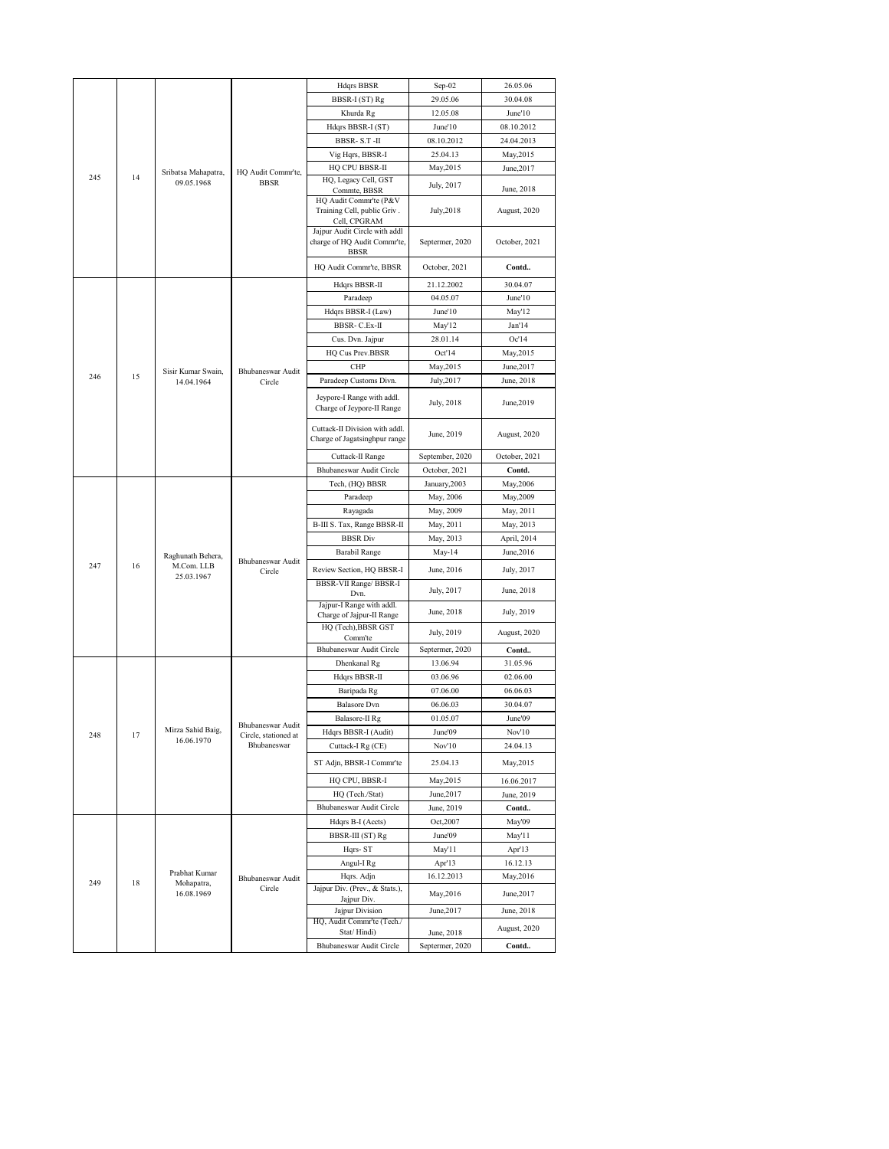|     |    |                                  |                                     | Hdqrs BBSR                                                      | Sep-02                        | 26.05.06              |
|-----|----|----------------------------------|-------------------------------------|-----------------------------------------------------------------|-------------------------------|-----------------------|
|     |    |                                  |                                     | BBSR-I (ST) Rg                                                  | 29.05.06                      | 30.04.08              |
|     |    |                                  |                                     | Khurda Rg                                                       | 12.05.08                      | June'10               |
|     |    |                                  |                                     | Hdqrs BBSR-I (ST)                                               | June'10                       | 08.10.2012            |
|     |    |                                  |                                     | BBSR-S.T-II                                                     | 08.10.2012                    | 24.04.2013            |
|     |    |                                  |                                     | Vig Hqrs, BBSR-I                                                | 25.04.13                      | May, 2015             |
| 245 | 14 | Sribatsa Mahapatra,              | HQ Audit Commr'te,                  | HQ CPU BBSR-II                                                  | May, 2015                     | June, 2017            |
|     |    | 09.05.1968                       | <b>BBSR</b>                         | HQ, Legacy Cell, GST<br>Commte, BBSR                            | July, 2017                    | June, 2018            |
|     |    |                                  |                                     | HQ Audit Commr'te (P&V                                          |                               |                       |
|     |    |                                  |                                     | Training Cell, public Griv.<br>Cell, CPGRAM                     | July, 2018                    | August, 2020          |
|     |    |                                  |                                     | Jajpur Audit Circle with addl                                   |                               |                       |
|     |    |                                  |                                     | charge of HQ Audit Commr'te,                                    | Septermer, 2020               | October, 2021         |
|     |    |                                  |                                     | <b>BBSR</b>                                                     |                               |                       |
|     |    |                                  |                                     | HQ Audit Commr'te, BBSR                                         | October, 2021                 | Contd                 |
|     |    |                                  |                                     | Hdqrs BBSR-II                                                   | 21.12.2002                    | 30.04.07              |
|     |    |                                  |                                     | Paradeep                                                        | 04.05.07                      | June'10               |
|     |    |                                  |                                     | Hdqrs BBSR-I (Law)                                              | June'10                       | May'12                |
|     |    |                                  |                                     | BBSR- C.Ex-II                                                   | May'12<br>28.01.14            | Jan'14<br>Oc'14       |
|     |    |                                  |                                     | Cus. Dvn. Jajpur<br>HQ Cus Prev.BBSR                            | Oct'14                        | May, 2015             |
|     |    |                                  |                                     | <b>CHP</b>                                                      | May, 2015                     | June, 2017            |
| 246 | 15 | Sisir Kumar Swain,<br>14.04.1964 | Bhubaneswar Audit<br>Circle         | Paradeep Customs Divn.                                          | July, 2017                    | June, 2018            |
|     |    |                                  |                                     | Jeypore-I Range with addl.                                      |                               |                       |
|     |    |                                  |                                     | Charge of Jeypore-II Range                                      | July, 2018                    | June, 2019            |
|     |    |                                  |                                     |                                                                 |                               |                       |
|     |    |                                  |                                     | Cuttack-II Division with addl.<br>Charge of Jagatsinghpur range | June, 2019                    | August, 2020          |
|     |    |                                  |                                     | Cuttack-II Range                                                | September, 2020               | October, 2021         |
|     |    |                                  |                                     | Bhubaneswar Audit Circle                                        | October, 2021                 | Contd.                |
|     |    |                                  |                                     | Tech, (HQ) BBSR                                                 | January, 2003                 | May, 2006             |
|     |    |                                  |                                     | Paradeep                                                        | May, 2006                     | May, 2009             |
|     |    |                                  |                                     | Rayagada                                                        | May, 2009                     | May, 2011             |
|     |    |                                  | Bhubaneswar Audit<br>Circle         | B-III S. Tax, Range BBSR-II                                     | May, 2011                     | May, 2013             |
|     |    |                                  |                                     | <b>BBSR</b> Div                                                 | May, 2013                     | April, 2014           |
|     |    | Raghunath Behera,                |                                     | <b>Barabil Range</b>                                            | May-14                        | June, 2016            |
| 247 | 16 | M.Com. LLB<br>25.03.1967         |                                     | Review Section, HQ BBSR-I                                       | June, 2016                    | July, 2017            |
|     |    |                                  |                                     | BBSR-VII Range/ BBSR-I<br>Dvn.                                  | July, 2017                    | June, 2018            |
|     |    |                                  |                                     | Jajpur-I Range with addl.                                       |                               |                       |
|     |    |                                  |                                     | Charge of Jajpur-II Range                                       | June, 2018                    | July, 2019            |
|     |    |                                  |                                     | HQ (Tech), BBSR GST<br>Comm'te                                  | July, 2019                    | August, 2020          |
|     |    |                                  |                                     | Bhubaneswar Audit Circle                                        | Septermer, 2020               | Contd                 |
|     |    |                                  |                                     | Dhenkanal Rg                                                    | 13.06.94                      | 31.05.96              |
|     |    |                                  |                                     | Hdqrs BBSR-II                                                   | 03.06.96                      | 02.06.00              |
|     |    |                                  |                                     | Baripada Rg                                                     | 07.06.00                      | 06.06.03              |
|     |    |                                  |                                     | <b>Balasore</b> Dvn                                             | 06.06.03                      | 30.04.07              |
|     |    | Mirza Sahid Baig,                | Bhubaneswar Audit                   | Balasore-II Rg<br>Hdqrs BBSR-I (Audit)                          | 01.05.07                      | June'09               |
| 248 | 17 | 16.06.1970                       | Circle, stationed at<br>Bhubaneswar | Cuttack-I Rg (CE)                                               | June'09<br>Nov'10             | Nov'10<br>24.04.13    |
|     |    |                                  |                                     |                                                                 |                               |                       |
|     |    |                                  |                                     | ST Adjn, BBSR-I Commr'te                                        | 25.04.13                      | May, 2015             |
|     |    |                                  |                                     | HQ CPU, BBSR-I                                                  | May,2015                      | 16.06.2017            |
|     |    |                                  |                                     | HQ (Tech./Stat)<br>Bhubaneswar Audit Circle                     | June, 2017                    | June, 2019            |
|     |    |                                  |                                     | Hdqrs B-I (Accts)                                               | June, 2019<br>Oct, 2007       | Contd<br>May'09       |
|     |    |                                  |                                     | BBSR-III (ST) Rg                                                | June'09                       | May'11                |
|     |    |                                  |                                     | Hqrs-ST                                                         | May'11                        | Apr'13                |
|     |    |                                  |                                     | Angul-I Rg                                                      | Apr'13                        | 16.12.13              |
|     |    | Prabhat Kumar                    | Bhubaneswar Audit                   | Hqrs. Adjn                                                      | 16.12.2013                    | May, 2016             |
| 249 | 18 | Mohapatra,<br>16.08.1969         | Circle                              | Jajpur Div. (Prev., & Stats.),                                  | May, 2016                     | June, 2017            |
|     |    |                                  |                                     | Jajpur Div.<br>Jajpur Division                                  | June, 2017                    | June, 2018            |
|     |    |                                  |                                     |                                                                 |                               |                       |
|     |    |                                  |                                     | HQ, Audit Commr'te (Tech./                                      |                               |                       |
|     |    |                                  |                                     | Stat/Hindi)<br>Bhubaneswar Audit Circle                         | June, 2018<br>Septermer, 2020 | August, 2020<br>Contd |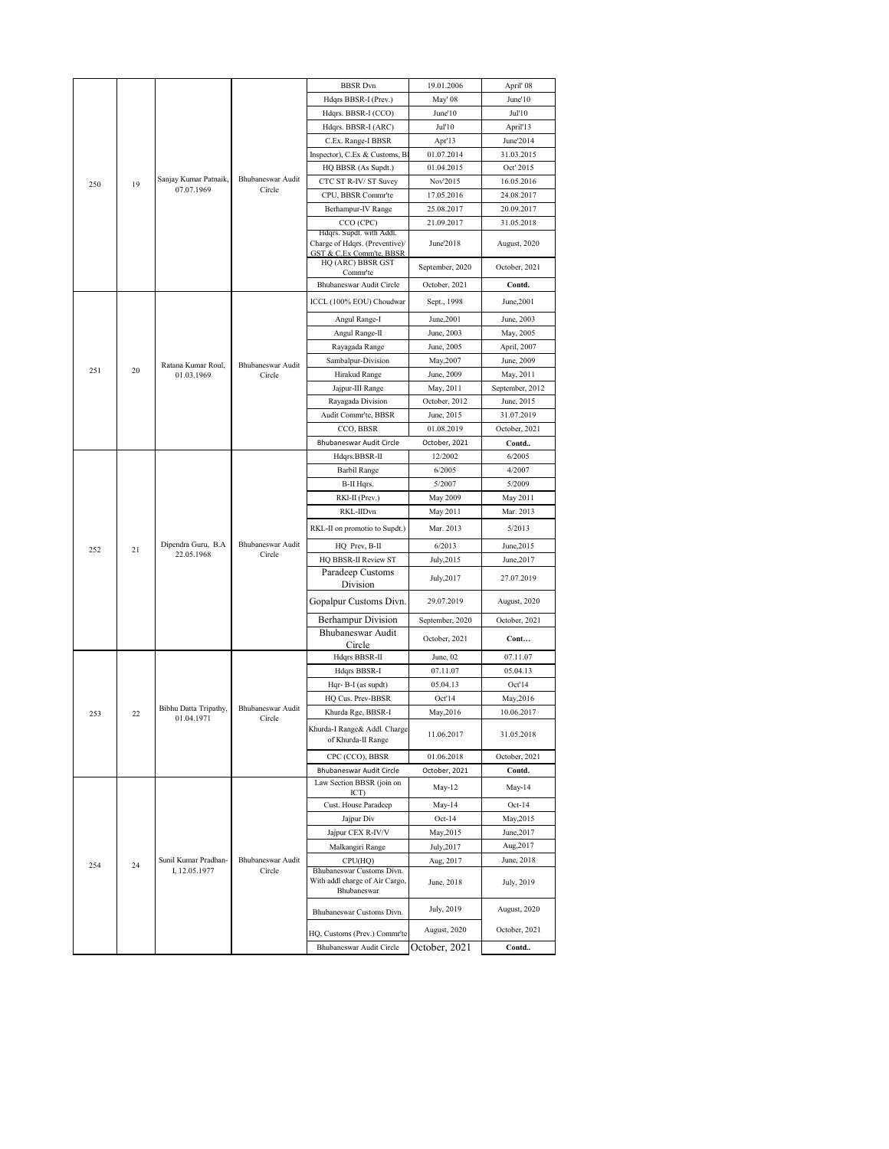|     |    |                       |                             | <b>BBSR</b> Dvn                                                       | 19.01.2006      | April' 08       |
|-----|----|-----------------------|-----------------------------|-----------------------------------------------------------------------|-----------------|-----------------|
|     |    |                       |                             | Hdqrs BBSR-I (Prev.)                                                  | May' 08         | June'10         |
|     |    |                       |                             | Hdqrs. BBSR-I (CCO)                                                   | June'10         | Jul'10          |
|     |    |                       |                             | Hdqrs. BBSR-I (ARC)                                                   | Jul'10          | April'13        |
|     |    |                       |                             | C.Ex. Range-I BBSR                                                    | Apr'13          | June'2014       |
|     |    |                       |                             | Inspector), C.Ex & Customs, B                                         | 01.07.2014      | 31.03.2015      |
|     |    |                       |                             | HQ BBSR (As Supdt.)                                                   | 01.04.2015      | Oct' 2015       |
| 250 | 19 | Sanjay Kumar Patnaik, | Bhubaneswar Audit           | CTC ST R-IV/ ST Suvey                                                 | Nov'2015        | 16.05.2016      |
|     |    | 07.07.1969            | Circle                      | CPU, BBSR Commr'te                                                    | 17.05.2016      | 24.08.2017      |
|     |    |                       |                             | Berhampur-IV Range                                                    | 25.08.2017      | 20.09.2017      |
|     |    |                       |                             | CCO (CPC)                                                             | 21.09.2017      | 31.05.2018      |
|     |    |                       |                             | Hdqrs. Supdt. with Addl.                                              |                 |                 |
|     |    |                       |                             | Charge of Hdqrs. (Preventive)/<br><b>GST &amp; C.Ex Comm'te, BBSR</b> | June'2018       | August, 2020    |
|     |    |                       |                             | HQ (ARC) BBSR GST                                                     | September, 2020 | October, 2021   |
|     |    |                       |                             | Commr'te                                                              |                 |                 |
|     |    |                       |                             | Bhubaneswar Audit Circle                                              | October, 2021   | Contd.          |
|     |    |                       |                             | ICCL (100% EOU) Choudwar                                              | Sept., 1998     | June, 2001      |
|     |    |                       |                             | Angul Range-I                                                         | June, 2001      | June, 2003      |
|     |    |                       |                             | Angul Range-II                                                        | June, 2003      | May, 2005       |
|     |    |                       |                             | Rayagada Range                                                        | June, 2005      | April, 2007     |
|     |    | Ratana Kumar Roul,    | Bhubaneswar Audit           | Sambalpur-Division                                                    | May, 2007       | June, 2009      |
| 251 | 20 | 01.03.1969            | Circle                      | Hirakud Range                                                         | June, 2009      | May, 2011       |
|     |    |                       |                             | Jajpur-III Range                                                      | May, 2011       | September, 2012 |
|     |    |                       |                             | Rayagada Division                                                     | October, 2012   | June, 2015      |
|     |    |                       |                             | Audit Commr'te, BBSR                                                  | June, 2015      | 31.07.2019      |
|     |    |                       |                             | CCO, BBSR                                                             | 01.08.2019      | October, 2021   |
|     |    |                       | Bhubaneswar Audit Circle    | October, 2021                                                         | Contd           |                 |
|     |    |                       |                             | Hdqrs.BBSR-II                                                         | 12/2002         | 6/2005          |
|     |    |                       |                             | Barbil Range                                                          | 6/2005          | 4/2007          |
|     |    |                       |                             | B-II Hqrs.                                                            | 5/2007          | 5/2009          |
|     |    |                       |                             | RKl-II (Prev.)                                                        | May 2009        | May 2011        |
|     |    |                       |                             | RKL-IIDvn                                                             | May 2011        | Mar. 2013       |
|     |    |                       | Bhubaneswar Audit<br>Circle | RKL-II on promotio to Supdt.)                                         | Mar. 2013       | 5/2013          |
| 252 | 21 | Dipendra Guru, B.A    |                             | HQ Prev, B-II                                                         | 6/2013          | June, 2015      |
|     |    | 22.05.1968            |                             | HQ BBSR-II Review ST                                                  | July, 2015      | June, 2017      |
|     |    |                       |                             | Paradeep Customs                                                      | July, 2017      | 27.07.2019      |
|     |    |                       |                             | Division                                                              |                 |                 |
|     |    |                       |                             | Gopalpur Customs Divn.                                                | 29.07.2019      | August, 2020    |
|     |    |                       |                             | Berhampur Division                                                    | September, 2020 | October, 2021   |
|     |    |                       |                             | Bhubaneswar Audit                                                     | October, 2021   | Cont            |
|     |    |                       |                             | Circle<br>Hdqrs BBSR-II                                               | June, 02        | 07.11.07        |
|     |    |                       |                             | Hdqrs BBSR-I                                                          | 07.11.07        | 05.04.13        |
|     |    |                       |                             | Hqr-B-I (as supdt)                                                    | 05.04.13        | Oct'14          |
|     |    |                       |                             | HQ Cus. Prev-BBSR                                                     | Oct'14          | May, 2016       |
| 253 | 22 | Bibhu Datta Tripathy, | Bhubaneswar Audit           | Khurda Rge, BBSR-I                                                    | May, 2016       | 10.06.2017      |
|     |    | 01.04.1971            | Circle                      | Khurda-I Range& Addl. Charge                                          |                 |                 |
|     |    |                       |                             | of Khurda-II Range                                                    | 11.06.2017      | 31.05.2018      |
|     |    |                       |                             | CPC (CCO), BBSR                                                       | 01.06.2018      | October, 2021   |
|     |    |                       |                             | Bhubaneswar Audit Circle                                              | October, 2021   | Contd.          |
|     |    |                       |                             | Law Section BBSR (join on<br>ICT)                                     | May-12          | May-14          |
|     |    |                       |                             | Cust. House Paradeep                                                  | May-14          | $Oct-14$        |
|     |    |                       |                             | Jajpur Div                                                            | Oct-14          | May, 2015       |
|     |    |                       |                             | Jajpur CEX R-IV/V                                                     | May,2015        | June, 2017      |
|     |    |                       |                             | Malkangiri Range                                                      | July, 2017      | Aug, 2017       |
|     |    | Sunil Kumar Pradhan-  | Bhubaneswar Audit           | CPU(HQ)                                                               | Aug, 2017       | June, 2018      |
| 254 | 24 | I, 12.05.1977         | Circle                      | Bhubaneswar Customs Divn.                                             |                 |                 |
|     |    |                       |                             | With addl charge of Air Cargo,<br>Bhubaneswar                         | June, 2018      | July, 2019      |
|     |    |                       |                             |                                                                       |                 |                 |
|     |    |                       |                             | Bhubaneswar Customs Divn.                                             | July, 2019      | August, 2020    |
|     |    |                       |                             | HQ, Customs (Prev.) Commr'te                                          | August, 2020    | October, 2021   |
|     |    |                       |                             | Bhubaneswar Audit Circle                                              | October, 2021   | Contd           |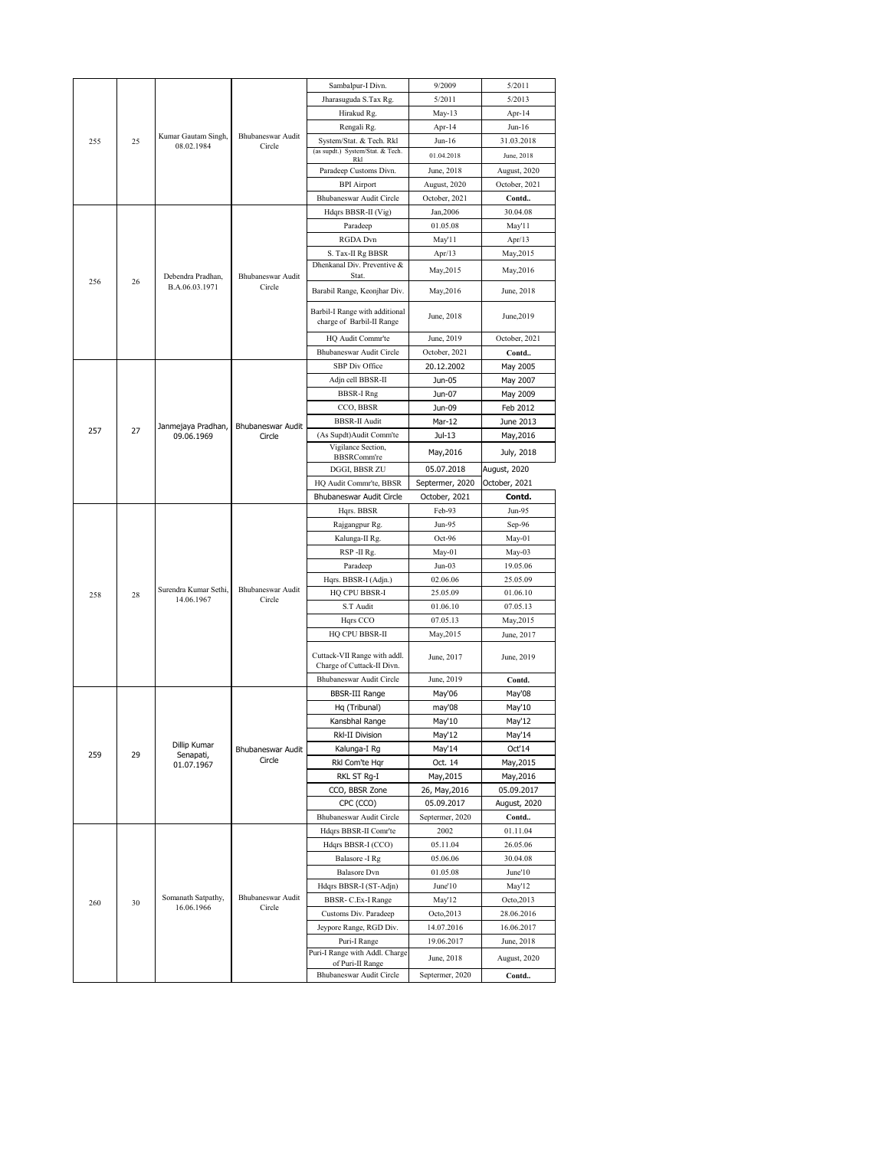|     |    |                       |                             | Sambalpur-I Divn.                                           | 9/2009          | 5/2011        |
|-----|----|-----------------------|-----------------------------|-------------------------------------------------------------|-----------------|---------------|
|     |    |                       |                             | Jharasuguda S.Tax Rg.                                       | 5/2011          | 5/2013        |
|     |    |                       |                             | Hirakud Rg.                                                 | May-13          | Apr-14        |
|     |    |                       |                             | Rengali Rg.                                                 | Apr-14          | Jun-16        |
| 255 | 25 | Kumar Gautam Singh,   | Bhubaneswar Audit           | System/Stat. & Tech. Rkl                                    | $Jun-16$        | 31.03.2018    |
|     |    | 08.02.1984            | Circle                      | (as supdt.) System/Stat. & Tech.                            | 01.04.2018      | June, 2018    |
|     |    |                       |                             | Rkl<br>Paradeep Customs Divn.                               | June, 2018      | August, 2020  |
|     |    |                       |                             | <b>BPI</b> Airport                                          | August, 2020    | October, 2021 |
|     |    |                       | Bhubaneswar Audit Circle    | October, 2021                                               | Contd           |               |
|     |    |                       |                             | Hdqrs BBSR-II (Vig)                                         | Jan, 2006       | 30.04.08      |
|     |    |                       |                             | Paradeep                                                    | 01.05.08        | May'11        |
|     |    |                       |                             | RGDA Dvn                                                    | May'l l         | Apr/13        |
|     |    |                       |                             | S. Tax-II Rg BBSR                                           | Apr $/13$       | May,2015      |
|     |    |                       |                             | Dhenkanal Div. Preventive &                                 |                 |               |
| 256 |    | Debendra Pradhan,     | Bhubaneswar Audit           | Stat.                                                       | May, 2015       | May,2016      |
|     | 26 | B.A.06.03.1971        | Circle                      | Barabil Range, Keonjhar Div.                                | May, 2016       | June, 2018    |
|     |    |                       |                             |                                                             |                 |               |
|     |    |                       |                             | Barbil-I Range with additional<br>charge of Barbil-II Range | June, 2018      | June, 2019    |
|     |    |                       |                             |                                                             |                 |               |
|     |    |                       |                             | HQ Audit Commr'te                                           | June, 2019      | October, 2021 |
|     |    |                       |                             | Bhubaneswar Audit Circle                                    | October, 2021   | Contd         |
|     |    |                       |                             | SBP Div Office                                              | 20.12.2002      | May 2005      |
|     |    |                       |                             | Adjn cell BBSR-II                                           | Jun-05          | May 2007      |
|     |    |                       |                             | <b>BBSR-I Rng</b>                                           | Jun-07          | May 2009      |
|     |    |                       |                             | CCO, BBSR                                                   | Jun-09          | Feb 2012      |
| 257 | 27 | Janmejaya Pradhan,    | Bhubaneswar Audit           | <b>BBSR-II Audit</b>                                        | Mar-12          | June 2013     |
|     |    | 09.06.1969            | Circle                      | (As Supdt)Audit Comm'te                                     | Jul-13          | May,2016      |
|     |    |                       |                             | Vigilance Section,<br>BBSRComm're                           | May, 2016       | July, 2018    |
|     |    |                       |                             | DGGI, BBSR ZU                                               | 05.07.2018      | August, 2020  |
|     |    |                       |                             | HQ Audit Commr'te, BBSR                                     | Septermer, 2020 | October, 2021 |
|     |    |                       |                             | Bhubaneswar Audit Circle                                    | October, 2021   | Contd.        |
|     |    |                       |                             | Hqrs. BBSR                                                  | Feb-93          | Jun-95        |
|     |    |                       |                             | Rajgangpur Rg.                                              | Jun-95          | Sep-96        |
|     |    |                       |                             | Kalunga-II Rg.                                              | $Oct-96$        | May-01        |
|     |    |                       |                             |                                                             |                 |               |
|     |    |                       |                             | RSP-II Rg.                                                  | May-01          | May-03        |
|     |    |                       |                             | Paradeep                                                    | $Jun-03$        | 19.05.06      |
|     |    |                       |                             | Hqrs. BBSR-I (Adjn.)                                        | 02.06.06        | 25.05.09      |
| 258 | 28 | Surendra Kumar Sethi, | Bhubaneswar Audit           | <b>HQ CPU BBSR-I</b>                                        | 25.05.09        | 01.06.10      |
|     |    | 14.06.1967            | Circle                      | S.T Audit                                                   | 01.06.10        | 07.05.13      |
|     |    |                       |                             | Hqrs CCO                                                    | 07.05.13        | May, 2015     |
|     |    |                       |                             | HQ CPU BBSR-II                                              | May, 2015       | June, 2017    |
|     |    |                       |                             |                                                             |                 |               |
|     |    |                       |                             | Cuttack-VII Range with addl.                                | June, 2017      | June, 2019    |
|     |    |                       |                             | Charge of Cuttack-II Divn.                                  |                 |               |
|     |    |                       |                             | Bhubaneswar Audit Circle                                    | June, 2019      | Contd.        |
|     |    |                       |                             | <b>BBSR-III Range</b>                                       | May'06          | May'08        |
|     |    |                       |                             | Hq (Tribunal)                                               | may'08          | May'10        |
|     |    |                       |                             | Kansbhal Range                                              | May'10          | May'12        |
|     |    | Dillip Kumar          |                             | <b>RkI-II Division</b>                                      | May'12          | May'14        |
| 259 | 29 | Senapati,             | Bhubaneswar Audit<br>Circle | Kalunga-I Rg                                                | May'14          | Oct'14        |
|     |    | 01.07.1967            |                             | Rkl Com'te Hgr                                              | Oct. 14         | May, 2015     |
|     |    |                       |                             | RKL ST Rg-I                                                 | May, 2015       | May, 2016     |
|     |    |                       |                             | CCO, BBSR Zone                                              | 26, May, 2016   | 05.09.2017    |
|     |    |                       |                             | CPC (CCO)                                                   | 05.09.2017      | August, 2020  |
|     |    |                       |                             | Bhubaneswar Audit Circle                                    | Septermer, 2020 | Contd         |
|     |    |                       |                             | Hdqrs BBSR-II Comr'te                                       | 2002            | 01.11.04      |
|     |    |                       |                             | Hdqrs BBSR-I (CCO)                                          | 05.11.04        | 26.05.06      |
|     |    |                       |                             | Balasore -I Rg                                              | 05.06.06        | 30.04.08      |
|     |    |                       |                             | <b>Balasore</b> Dvn                                         | 01.05.08        | June'10       |
|     |    | Somanath Satpathy,    | Bhubaneswar Audit           | Hdqrs BBSR-I (ST-Adjn)                                      | June'10         | May'12        |
| 260 | 30 | 16.06.1966            | Circle                      | BBSR- C.Ex-I Range                                          | May'12          | Octo, 2013    |
|     |    |                       |                             | Customs Div. Paradeep                                       | Octo, 2013      | 28.06.2016    |
|     |    |                       |                             | Jeypore Range, RGD Div.                                     | 14.07.2016      | 16.06.2017    |
|     |    |                       |                             | Puri-I Range                                                | 19.06.2017      | June, 2018    |
|     |    |                       |                             | Puri-I Range with Addl. Charge<br>of Puri-II Range          | June, 2018      | August, 2020  |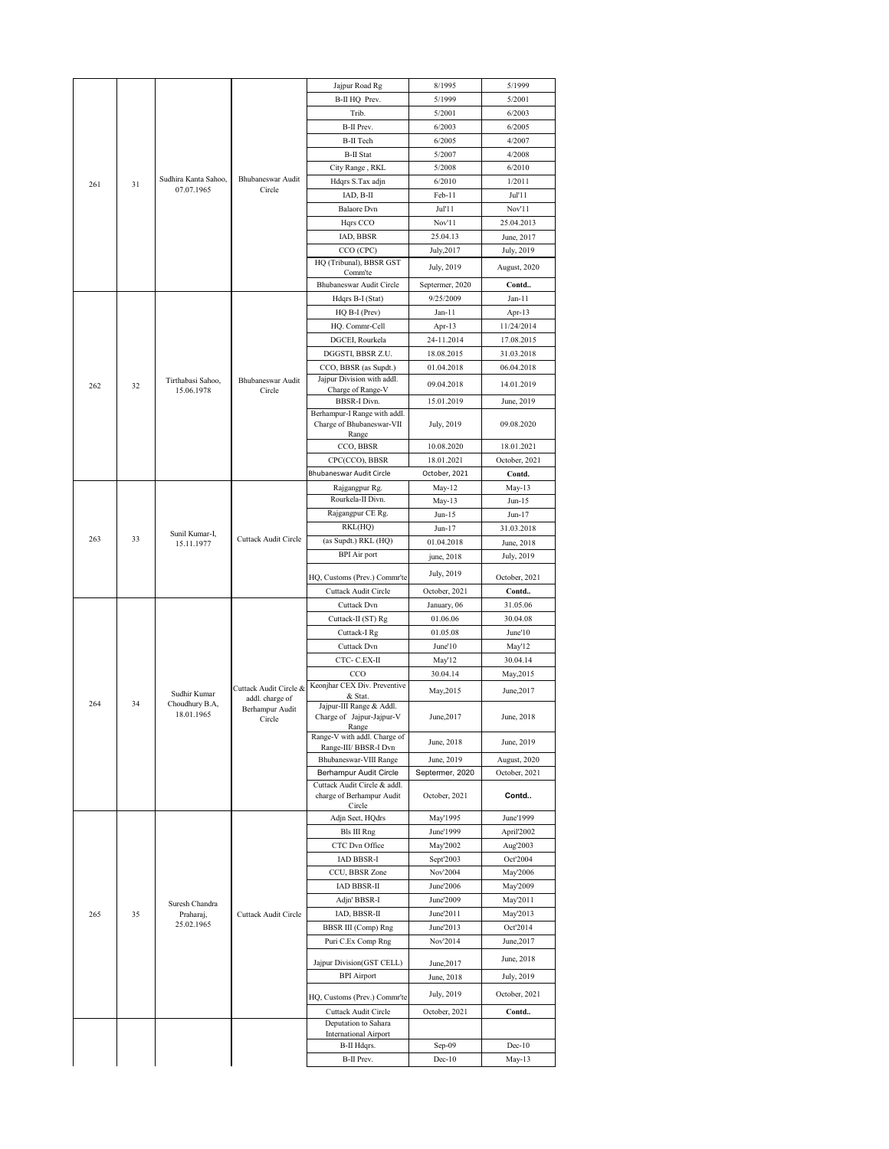|     |    |                      |                                    | Jajpur Road Rg                                   | 8/1995          | 5/1999        |
|-----|----|----------------------|------------------------------------|--------------------------------------------------|-----------------|---------------|
|     |    |                      |                                    | B-II HQ Prev.                                    | 5/1999          | 5/2001        |
|     |    |                      |                                    | Trib.                                            | 5/2001          | 6/2003        |
|     |    |                      |                                    | B-II Prev.                                       | 6/2003          | 6/2005        |
|     |    |                      |                                    | <b>B-II</b> Tech                                 | 6/2005          | 4/2007        |
|     |    |                      |                                    | <b>B-II Stat</b>                                 | 5/2007          | 4/2008        |
|     |    |                      |                                    | City Range, RKL                                  | 5/2008          | 6/2010        |
|     |    | Sudhira Kanta Sahoo, | Bhubaneswar Audit                  | Hdqrs S.Tax adjn                                 | 6/2010          | 1/2011        |
| 261 | 31 | 07.07.1965           | Circle                             | IAD, B-II                                        | Feb-11          | Jul'11        |
|     |    |                      |                                    |                                                  |                 |               |
|     |    |                      |                                    | <b>Balaore</b> Dvn                               | Jul'11          | Nov'11        |
|     |    |                      |                                    | Hqrs CCO                                         | Nov'11          | 25.04.2013    |
|     |    |                      |                                    | IAD, BBSR                                        | 25.04.13        | June, 2017    |
|     |    |                      |                                    | CCO (CPC)                                        | July, 2017      | July, 2019    |
|     |    |                      |                                    | HQ (Tribunal), BBSR GST                          | July, 2019      | August, 2020  |
|     |    |                      |                                    | Comm'te<br>Bhubaneswar Audit Circle              | Septermer, 2020 | Contd         |
|     |    |                      |                                    | Hdqrs B-I (Stat)                                 | 9/25/2009       | $Jan-11$      |
|     |    |                      |                                    |                                                  | $Jan-11$        |               |
|     |    |                      |                                    | HQ B-I (Prev)                                    |                 | Apr-13        |
|     |    |                      |                                    | HQ. Commr-Cell                                   | Apr-13          | 11/24/2014    |
|     |    |                      |                                    | DGCEI, Rourkela                                  | 24-11.2014      | 17.08.2015    |
|     |    |                      |                                    | DGGSTI, BBSR Z.U.                                | 18.08.2015      | 31.03.2018    |
|     |    |                      |                                    | CCO, BBSR (as Supdt.)                            | 01.04.2018      | 06.04.2018    |
| 262 | 32 | Tirthabasi Sahoo,    | Bhubaneswar Audit                  | Jajpur Division with addl.                       | 09.04.2018      | 14.01.2019    |
|     |    | 15.06.1978           | Circle                             | Charge of Range-V<br><b>BBSR-I Divn.</b>         | 15.01.2019      |               |
|     |    |                      |                                    | Berhampur-I Range with addl.                     |                 | June, 2019    |
|     |    |                      |                                    | Charge of Bhubaneswar-VII                        | July, 2019      | 09.08.2020    |
|     |    |                      |                                    | Range                                            |                 |               |
|     |    |                      |                                    | CCO, BBSR                                        | 10.08.2020      | 18.01.2021    |
|     |    |                      |                                    | CPC(CCO), BBSR                                   | 18.01.2021      | October, 2021 |
|     |    |                      |                                    | Bhubaneswar Audit Circle                         | October, 2021   | Contd.        |
|     |    |                      |                                    | Rajgangpur Rg.                                   | May-12          | $May-13$      |
|     |    |                      |                                    | Rourkela-II Divn.                                | $May-13$        | Jun-15        |
|     |    |                      |                                    | Rajgangpur CE Rg.                                | $Jun-15$        | Jun-17        |
|     |    |                      | Cuttack Audit Circle               | RKL(HQ)                                          | Jun-17          | 31.03.2018    |
| 263 | 33 | Sunil Kumar-I,       |                                    | (as Supdt.) RKL (HQ)                             |                 |               |
|     |    | 15.11.1977           |                                    |                                                  | 01.04.2018      | June, 2018    |
|     |    |                      |                                    | <b>BPI</b> Air port                              | june, 2018      | July, 2019    |
|     |    |                      |                                    | HQ, Customs (Prev.) Commr'te                     | July, 2019      | October, 2021 |
|     |    |                      |                                    | Cuttack Audit Circle                             | October, 2021   | Contd         |
|     |    |                      |                                    | Cuttack Dvn                                      | January, 06     | 31.05.06      |
|     |    |                      |                                    | Cuttack-II (ST) Rg                               | 01.06.06        | 30.04.08      |
|     |    |                      |                                    |                                                  |                 |               |
|     |    |                      |                                    | Cuttack-I Rg                                     | 01.05.08        | June'10       |
|     |    |                      |                                    | Cuttack Dvn                                      | June'10         | May'12        |
|     |    |                      |                                    | CTC- C.EX-II                                     | May'12          | 30.04.14      |
|     |    |                      |                                    | CCO                                              | 30.04.14        | May, 2015     |
|     |    | Sudhir Kumar         | Cuttack Audit Circle &             | Keonjhar CEX Div. Preventive<br>& Stat.          | May, 2015       | June, 2017    |
| 264 | 34 | Choudhury B.A,       | addl. charge of<br>Berhampur Audit | Jajpur-III Range & Addl.                         |                 |               |
|     |    | 18.01.1965           | Circle                             | Charge of Jajpur-Jajpur-V                        | June, 2017      | June, 2018    |
|     |    |                      |                                    | Range                                            |                 |               |
|     |    |                      |                                    | Range-V with addl. Charge of                     | June, 2018      | June, 2019    |
|     |    |                      |                                    | Range-III/ BBSR-I Dvn                            |                 |               |
|     |    |                      |                                    | Bhubaneswar-VIII Range<br>Berhampur Audit Circle | June, 2019      | August, 2020  |
|     |    |                      |                                    | Cuttack Audit Circle & addl.                     | Septermer, 2020 | October, 2021 |
|     |    |                      |                                    | charge of Berhampur Audit                        | October, 2021   | Contd         |
|     |    |                      |                                    | Circle                                           |                 |               |
|     |    |                      |                                    | Adjn Sect, HQdrs                                 |                 | June'1999     |
|     |    |                      |                                    |                                                  | May'1995        |               |
|     |    |                      |                                    | Bls III Rng                                      | June'1999       | April'2002    |
|     |    |                      |                                    | CTC Dvn Office                                   | May'2002        | Aug'2003      |
|     |    |                      |                                    | <b>IAD BBSR-I</b>                                | Sept'2003       | Oct'2004      |
|     |    |                      |                                    | CCU, BBSR Zone                                   | Nov'2004        | May'2006      |
|     |    |                      |                                    |                                                  |                 |               |
|     |    |                      |                                    | IAD BBSR-II                                      | June'2006       | May'2009      |
|     |    | Suresh Chandra       |                                    | Adjn' BBSR-I                                     | June'2009       | May'2011      |
| 265 | 35 | Praharaj,            | Cuttack Audit Circle               | IAD, BBSR-II                                     | June'2011       | May'2013      |
|     |    | 25.02.1965           |                                    | <b>BBSR III</b> (Comp) Rng                       | June'2013       | Oct'2014      |
|     |    |                      |                                    | Puri C.Ex Comp Rng                               | Nov'2014        | June, 2017    |
|     |    |                      |                                    |                                                  |                 | June, 2018    |
|     |    |                      |                                    | Jajpur Division(GST CELL)                        | June, 2017      |               |
|     |    |                      |                                    | <b>BPI</b> Airport                               | June, 2018      | July, 2019    |
|     |    |                      |                                    | HQ, Customs (Prev.) Commr'te                     | July, 2019      | October, 2021 |
|     |    |                      |                                    | Cuttack Audit Circle                             | October, 2021   | Contd         |
|     |    |                      |                                    | Deputation to Sahara                             |                 |               |
|     |    |                      |                                    | <b>International Airport</b>                     |                 |               |
|     |    |                      |                                    | B-II Hdqrs.                                      | Sep-09          | $Dec-10$      |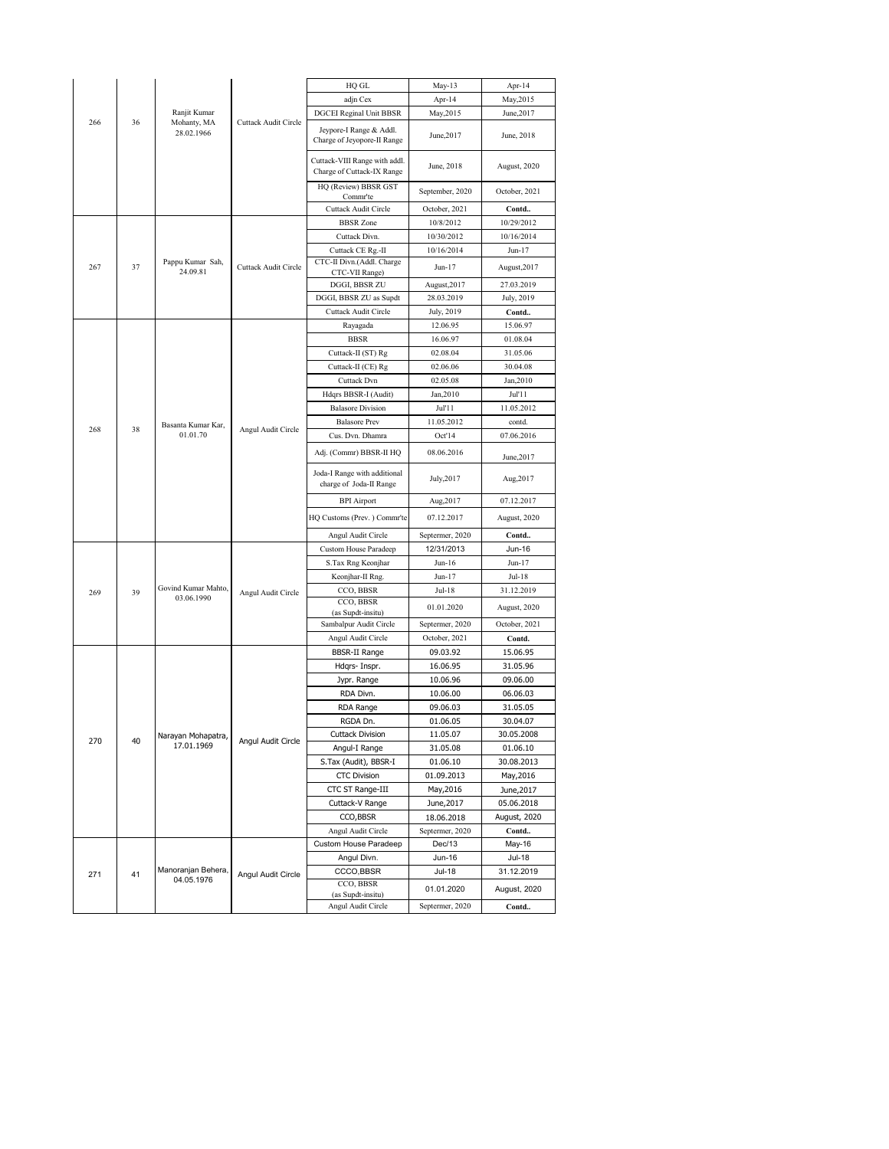|     |    |                                   |                      | HQ GL                                                       | May-13                    | Apr-14          |
|-----|----|-----------------------------------|----------------------|-------------------------------------------------------------|---------------------------|-----------------|
|     |    |                                   |                      | adjn Cex                                                    | Apr-14                    | May, 2015       |
|     |    | Ranjit Kumar                      |                      | <b>DGCEI Reginal Unit BBSR</b>                              | May, 2015                 | June, 2017      |
| 266 | 36 | Mohanty, MA<br>28.02.1966         | Cuttack Audit Circle | Jeypore-I Range & Addl.<br>Charge of Jeyopore-II Range      | June, 2017                | June, 2018      |
|     |    |                                   |                      | Cuttack-VIII Range with addl.<br>Charge of Cuttack-IX Range | June, 2018                | August, 2020    |
|     |    |                                   |                      | HQ (Review) BBSR GST<br>Commr'te                            | September, 2020           | October, 2021   |
|     |    |                                   |                      | Cuttack Audit Circle                                        | October, 2021             | Contd           |
|     |    |                                   |                      | <b>BBSR</b> Zone                                            | 10/8/2012                 | 10/29/2012      |
|     |    |                                   |                      | Cuttack Divn.                                               | 10/30/2012                | 10/16/2014      |
|     |    |                                   |                      | Cuttack CE Rg.-II                                           | 10/16/2014                | Jun-17          |
| 267 | 37 | Pappu Kumar Sah,<br>24.09.81      | Cuttack Audit Circle | CTC-II Divn.(Addl. Charge<br>CTC-VII Range)                 | Jun-17                    | August, 2017    |
|     |    |                                   |                      | DGGI, BBSR ZU                                               | August, 2017              | 27.03.2019      |
|     |    |                                   |                      | DGGI, BBSR ZU as Supdt                                      | 28.03.2019                | July, 2019      |
|     |    |                                   |                      | Cuttack Audit Circle                                        | July, 2019                | Contd           |
|     |    |                                   |                      | Rayagada                                                    | 12.06.95                  | 15.06.97        |
|     |    |                                   |                      | <b>BBSR</b>                                                 | 16.06.97                  | 01.08.04        |
|     |    |                                   |                      | Cuttack-II (ST) Rg                                          | 02.08.04                  | 31.05.06        |
|     |    |                                   |                      | Cuttack-II (CE) Rg                                          | 02.06.06                  | 30.04.08        |
|     |    |                                   |                      | Cuttack Dvn                                                 | 02.05.08                  | Jan, 2010       |
|     |    |                                   |                      | Hdqrs BBSR-I (Audit)                                        | Jan, 2010                 | Jul'11          |
|     |    |                                   |                      | <b>Balasore Division</b>                                    | Jul'11                    | 11.05.2012      |
| 268 | 38 | Basanta Kumar Kar,                | Angul Audit Circle   | <b>Balasore Prev</b>                                        | 11.05.2012                | contd.          |
|     |    | 01.01.70                          |                      | Cus. Dvn. Dhamra                                            | Oct'14                    | 07.06.2016      |
|     |    |                                   |                      | Adj. (Commr) BBSR-II HQ                                     | 08.06.2016                | June, 2017      |
|     |    |                                   |                      | Joda-I Range with additional<br>charge of Joda-II Range     | July, 2017                | Aug, 2017       |
|     |    |                                   |                      | <b>BPI</b> Airport                                          | Aug, 2017                 | 07.12.2017      |
|     |    |                                   |                      | HQ Customs (Prev.) Commr'te                                 | 07.12.2017                | August, 2020    |
|     |    |                                   |                      | Angul Audit Circle                                          | Septermer, 2020           | Contd           |
|     |    |                                   |                      | <b>Custom House Paradeep</b>                                | 12/31/2013                | Jun-16          |
|     |    |                                   |                      | S.Tax Rng Keonjhar                                          | Jun-16                    | Jun-17          |
|     |    |                                   |                      | Keonjhar-II Rng.                                            | Jun-17                    | Jul-18          |
| 269 | 39 | Govind Kumar Mahto,<br>03.06.1990 | Angul Audit Circle   | CCO, BBSR                                                   | Jul-18                    | 31.12.2019      |
|     |    |                                   |                      | CCO, BBSR<br>(as Supdt-insitu)                              | 01.01.2020                | August, 2020    |
|     |    |                                   |                      | Sambalpur Audit Circle                                      | Septermer, 2020           | October, 2021   |
|     |    |                                   |                      | Angul Audit Circle                                          | October, 2021             | Contd.          |
|     |    |                                   |                      | <b>BBSR-II Range</b>                                        | 09.03.92                  | 15.06.95        |
|     |    |                                   |                      | Hdqrs- Inspr.                                               | 16.06.95                  | 31.05.96        |
|     |    |                                   |                      | Jypr. Range                                                 | 10.06.96                  | 09.06.00        |
|     |    |                                   |                      | RDA Divn.                                                   | 10.06.00                  | 06.06.03        |
|     |    |                                   |                      | RDA Range                                                   | 09.06.03                  | 31.05.05        |
|     |    |                                   |                      | RGDA Dn.                                                    | 01.06.05                  | 30.04.07        |
| 270 | 40 | Narayan Mohapatra,                | Angul Audit Circle   | <b>Cuttack Division</b>                                     | 11.05.07                  | 30.05.2008      |
|     |    | 17.01.1969                        |                      | Angul-I Range                                               | 31.05.08                  | 01.06.10        |
|     |    |                                   |                      | S.Tax (Audit), BBSR-I                                       | 01.06.10                  | 30.08.2013      |
|     |    |                                   |                      | <b>CTC Division</b>                                         | 01.09.2013                | May, 2016       |
|     |    |                                   |                      | CTC ST Range-III                                            | May, 2016                 | June, 2017      |
|     |    |                                   |                      | Cuttack-V Range                                             | June, 2017                | 05.06.2018      |
|     |    |                                   |                      | CCO, BBSR                                                   | 18.06.2018                | August, 2020    |
|     |    |                                   |                      | Angul Audit Circle<br>Custom House Paradeep                 | Septermer, 2020<br>Dec/13 | Contd<br>May-16 |
|     |    |                                   |                      | Angul Divn.                                                 | Jun-16                    | Jul-18          |
|     |    | Manoranjan Behera,                |                      | CCCO, BBSR                                                  | Jul-18                    | 31.12.2019      |
| 271 | 41 | 04.05.1976                        | Angul Audit Circle   | CCO, BBSR                                                   |                           |                 |
|     |    |                                   |                      | (as Supdt-insitu)                                           | 01.01.2020                | August, 2020    |
|     |    |                                   |                      | Angul Audit Circle                                          | Septermer, 2020           | Contd           |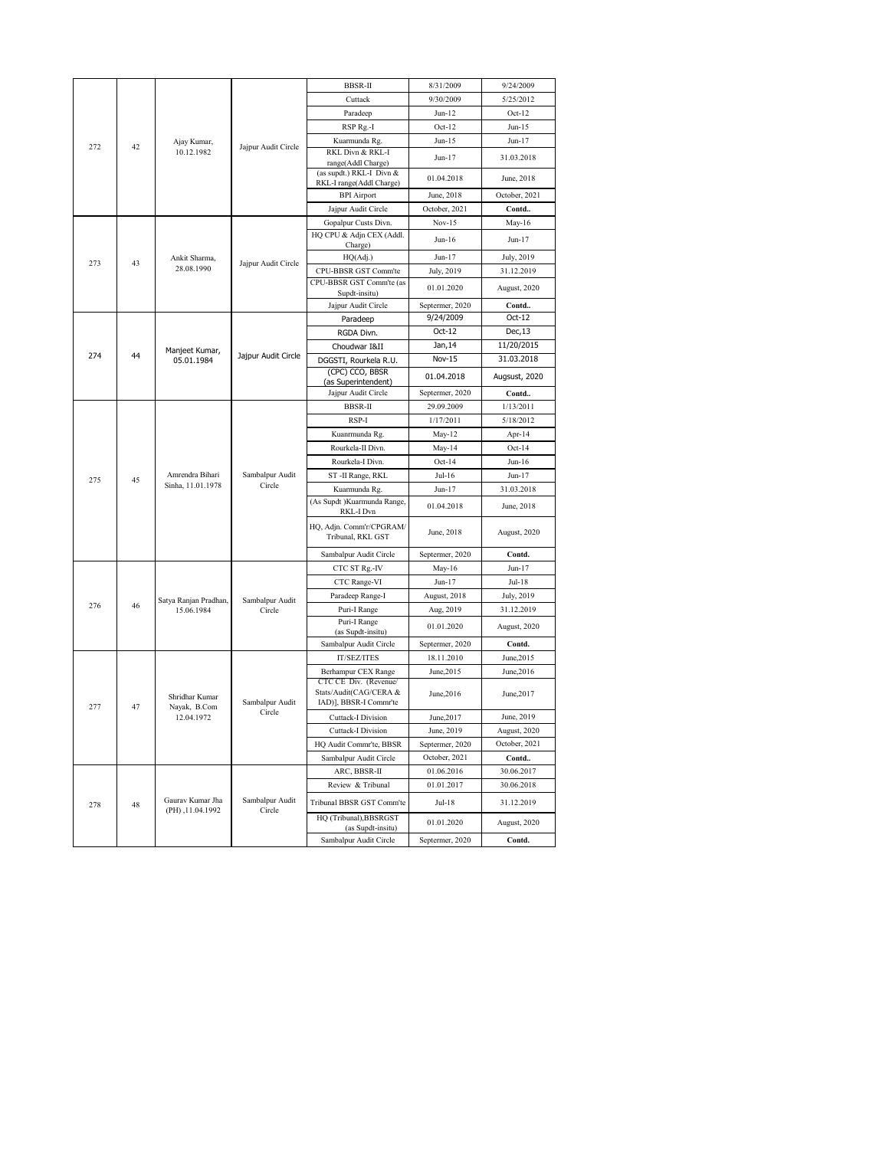|     |    |                                     |                           | <b>BBSR-II</b>                                       | 8/31/2009       | 9/24/2009     |
|-----|----|-------------------------------------|---------------------------|------------------------------------------------------|-----------------|---------------|
|     |    |                                     |                           | Cuttack                                              | 9/30/2009       | 5/25/2012     |
|     |    |                                     |                           | Paradeep                                             | $Jun-12$        | $Oct-12$      |
|     |    |                                     |                           | RSP Rg.-I                                            | $Oct-12$        | $Jun-15$      |
| 272 | 42 | Ajay Kumar,                         | Jajpur Audit Circle       | Kuarmunda Rg.                                        | $Jun-15$        | $Jun-17$      |
|     |    | 10.12.1982                          |                           | RKL Divn & RKL-I<br>range(Addl Charge)               | Jun-17          | 31.03.2018    |
|     |    |                                     |                           | (as supdt.) RKL-I Divn &<br>RKL-I range(Addl Charge) | 01.04.2018      | June, 2018    |
|     |    |                                     |                           | <b>BPI</b> Airport                                   | June, 2018      | October, 2021 |
|     |    |                                     |                           | Jajpur Audit Circle                                  | October, 2021   | Contd         |
|     |    |                                     |                           | Gopalpur Custs Divn.                                 | $Nov-15$        | May-16        |
|     |    |                                     |                           | HQ CPU & Adjn CEX (Addl.                             |                 |               |
|     |    |                                     |                           | Charge)                                              | Jun-16          | Jun-17        |
| 273 | 43 | Ankit Sharma,                       | Jajpur Audit Circle       | HQ(Adj.)                                             | Jun-17          | July, 2019    |
|     |    | 28.08.1990                          |                           | CPU-BBSR GST Comm'te                                 | July, 2019      | 31.12.2019    |
|     |    |                                     |                           | CPU-BBSR GST Comm'te (as<br>Supdt-insitu)            | 01.01.2020      | August, 2020  |
|     |    |                                     |                           | Jajpur Audit Circle                                  | Septermer, 2020 | Contd         |
|     |    |                                     |                           | Paradeep                                             | 9/24/2009       | Oct-12        |
|     |    |                                     |                           | RGDA Divn.                                           | Oct-12          | Dec, 13       |
|     |    | Manjeet Kumar,                      |                           | Choudwar I&II                                        | Jan, 14         | 11/20/2015    |
| 274 | 44 | 05.01.1984                          | Jajpur Audit Circle       | DGGSTI, Rourkela R.U.                                | Nov-15          | 31.03.2018    |
|     |    |                                     |                           | (CPC) CCO, BBSR<br>(as Superintendent)               | 01.04.2018      | Augsust, 2020 |
|     |    |                                     | Jajpur Audit Circle       | Septermer, 2020                                      | Contd           |               |
|     |    |                                     |                           | <b>BBSR-II</b>                                       | 29.09.2009      | 1/13/2011     |
|     |    |                                     |                           | RSP-I                                                | 1/17/2011       | 5/18/2012     |
|     |    |                                     |                           | Kuanrmunda Rg.                                       | May-12          | Apr-14        |
|     |    |                                     |                           | Rourkela-II Divn.                                    | May-14          | $Oct-14$      |
|     |    |                                     |                           | Rourkela-I Divn.                                     | $Oct-14$        | $Jun-16$      |
|     |    | Amrendra Bihari                     | Sambalpur Audit           | ST-II Range, RKL                                     | Jul-16          | Jun-17        |
| 275 | 45 | Sinha, 11.01.1978                   | Circle                    | Kuarmunda Rg.                                        | Jun-17          | 31.03.2018    |
|     |    |                                     |                           | (As Supdt ) Kuarmunda Range,                         |                 |               |
|     |    |                                     |                           | RKL-I Dvn                                            | 01.04.2018      | June, 2018    |
|     |    |                                     |                           | HQ, Adjn. Comm'r/CPGRAM/<br>Tribunal, RKL GST        | June, 2018      | August, 2020  |
|     |    |                                     |                           | Sambalpur Audit Circle                               | Septermer, 2020 | Contd.        |
|     |    |                                     |                           | CTC ST Rg.-IV                                        | May-16          | Jun-17        |
|     |    |                                     |                           | CTC Range-VI                                         | Jun-17          | Jul-18        |
|     |    |                                     |                           | Paradeep Range-I                                     | August, 2018    | July, 2019    |
| 276 | 46 | Satya Ranjan Pradhan,<br>15.06.1984 | Sambalpur Audit<br>Circle | Puri-I Range                                         | Aug, 2019       | 31.12.2019    |
|     |    |                                     |                           | Puri-I Range                                         | 01.01.2020      | August, 2020  |
|     |    |                                     |                           | (as Supdt-insitu)                                    |                 |               |
|     |    |                                     |                           | Sambalpur Audit Circle                               | Septermer, 2020 | Contd.        |
|     |    |                                     |                           | IT/SEZ/ITES                                          | 18.11.2010      | June, 2015    |
|     |    |                                     |                           | Berhampur CEX Range<br>CTC CE Div. (Revenue/         | June, 2015      | June, 2016    |
|     |    | Shridhar Kumar                      | Sambalpur Audit           | Stats/Audit(CAG/CERA &<br>IAD)], BBSR-I Commr'te     | June, 2016      | June, 2017    |
| 277 | 47 | Nayak, B.Com<br>12.04.1972          | Circle                    | <b>Cuttack-I Division</b>                            | June, 2017      | June, 2019    |
|     |    |                                     |                           | <b>Cuttack-I Division</b>                            | June, 2019      | August, 2020  |
|     |    |                                     |                           | HQ Audit Commr'te, BBSR                              | Septermer, 2020 | October, 2021 |
|     |    |                                     |                           | Sambalpur Audit Circle                               | October, 2021   | Contd         |
|     |    |                                     |                           | ARC, BBSR-II                                         | 01.06.2016      | 30.06.2017    |
|     |    |                                     |                           | Review & Tribunal                                    | 01.01.2017      | 30.06.2018    |
| 278 | 48 | Gaurav Kumar Jha                    | Sambalpur Audit           | Tribunal BBSR GST Comm'te                            | Jul-18          | 31.12.2019    |
|     |    | (PH), 11.04.1992                    | Circle                    | HQ (Tribunal), BBSRGST                               |                 |               |
|     |    |                                     |                           | (as Supdt-insitu)                                    | 01.01.2020      | August, 2020  |
|     |    |                                     |                           | Sambalpur Audit Circle                               | Septermer, 2020 | Contd.        |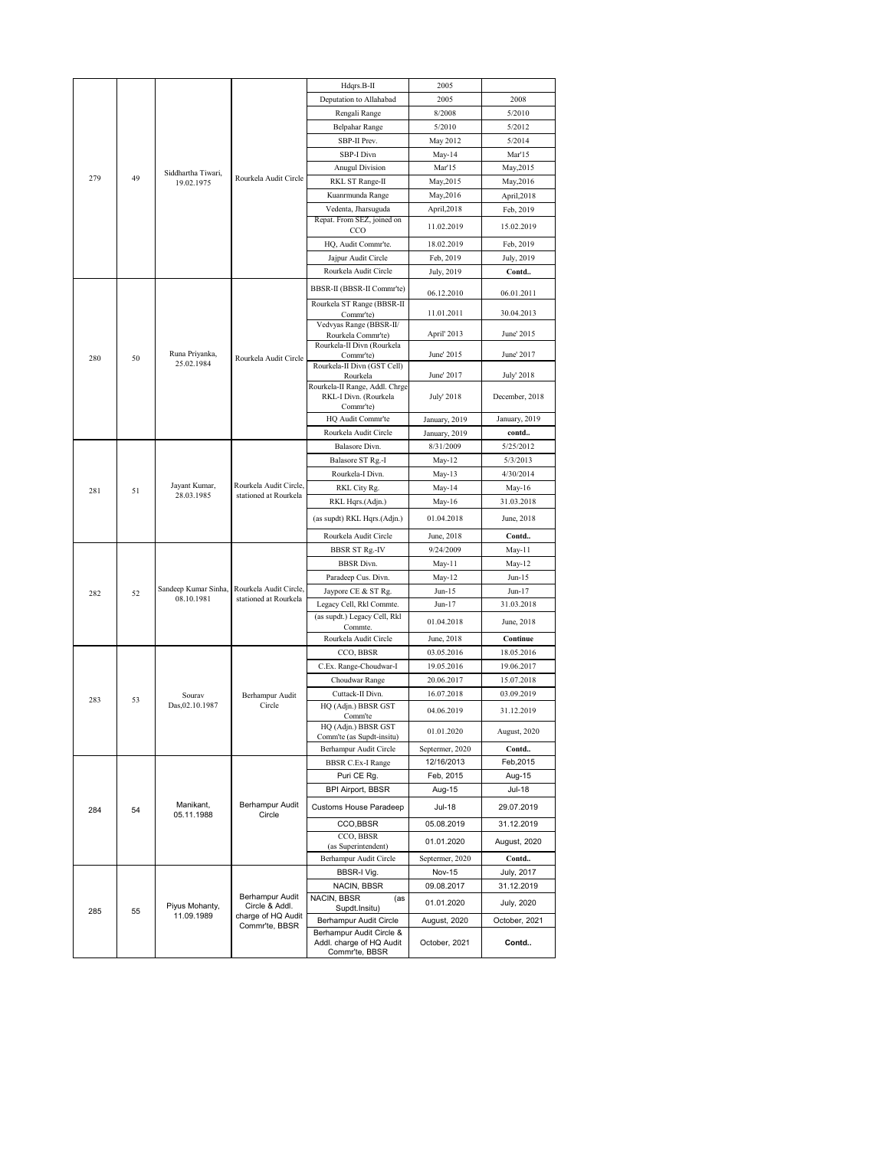|     |    |                                  |                                                 | Hdqrs.B-II                                         | 2005            |                |
|-----|----|----------------------------------|-------------------------------------------------|----------------------------------------------------|-----------------|----------------|
|     |    |                                  |                                                 | Deputation to Allahabad                            | 2005            | 2008           |
|     |    |                                  |                                                 | Rengali Range                                      | 8/2008          | 5/2010         |
|     |    |                                  |                                                 | <b>Belpahar Range</b>                              | 5/2010          | 5/2012         |
|     |    |                                  |                                                 | SBP-II Prev.                                       | May 2012        | 5/2014         |
|     |    |                                  |                                                 | SBP-I Divn                                         | May-14          | Mar'15         |
|     |    |                                  |                                                 | <b>Anugul Division</b>                             | Mar'15          | May, 2015      |
| 279 | 49 | Siddhartha Tiwari,<br>19.02.1975 | Rourkela Audit Circle                           | RKL ST Range-II                                    | May, 2015       | May, 2016      |
|     |    |                                  |                                                 | Kuanrmunda Range                                   | May, 2016       | April, 2018    |
|     |    |                                  |                                                 | Vedenta, Jharsuguda                                | April,2018      | Feb, 2019      |
|     |    |                                  |                                                 | Repat. From SEZ, joined on                         |                 |                |
|     |    |                                  |                                                 | CCO                                                | 11.02.2019      | 15.02.2019     |
|     |    |                                  |                                                 | HQ, Audit Commr'te.                                | 18.02.2019      | Feb, 2019      |
|     |    |                                  |                                                 | Jajpur Audit Circle                                | Feb, 2019       | July, 2019     |
|     |    |                                  |                                                 | Rourkela Audit Circle                              | July, 2019      | Contd          |
|     |    |                                  |                                                 | BBSR-II (BBSR-II Commr'te)                         | 06.12.2010      | 06.01.2011     |
|     |    |                                  |                                                 | Rourkela ST Range (BBSR-II                         |                 |                |
|     |    |                                  |                                                 | Commr'te)                                          | 11.01.2011      | 30.04.2013     |
|     |    |                                  |                                                 | Vedvyas Range (BBSR-II/                            | April' 2013     | June' 2015     |
|     |    |                                  |                                                 | Rourkela Commr'te)<br>Rourkela-II Divn (Rourkela   |                 |                |
| 280 | 50 | Runa Priyanka,                   | Rourkela Audit Circle                           | Commr'te)                                          | June' 2015      | June' 2017     |
|     |    | 25.02.1984                       |                                                 | Rourkela-II Divn (GST Cell)                        |                 |                |
|     |    |                                  |                                                 | Rourkela<br>Rourkela-II Range, Addl. Chrge         | June' 2017      | July' 2018     |
|     |    |                                  |                                                 | RKL-I Divn. (Rourkela                              | July' 2018      | December, 2018 |
|     |    |                                  |                                                 | Commr'te)                                          |                 |                |
|     |    |                                  |                                                 | HQ Audit Commr'te                                  | January, 2019   | January, 2019  |
|     |    |                                  |                                                 | Rourkela Audit Circle                              | January, 2019   | contd          |
|     |    |                                  |                                                 | Balasore Divn.                                     | 8/31/2009       | 5/25/2012      |
|     |    |                                  |                                                 | Balasore ST Rg.-I                                  | May-12          | 5/3/2013       |
|     |    |                                  |                                                 | Rourkela-I Divn.                                   | May-13          | 4/30/2014      |
| 281 | 51 | Jayant Kumar,<br>28.03.1985      | Rourkela Audit Circle,<br>stationed at Rourkela | RKL City Rg.                                       | May-14          | May-16         |
|     |    |                                  |                                                 | RKL Hqrs.(Adjn.)                                   | May-16          | 31.03.2018     |
|     |    |                                  |                                                 | (as supdt) RKL Hqrs.(Adjn.)                        | 01.04.2018      | June, 2018     |
|     |    |                                  |                                                 | Rourkela Audit Circle                              | June, 2018      | Contd          |
|     |    |                                  |                                                 | <b>BBSR ST Rg.-IV</b>                              | 9/24/2009       | May-11         |
|     |    |                                  |                                                 | <b>BBSR</b> Divn.                                  | May-11          | May-12         |
|     |    |                                  |                                                 | Paradeep Cus. Divn.                                | May-12          | $Jun-15$       |
|     |    | Sandeep Kumar Sinha,             | Rourkela Audit Circle,                          | Jaypore CE & ST Rg.                                | $Jun-15$        | Jun-17         |
| 282 | 52 | 08.10.1981                       | stationed at Rourkela                           | Legacy Cell, Rkl Commte.                           | Jun-17          | 31.03.2018     |
|     |    |                                  |                                                 | (as supdt.) Legacy Cell, Rkl                       |                 |                |
|     |    |                                  |                                                 | Commte.                                            | 01.04.2018      | June, 2018     |
|     |    |                                  |                                                 | Rourkela Audit Circle                              | June, 2018      | Continue       |
|     |    |                                  |                                                 | CCO, BBSR                                          | 03.05.2016      | 18.05.2016     |
|     |    |                                  |                                                 | C.Ex. Range-Choudwar-I                             | 19.05.2016      | 19.06.2017     |
|     |    |                                  |                                                 | Choudwar Range                                     | 20.06.2017      | 15.07.2018     |
| 283 | 53 | Sourav                           | Berhampur Audit                                 | Cuttack-II Divn.                                   | 16.07.2018      | 03.09.2019     |
|     |    | Das, 02.10.1987                  | Circle                                          | HQ (Adjn.) BBSR GST                                | 04.06.2019      | 31.12.2019     |
|     |    |                                  |                                                 | Comm'te<br>HQ (Adjn.) BBSR GST                     |                 |                |
|     |    |                                  |                                                 | Comm'te (as Supdt-insitu)                          | 01.01.2020      | August, 2020   |
|     |    |                                  |                                                 | Berhampur Audit Circle                             | Septermer, 2020 | Contd          |
|     |    |                                  |                                                 | <b>BBSR C.Ex-I Range</b>                           | 12/16/2013      | Feb, 2015      |
|     |    |                                  |                                                 | Puri CE Rg.                                        | Feb, 2015       | Aug-15         |
|     |    |                                  |                                                 | <b>BPI Airport, BBSR</b>                           | Aug-15          | Jul-18         |
| 284 | 54 | Manikant,                        | Berhampur Audit                                 | Customs House Paradeep                             | Jul-18          | 29.07.2019     |
|     |    | 05.11.1988                       | Circle                                          | CCO,BBSR                                           | 05.08.2019      | 31.12.2019     |
|     |    |                                  |                                                 | CCO, BBSR                                          |                 |                |
|     |    |                                  |                                                 | (as Superintendent)                                | 01.01.2020      | August, 2020   |
|     |    |                                  |                                                 | Berhampur Audit Circle                             | Septermer, 2020 | Contd          |
|     |    |                                  |                                                 | BBSR-I Vig.                                        | <b>Nov-15</b>   | July, 2017     |
|     |    |                                  |                                                 | NACIN, BBSR                                        | 09.08.2017      | 31.12.2019     |
|     |    |                                  | Berhampur Audit                                 | NACIN, BBSR<br>(as                                 | 01.01.2020      | July, 2020     |
| 285 | 55 | Piyus Mohanty,<br>11.09.1989     | Circle & Addl.<br>charge of HQ Audit            | Supdt.Insitu)                                      |                 |                |
|     |    |                                  | Commr'te, BBSR                                  | Berhampur Audit Circle<br>Berhampur Audit Circle & | August, 2020    | October, 2021  |
|     |    |                                  |                                                 | Addl. charge of HQ Audit                           | October, 2021   | Contd          |
|     |    |                                  |                                                 | Commr'te, BBSR                                     |                 |                |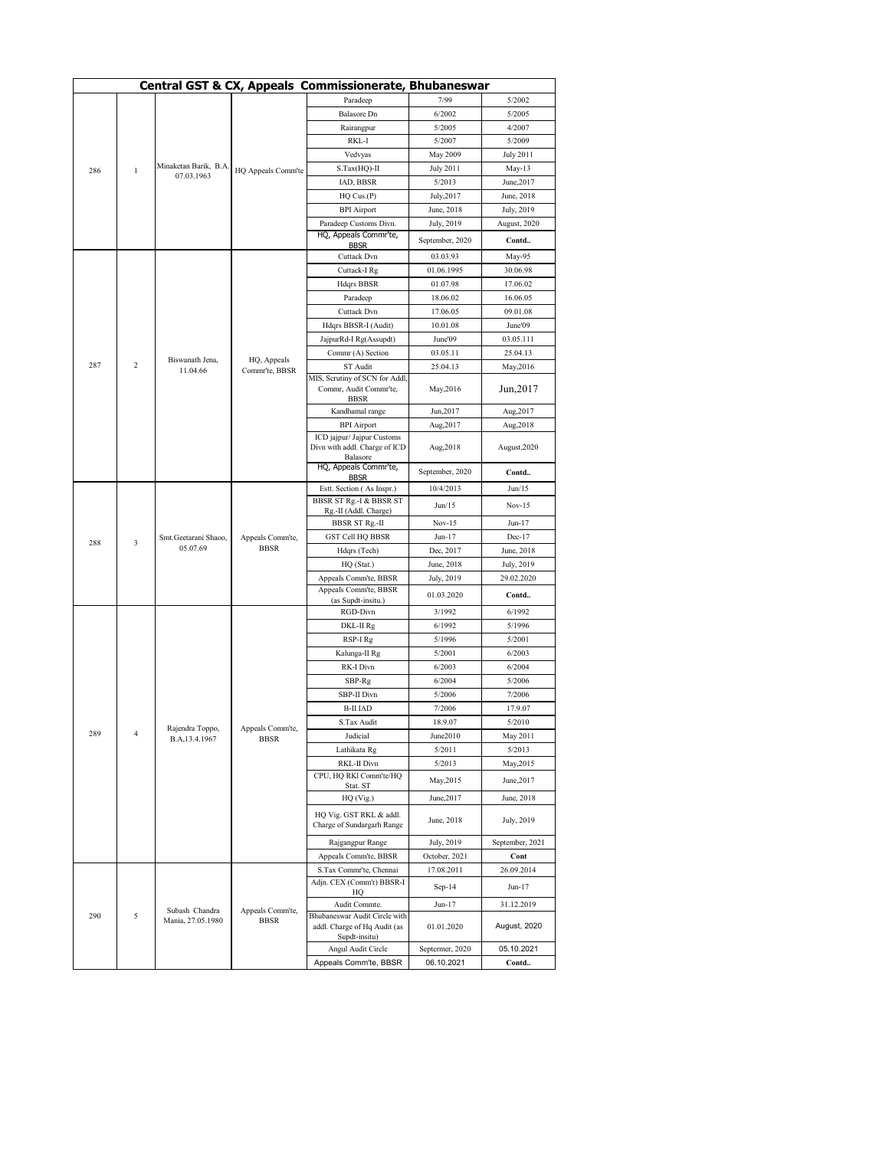|                     |                |                             |                               | Central GST & CX, Appeals Commissionerate, Bhubaneswar |                    |                    |
|---------------------|----------------|-----------------------------|-------------------------------|--------------------------------------------------------|--------------------|--------------------|
|                     |                |                             |                               | Paradeep                                               | 7/99               | 5/2002             |
|                     |                |                             |                               | <b>Balasore</b> Dn                                     | 6/2002             | 5/2005             |
|                     |                |                             |                               | Rairangpur                                             | 5/2005             | 4/2007             |
|                     |                |                             |                               | RKL-I                                                  | 5/2007             | 5/2009             |
|                     |                |                             |                               | Vedvyas                                                | May 2009           | <b>July 2011</b>   |
| 286<br>$\mathbf{1}$ |                | Minaketan Barik, B.A        |                               | S.Tax(HQ)-II                                           | <b>July 2011</b>   | May-13             |
|                     |                | 07.03.1963                  | HQ Appeals Comm'te            | IAD, BBSR                                              | 5/2013             | June, 2017         |
|                     |                |                             |                               | $HQ$ Cus. $(P)$                                        | July,2017          | June, 2018         |
|                     |                |                             |                               | <b>BPI</b> Airport                                     | June, 2018         | July, 2019         |
|                     |                |                             |                               | Paradeep Customs Divn.                                 | July, 2019         | August, 2020       |
|                     |                |                             | HQ, Appeals Commr'te,         |                                                        |                    |                    |
|                     |                |                             |                               | <b>BBSR</b>                                            | September, 2020    | Contd              |
|                     |                |                             |                               | Cuttack Dvn                                            | 03.03.93           | May-95             |
|                     |                |                             |                               | Cuttack-I Rg                                           | 01.06.1995         | 30.06.98           |
|                     |                |                             |                               | <b>Hdqrs BBSR</b>                                      | 01.07.98           | 17.06.02           |
|                     |                |                             |                               | Paradeep                                               | 18.06.02           | 16.06.05           |
|                     |                |                             |                               | Cuttack Dvn                                            | 17.06.05           | 09.01.08           |
|                     |                |                             |                               | Hdqrs BBSR-I (Audit)                                   | 10.01.08           | June'09            |
|                     |                |                             |                               | JajpurRd-I Rg(Assupdt)                                 | June'09            | 03.05.111          |
|                     |                |                             |                               | Commr (A) Section                                      | 03.05.11           | 25.04.13           |
| 287                 | $\overline{c}$ | Biswanath Jena,<br>11.04.66 | HQ, Appeals<br>Commr'te, BBSR | ST Audit                                               | 25.04.13           | May, 2016          |
|                     |                |                             |                               | MIS, Scrutiny of SCN for Addl,                         |                    |                    |
|                     |                |                             |                               | Commr, Audit Commr'te,                                 | May, 2016          | Jun, 2017          |
|                     |                |                             |                               | <b>BBSR</b><br>Kandhamal range                         | Jun, 2017          | Aug, 2017          |
|                     |                |                             |                               | <b>BPI</b> Airport                                     | Aug, 2017          | Aug,2018           |
|                     |                |                             |                               | ICD jajpur/ Jajpur Customs                             |                    |                    |
|                     |                |                             |                               | Divn with addl. Charge of ICD                          | Aug, 2018          | August, 2020       |
|                     |                |                             |                               | Balasore                                               |                    |                    |
|                     |                |                             |                               | HQ, Appeals Commr'te,<br><b>BBSR</b>                   | September, 2020    | Contd              |
|                     |                |                             |                               | Estt. Section (As Inspr.)                              | 10/4/2013          | Jun/15             |
|                     |                |                             |                               | <b>BBSR ST Rg.-I &amp; BBSR ST</b>                     | Jun/15             | $Nov-15$           |
|                     |                |                             |                               | Rg.-II (Addl. Charge)                                  |                    |                    |
|                     |                |                             |                               | <b>BBSR ST Rg.-II</b>                                  | $Nov-15$           | Jun-17             |
| 288                 | 3              | Smt.Geetarani Shaoo,        | Appeals Comm'te,              | <b>GST Cell HQ BBSR</b>                                | Jun-17             | $Dec-17$           |
|                     |                | 05.07.69                    | <b>BBSR</b>                   | Hdqrs (Tech)                                           | Dec, 2017          | June, 2018         |
|                     |                |                             |                               | HQ (Stat.)                                             | June, 2018         | July, 2019         |
|                     |                |                             |                               | Appeals Comm'te, BBSR                                  | July, 2019         | 29.02.2020         |
|                     |                |                             |                               | Appeals Comm'te, BBSR<br>(as Supdt-insitu.)            | 01.03.2020         | Contd              |
|                     |                |                             |                               | RGD-Divn                                               | 3/1992             | 6/1992             |
|                     |                |                             |                               | DKL-II Rg                                              | 6/1992             | 5/1996             |
|                     |                |                             |                               | RSP-I Rg                                               | 5/1996             | 5/2001             |
|                     |                |                             |                               | Kalunga-II Rg                                          | 5/2001             | 6/2003             |
|                     |                |                             |                               | RK-I Divn                                              | 6/2003             | 6/2004             |
|                     |                |                             |                               | SBP-Rg                                                 | 6/2004             | 5/2006             |
|                     |                |                             |                               | SBP-II Divn                                            | 5/2006             | 7/2006             |
|                     |                |                             |                               |                                                        |                    | 17.9.07            |
|                     |                |                             |                               | <b>B-II IAD</b><br>S.Tax Audit                         | 7/2006             | 5/2010             |
| 289                 | 4              | Rajendra 1 oppo,            | Appeais Comm te,              |                                                        | 18.9.07            |                    |
|                     |                | B.A, 13.4.1967              | <b>BBSR</b>                   | Judicial<br>Lathikata Rg                               | June2010<br>5/2011 | May 2011<br>5/2013 |
|                     |                |                             |                               |                                                        |                    |                    |
|                     |                |                             |                               | RKL-II Divn<br>CPU, HQ RKI Comm'te/HQ                  | 5/2013             | May, 2015          |
|                     |                |                             |                               | Stat. ST                                               | May, 2015          | June, 2017         |
|                     |                |                             |                               | HQ (Vig.)                                              | June, 2017         | June, 2018         |
|                     |                |                             |                               | HQ Vig. GST RKL & addl.                                |                    |                    |
|                     |                |                             |                               | Charge of Sundargarh Range                             | June, 2018         | July, 2019         |
|                     |                |                             |                               | Rajgangpur Range                                       | July, 2019         | September, 2021    |
|                     |                |                             |                               | Appeals Comm'te, BBSR                                  | October, 2021      | Cont               |
|                     |                |                             |                               | S.Tax Commr'te, Chennai                                | 17.08.2011         | 26.09.2014         |
|                     |                |                             |                               | Adjn. CEX (Comm'r) BBSR-I                              |                    |                    |
|                     |                |                             |                               | HQ                                                     | $Sep-14$           | Jun-17             |
|                     |                | Subash Chandra              | Appeals Comm'te,              | Audit Commte.                                          | Jun-17             | 31.12.2019         |
| 290                 | 5              | Mania, 27.05.1980           | <b>BBSR</b>                   | Bhubaneswar Audit Circle with                          |                    |                    |
|                     |                |                             |                               | addl. Charge of Hq Audit (as<br>Supdt-insitu)          | 01.01.2020         | August, 2020       |
|                     |                |                             |                               | Angul Audit Circle                                     | Septermer, 2020    | 05.10.2021         |
|                     |                |                             |                               | Appeals Comm'te, BBSR                                  | 06.10.2021         | Contd              |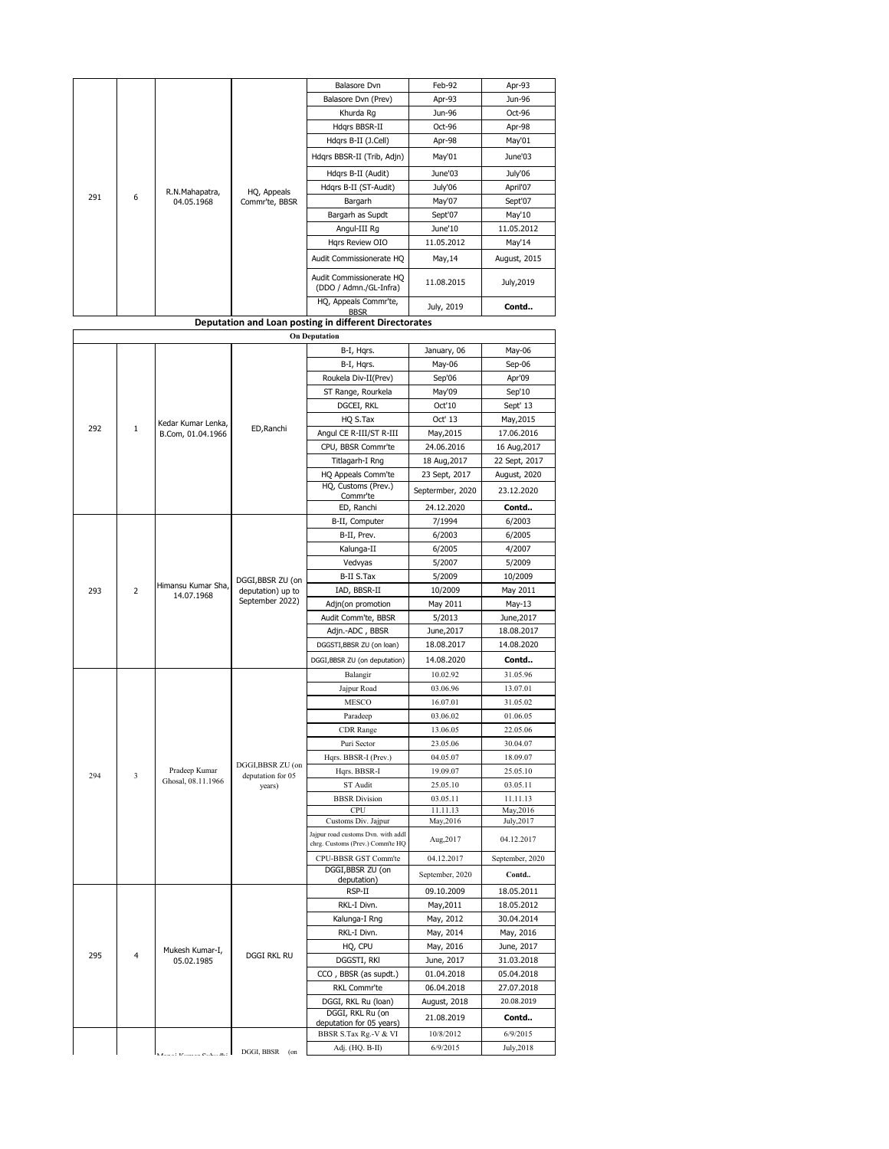|     |                |                                     |                               | Balasore Dvn                                                         | Feb-92                | Apr-93                  |
|-----|----------------|-------------------------------------|-------------------------------|----------------------------------------------------------------------|-----------------------|-------------------------|
|     |                |                                     |                               | Balasore Dvn (Prev)                                                  | Apr-93                | Jun-96                  |
|     |                |                                     |                               | Khurda Rg                                                            | Jun-96                | Oct-96                  |
|     |                |                                     |                               | Hdqrs BBSR-II                                                        | Oct-96                | Apr-98                  |
|     |                |                                     | HQ, Appeals<br>Commr'te, BBSR | Hdqrs B-II (J.Cell)                                                  | Apr-98                | May'01                  |
|     |                |                                     |                               | Hdqrs BBSR-II (Trib, Adjn)                                           | May'01                | June'03                 |
|     |                |                                     |                               | Hdgrs B-II (Audit)                                                   | June'03               | July'06                 |
|     |                |                                     |                               | Hdqrs B-II (ST-Audit)                                                | July'06               | April'07                |
| 291 | 6              | R.N.Mahapatra,<br>04.05.1968        |                               | Bargarh                                                              | May'07                | Sept'07                 |
|     |                |                                     |                               | Bargarh as Supdt                                                     | Sept'07               | May'10                  |
|     |                |                                     |                               | Angul-III Rg                                                         | June'10               | 11.05.2012              |
|     |                |                                     |                               | Hgrs Review OIO                                                      | 11.05.2012            | May'14                  |
|     |                |                                     |                               | Audit Commissionerate HQ                                             | May, 14               | August, 2015            |
|     |                |                                     |                               | Audit Commissionerate HQ<br>(DDO / Admn./GL-Infra)                   | 11.08.2015            | July, 2019              |
|     |                |                                     |                               | HQ, Appeals Commr'te,                                                | July, 2019            | Contd                   |
|     |                |                                     |                               | <b>BBSR</b><br>Deputation and Loan posting in different Directorates |                       |                         |
|     |                |                                     |                               | <b>On Deputation</b>                                                 |                       |                         |
|     |                |                                     |                               | B-I, Hqrs.                                                           | January, 06           | May-06                  |
|     |                |                                     |                               | B-I, Hqrs.                                                           | May-06                | Sep-06                  |
|     |                |                                     |                               | Roukela Div-II(Prev)                                                 | Sep'06                | Apr'09                  |
|     |                |                                     |                               | ST Range, Rourkela                                                   | May'09                | Sep'10                  |
|     |                |                                     |                               | DGCEI, RKL                                                           | Oct'10                | Sept' 13                |
|     |                | Kedar Kumar Lenka,                  |                               | HQ S.Tax                                                             | Oct' 13               | May, 2015               |
| 292 | $\mathbf{1}$   | B.Com, 01.04.1966                   | ED, Ranchi                    | Angul CE R-III/ST R-III                                              | May, 2015             | 17.06.2016              |
|     |                |                                     |                               | CPU, BBSR Commr'te                                                   | 24.06.2016            | 16 Aug, 2017            |
|     |                |                                     |                               | Titlagarh-I Rng                                                      | 18 Aug, 2017          | 22 Sept, 2017           |
|     |                |                                     |                               | HQ Appeals Comm'te                                                   | 23 Sept, 2017         | August, 2020            |
|     |                |                                     |                               | HQ, Customs (Prev.)<br>Commr'te                                      | Septermber, 2020      | 23.12.2020              |
|     |                |                                     |                               | ED, Ranchi                                                           | 24.12.2020            | Contd                   |
|     |                | Himansu Kumar Sha,<br>14.07.1968    |                               | B-II, Computer                                                       | 7/1994                | 6/2003                  |
|     |                |                                     |                               | B-II, Prev.                                                          | 6/2003                | 6/2005                  |
|     |                |                                     |                               | Kalunga-II                                                           | 6/2005                | 4/2007                  |
|     |                |                                     |                               | Vedvyas                                                              | 5/2007                | 5/2009                  |
|     |                |                                     | DGGI,BBSR ZU (on              | B-II S.Tax                                                           | 5/2009                | 10/2009                 |
| 293 | $\overline{2}$ |                                     | deputation) up to             | IAD, BBSR-II                                                         | 10/2009               | May 2011                |
|     |                |                                     | September 2022)               | Adjn(on promotion                                                    | May 2011              | May-13                  |
|     |                |                                     |                               | Audit Comm'te, BBSR                                                  | 5/2013                | June, 2017              |
|     |                |                                     |                               | Adjn.-ADC, BBSR                                                      | June, 2017            | 18.08.2017              |
|     |                |                                     |                               | DGGSTI, BBSR ZU (on loan)                                            | 18.08.2017            | 14.08.2020              |
|     |                |                                     |                               | DGGI, BBSR ZU (on deputation)                                        | 14.08.2020            | Contd                   |
|     |                |                                     |                               | Balangir                                                             | 10.02.92              | 31.05.96                |
|     |                |                                     |                               | Jajpur Road                                                          | 03.06.96              | 13.07.01                |
|     |                |                                     |                               | MESCO                                                                | 16.07.01              | 31.05.02                |
|     |                |                                     |                               | Paradeep                                                             | 03.06.02              | 01.06.05                |
|     |                |                                     |                               | CDR Range                                                            | 13.06.05              | 22.05.06                |
|     |                |                                     |                               | Puri Sector                                                          | 23.05.06              | 30.04.07                |
|     |                |                                     | DGGI,BBSR ZU (on              | Hqrs. BBSR-I (Prev.)                                                 | 04.05.07              | 18.09.07                |
| 294 | $\mathfrak{Z}$ | Pradeep Kumar<br>Ghosal, 08.11.1966 | deputation for 05             | Hqrs. BBSR-I                                                         | 19.09.07              | 25.05.10                |
|     |                |                                     | years)                        | ST Audit                                                             | 25.05.10              | 03.05.11                |
|     |                |                                     |                               | <b>BBSR</b> Division                                                 | 03.05.11              | 11.11.13                |
|     |                |                                     |                               | CPU<br>Customs Div. Jajpur                                           | 11.11.13<br>May, 2016 | May, 2016<br>July, 2017 |
|     |                |                                     |                               | Jajpur road customs Dvn. with addl                                   |                       |                         |
|     |                |                                     |                               | chrg. Customs (Prev.) Comm'te HQ                                     | Aug, 2017             | 04.12.2017              |

CPU-BBSR GST Comm'te 04.12.2017 September, 2020 DGGI,BBSR ZU (on deputation) September, 2020 **Contd..** RSP-II 09.10.2009 18.05.2011 RKL-I Divn. May, 2011 18.05.2012 Kalunga-I Rng May, 2012 30.04.2014 RKL-I Divn. May, 2014 May, 2016 HQ, CPU May, 2016 June, 2017 DGGSTI, RKl June, 2017 31.03.2018 CCO , BBSR (as supdt.) 01.04.2018 05.04.2018 RKL Commr'te 06.04.2018 27.07.2018 DGGI, RKL Ru (loan) August, 2018 20.08.2019

DGGL, RKL RU (ON 21.08.2019 **Contd..**<br>
deputation for 05 years) 21.08.2019 6/9/2015<br>
BBSR S.Tax Rg.-V & VI 10/8/2012 6/9/2015

Adj. (HQ. B-II) 6/9/2015 July,2018

DGGI, RKL Ru (on

295 4

Mukesh Kumar-I,

ukesh Kumar-I,<br>05.02.1985 DGGI RKL RU

 $DGGI, BBSR$  (on

BBSR S.Tax Rg.-V  $\&$  VI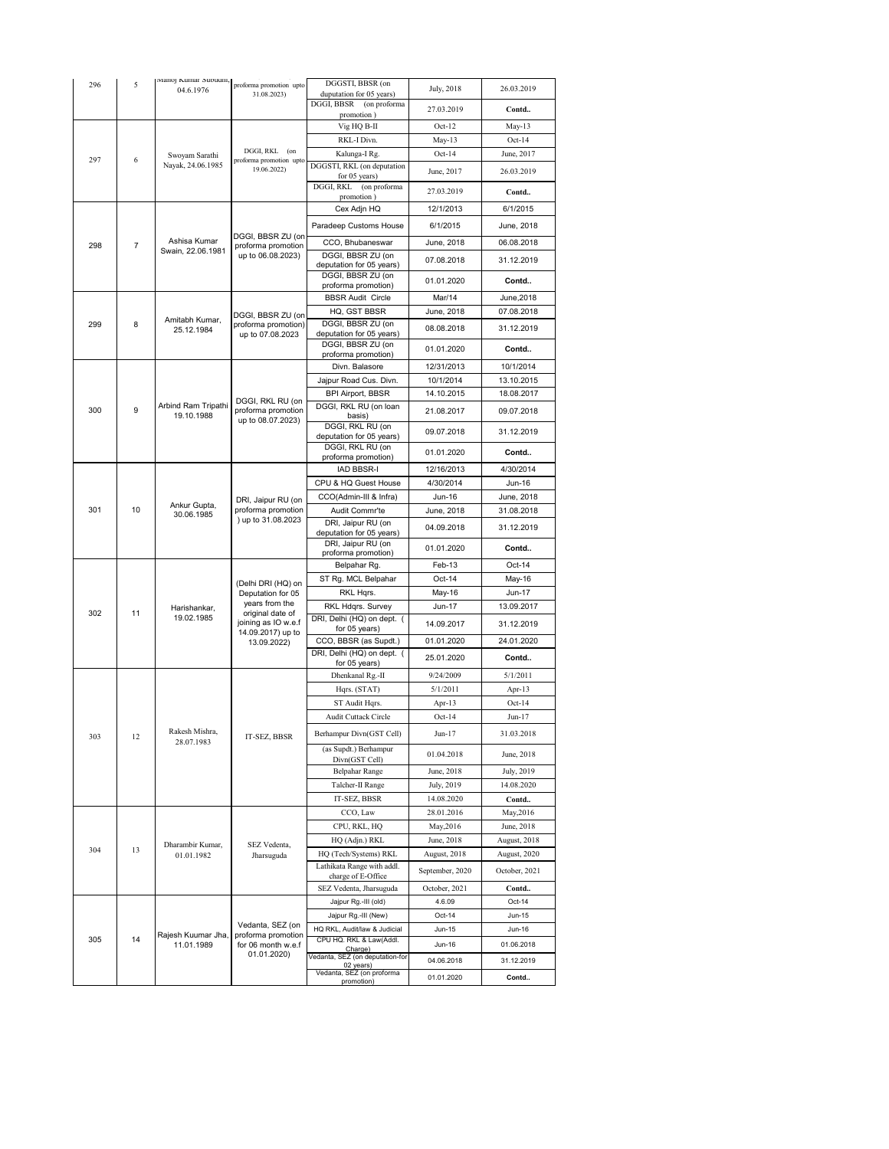| 296 | 5              | Manoj Kumar Subudhi,              | proforma promotion upto                                      | DGGSTI, BBSR (on                                       | July, 2018      | 26.03.2019    |
|-----|----------------|-----------------------------------|--------------------------------------------------------------|--------------------------------------------------------|-----------------|---------------|
|     |                | 04.6.1976                         | 31.08.2023)                                                  | duputation for 05 years)<br>DGGI, BBSR<br>(on proforma |                 |               |
|     |                |                                   |                                                              | promotion)                                             | 27.03.2019      | Contd         |
| 297 |                |                                   |                                                              | Vig HQ B-II                                            | $Oct-12$        | $May-13$      |
|     |                |                                   |                                                              | RKL-I Divn.                                            | May-13          | $Oct-14$      |
|     | 6              | Swoyam Sarathi                    | DGGI, RKL (on<br>proforma promotion upto                     | Kalunga-I Rg.                                          | $Oct-14$        | June, 2017    |
|     |                | Nayak, 24.06.1985                 | 19.06.2022)                                                  | DGGSTI, RKL (on deputation<br>for 05 years)            | June, 2017      | 26.03.2019    |
|     |                |                                   |                                                              | (on proforma<br>DGGI, RKL<br>promotion)                | 27.03.2019      | Contd         |
|     |                |                                   |                                                              | Cex Adjn HQ                                            | 12/1/2013       | 6/1/2015      |
|     |                |                                   |                                                              | Paradeep Customs House                                 | 6/1/2015        | June, 2018    |
| 298 | $\overline{7}$ | Ashisa Kumar                      | DGGI, BBSR ZU (on<br>proforma promotion                      | CCO, Bhubaneswar                                       | June, 2018      | 06.08.2018    |
|     |                | Swain, 22.06.1981                 | up to 06.08.2023)                                            | DGGI, BBSR ZU (on<br>deputation for 05 years)          | 07.08.2018      | 31.12.2019    |
|     |                |                                   |                                                              | DGGI, BBSR ZU (on                                      | 01.01.2020      | Contd         |
|     |                |                                   |                                                              | proforma promotion)<br><b>BBSR Audit Circle</b>        | Mar/14          | June, 2018    |
|     |                |                                   | DGGI, BBSR ZU (on                                            | HQ, GST BBSR                                           | June, 2018      | 07.08.2018    |
| 299 | 8              | Amitabh Kumar,<br>25.12.1984      | proforma promotion)                                          | DGGI, BBSR ZU (on                                      | 08.08.2018      | 31.12.2019    |
|     |                |                                   | up to 07.08.2023                                             | deputation for 05 years)<br>DGGI, BBSR ZU (on          |                 |               |
|     |                |                                   |                                                              | proforma promotion)                                    | 01.01.2020      | Contd         |
|     |                |                                   |                                                              | Divn. Balasore                                         | 12/31/2013      | 10/1/2014     |
|     |                |                                   |                                                              | Jajpur Road Cus. Divn.                                 | 10/1/2014       | 13.10.2015    |
|     |                |                                   | DGGI, RKL RU (on                                             | <b>BPI Airport, BBSR</b>                               | 14.10.2015      | 18.08.2017    |
| 300 | 9              | Arbind Ram Tripathi<br>19.10.1988 | proforma promotion<br>up to 08.07.2023)                      | DGGI, RKL RU (on loan<br>basis)                        | 21.08.2017      | 09.07.2018    |
|     |                |                                   |                                                              | DGGI, RKL RU (on<br>deputation for 05 years)           | 09.07.2018      | 31.12.2019    |
|     |                |                                   |                                                              | DGGI, RKL RU (on                                       | 01.01.2020      | Contd         |
|     |                |                                   |                                                              | proforma promotion)<br><b>IAD BBSR-I</b>               | 12/16/2013      | 4/30/2014     |
|     |                |                                   |                                                              | CPU & HQ Guest House                                   | 4/30/2014       | Jun-16        |
|     |                | Ankur Gupta,                      |                                                              | CCO(Admin-III & Infra)                                 | Jun-16          | June, 2018    |
| 301 | 10             |                                   | DRI, Jaipur RU (on<br>proforma promotion                     | Audit Commr'te                                         | June, 2018      | 31.08.2018    |
|     |                | 30.06.1985                        | ) up to 31.08.2023                                           | DRI, Jaipur RU (on                                     | 04.09.2018      | 31.12.2019    |
|     |                |                                   |                                                              | deputation for 05 years)<br>DRI, Jaipur RU (on         |                 |               |
|     |                |                                   |                                                              | proforma promotion)                                    | 01.01.2020      | Contd         |
|     |                |                                   |                                                              | Belpahar Rg.                                           | Feb-13          | Oct-14        |
|     |                |                                   | (Delhi DRI (HQ) on                                           | ST Rg. MCL Belpahar                                    | Oct-14          | May-16        |
|     |                |                                   | Deputation for 05<br>years from the                          | RKL Hqrs.                                              | May-16          | <b>Jun-17</b> |
| 302 | 11             | Harishankar,<br>19.02.1985        | original date of                                             | RKL Hdqrs. Survey<br>DRI, Delhi (HQ) on dept. (        | Jun-17          | 13.09.2017    |
|     |                |                                   | joining as IO w.e.f<br>14.09.2017) up to                     | for 05 years)                                          | 14.09.2017      | 31.12.2019    |
|     |                |                                   | 13.09.2022)                                                  | CCO, BBSR (as Supdt.)                                  | 01.01.2020      | 24.01.2020    |
|     |                |                                   |                                                              | DRI, Delhi (HQ) on dept. (<br>for 05 years)            | 25.01.2020      | Contd         |
|     |                |                                   |                                                              | Dhenkanal Rg.-II                                       | 9/24/2009       | 5/1/2011      |
|     |                |                                   |                                                              | Hqrs. (STAT)                                           | 5/1/2011        | Apr-13        |
|     |                |                                   |                                                              | ST Audit Hqrs.                                         | Apr- $13$       | $Oct-14$      |
|     |                |                                   |                                                              | Audit Cuttack Circle                                   | $Oct-14$        | Jun-17        |
| 303 | 12             | Rakesh Mishra,<br>28.07.1983      | IT-SEZ, BBSR                                                 | Berhampur Divn(GST Cell)                               | Jun-17          | 31.03.2018    |
|     |                |                                   |                                                              | (as Supdt.) Berhampur<br>Divn(GST Cell)                | 01.04.2018      | June, 2018    |
|     |                |                                   |                                                              | <b>Belpahar Range</b>                                  | June, 2018      | July, 2019    |
|     |                |                                   |                                                              | Talcher-II Range                                       | July, 2019      | 14.08.2020    |
|     |                |                                   |                                                              | IT-SEZ, BBSR                                           | 14.08.2020      | Contd         |
|     | 13             | Dharambir Kumar,                  | SEZ Vedenta,                                                 | CCO, Law                                               | 28.01.2016      | May, 2016     |
|     |                |                                   |                                                              | CPU, RKL, HQ                                           | May, 2016       | June, 2018    |
|     |                |                                   |                                                              | HQ (Adjn.) RKL                                         | June, 2018      | August, 2018  |
| 304 |                | 01.01.1982                        | Jharsuguda                                                   | HQ (Tech/Systems) RKL                                  | August, 2018    | August, 2020  |
|     |                |                                   |                                                              | Lathikata Range with addl.<br>charge of E-Office       | September, 2020 | October, 2021 |
|     |                |                                   |                                                              | SEZ Vedenta, Jharsuguda                                | October, 2021   | Contd         |
|     |                |                                   |                                                              | Jajpur Rg.-III (old)                                   | 4.6.09          | Oct-14        |
|     | 14             | Rajesh Kuumar Jha,<br>11.01.1989  | Vedanta, SEZ (on<br>proforma promotion<br>for 06 month w.e.f | Jajpur Rg.-III (New)                                   | Oct-14          | Jun-15        |
|     |                |                                   |                                                              | HQ RKL, Audit/law & Judicial                           | Jun-15          | Jun-16        |
| 305 |                |                                   |                                                              | CPU HQ. RKL & Law(Addl.<br>Charge)                     | Jun-16          | 01.06.2018    |
|     |                |                                   | 01.01.2020)                                                  | Vedanta, SEZ (on deputation-for                        | 04.06.2018      | 31.12.2019    |
|     |                |                                   |                                                              | 02 years)<br>Vedanta, SEZ (on proforma<br>promotion)   | 01.01.2020      | Contd         |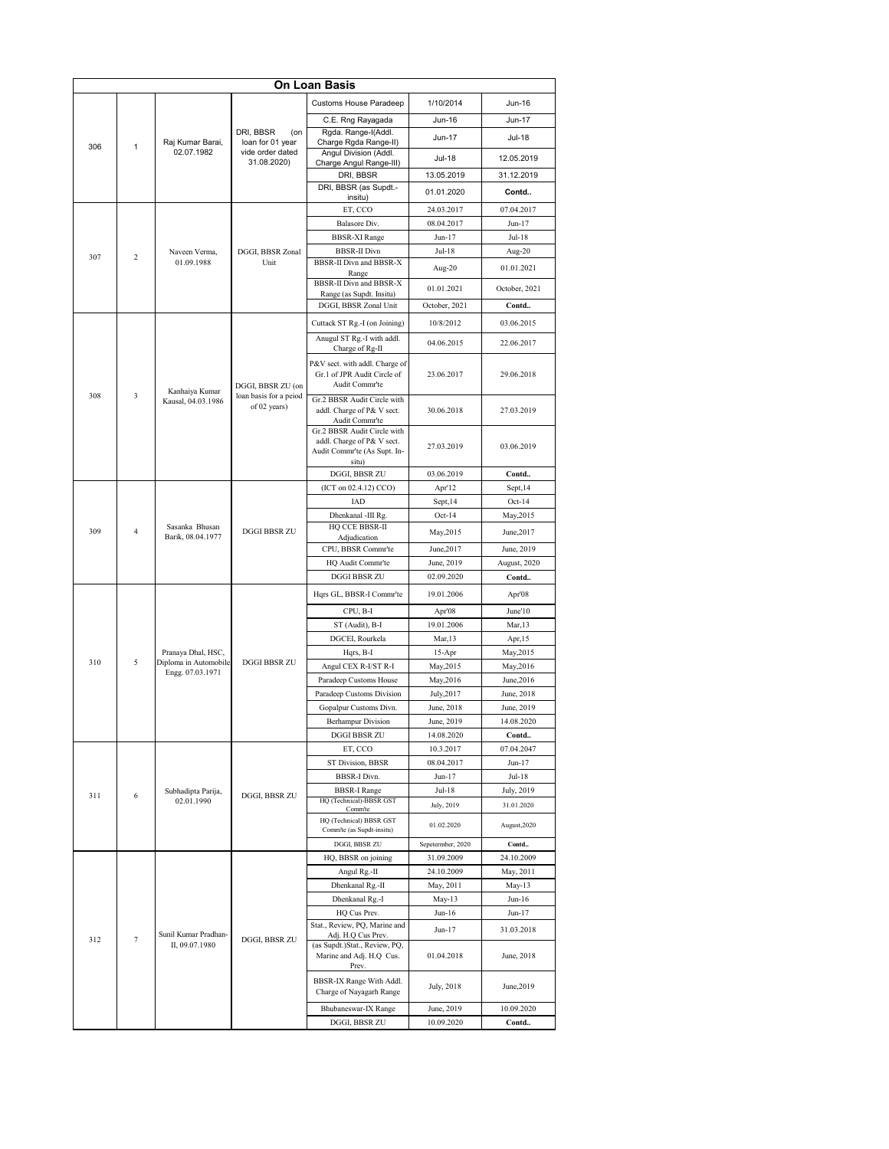| On Loan Basis |        |                                                      |                                        |                                                                     |                                 |                         |  |
|---------------|--------|------------------------------------------------------|----------------------------------------|---------------------------------------------------------------------|---------------------------------|-------------------------|--|
| 306           |        |                                                      |                                        | <b>Customs House Paradeep</b>                                       | 1/10/2014                       | Jun-16                  |  |
|               |        |                                                      |                                        | C.E. Rng Rayagada                                                   | Jun-16                          | Jun-17                  |  |
|               |        |                                                      | DRI, BBSR<br>(on                       | Rgda. Range-I(Addl.                                                 | Jun-17                          | Jul-18                  |  |
|               | 1      | Raj Kumar Barai,<br>02.07.1982                       | loan for 01 year<br>vide order dated   | Charge Rgda Range-II)<br>Angul Division (Addl.                      |                                 |                         |  |
|               |        |                                                      | 31.08.2020)                            | Charge Angul Range-III)                                             | <b>Jul-18</b>                   | 12.05.2019              |  |
|               |        |                                                      |                                        | DRI, BBSR                                                           | 13.05.2019                      | 31.12.2019              |  |
|               |        |                                                      |                                        | DRI, BBSR (as Supdt.-<br>insitu)                                    | 01.01.2020                      | Contd                   |  |
|               |        |                                                      |                                        | ET, CCO                                                             | 24.03.2017                      | 07.04.2017              |  |
|               |        |                                                      |                                        | Balasore Div.                                                       | 08.04.2017                      | Jun-17                  |  |
|               |        |                                                      |                                        | <b>BBSR-XI Range</b>                                                | Jun-17                          | Jul-18                  |  |
| 307           | 2      | Naveen Verma,<br>01.09.1988                          | DGGI, BBSR Zonal<br>Unit               | <b>BBSR-II Divn</b><br>BBSR-II Divn and BBSR-X                      | Jul-18                          | Aug-20                  |  |
|               |        |                                                      |                                        | Range                                                               | Aug-20                          | 01.01.2021              |  |
|               |        |                                                      |                                        | BBSR-II Divn and BBSR-X<br>Range (as Supdt. Insitu)                 | 01.01.2021                      | October, 2021           |  |
|               |        |                                                      |                                        | DGGI, BBSR Zonal Unit                                               | October, 2021                   | Contd                   |  |
|               |        |                                                      |                                        | Cuttack ST Rg.-I (on Joining)<br>10/8/2012                          |                                 | 03.06.2015              |  |
|               |        |                                                      |                                        | Anugul ST Rg.-I with addl.                                          | 04.06.2015                      | 22.06.2017              |  |
|               |        |                                                      |                                        | Charge of Rg-II<br>P&V sect. with addl. Charge of                   |                                 |                         |  |
|               |        |                                                      |                                        | Gr.1 of JPR Audit Circle of                                         | 23.06.2017                      | 29.06.2018              |  |
| 308           | 3      | Kanhaiya Kumar                                       | DGGI, BBSR ZU (on                      | Audit Commr'te                                                      |                                 |                         |  |
|               |        | Kausal, 04.03.1986                                   | loan basis for a peiod<br>of 02 years) | Gr.2 BBSR Audit Circle with<br>addl. Charge of P& V sect.           | 30.06.2018                      | 27.03.2019              |  |
|               |        |                                                      |                                        | Audit Commr'te                                                      |                                 |                         |  |
|               |        |                                                      |                                        | Gr.2 BBSR Audit Circle with<br>addl. Charge of P& V sect.           |                                 |                         |  |
|               |        |                                                      |                                        | Audit Commr'te (As Supt. In-                                        | 27.03.2019                      | 03.06.2019              |  |
|               |        |                                                      |                                        | situ)<br>DGGI, BBSR ZU                                              | 03.06.2019                      | Contd                   |  |
|               |        |                                                      |                                        | (ICT on 02.4.12) CCO)                                               | Apr'12                          | Sept, 14                |  |
|               |        |                                                      |                                        | IAD                                                                 | Sept, 14                        | $Oct-14$                |  |
|               |        | Sasanka Bhusan<br>Barik, 08.04.1977                  | <b>DGGI BBSR ZU</b>                    | Dhenkanal -III Rg.                                                  | Oct-14                          | May, 2015               |  |
| 309           | 4      |                                                      |                                        | HQ CCE BBSR-II<br>Adjudication                                      | May, 2015                       | June, 2017              |  |
|               |        |                                                      |                                        | CPU, BBSR Commr'te                                                  | June, 2017                      | June, 2019              |  |
|               |        |                                                      |                                        | HQ Audit Commr'te                                                   | June, 2019                      | August, 2020            |  |
|               |        |                                                      |                                        | <b>DGGI BBSR ZU</b>                                                 | 02.09.2020                      | Contd                   |  |
|               |        |                                                      | <b>DGGI BBSR ZU</b>                    | Hqrs GL, BBSR-I Commr'te                                            | 19.01.2006                      | Apr'08                  |  |
|               | 5      |                                                      |                                        | CPU, B-I                                                            | Apr'08                          | June'10                 |  |
|               |        |                                                      |                                        | ST (Audit), B-I                                                     | 19.01.2006                      | Mar, 13                 |  |
|               |        |                                                      |                                        | DGCEI, Rourkela                                                     | Mar, 13                         | Apr, 15                 |  |
| 310           |        | Pranaya Dhal, HSC,<br>Diploma in Automobile          |                                        | Hqrs, B-I                                                           | 15-Apr                          | May, 2015               |  |
|               |        | Engg. 07.03.1971<br>Subhadipta Parija,<br>02.01.1990 |                                        | Angul CEX R-I/ST R-I<br>Paradeep Customs House                      | May, 2015<br>May, 2016          | May, 2016<br>June, 2016 |  |
|               |        |                                                      |                                        | Paradeep Customs Division                                           | July, 2017                      | June, 2018              |  |
|               |        |                                                      |                                        | Gopalpur Customs Divn.                                              | June, 2018                      | June, 2019              |  |
|               |        |                                                      |                                        | <b>Berhampur Division</b>                                           | June, 2019                      | 14.08.2020              |  |
|               |        |                                                      |                                        | DGGI BBSR ZU                                                        | 14.08.2020                      | Contd                   |  |
|               |        |                                                      |                                        | ET, CCO                                                             | 10.3.2017                       | 07.04.2047              |  |
|               |        |                                                      |                                        | <b>ST Division, BBSR</b>                                            | 08.04.2017                      | $Jun-17$                |  |
|               |        |                                                      |                                        | BBSR-I Divn.<br><b>BBSR-I Range</b>                                 | Jun-17<br>Jul-18                | Jul-18<br>July, 2019    |  |
| 311           | 6      |                                                      | DGGI, BBSR ZU                          | HQ (Technical)-BBSR GST                                             | July, 2019                      | 31.01.2020              |  |
|               |        |                                                      |                                        | Comm'te<br>HQ (Technical) BBSR GST                                  |                                 | August, 2020            |  |
|               |        |                                                      |                                        | Comm'te (as Supdt-insitu)                                           | 01.02.2020                      |                         |  |
|               |        |                                                      |                                        | DGGI, BBSR ZU<br>HQ, BBSR on joining                                | Sepetermber, 2020<br>31.09.2009 | Contd<br>24.10.2009     |  |
|               | $\tau$ | Sunil Kumar Pradhan-<br>II, 09.07.1980               |                                        | Angul Rg.-II                                                        | 24.10.2009                      | May, 2011               |  |
|               |        |                                                      |                                        | Dhenkanal Rg.-II                                                    | May, 2011                       | $May-13$                |  |
|               |        |                                                      |                                        | Dhenkanal Rg.-I                                                     | May-13                          | $Jun-16$                |  |
|               |        |                                                      |                                        | HQ Cus Prev.                                                        | Jun-16                          | Jun-17                  |  |
|               |        |                                                      |                                        | Stat., Review, PQ, Marine and<br>Adj. H.Q Cus Prev.                 | Jun-17                          | 31.03.2018              |  |
| 312           |        |                                                      | DGGI, BBSR ZU                          | (as Supdt.) Stat., Review, PQ,<br>Marine and Adj. H.Q Cus.<br>Prev. | 01.04.2018                      | June, 2018              |  |
|               |        |                                                      |                                        | BBSR-IX Range With Addl.<br>Charge of Nayagarh Range                | July, 2018                      | June, 2019              |  |
|               |        |                                                      |                                        | Bhubaneswar-IX Range                                                | June, 2019                      | 10.09.2020              |  |
|               |        |                                                      |                                        | DGGI, BBSR ZU                                                       | 10.09.2020                      | Contd                   |  |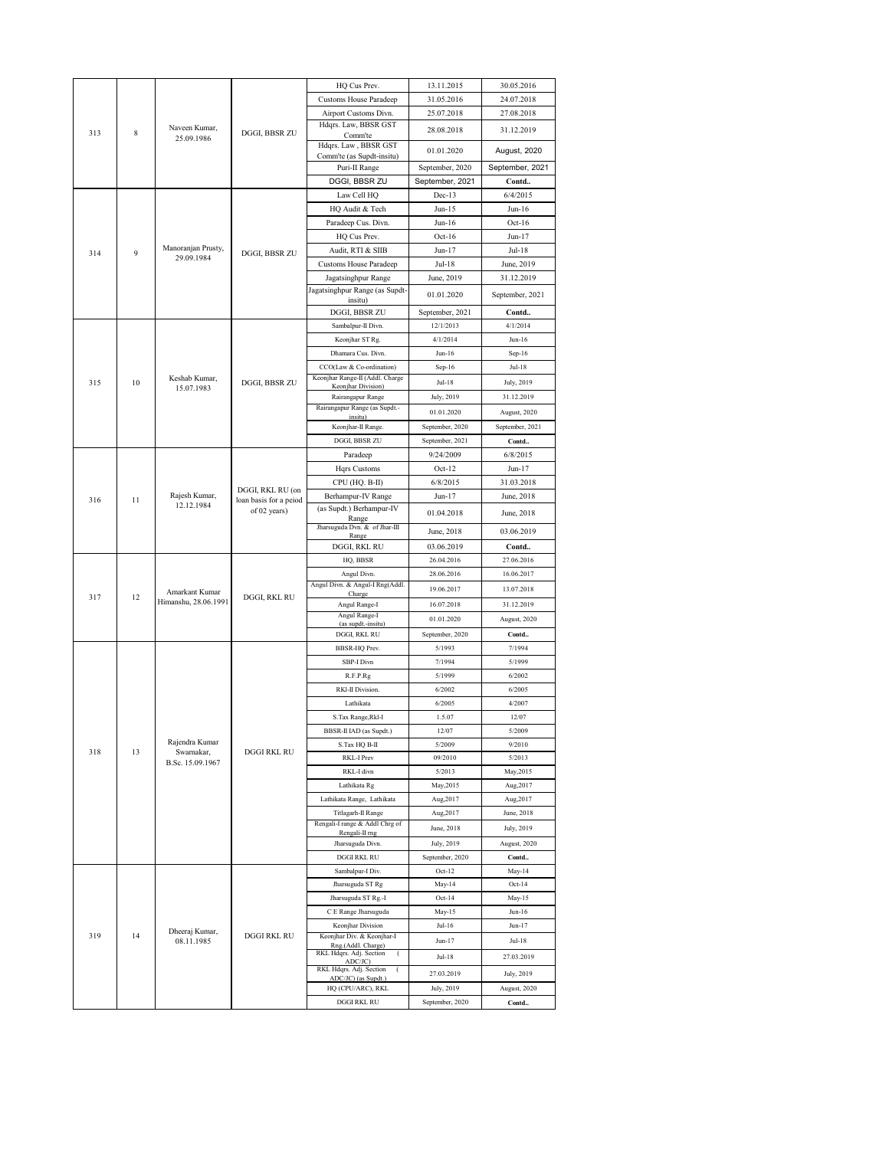|     |    |                                                  |                                            | HQ Cus Prev.                                        | 13.11.2015      | 30.05.2016      |
|-----|----|--------------------------------------------------|--------------------------------------------|-----------------------------------------------------|-----------------|-----------------|
| 313 |    |                                                  |                                            | <b>Customs House Paradeep</b>                       | 31.05.2016      | 24.07.2018      |
|     |    |                                                  |                                            | Airport Customs Divn.                               | 25.07.2018      | 27.08.2018      |
|     |    |                                                  |                                            | Hdqrs. Law, BBSR GST                                |                 |                 |
|     | 8  | Naveen Kumar,<br>25.09.1986                      | DGGI, BBSR ZU                              | Comm'te                                             | 28.08.2018      | 31.12.2019      |
|     |    |                                                  |                                            | Hdqrs. Law, BBSR GST                                | 01.01.2020      | August, 2020    |
|     |    |                                                  |                                            | Comm'te (as Supdt-insitu)                           |                 |                 |
|     |    |                                                  |                                            | Puri-II Range                                       | September, 2020 | September, 2021 |
|     |    |                                                  |                                            | DGGI, BBSR ZU                                       | September, 2021 | Contd           |
|     |    |                                                  |                                            | Law Cell HQ                                         | $Dec-13$        | 6/4/2015        |
|     |    |                                                  |                                            | HQ Audit & Tech                                     | $Jun-15$        | Jun-16          |
|     |    |                                                  |                                            | Paradeep Cus. Divn.                                 | $Jun-16$        | $Oct-16$        |
|     |    |                                                  |                                            |                                                     |                 |                 |
|     |    |                                                  |                                            | HQ Cus Prev.                                        | $Oct-16$        | Jun-17          |
| 314 | 9  | Manoranjan Prusty,<br>29.09.1984                 | DGGI, BBSR ZU                              | Audit, RTI & SIIB                                   | Jun-17          | $Jul-18$        |
|     |    |                                                  |                                            | <b>Customs House Paradeep</b>                       | $Jul-18$        | June, 2019      |
|     |    |                                                  |                                            | Jagatsinghpur Range                                 | June, 2019      | 31.12.2019      |
|     |    |                                                  |                                            | Jagatsinghpur Range (as Supdt-                      | 01.01.2020      | September, 2021 |
|     |    |                                                  |                                            | insitu)                                             |                 |                 |
|     |    |                                                  |                                            | DGGI, BBSR ZU                                       | September, 2021 | Contd           |
|     |    |                                                  |                                            | Sambalpur-II Divn.                                  | 12/1/2013       | 4/1/2014        |
|     |    |                                                  |                                            | Keonjhar ST Rg.                                     | 4/1/2014        | $Jun-16$        |
|     |    |                                                  |                                            | Dhamara Cus. Divn.                                  | $Jun-16$        | Sep-16          |
|     |    |                                                  |                                            | CCO(Law & Co-ordination)                            | Sep-16          | Jul-18          |
|     |    | Keshab Kumar,                                    |                                            | Keonjhar Range-II (Addl. Charge                     |                 |                 |
| 315 | 10 | 15.07.1983                                       | DGGI, BBSR ZU                              | Keonjhar Division)                                  | <b>Jul-18</b>   | July, 2019      |
|     |    |                                                  |                                            | Rairangapur Range                                   | July, 2019      | 31.12.2019      |
|     |    |                                                  |                                            | Rairangapur Range (as Supdt.-<br>insitu)            | 01.01.2020      | August, 2020    |
|     |    |                                                  |                                            | Keonjhar-II Range.                                  | September, 2020 | September, 2021 |
|     |    |                                                  |                                            | DGGI, BBSR ZU                                       |                 | Contd           |
|     |    |                                                  |                                            |                                                     | September, 2021 |                 |
|     |    |                                                  |                                            | Paradeep                                            | 9/24/2009       | 6/8/2015        |
|     |    |                                                  |                                            | Hqrs Customs                                        | $Oct-12$        | Jun-17          |
|     |    |                                                  |                                            | CPU (HQ. B-II)                                      | 6/8/2015        | 31.03.2018      |
| 316 | 11 | Rajesh Kumar,                                    | DGGI, RKL RU (on<br>loan basis for a peiod | Berhampur-IV Range                                  | Jun-17          | June, 2018      |
|     |    | 12.12.1984                                       | of 02 years)                               | (as Supdt.) Berhampur-IV                            | 01.04.2018      | June, 2018      |
|     |    |                                                  |                                            | Range                                               |                 |                 |
|     |    |                                                  |                                            | Jharsuguda Dvn. & of Jhar-III<br>Range              | June, 2018      | 03.06.2019      |
|     |    |                                                  |                                            | DGGI, RKL RU                                        | 03.06.2019      | Contd           |
|     |    |                                                  | DGGI, RKL RU                               | HQ, BBSR                                            | 26.04.2016      | 27.06.2016      |
|     | 12 |                                                  |                                            | Angul Divn.                                         | 28.06.2016      | 16.06.2017      |
|     |    |                                                  |                                            | Angul Divn. & Angul-I Rng(Addl.                     |                 |                 |
| 317 |    | Amarkant Kumar                                   |                                            | Charge                                              | 19.06.2017      | 13.07.2018      |
|     |    | Himanshu, 28.06.1991                             |                                            | Angul Range-I                                       | 16.07.2018      | 31.12.2019      |
|     |    |                                                  |                                            | Angul Range-I<br>(as supdt.-insitu)                 | 01.01.2020      | August, 2020    |
|     |    |                                                  |                                            | DGGI, RKL RU                                        | September, 2020 | Contd           |
|     |    | Rajendra Kumar<br>Swarnakar,<br>B.Sc. 15.09.1967 |                                            | BBSR-HQ Prev.                                       | 5/1993          | 7/1994          |
|     |    |                                                  |                                            |                                                     |                 |                 |
|     |    |                                                  |                                            | SBP-I Divn                                          | 7/1994          | 5/1999          |
|     |    |                                                  |                                            | R.F.P.Rg                                            | 5/1999          | 6/2002          |
|     |    |                                                  |                                            | RKI-II Division.                                    | 6/2002          | 6/2005          |
|     |    |                                                  |                                            | Lathikata                                           | 6/2005          | 4/2007          |
|     |    |                                                  |                                            | S.Tax Range, Rkl-I                                  | 1.5.07          | 12/07           |
|     |    |                                                  | DGGI RKL RU                                | BBSR-II IAD (as Supdt.)                             | 12/07           | 5/2009          |
|     |    |                                                  |                                            | S.Tax HQ B-II                                       | 5/2009          | 9/2010          |
| 318 | 13 |                                                  |                                            | RKL-I Prev                                          | 09/2010         | 5/2013          |
|     |    |                                                  |                                            |                                                     |                 |                 |
|     |    |                                                  |                                            | RKL-I divn                                          | 5/2013          | May, 2015       |
|     |    |                                                  |                                            | Lathikata Rg                                        | May, 2015       | Aug, 2017       |
|     |    |                                                  |                                            | Lathikata Range, Lathikata                          | Aug, 2017       | Aug, 2017       |
|     |    |                                                  |                                            | Titlagarh-II Range                                  | Aug, 2017       | June, 2018      |
|     |    |                                                  |                                            | Rengali-I range & Addl Chrg of                      | June, 2018      | July, 2019      |
|     |    |                                                  |                                            | Rengali-II mg<br>Jharsuguda Divn.                   | July, 2019      | August, 2020    |
|     |    |                                                  |                                            |                                                     |                 |                 |
|     |    | Dheeraj Kumar,<br>08.11.1985                     |                                            | DGGI RKL RU                                         | September, 2020 | Contd           |
|     | 14 |                                                  | <b>DGGI RKL RU</b>                         | Sambalpur-I Div.                                    | Oct-12          | May-14          |
|     |    |                                                  |                                            | Jharsuguda ST Rg                                    | May-14          | $Oct-14$        |
|     |    |                                                  |                                            | Jharsuguda ST Rg.-I                                 | Oct-14          | May-15          |
|     |    |                                                  |                                            | C E Range Jharsuguda                                | May-15          | $Jun-16$        |
|     |    |                                                  |                                            | Keonjhar Division                                   | $Jul-16$        | $Jun-17$        |
| 319 |    |                                                  |                                            | Keonjhar Div. & Keonjhar-I                          | $Jun-17$        | Jul-18          |
|     |    |                                                  |                                            | Rng.(Addl. Charge)<br>RKL Hdqrs. Adj. Section       |                 |                 |
|     |    |                                                  |                                            | ADC/JC)                                             | Jul-18          | 27.03.2019      |
|     |    |                                                  |                                            | RKL Hdqrs. Adj. Section<br>€<br>ADC/JC) (as Supdt.) | 27.03.2019      | July, 2019      |
|     |    |                                                  |                                            | HQ (CPU/ARC), RKL                                   | July, 2019      | August, 2020    |
|     |    |                                                  |                                            |                                                     |                 |                 |
|     |    |                                                  |                                            | DGGI RKL RU                                         | September, 2020 | Contd           |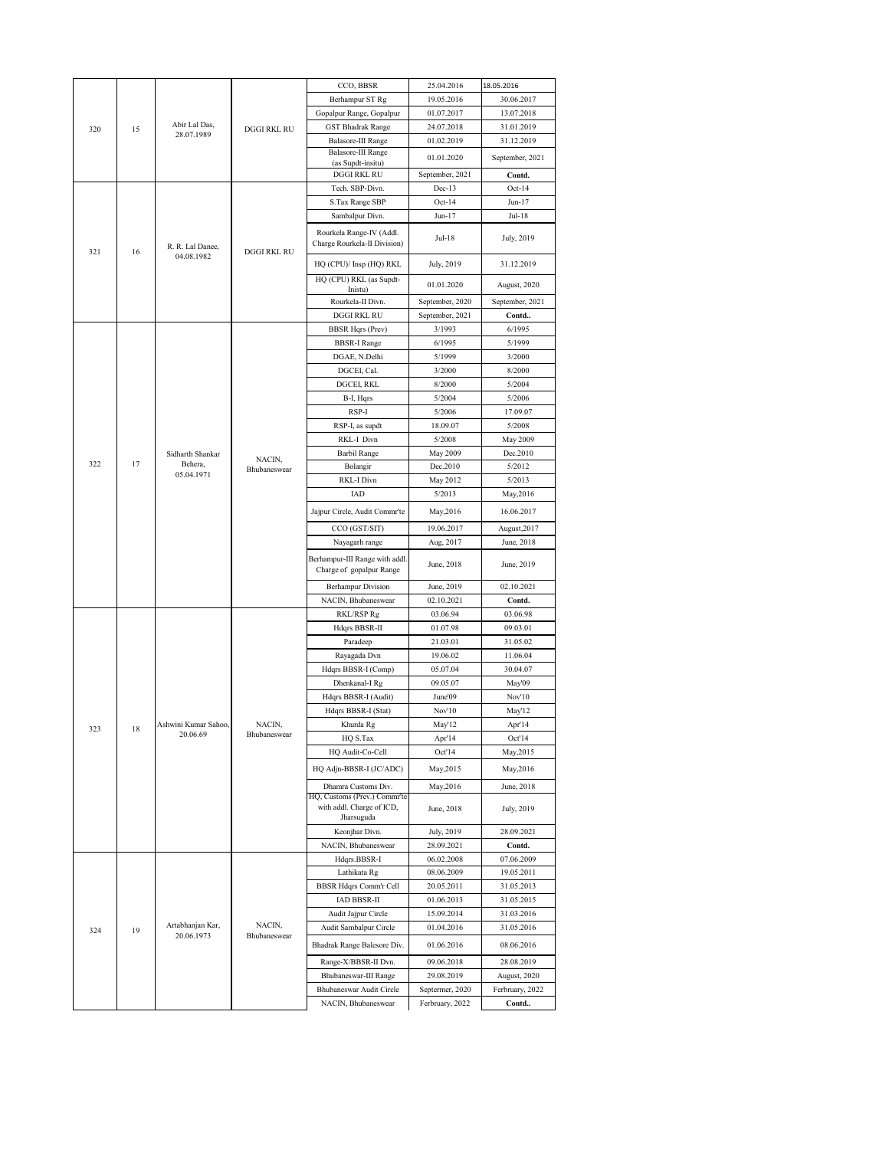|     |    |                                  |                        | CCO, BBSR                                                               | 25.04.2016           | 18.05.2016           |
|-----|----|----------------------------------|------------------------|-------------------------------------------------------------------------|----------------------|----------------------|
| 320 |    |                                  |                        | Berhampur ST Rg                                                         | 19.05.2016           | 30.06.2017           |
|     |    |                                  |                        | Gopalpur Range, Gopalpur                                                | 01.07.2017           | 13.07.2018           |
|     | 15 | Abir Lal Das,                    | <b>DGGI RKL RU</b>     | <b>GST Bhadrak Range</b>                                                | 24.07.2018           | 31.01.2019           |
|     |    | 28.07.1989                       |                        | Balasore-III Range                                                      | 01.02.2019           | 31.12.2019           |
|     |    |                                  |                        | Balasore-III Range<br>(as Supdt-insitu)                                 | 01.01.2020           | September, 2021      |
|     |    |                                  |                        | <b>DGGI RKL RU</b>                                                      | September, 2021      | Contd.               |
|     |    |                                  |                        | Tech. SBP-Divn.                                                         | $Dec-13$             | $Oct-14$             |
|     |    |                                  |                        | S.Tax Range SBP                                                         | $Oct-14$             | Jun-17               |
|     |    |                                  |                        | Sambalpur Divn.                                                         | Jun-17               | Jul-18               |
|     |    | R. R. Lal Danee,                 | <b>DGGI RKL RU</b>     | Rourkela Range-IV (Addl.<br>Charge Rourkela-II Division)                | Jul-18               | July, 2019           |
| 321 | 16 | 04.08.1982                       |                        | HQ (CPU)/ Insp (HQ) RKL                                                 | July, 2019           | 31.12.2019           |
|     |    |                                  |                        | HQ (CPU) RKL (as Supdt-<br>Inistu)                                      | 01.01.2020           | August, 2020         |
|     |    |                                  |                        | Rourkela-II Divn.                                                       | September, 2020      | September, 2021      |
|     |    |                                  |                        | <b>DGGI RKL RU</b>                                                      | September, 2021      | Contd                |
|     |    |                                  |                        | <b>BBSR Hqrs (Prev)</b>                                                 | 3/1993               | 6/1995               |
|     |    |                                  |                        | <b>BBSR-I Range</b>                                                     | 6/1995               | 5/1999               |
|     |    |                                  |                        | DGAE, N.Delhi                                                           | 5/1999               | 3/2000               |
|     |    |                                  |                        | DGCEI, Cal.                                                             | 3/2000<br>8/2000     | 8/2000<br>5/2004     |
|     |    |                                  |                        | DGCEI, RKL<br>B-I, Hqrs                                                 | 5/2004               | 5/2006               |
|     |    |                                  |                        | RSP-I                                                                   | 5/2006               | 17.09.07             |
|     |    |                                  |                        | RSP-I, as supdt                                                         | 18.09.07             | 5/2008               |
|     |    |                                  |                        | RKL-I Divn                                                              | 5/2008               | May 2009             |
|     |    | Sidharth Shankar                 |                        | Barbil Range                                                            | May 2009             | Dec.2010             |
| 322 | 17 | Behera,                          | NACIN,<br>Bhubaneswear | Bolangir                                                                | Dec.2010             | 5/2012               |
|     |    | 05.04.1971                       |                        | RKL-I Divn                                                              | May 2012             | 5/2013               |
|     |    |                                  |                        | IAD                                                                     | 5/2013               | May, 2016            |
|     | 18 | Ashwini Kumar Sahoo,<br>20.06.69 |                        | Jajpur Circle, Audit Commr'te                                           | May, 2016            | 16.06.2017           |
|     |    |                                  |                        | CCO (GST/SIT)                                                           | 19.06.2017           | August, 2017         |
|     |    |                                  |                        | Nayagarh range                                                          | Aug, 2017            | June, 2018           |
|     |    |                                  |                        | Berhampur-III Range with addl<br>Charge of gopalpur Range               | June, 2018           | June, 2019           |
|     |    |                                  |                        | <b>Berhampur Division</b>                                               | June, 2019           | 02.10.2021           |
|     |    |                                  |                        | NACIN, Bhubaneswear                                                     | 02.10.2021           | Contd.               |
|     |    |                                  | NACIN,<br>Bhubaneswear | RKL/RSP Rg                                                              | 03.06.94             | 03.06.98             |
|     |    |                                  |                        | Hdqrs BBSR-II                                                           | 01.07.98             | 09.03.01             |
|     |    |                                  |                        | Paradeep                                                                | 21.03.01             | 31.05.02             |
|     |    |                                  |                        | Rayagada Dvn                                                            | 19.06.02             | 11.06.04<br>30.04.07 |
|     |    |                                  |                        | Hdqrs BBSR-I (Comp)<br>Dhenkanal-I Rg                                   | 05.07.04<br>09.05.07 | May'09               |
|     |    |                                  |                        | Hdqrs BBSR-I (Audit)                                                    | June'09              | Nov'10               |
|     |    |                                  |                        | Hdqrs BBSR-I (Stat)                                                     | Nov'10               | May'12               |
|     |    |                                  |                        | Khurda Rg                                                               | May'12               | Apr'14               |
| 323 |    |                                  |                        | HQ S.Tax                                                                | Apr'14               | Oct'14               |
|     |    |                                  |                        | HQ Audit-Co-Cell                                                        | Oct'14               | May, 2015            |
|     |    |                                  |                        | HQ Adjn-BBSR-I (JC/ADC)                                                 | May, 2015            | May, 2016            |
|     |    |                                  |                        | Dhamra Customs Div.                                                     | May, 2016            | June, 2018           |
|     |    |                                  |                        | HQ, Customs (Prev.) Commr'te<br>with addl. Charge of ICD,<br>Jharsuguda | June, 2018           | July, 2019           |
|     |    |                                  |                        | Keonjhar Divn.                                                          | July, 2019           | 28.09.2021           |
|     |    |                                  |                        | NACIN, Bhubaneswear                                                     | 28.09.2021           | Contd.               |
|     | 19 |                                  | NACIN,<br>Bhubaneswear | Hdqrs.BBSR-I                                                            | 06.02.2008           | 07.06.2009           |
|     |    | Artabhanjan Kar,<br>20.06.1973   |                        | Lathikata Rg                                                            | 08.06.2009           | 19.05.2011           |
|     |    |                                  |                        | <b>BBSR Hdqrs Comm'r Cell</b>                                           | 20.05.2011           | 31.05.2013           |
|     |    |                                  |                        | IAD BBSR-II                                                             | 01.06.2013           | 31.05.2015           |
|     |    |                                  |                        | Audit Jajpur Circle                                                     | 15.09.2014           | 31.03.2016           |
| 324 |    |                                  |                        | Audit Sambalpur Circle                                                  | 01.04.2016           | 31.05.2016           |
|     |    |                                  |                        | Bhadrak Range Balesore Div.                                             | 01.06.2016           | 08.06.2016           |
|     |    |                                  |                        | Range-X/BBSR-II Dvn.                                                    | 09.06.2018           | 28.08.2019           |
|     |    |                                  |                        | Bhubaneswar-III Range                                                   | 29.08.2019           | August, 2020         |
|     |    |                                  |                        | Bhubaneswar Audit Circle                                                | Septermer, 2020      | Ferbruary, 2022      |
|     |    |                                  |                        | NACIN, Bhubaneswear                                                     | Ferbruary, 2022      | Contd                |